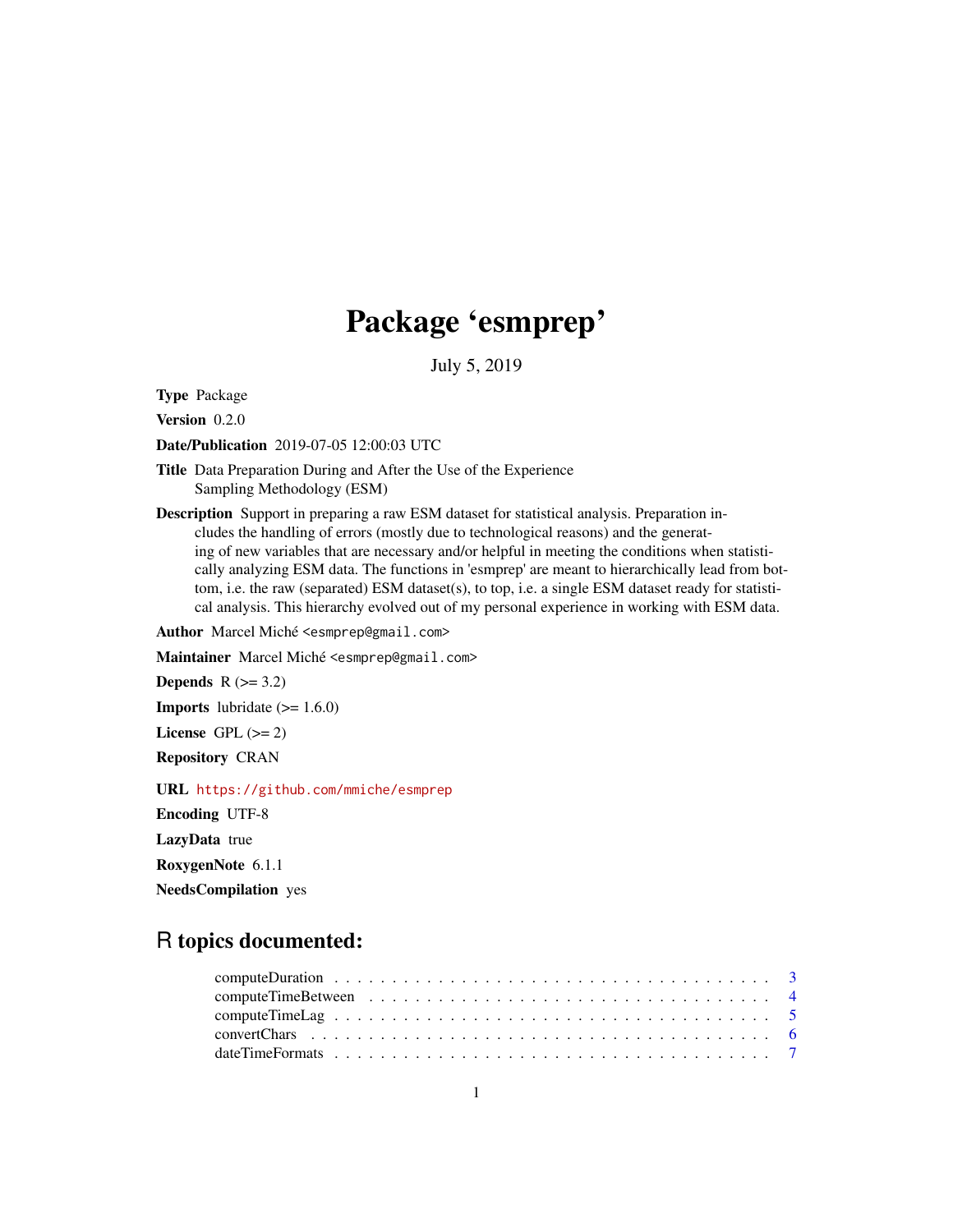# Package 'esmprep'

July 5, 2019

Type Package

Version 0.2.0

Date/Publication 2019-07-05 12:00:03 UTC

Title Data Preparation During and After the Use of the Experience Sampling Methodology (ESM)

Description Support in preparing a raw ESM dataset for statistical analysis. Preparation includes the handling of errors (mostly due to technological reasons) and the generating of new variables that are necessary and/or helpful in meeting the conditions when statistically analyzing ESM data. The functions in 'esmprep' are meant to hierarchically lead from bottom, i.e. the raw (separated) ESM dataset(s), to top, i.e. a single ESM dataset ready for statistical analysis. This hierarchy evolved out of my personal experience in working with ESM data.

Author Marcel Miché <esmprep@gmail.com>

Maintainer Marcel Miché <esmprep@gmail.com>

Depends  $R$  ( $>= 3.2$ )

**Imports** lubridate  $(>= 1.6.0)$ 

License GPL  $(>= 2)$ 

Repository CRAN

URL <https://github.com/mmiche/esmprep>

Encoding UTF-8

LazyData true

RoxygenNote 6.1.1

NeedsCompilation yes

## R topics documented: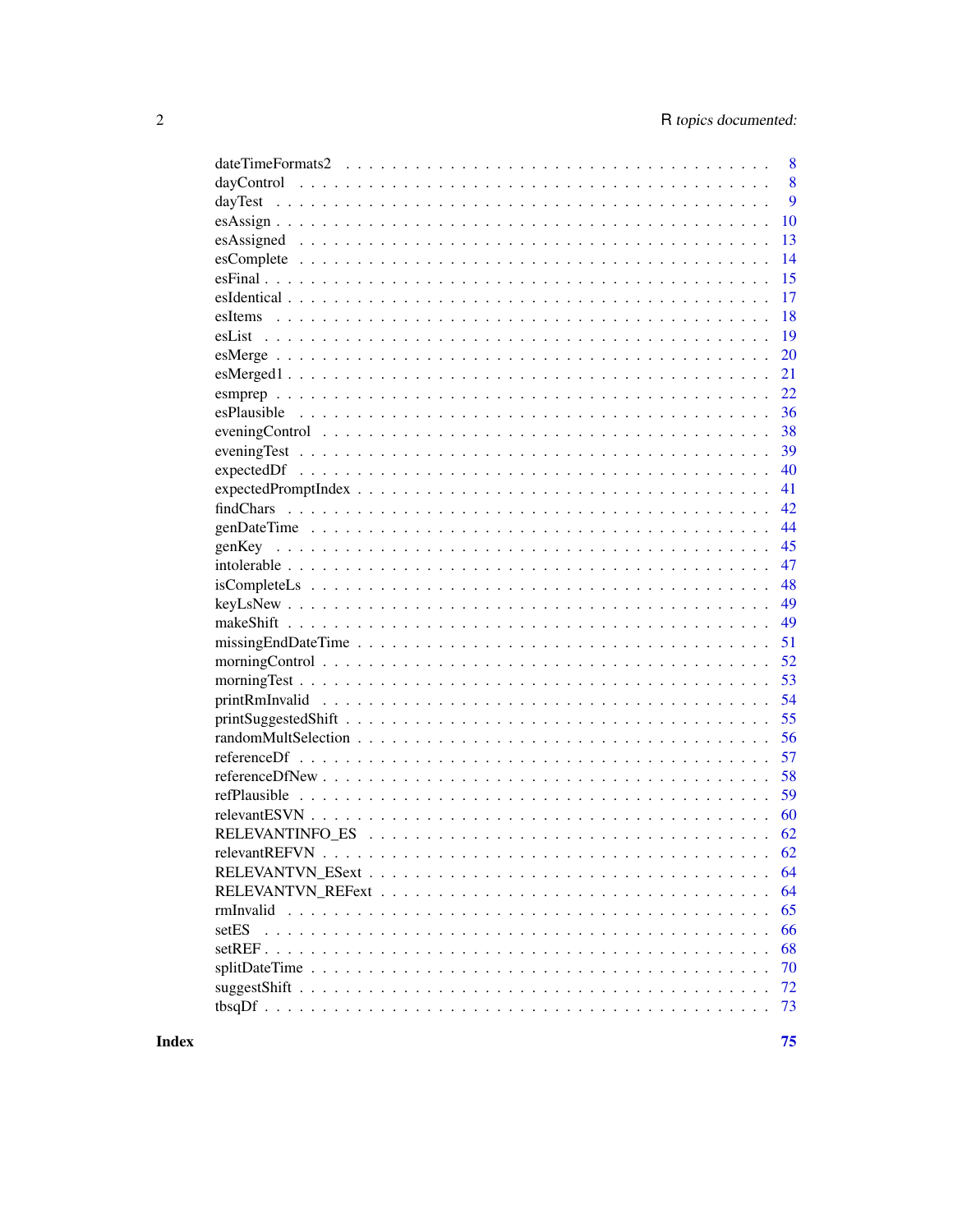| 8                                                                                                                     |
|-----------------------------------------------------------------------------------------------------------------------|
| 8                                                                                                                     |
| 9                                                                                                                     |
| 10                                                                                                                    |
| 13                                                                                                                    |
| 14                                                                                                                    |
| 15                                                                                                                    |
| 17                                                                                                                    |
| 18                                                                                                                    |
| 19                                                                                                                    |
| 20                                                                                                                    |
| 21                                                                                                                    |
| 22                                                                                                                    |
| 36                                                                                                                    |
| 38                                                                                                                    |
| 39                                                                                                                    |
| 40                                                                                                                    |
| 41                                                                                                                    |
| 42                                                                                                                    |
| 44                                                                                                                    |
| 45                                                                                                                    |
| 47                                                                                                                    |
| 48                                                                                                                    |
| 49                                                                                                                    |
| 49                                                                                                                    |
| $missingEndDateTime \ldots \ldots \ldots \ldots \ldots \ldots \ldots \ldots \ldots \ldots \ldots \ldots \ldots$<br>51 |
| 52                                                                                                                    |
| 53                                                                                                                    |
| 54                                                                                                                    |
| 55                                                                                                                    |
| 56                                                                                                                    |
| 57                                                                                                                    |
| 58                                                                                                                    |
| 59                                                                                                                    |
| 60                                                                                                                    |
| 62                                                                                                                    |
|                                                                                                                       |
| 64                                                                                                                    |
| 64                                                                                                                    |
| 65                                                                                                                    |
| setES<br>66                                                                                                           |
| 68                                                                                                                    |
| 70                                                                                                                    |
| 72                                                                                                                    |
| 73                                                                                                                    |
|                                                                                                                       |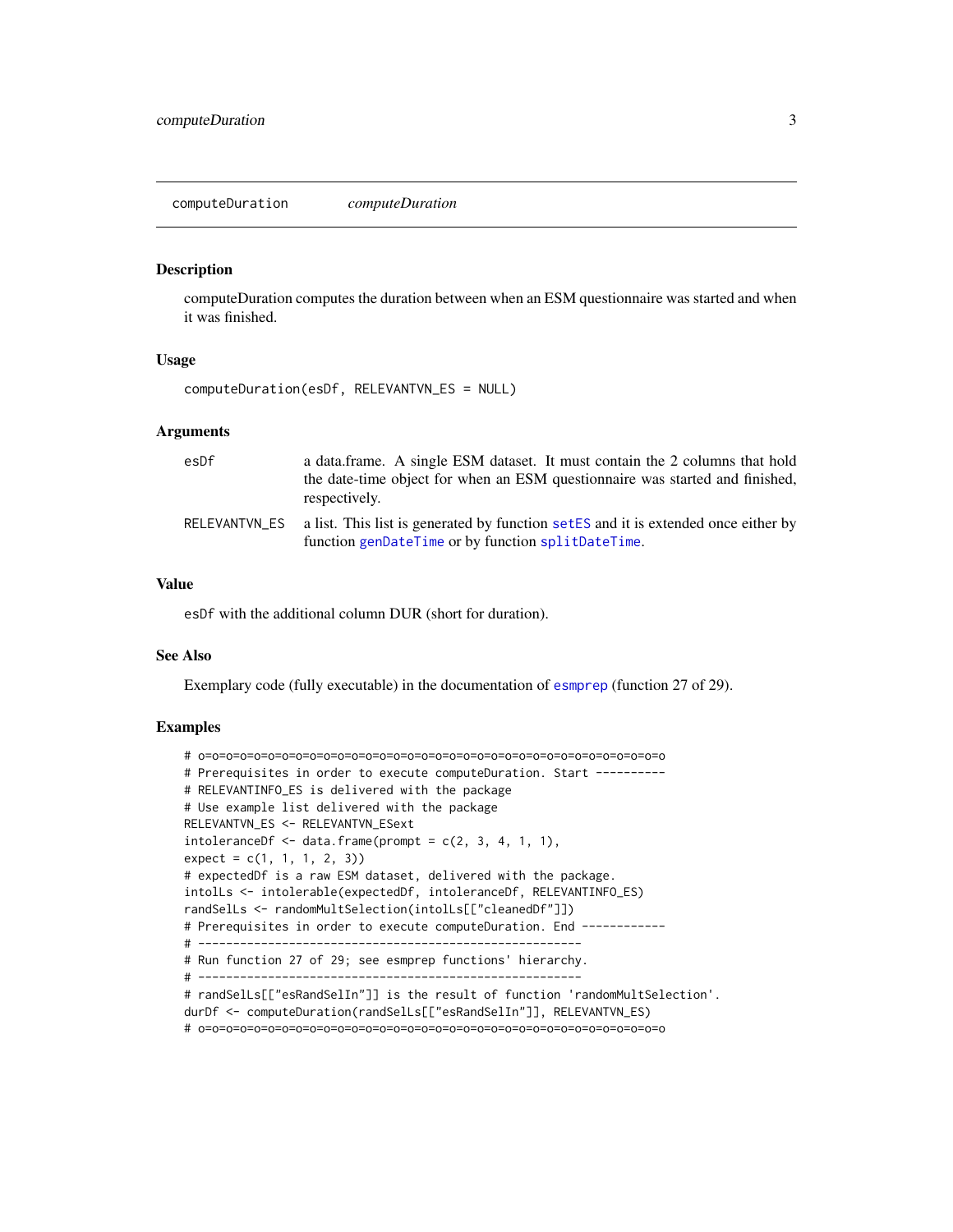<span id="page-2-0"></span>computeDuration *computeDuration*

#### **Description**

computeDuration computes the duration between when an ESM questionnaire was started and when it was finished.

#### Usage

computeDuration(esDf, RELEVANTVN\_ES = NULL)

#### Arguments

| esDf          | a data frame. A single ESM dataset. It must contain the 2 columns that hold<br>the date-time object for when an ESM questionnaire was started and finished,<br>respectively. |
|---------------|------------------------------------------------------------------------------------------------------------------------------------------------------------------------------|
| RELEVANTVN ES | a list. This list is generated by function setES and it is extended once either by<br>function genDateTime or by function splitDateTime.                                     |

## Value

esDf with the additional column DUR (short for duration).

#### See Also

Exemplary code (fully executable) in the documentation of [esmprep](#page-21-1) (function 27 of 29).

## Examples

```
# o=o=o=o=o=o=o=o=o=o=o=o=o=o=o=o=o=o=o=o=o=o=o=o=o=o=o=o=o=o=o=o=o=o
# Prerequisites in order to execute computeDuration. Start ----------
# RELEVANTINFO_ES is delivered with the package
# Use example list delivered with the package
RELEVANTVN_ES <- RELEVANTVN_ESext
intoleranceDf \leq data.frame(prompt = c(2, 3, 4, 1, 1),
expect = c(1, 1, 1, 2, 3)# expectedDf is a raw ESM dataset, delivered with the package.
intolLs <- intolerable(expectedDf, intoleranceDf, RELEVANTINFO_ES)
randSelLs <- randomMultSelection(intolLs[["cleanedDf"]])
# Prerequisites in order to execute computeDuration. End ------------
# -------------------------------------------------------
# Run function 27 of 29; see esmprep functions' hierarchy.
# -------------------------------------------------------
# randSelLs[["esRandSelIn"]] is the result of function 'randomMultSelection'.
durDf <- computeDuration(randSelLs[["esRandSelIn"]], RELEVANTVN_ES)
# o=o=o=o=o=o=o=o=o=o=o=o=o=o=o=o=o=o=o=o=o=o=o=o=o=o=o=o=o=o=o=o=o=o
```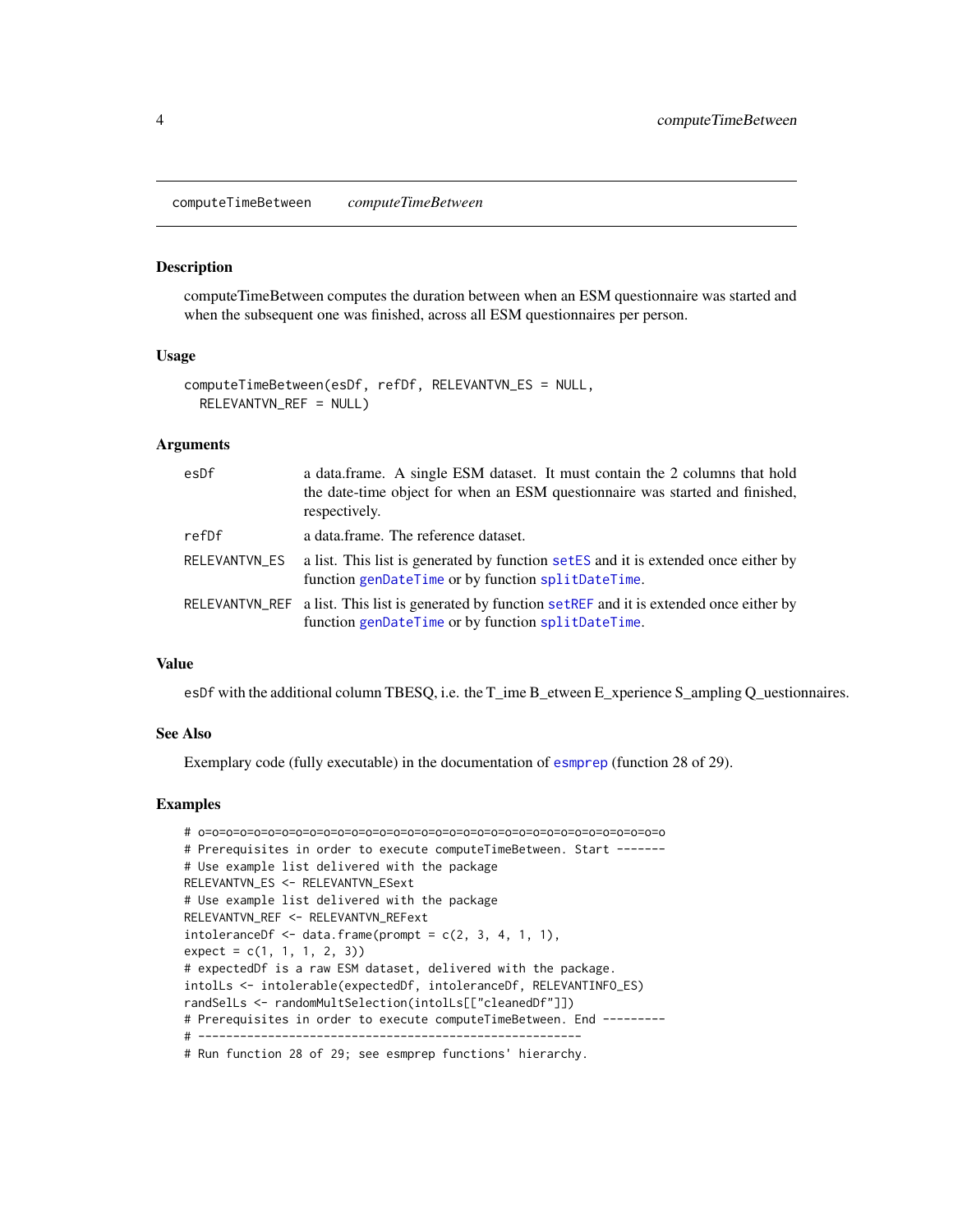<span id="page-3-0"></span>computeTimeBetween *computeTimeBetween*

#### **Description**

computeTimeBetween computes the duration between when an ESM questionnaire was started and when the subsequent one was finished, across all ESM questionnaires per person.

#### Usage

```
computeTimeBetween(esDf, refDf, RELEVANTVN_ES = NULL,
  RELEVANTVN_REF = NULL)
```
## Arguments

| esDf          | a data.frame. A single ESM dataset. It must contain the 2 columns that hold<br>the date-time object for when an ESM questionnaire was started and finished,<br>respectively. |
|---------------|------------------------------------------------------------------------------------------------------------------------------------------------------------------------------|
| refDf         | a data.frame. The reference dataset.                                                                                                                                         |
| RELEVANTVN_ES | a list. This list is generated by function set ES and it is extended once either by<br>function genDateTime or by function splitDateTime.                                    |
|               | RELEVANTVN_REF a list. This list is generated by function setREF and it is extended once either by<br>function genDateTime or by function splitDateTime.                     |

## Value

esDf with the additional column TBESQ, i.e. the T\_ime B\_etween E\_xperience S\_ampling Q\_uestionnaires.

## See Also

Exemplary code (fully executable) in the documentation of [esmprep](#page-21-1) (function 28 of 29).

## Examples

```
# o=o=o=o=o=o=o=o=o=o=o=o=o=o=o=o=o=o=o=o=o=o=o=o=o=o=o=o=o=o=o=o=o=o
# Prerequisites in order to execute computeTimeBetween. Start -------
# Use example list delivered with the package
RELEVANTVN_ES <- RELEVANTVN_ESext
# Use example list delivered with the package
RELEVANTVN_REF <- RELEVANTVN_REFext
intoleranceDf \leq -data.frame(prompt = c(2, 3, 4, 1, 1),expect = c(1, 1, 1, 2, 3))# expectedDf is a raw ESM dataset, delivered with the package.
intolLs <- intolerable(expectedDf, intoleranceDf, RELEVANTINFO_ES)
randSelLs <- randomMultSelection(intolLs[["cleanedDf"]])
# Prerequisites in order to execute computeTimeBetween. End ---------
# -------------------------------------------------------
# Run function 28 of 29; see esmprep functions' hierarchy.
```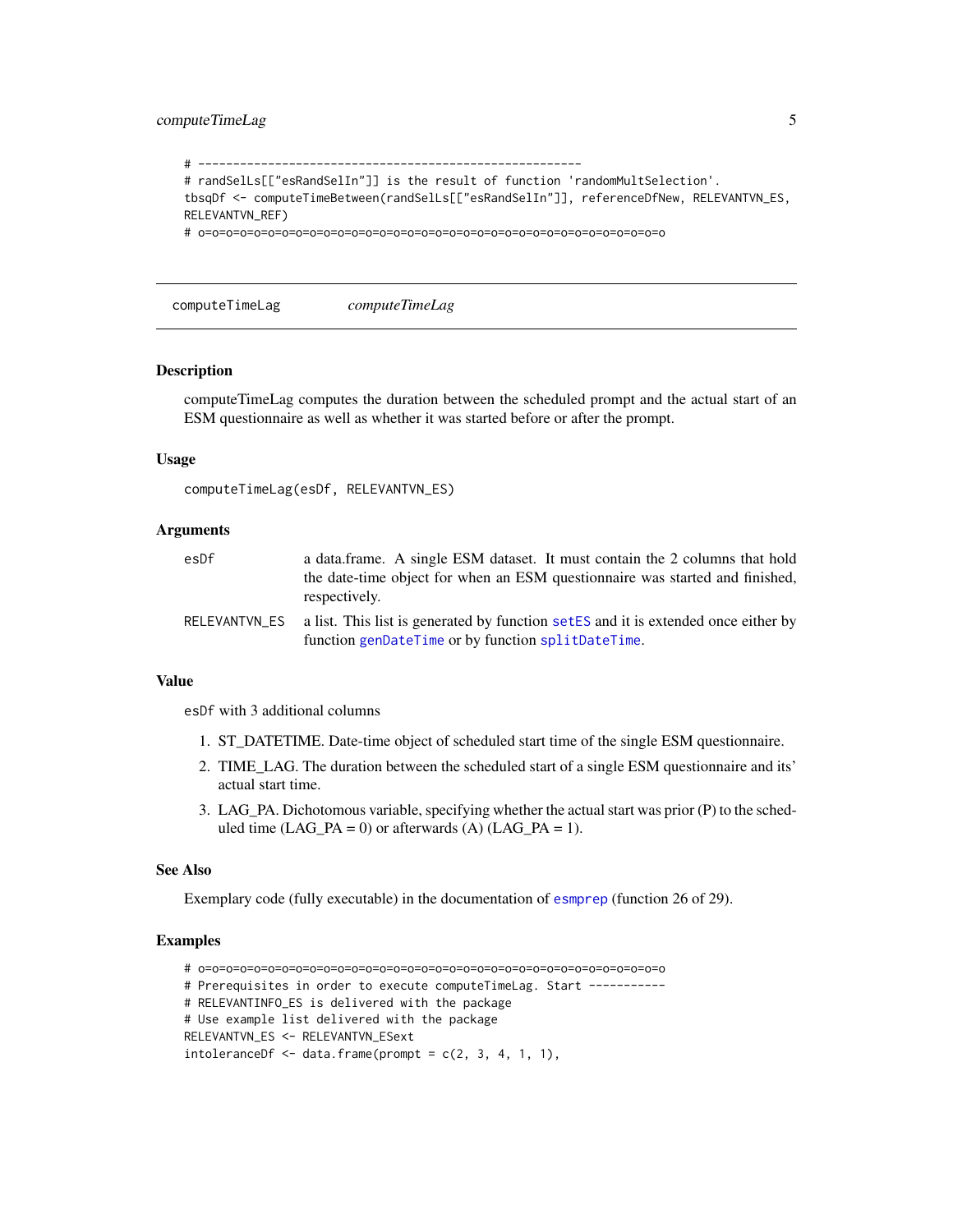## <span id="page-4-0"></span>compute TimeLag 5

```
# -------------------------------------------------------
# randSelLs[["esRandSelIn"]] is the result of function 'randomMultSelection'.
tbsqDf <- computeTimeBetween(randSelLs[["esRandSelIn"]], referenceDfNew, RELEVANTVN_ES,
RELEVANTVN_REF)
# o=o=o=o=o=o=o=o=o=o=o=o=o=o=o=o=o=o=o=o=o=o=o=o=o=o=o=o=o=o=o=o=o=o
```
computeTimeLag *computeTimeLag*

## Description

computeTimeLag computes the duration between the scheduled prompt and the actual start of an ESM questionnaire as well as whether it was started before or after the prompt.

#### Usage

```
computeTimeLag(esDf, RELEVANTVN_ES)
```
#### Arguments

| esDf          | a data frame. A single ESM dataset. It must contain the 2 columns that hold<br>the date-time object for when an ESM questionnaire was started and finished,<br>respectively. |
|---------------|------------------------------------------------------------------------------------------------------------------------------------------------------------------------------|
| RELEVANTVN ES | a list. This list is generated by function set ES and it is extended once either by<br>function genDateTime or by function splitDateTime.                                    |

#### Value

esDf with 3 additional columns

- 1. ST\_DATETIME. Date-time object of scheduled start time of the single ESM questionnaire.
- 2. TIME\_LAG. The duration between the scheduled start of a single ESM questionnaire and its' actual start time.
- 3. LAG\_PA. Dichotomous variable, specifying whether the actual start was prior (P) to the scheduled time  $(LAG$ <sub>PA</sub> = 0) or afterwards  $(A)$   $(LAG$ <sub>PA</sub> = 1).

#### See Also

Exemplary code (fully executable) in the documentation of [esmprep](#page-21-1) (function 26 of 29).

#### Examples

# o=o=o=o=o=o=o=o=o=o=o=o=o=o=o=o=o=o=o=o=o=o=o=o=o=o=o=o=o=o=o=o=o=o # Prerequisites in order to execute computeTimeLag. Start ----------- # RELEVANTINFO\_ES is delivered with the package # Use example list delivered with the package RELEVANTVN\_ES <- RELEVANTVN\_ESext  $intoleranceDf \leq - \text{data frame} (prompt = c(2, 3, 4, 1, 1),$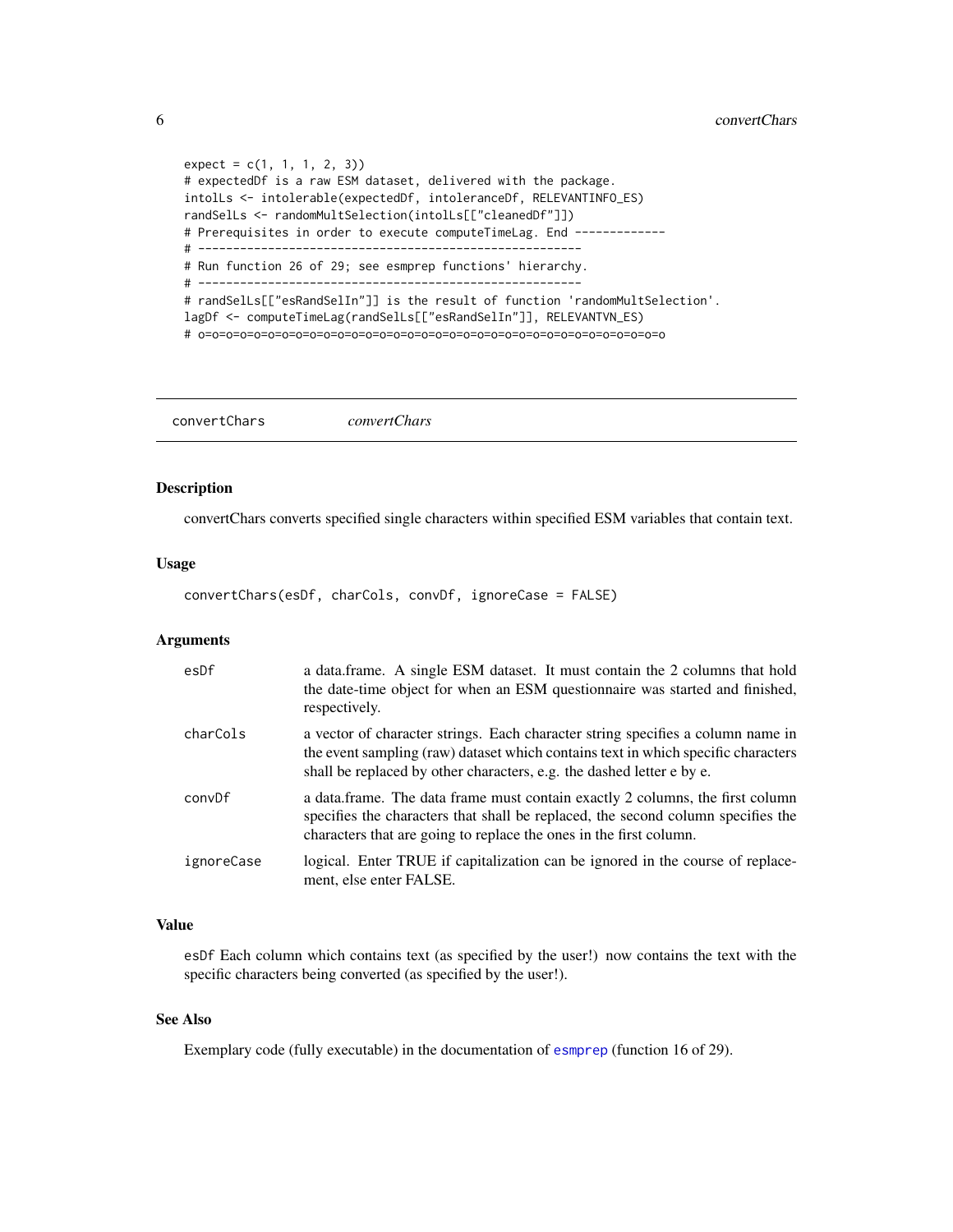```
expect = c(1, 1, 1, 2, 3)# expectedDf is a raw ESM dataset, delivered with the package.
intolLs <- intolerable(expectedDf, intoleranceDf, RELEVANTINFO_ES)
randSelLs <- randomMultSelection(intolLs[["cleanedDf"]])
# Prerequisites in order to execute computeTimeLag. End -------------
# -------------------------------------------------------
# Run function 26 of 29; see esmprep functions' hierarchy.
# -------------------------------------------------------
# randSelLs[["esRandSelIn"]] is the result of function 'randomMultSelection'.
lagDf <- computeTimeLag(randSelLs[["esRandSelIn"]], RELEVANTVN_ES)
# o=o=o=o=o=o=o=o=o=o=o=o=o=o=o=o=o=o=o=o=o=o=o=o=o=o=o=o=o=o=o=o=o=o
```
<span id="page-5-1"></span>convertChars *convertChars*

## Description

convertChars converts specified single characters within specified ESM variables that contain text.

## Usage

convertChars(esDf, charCols, convDf, ignoreCase = FALSE)

## Arguments

| esDf       | a data.frame. A single ESM dataset. It must contain the 2 columns that hold<br>the date-time object for when an ESM questionnaire was started and finished,<br>respectively.                                                                  |
|------------|-----------------------------------------------------------------------------------------------------------------------------------------------------------------------------------------------------------------------------------------------|
| charCols   | a vector of character strings. Each character string specifies a column name in<br>the event sampling (raw) dataset which contains text in which specific characters<br>shall be replaced by other characters, e.g. the dashed letter e by e. |
| convDf     | a data frame. The data frame must contain exactly 2 columns, the first column<br>specifies the characters that shall be replaced, the second column specifies the<br>characters that are going to replace the ones in the first column.       |
| ignoreCase | logical. Enter TRUE if capitalization can be ignored in the course of replace-<br>ment, else enter FALSE.                                                                                                                                     |

## Value

esDf Each column which contains text (as specified by the user!) now contains the text with the specific characters being converted (as specified by the user!).

## See Also

Exemplary code (fully executable) in the documentation of [esmprep](#page-21-1) (function 16 of 29).

<span id="page-5-0"></span>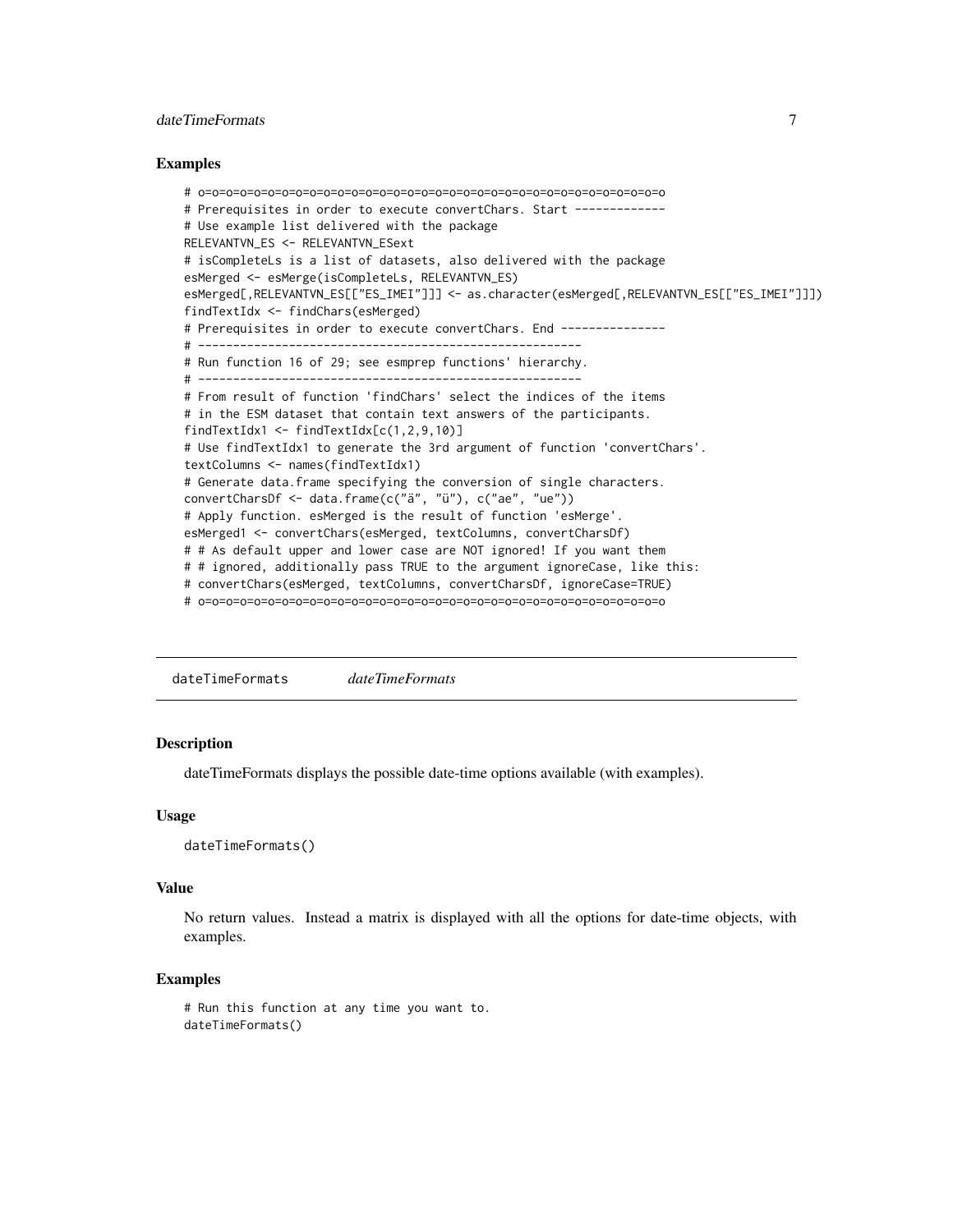## <span id="page-6-0"></span>date TimeFormats 7

#### Examples

```
# o=o=o=o=o=o=o=o=o=o=o=o=o=o=o=o=o=o=o=o=o=o=o=o=o=o=o=o=o=o=o=o=o=o
# Prerequisites in order to execute convertChars. Start -------------
# Use example list delivered with the package
RELEVANTVN_ES <- RELEVANTVN_ESext
# isCompleteLs is a list of datasets, also delivered with the package
esMerged <- esMerge(isCompleteLs, RELEVANTVN_ES)
esMerged[,RELEVANTVN_ES[["ES_IMEI"]]] <- as.character(esMerged[,RELEVANTVN_ES[["ES_IMEI"]]])
findTextIdx <- findChars(esMerged)
# Prerequisites in order to execute convertChars. End ---------------
# -------------------------------------------------------
# Run function 16 of 29; see esmprep functions' hierarchy.
# -------------------------------------------------------
# From result of function 'findChars' select the indices of the items
# in the ESM dataset that contain text answers of the participants.
findTextIdx1 <- findTextIdx[c(1,2,9,10)]
# Use findTextIdx1 to generate the 3rd argument of function 'convertChars'.
textColumns <- names(findTextIdx1)
# Generate data.frame specifying the conversion of single characters.
convertCharsDf <- data.frame(c("ä", "ü"), c("ae", "ue"))
# Apply function. esMerged is the result of function 'esMerge'.
esMerged1 <- convertChars(esMerged, textColumns, convertCharsDf)
# # As default upper and lower case are NOT ignored! If you want them
# # ignored, additionally pass TRUE to the argument ignoreCase, like this:
# convertChars(esMerged, textColumns, convertCharsDf, ignoreCase=TRUE)
# o=o=o=o=o=o=o=o=o=o=o=o=o=o=o=o=o=o=o=o=o=o=o=o=o=o=o=o=o=o=o=o=o=o
```
dateTimeFormats *dateTimeFormats*

#### Description

dateTimeFormats displays the possible date-time options available (with examples).

#### Usage

```
dateTimeFormats()
```
#### Value

No return values. Instead a matrix is displayed with all the options for date-time objects, with examples.

#### Examples

```
# Run this function at any time you want to.
dateTimeFormats()
```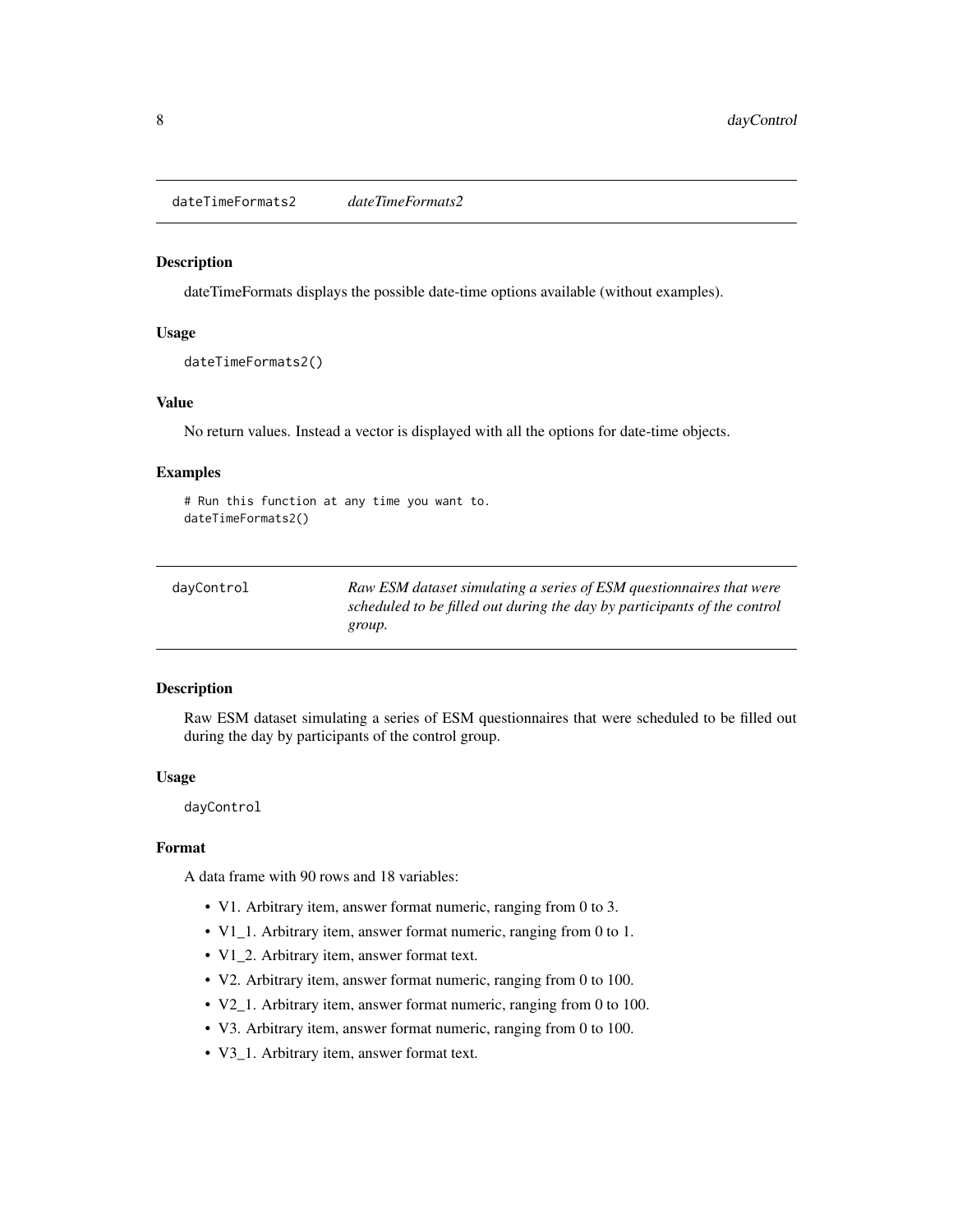<span id="page-7-0"></span>dateTimeFormats2 *dateTimeFormats2*

#### Description

dateTimeFormats displays the possible date-time options available (without examples).

#### Usage

```
dateTimeFormats2()
```
## Value

No return values. Instead a vector is displayed with all the options for date-time objects.

## Examples

```
# Run this function at any time you want to.
dateTimeFormats2()
```

| Raw ESM dataset simulating a series of ESM questionnaires that were      |
|--------------------------------------------------------------------------|
| scheduled to be filled out during the day by participants of the control |
| group.                                                                   |
|                                                                          |

## Description

Raw ESM dataset simulating a series of ESM questionnaires that were scheduled to be filled out during the day by participants of the control group.

## Usage

dayControl

## Format

A data frame with 90 rows and 18 variables:

- V1. Arbitrary item, answer format numeric, ranging from 0 to 3.
- V1\_1. Arbitrary item, answer format numeric, ranging from 0 to 1.
- V1\_2. Arbitrary item, answer format text.
- V2. Arbitrary item, answer format numeric, ranging from 0 to 100.
- V2\_1. Arbitrary item, answer format numeric, ranging from 0 to 100.
- V3. Arbitrary item, answer format numeric, ranging from 0 to 100.
- V3\_1. Arbitrary item, answer format text.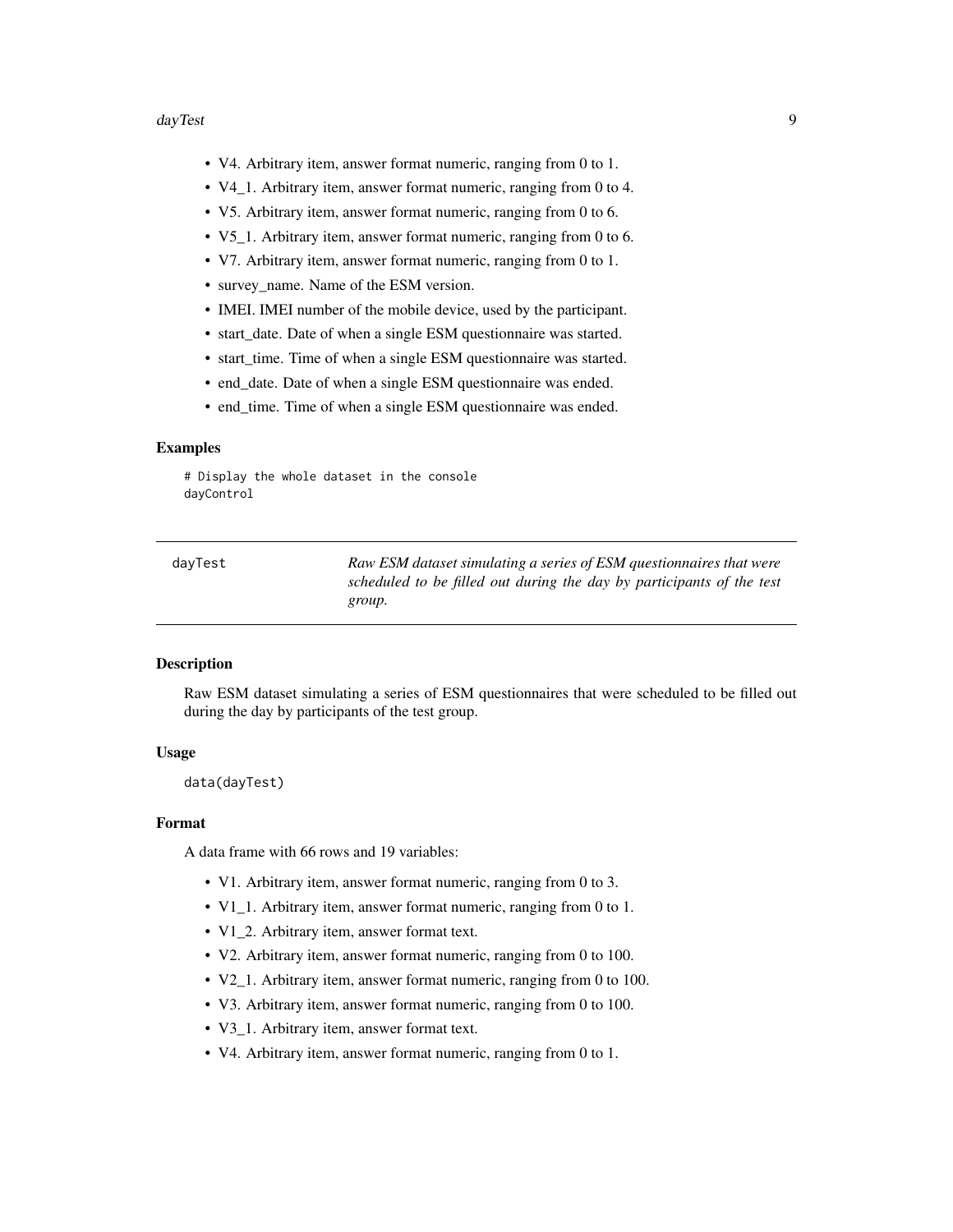#### <span id="page-8-0"></span>dayTest 9

- V4. Arbitrary item, answer format numeric, ranging from 0 to 1.
- V4\_1. Arbitrary item, answer format numeric, ranging from 0 to 4.
- V5. Arbitrary item, answer format numeric, ranging from 0 to 6.
- V5\_1. Arbitrary item, answer format numeric, ranging from 0 to 6.
- V7. Arbitrary item, answer format numeric, ranging from 0 to 1.
- survey name. Name of the ESM version.
- IMEI. IMEI number of the mobile device, used by the participant.
- start\_date. Date of when a single ESM questionnaire was started.
- start\_time. Time of when a single ESM questionnaire was started.
- end\_date. Date of when a single ESM questionnaire was ended.
- end\_time. Time of when a single ESM questionnaire was ended.

## Examples

# Display the whole dataset in the console dayControl

| davTest | Raw ESM dataset simulating a series of ESM questionnaires that were   |
|---------|-----------------------------------------------------------------------|
|         | scheduled to be filled out during the day by participants of the test |
|         | group.                                                                |

#### Description

Raw ESM dataset simulating a series of ESM questionnaires that were scheduled to be filled out during the day by participants of the test group.

## Usage

data(dayTest)

#### Format

A data frame with 66 rows and 19 variables:

- V1. Arbitrary item, answer format numeric, ranging from 0 to 3.
- V1\_1. Arbitrary item, answer format numeric, ranging from 0 to 1.
- V1\_2. Arbitrary item, answer format text.
- V2. Arbitrary item, answer format numeric, ranging from 0 to 100.
- V2\_1. Arbitrary item, answer format numeric, ranging from 0 to 100.
- V3. Arbitrary item, answer format numeric, ranging from 0 to 100.
- V3 1. Arbitrary item, answer format text.
- V4. Arbitrary item, answer format numeric, ranging from 0 to 1.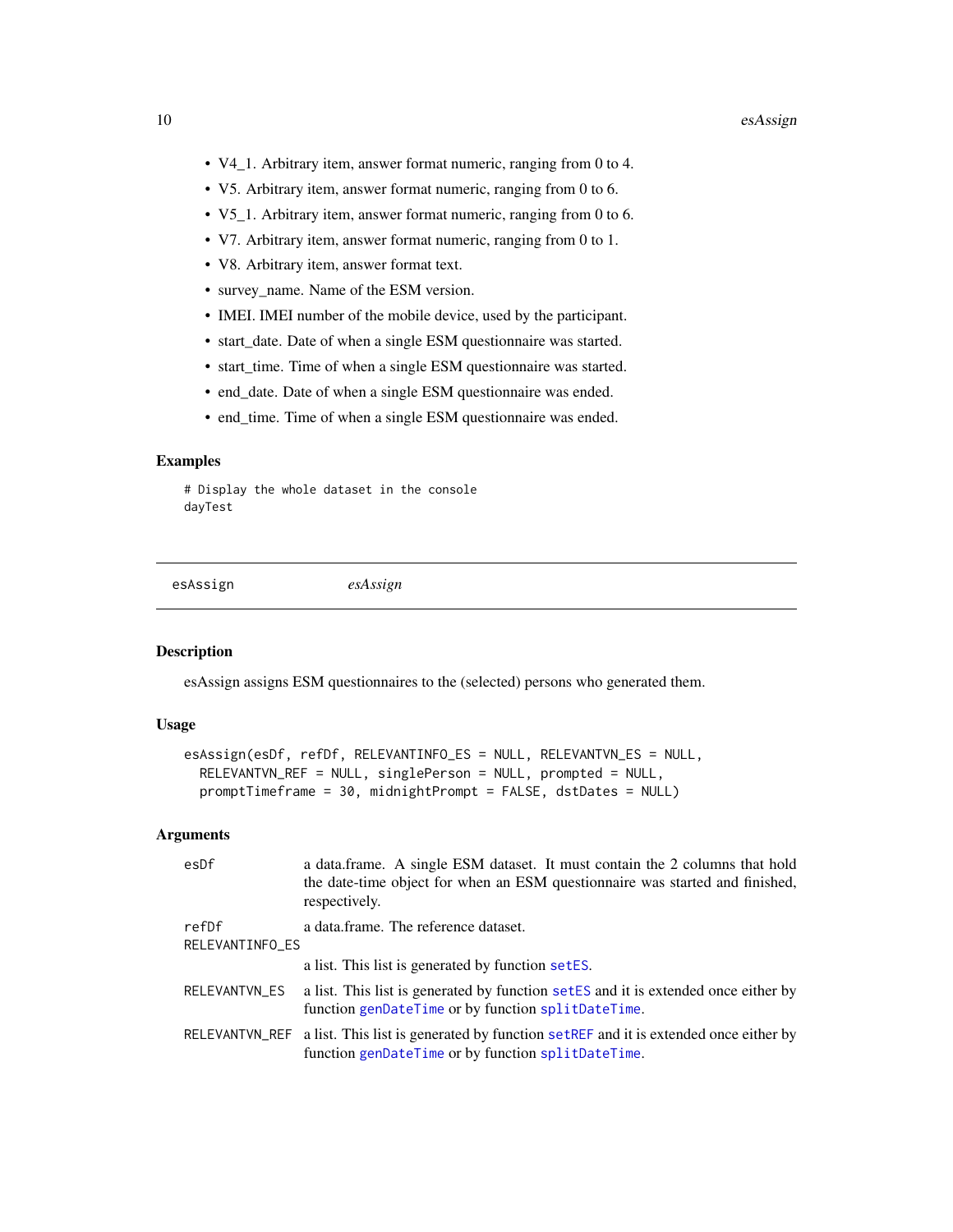- <span id="page-9-0"></span>• V4\_1. Arbitrary item, answer format numeric, ranging from 0 to 4.
- V5. Arbitrary item, answer format numeric, ranging from 0 to 6.
- V5\_1. Arbitrary item, answer format numeric, ranging from 0 to 6.
- V7. Arbitrary item, answer format numeric, ranging from 0 to 1.
- V8. Arbitrary item, answer format text.
- survey\_name. Name of the ESM version.
- IMEI. IMEI number of the mobile device, used by the participant.
- start\_date. Date of when a single ESM questionnaire was started.
- start\_time. Time of when a single ESM questionnaire was started.
- end\_date. Date of when a single ESM questionnaire was ended.
- end\_time. Time of when a single ESM questionnaire was ended.

## Examples

# Display the whole dataset in the console dayTest

<span id="page-9-1"></span>esAssign *esAssign*

## Description

esAssign assigns ESM questionnaires to the (selected) persons who generated them.

## Usage

```
esAssign(esDf, refDf, RELEVANTINFO_ES = NULL, RELEVANTVN_ES = NULL,
 RELEVANTVN_REF = NULL, singlePerson = NULL, prompted = NULL,
 promptTimeframe = 30, midnightPrompt = FALSE, dstDates = NULL)
```
#### Arguments

| esDf                     | a data.frame. A single ESM dataset. It must contain the 2 columns that hold<br>the date-time object for when an ESM questionnaire was started and finished,<br>respectively. |
|--------------------------|------------------------------------------------------------------------------------------------------------------------------------------------------------------------------|
| refDf<br>RELEVANTINFO_ES | a data.frame. The reference dataset.                                                                                                                                         |
|                          | a list. This list is generated by function setES.                                                                                                                            |
| RELEVANTVN_ES            | a list. This list is generated by function set ES and it is extended once either by<br>function genDateTime or by function splitDateTime.                                    |
|                          | RELEVANTVN_REF a list. This list is generated by function set REF and it is extended once either by<br>function genDateTime or by function splitDateTime.                    |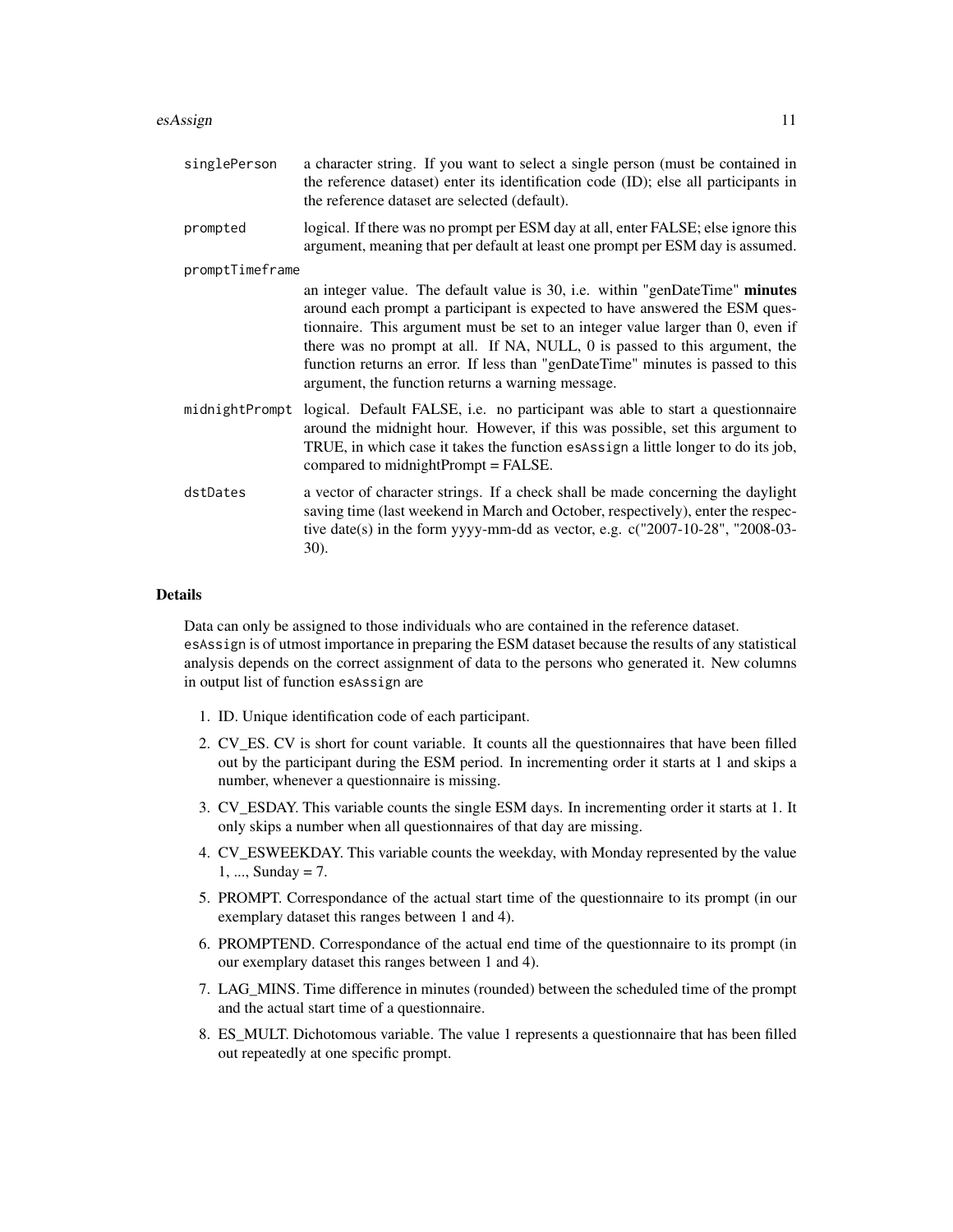| singlePerson    | a character string. If you want to select a single person (must be contained in<br>the reference dataset) enter its identification code (ID); else all participants in<br>the reference dataset are selected (default).                                                                                                                                                                                                                                              |
|-----------------|----------------------------------------------------------------------------------------------------------------------------------------------------------------------------------------------------------------------------------------------------------------------------------------------------------------------------------------------------------------------------------------------------------------------------------------------------------------------|
| prompted        | logical. If there was no prompt per ESM day at all, enter FALSE; else ignore this<br>argument, meaning that per default at least one prompt per ESM day is assumed.                                                                                                                                                                                                                                                                                                  |
| promptTimeframe |                                                                                                                                                                                                                                                                                                                                                                                                                                                                      |
|                 | an integer value. The default value is 30, i.e. within "genDateTime" minutes<br>around each prompt a participant is expected to have answered the ESM ques-<br>tionnaire. This argument must be set to an integer value larger than 0, even if<br>there was no prompt at all. If NA, NULL, 0 is passed to this argument, the<br>function returns an error. If less than "genDateTime" minutes is passed to this<br>argument, the function returns a warning message. |
|                 | midnightPrompt logical. Default FALSE, i.e. no participant was able to start a questionnaire<br>around the midnight hour. However, if this was possible, set this argument to<br>TRUE, in which case it takes the function esAssign a little longer to do its job,<br>compared to midnightPrompt = FALSE.                                                                                                                                                            |
| dstDates        | a vector of character strings. If a check shall be made concerning the daylight<br>saving time (last weekend in March and October, respectively), enter the respec-<br>tive date(s) in the form yyyy-mm-dd as vector, e.g. c("2007-10-28", "2008-03-<br>30).                                                                                                                                                                                                         |

#### Details

Data can only be assigned to those individuals who are contained in the reference dataset. esAssign is of utmost importance in preparing the ESM dataset because the results of any statistical analysis depends on the correct assignment of data to the persons who generated it. New columns in output list of function esAssign are

- 1. ID. Unique identification code of each participant.
- 2. CV\_ES. CV is short for count variable. It counts all the questionnaires that have been filled out by the participant during the ESM period. In incrementing order it starts at 1 and skips a number, whenever a questionnaire is missing.
- 3. CV\_ESDAY. This variable counts the single ESM days. In incrementing order it starts at 1. It only skips a number when all questionnaires of that day are missing.
- 4. CV\_ESWEEKDAY. This variable counts the weekday, with Monday represented by the value 1, ..., Sunday = 7.
- 5. PROMPT. Correspondance of the actual start time of the questionnaire to its prompt (in our exemplary dataset this ranges between 1 and 4).
- 6. PROMPTEND. Correspondance of the actual end time of the questionnaire to its prompt (in our exemplary dataset this ranges between 1 and 4).
- 7. LAG\_MINS. Time difference in minutes (rounded) between the scheduled time of the prompt and the actual start time of a questionnaire.
- 8. ES\_MULT. Dichotomous variable. The value 1 represents a questionnaire that has been filled out repeatedly at one specific prompt.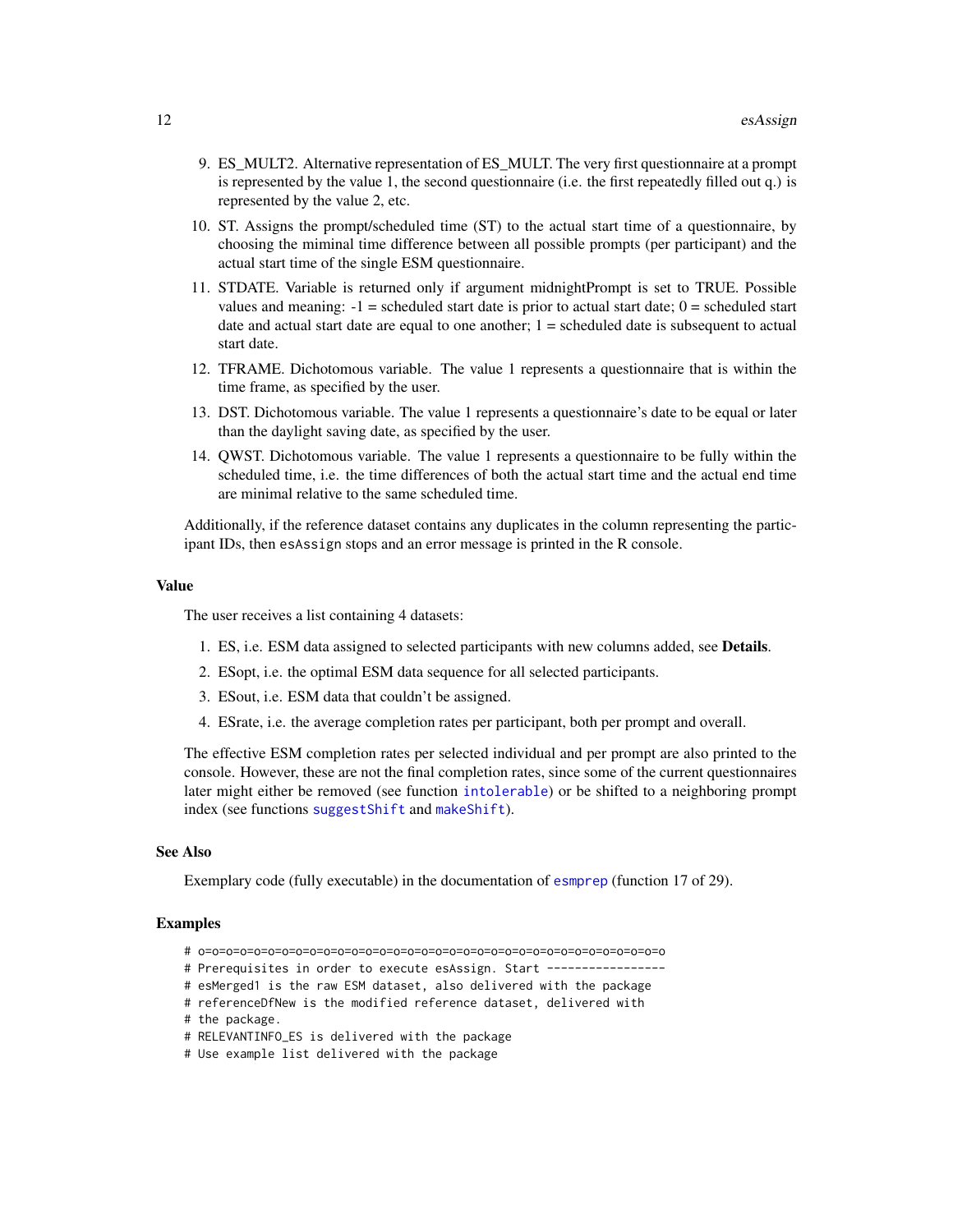- 9. ES\_MULT2. Alternative representation of ES\_MULT. The very first questionnaire at a prompt is represented by the value 1, the second questionnaire (i.e. the first repeatedly filled out q.) is represented by the value 2, etc.
- 10. ST. Assigns the prompt/scheduled time (ST) to the actual start time of a questionnaire, by choosing the miminal time difference between all possible prompts (per participant) and the actual start time of the single ESM questionnaire.
- 11. STDATE. Variable is returned only if argument midnightPrompt is set to TRUE. Possible values and meaning:  $-1$  = scheduled start date is prior to actual start date;  $0$  = scheduled start date and actual start date are equal to one another;  $1 =$  scheduled date is subsequent to actual start date.
- 12. TFRAME. Dichotomous variable. The value 1 represents a questionnaire that is within the time frame, as specified by the user.
- 13. DST. Dichotomous variable. The value 1 represents a questionnaire's date to be equal or later than the daylight saving date, as specified by the user.
- 14. QWST. Dichotomous variable. The value 1 represents a questionnaire to be fully within the scheduled time, i.e. the time differences of both the actual start time and the actual end time are minimal relative to the same scheduled time.

Additionally, if the reference dataset contains any duplicates in the column representing the participant IDs, then esAssign stops and an error message is printed in the R console.

#### Value

The user receives a list containing 4 datasets:

- 1. ES, i.e. ESM data assigned to selected participants with new columns added, see Details.
- 2. ESopt, i.e. the optimal ESM data sequence for all selected participants.
- 3. ESout, i.e. ESM data that couldn't be assigned.
- 4. ESrate, i.e. the average completion rates per participant, both per prompt and overall.

The effective ESM completion rates per selected individual and per prompt are also printed to the console. However, these are not the final completion rates, since some of the current questionnaires later might either be removed (see function [intolerable](#page-46-1)) or be shifted to a neighboring prompt index (see functions [suggestShift](#page-71-1) and [makeShift](#page-48-1)).

#### See Also

Exemplary code (fully executable) in the documentation of [esmprep](#page-21-1) (function 17 of 29).

#### Examples

- # o=o=o=o=o=o=o=o=o=o=o=o=o=o=o=o=o=o=o=o=o=o=o=o=o=o=o=o=o=o=o=o=o=o
- # Prerequisites in order to execute esAssign. Start ----------------
- # esMerged1 is the raw ESM dataset, also delivered with the package
- # referenceDfNew is the modified reference dataset, delivered with
- # the package.
- # RELEVANTINFO\_ES is delivered with the package
- # Use example list delivered with the package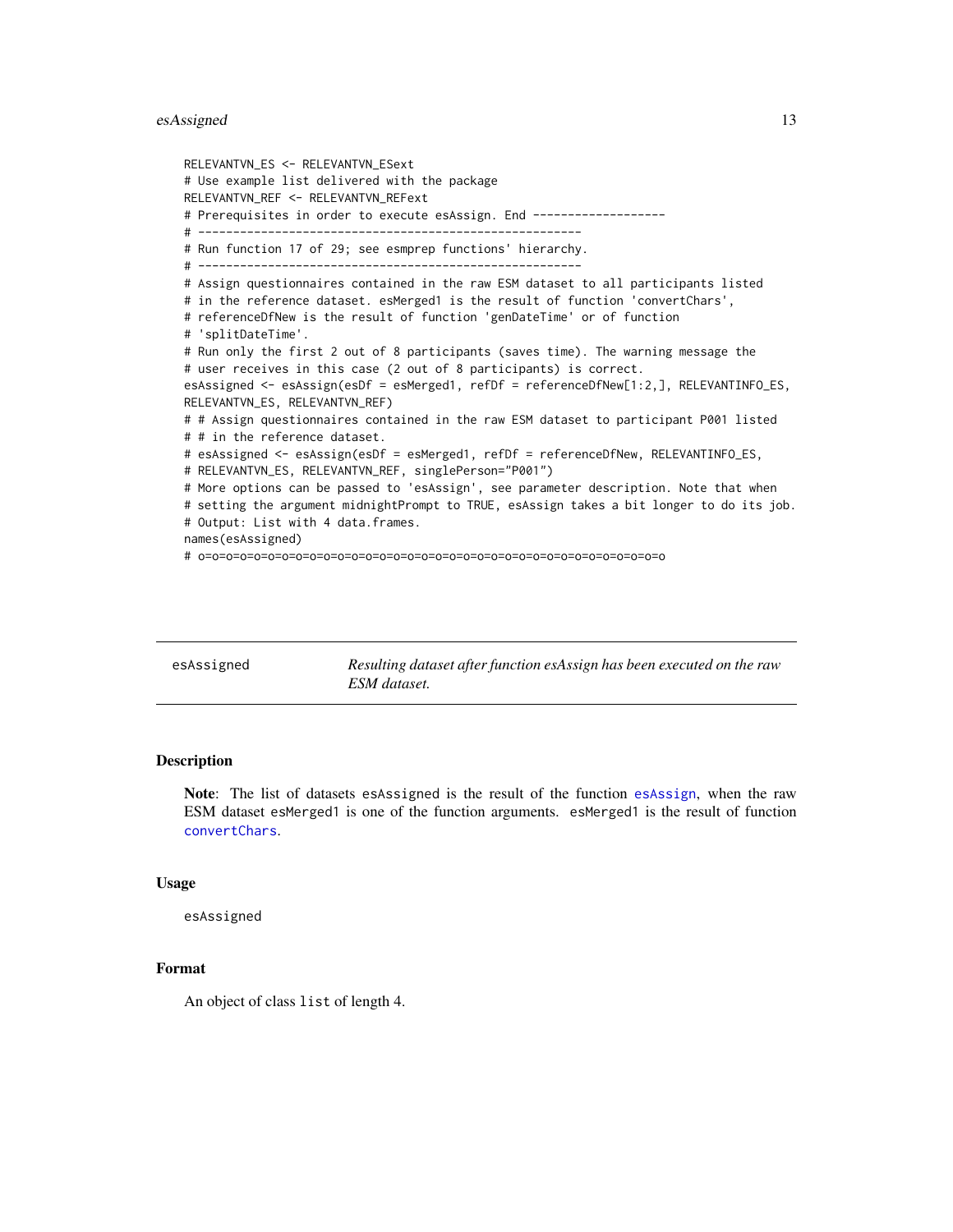## <span id="page-12-0"></span>esAssigned 13

```
RELEVANTVN_ES <- RELEVANTVN_ESext
# Use example list delivered with the package
RELEVANTVN_REF <- RELEVANTVN_REFext
# Prerequisites in order to execute esAssign. End -------------------
# -------------------------------------------------------
# Run function 17 of 29; see esmprep functions' hierarchy.
# -------------------------------------------------------
# Assign questionnaires contained in the raw ESM dataset to all participants listed
# in the reference dataset. esMerged1 is the result of function 'convertChars',
# referenceDfNew is the result of function 'genDateTime' or of function
# 'splitDateTime'.
# Run only the first 2 out of 8 participants (saves time). The warning message the
# user receives in this case (2 out of 8 participants) is correct.
esAssigned <- esAssign(esDf = esMerged1, refDf = referenceDfNew[1:2,], RELEVANTINFO_ES,
RELEVANTVN_ES, RELEVANTVN_REF)
# # Assign questionnaires contained in the raw ESM dataset to participant P001 listed
# # in the reference dataset.
# esAssigned <- esAssign(esDf = esMerged1, refDf = referenceDfNew, RELEVANTINFO_ES,
# RELEVANTVN_ES, RELEVANTVN_REF, singlePerson="P001")
# More options can be passed to 'esAssign', see parameter description. Note that when
# setting the argument midnightPrompt to TRUE, esAssign takes a bit longer to do its job.
# Output: List with 4 data.frames.
names(esAssigned)
# o=o=o=o=o=o=o=o=o=o=o=o=o=o=o=o=o=o=o=o=o=o=o=o=o=o=o=o=o=o=o=o=o=o
```

| esAssigned | Resulting dataset after function esAssign has been executed on the raw<br>ESM dataset. |
|------------|----------------------------------------------------------------------------------------|
|------------|----------------------------------------------------------------------------------------|

## Description

Note: The list of datasets esAssigned is the result of the function [esAssign](#page-9-1), when the raw ESM dataset esMerged1 is one of the function arguments. esMerged1 is the result of function [convertChars](#page-5-1).

#### Usage

esAssigned

### Format

An object of class list of length 4.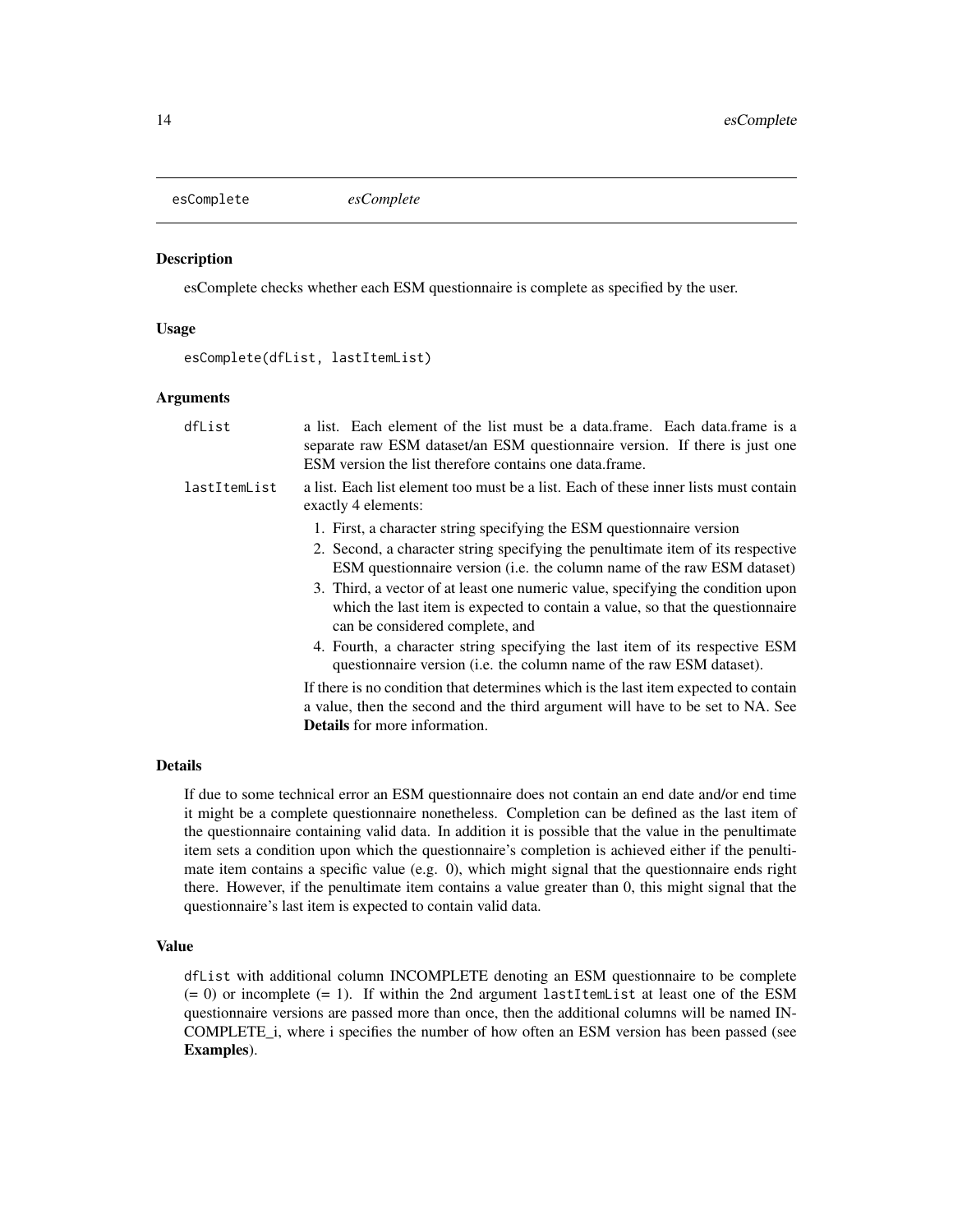<span id="page-13-0"></span>

## **Description**

esComplete checks whether each ESM questionnaire is complete as specified by the user.

#### Usage

esComplete(dfList, lastItemList)

## Arguments

| dfList       | a list. Each element of the list must be a data.frame. Each data.frame is a<br>separate raw ESM dataset/an ESM questionnaire version. If there is just one<br>ESM version the list therefore contains one data frame. |
|--------------|-----------------------------------------------------------------------------------------------------------------------------------------------------------------------------------------------------------------------|
| lastItemList | a list. Each list element too must be a list. Each of these inner lists must contain<br>exactly 4 elements:                                                                                                           |
|              | 1. First, a character string specifying the ESM questionnaire version                                                                                                                                                 |
|              | 2. Second, a character string specifying the penultimate item of its respective<br>ESM questionnaire version (i.e. the column name of the raw ESM dataset)                                                            |
|              | 3. Third, a vector of at least one numeric value, specifying the condition upon<br>which the last item is expected to contain a value, so that the questionnaire<br>can be considered complete, and                   |
|              | 4. Fourth, a character string specifying the last item of its respective ESM<br>questionnaire version ( <i>i.e.</i> the column name of the raw ESM dataset).                                                          |
|              | If there is no condition that determines which is the last item expected to contain<br>a value, then the second and the third argument will have to be set to NA. See<br><b>Details</b> for more information.         |
|              |                                                                                                                                                                                                                       |

## Details

If due to some technical error an ESM questionnaire does not contain an end date and/or end time it might be a complete questionnaire nonetheless. Completion can be defined as the last item of the questionnaire containing valid data. In addition it is possible that the value in the penultimate item sets a condition upon which the questionnaire's completion is achieved either if the penultimate item contains a specific value (e.g. 0), which might signal that the questionnaire ends right there. However, if the penultimate item contains a value greater than 0, this might signal that the questionnaire's last item is expected to contain valid data.

#### Value

dfList with additional column INCOMPLETE denoting an ESM questionnaire to be complete  $(= 0)$  or incomplete  $(= 1)$ . If within the 2nd argument lastItemList at least one of the ESM questionnaire versions are passed more than once, then the additional columns will be named IN-COMPLETE\_i, where i specifies the number of how often an ESM version has been passed (see Examples).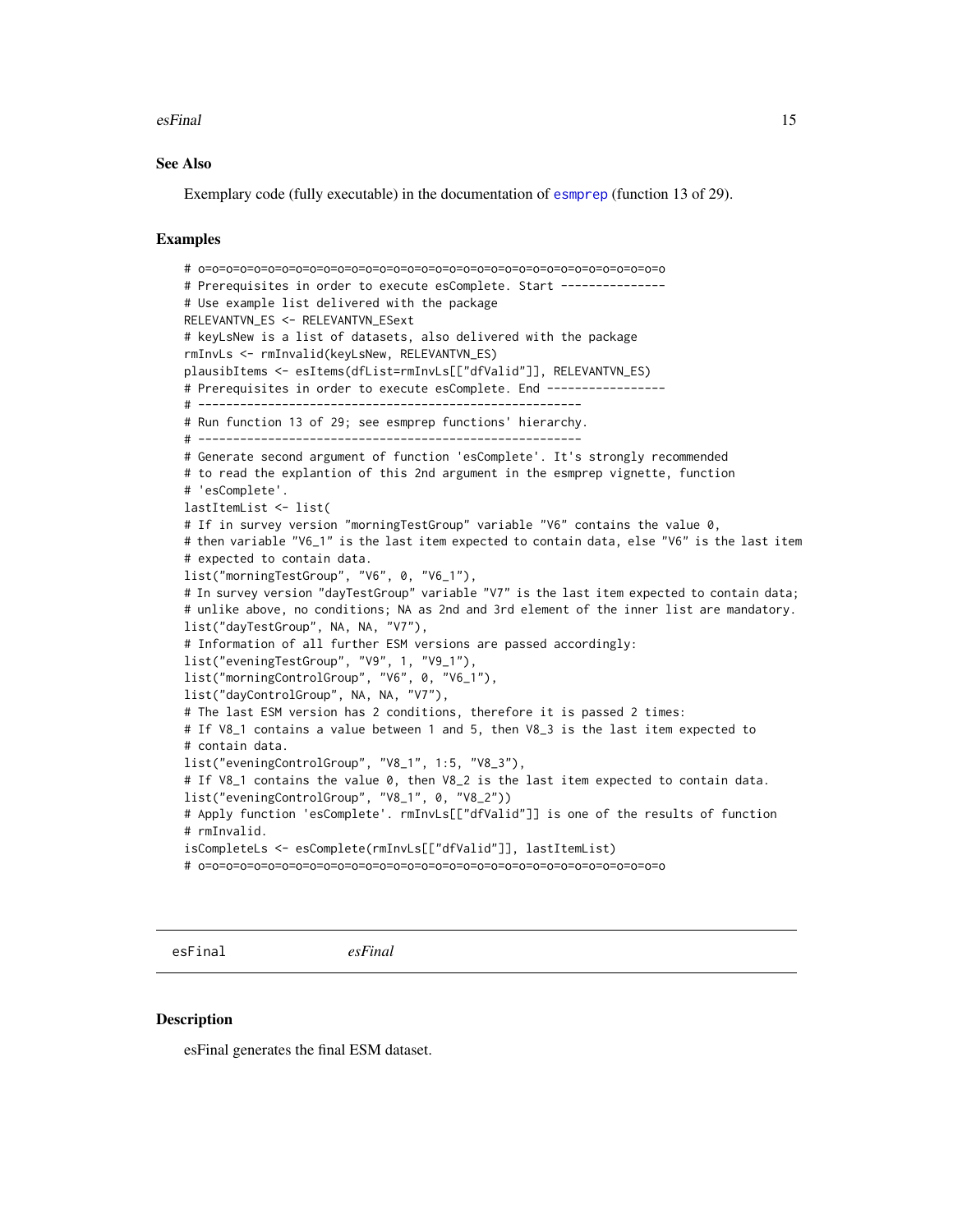#### <span id="page-14-0"></span>esFinal 15

## See Also

Exemplary code (fully executable) in the documentation of [esmprep](#page-21-1) (function 13 of 29).

#### Examples

```
# o=o=o=o=o=o=o=o=o=o=o=o=o=o=o=o=o=o=o=o=o=o=o=o=o=o=o=o=o=o=o=o=o=o
# Prerequisites in order to execute esComplete. Start ---------------
# Use example list delivered with the package
RELEVANTVN_ES <- RELEVANTVN_ESext
# keyLsNew is a list of datasets, also delivered with the package
rmInvLs <- rmInvalid(keyLsNew, RELEVANTVN_ES)
plausibItems <- esItems(dfList=rmInvLs[["dfValid"]], RELEVANTVN_ES)
# Prerequisites in order to execute esComplete. End -----------------
# -------------------------------------------------------
# Run function 13 of 29; see esmprep functions' hierarchy.
# -------------------------------------------------------
# Generate second argument of function 'esComplete'. It's strongly recommended
# to read the explantion of this 2nd argument in the esmprep vignette, function
# 'esComplete'.
lastItemList <- list(
# If in survey version "morningTestGroup" variable "V6" contains the value 0,
# then variable "V6_1" is the last item expected to contain data, else "V6" is the last item
# expected to contain data.
list("morningTestGroup", "V6", 0, "V6_1"),
# In survey version "dayTestGroup" variable "V7" is the last item expected to contain data;
# unlike above, no conditions; NA as 2nd and 3rd element of the inner list are mandatory.
list("dayTestGroup", NA, NA, "V7"),
# Information of all further ESM versions are passed accordingly:
list("eveningTestGroup", "V9", 1, "V9_1"),
list("morningControlGroup", "V6", 0, "V6_1"),
list("dayControlGroup", NA, NA, "V7"),
# The last ESM version has 2 conditions, therefore it is passed 2 times:
# If V8_1 contains a value between 1 and 5, then V8_3 is the last item expected to
# contain data.
list("eveningControlGroup", "V8_1", 1:5, "V8_3"),
# If V8_1 contains the value 0, then V8_2 is the last item expected to contain data.
list("eveningControlGroup", "V8_1", 0, "V8_2"))
# Apply function 'esComplete'. rmInvLs[["dfValid"]] is one of the results of function
# rmInvalid.
isCompleteLs <- esComplete(rmInvLs[["dfValid"]], lastItemList)
# o=o=o=o=o=o=o=o=o=o=o=o=o=o=o=o=o=o=o=o=o=o=o=o=o=o=o=o=o=o=o=o=o=o
```
esFinal *esFinal*

#### Description

esFinal generates the final ESM dataset.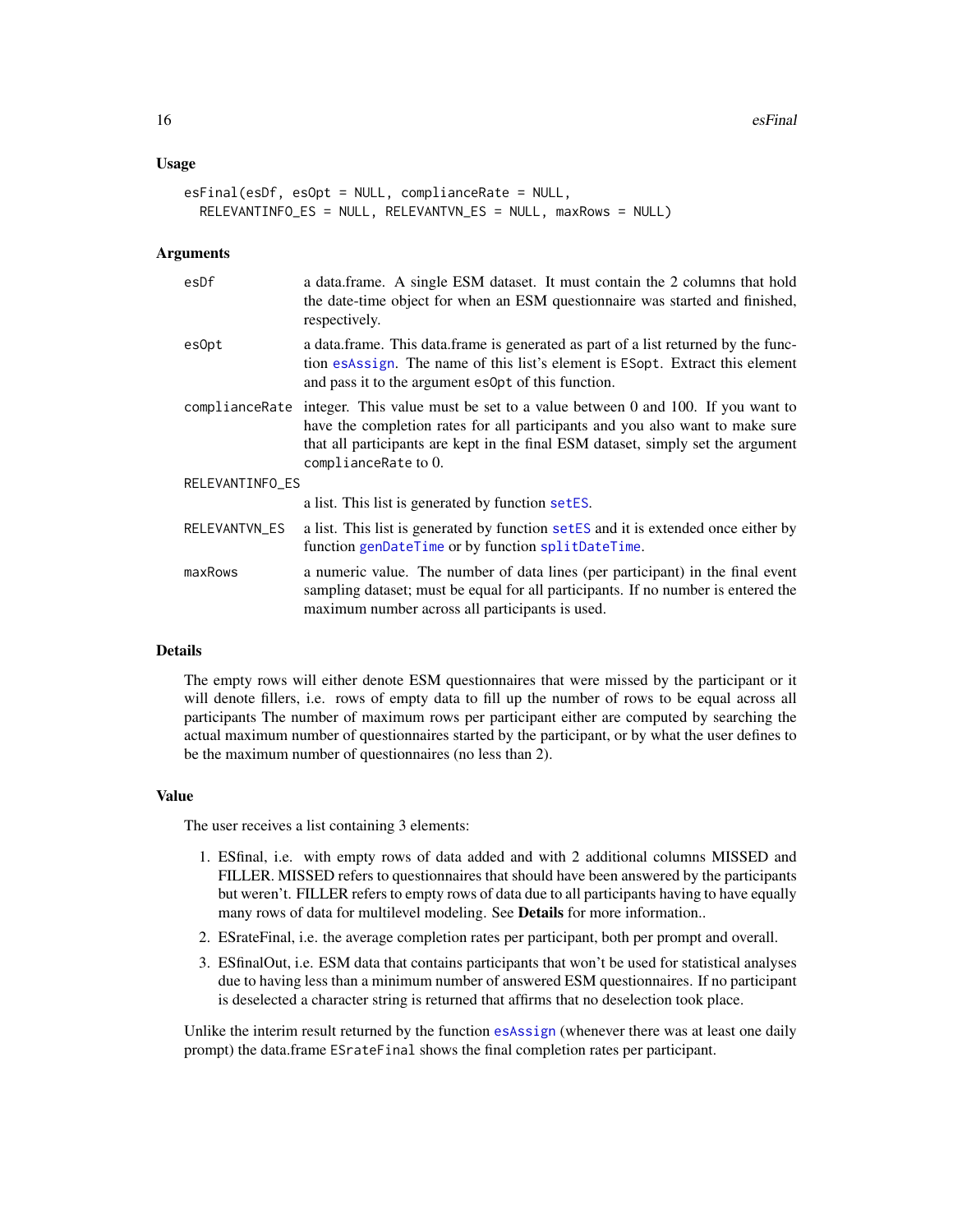#### Usage

```
esFinal(esDf, esOpt = NULL, complianceRate = NULL,
 RELEVANTINFO_ES = NULL, RELEVANTVN_ES = NULL, maxRows = NULL)
```
#### Arguments

| esDf            | a data.frame. A single ESM dataset. It must contain the 2 columns that hold<br>the date-time object for when an ESM questionnaire was started and finished,<br>respectively.                                                                                                              |  |
|-----------------|-------------------------------------------------------------------------------------------------------------------------------------------------------------------------------------------------------------------------------------------------------------------------------------------|--|
| esOpt           | a data frame. This data frame is generated as part of a list returned by the func-<br>tion esassign. The name of this list's element is ESopt. Extract this element<br>and pass it to the argument esopt of this function.                                                                |  |
|                 | compliance Rate integer. This value must be set to a value between 0 and 100. If you want to<br>have the completion rates for all participants and you also want to make sure<br>that all participants are kept in the final ESM dataset, simply set the argument<br>complianceRate to 0. |  |
| RELEVANTINFO_ES |                                                                                                                                                                                                                                                                                           |  |
|                 | a list. This list is generated by function setES.                                                                                                                                                                                                                                         |  |
| RELEVANTVN_ES   | a list. This list is generated by function set ES and it is extended once either by<br>function genDateTime or by function splitDateTime.                                                                                                                                                 |  |
| maxRows         | a numeric value. The number of data lines (per participant) in the final event<br>sampling dataset; must be equal for all participants. If no number is entered the<br>maximum number across all participants is used.                                                                    |  |

## Details

The empty rows will either denote ESM questionnaires that were missed by the participant or it will denote fillers, i.e. rows of empty data to fill up the number of rows to be equal across all participants The number of maximum rows per participant either are computed by searching the actual maximum number of questionnaires started by the participant, or by what the user defines to be the maximum number of questionnaires (no less than 2).

#### Value

The user receives a list containing 3 elements:

- 1. ESfinal, i.e. with empty rows of data added and with 2 additional columns MISSED and FILLER. MISSED refers to questionnaires that should have been answered by the participants but weren't. FILLER refers to empty rows of data due to all participants having to have equally many rows of data for multilevel modeling. See Details for more information..
- 2. ESrateFinal, i.e. the average completion rates per participant, both per prompt and overall.
- 3. ESfinalOut, i.e. ESM data that contains participants that won't be used for statistical analyses due to having less than a minimum number of answered ESM questionnaires. If no participant is deselected a character string is returned that affirms that no deselection took place.

Unlike the interim result returned by the function [esAssign](#page-9-1) (whenever there was at least one daily prompt) the data.frame ESrateFinal shows the final completion rates per participant.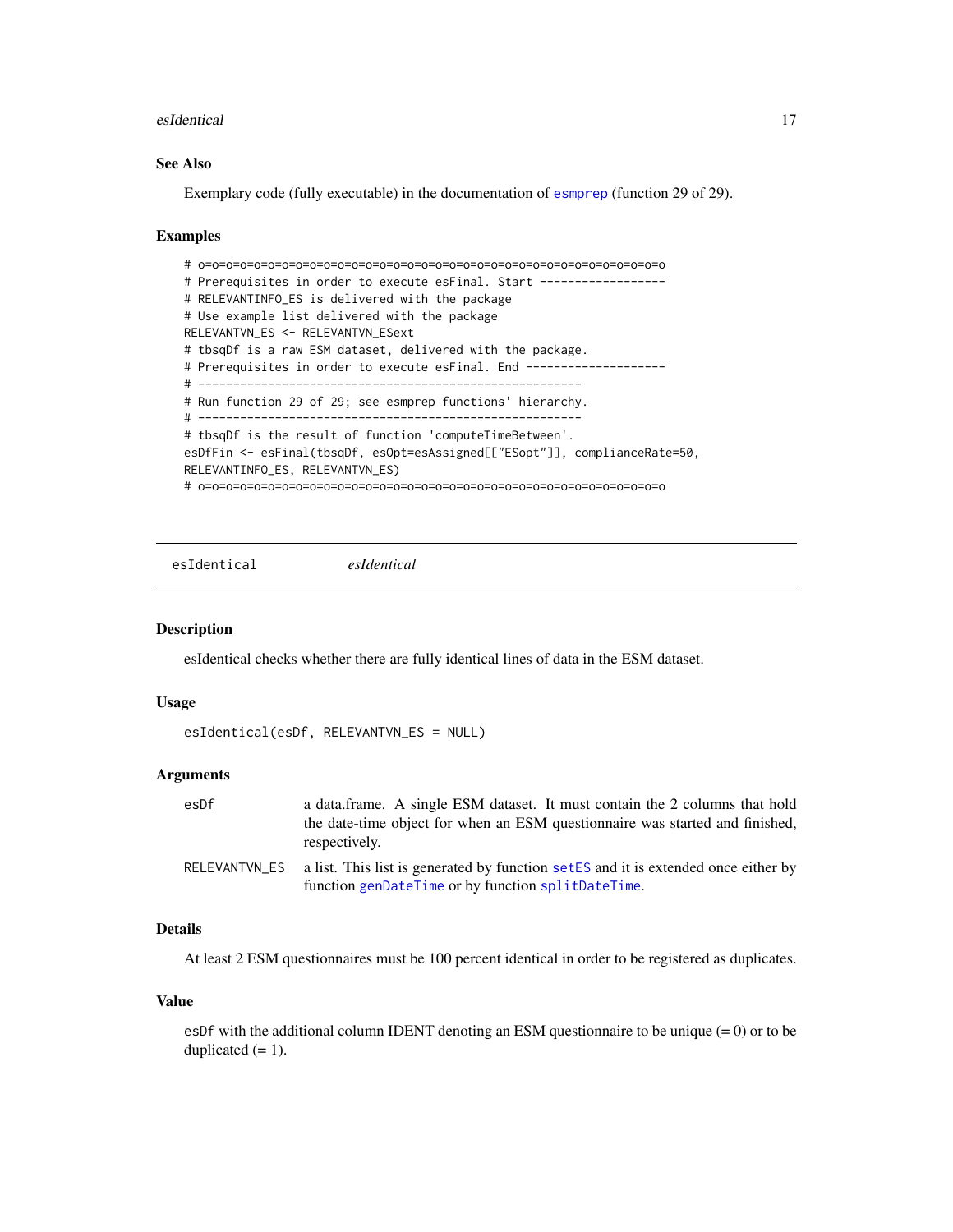#### <span id="page-16-0"></span>esIdentical 17

## See Also

Exemplary code (fully executable) in the documentation of [esmprep](#page-21-1) (function 29 of 29).

### Examples

```
# o=o=o=o=o=o=o=o=o=o=o=o=o=o=o=o=o=o=o=o=o=o=o=o=o=o=o=o=o=o=o=o=o=o
# Prerequisites in order to execute esFinal. Start ------------------
# RELEVANTINFO_ES is delivered with the package
# Use example list delivered with the package
RELEVANTVN_ES <- RELEVANTVN_ESext
# tbsqDf is a raw ESM dataset, delivered with the package.
# Prerequisites in order to execute esFinal. End --------------------
# -------------------------------------------------------
# Run function 29 of 29; see esmprep functions' hierarchy.
# -------------------------------------------------------
# tbsqDf is the result of function 'computeTimeBetween'.
esDfFin <- esFinal(tbsqDf, esOpt=esAssigned[["ESopt"]], complianceRate=50,
RELEVANTINFO_ES, RELEVANTVN_ES)
# o=o=o=o=o=o=o=o=o=o=o=o=o=o=o=o=o=o=o=o=o=o=o=o=o=o=o=o=o=o=o=o=o=o
```
esIdentical *esIdentical*

#### Description

esIdentical checks whether there are fully identical lines of data in the ESM dataset.

## Usage

```
esIdentical(esDf, RELEVANTVN_ES = NULL)
```
### Arguments

| esDf | a data frame. A single ESM dataset. It must contain the 2 columns that hold<br>the date-time object for when an ESM questionnaire was started and finished,<br>respectively. |
|------|------------------------------------------------------------------------------------------------------------------------------------------------------------------------------|
|      | RELEVANTVN ES a list. This list is generated by function set ES and it is extended once either by<br>function genDateTime or by function splitDateTime.                      |

### Details

At least 2 ESM questionnaires must be 100 percent identical in order to be registered as duplicates.

#### Value

esDf with the additional column IDENT denoting an ESM questionnaire to be unique  $(= 0)$  or to be duplicated  $(= 1)$ .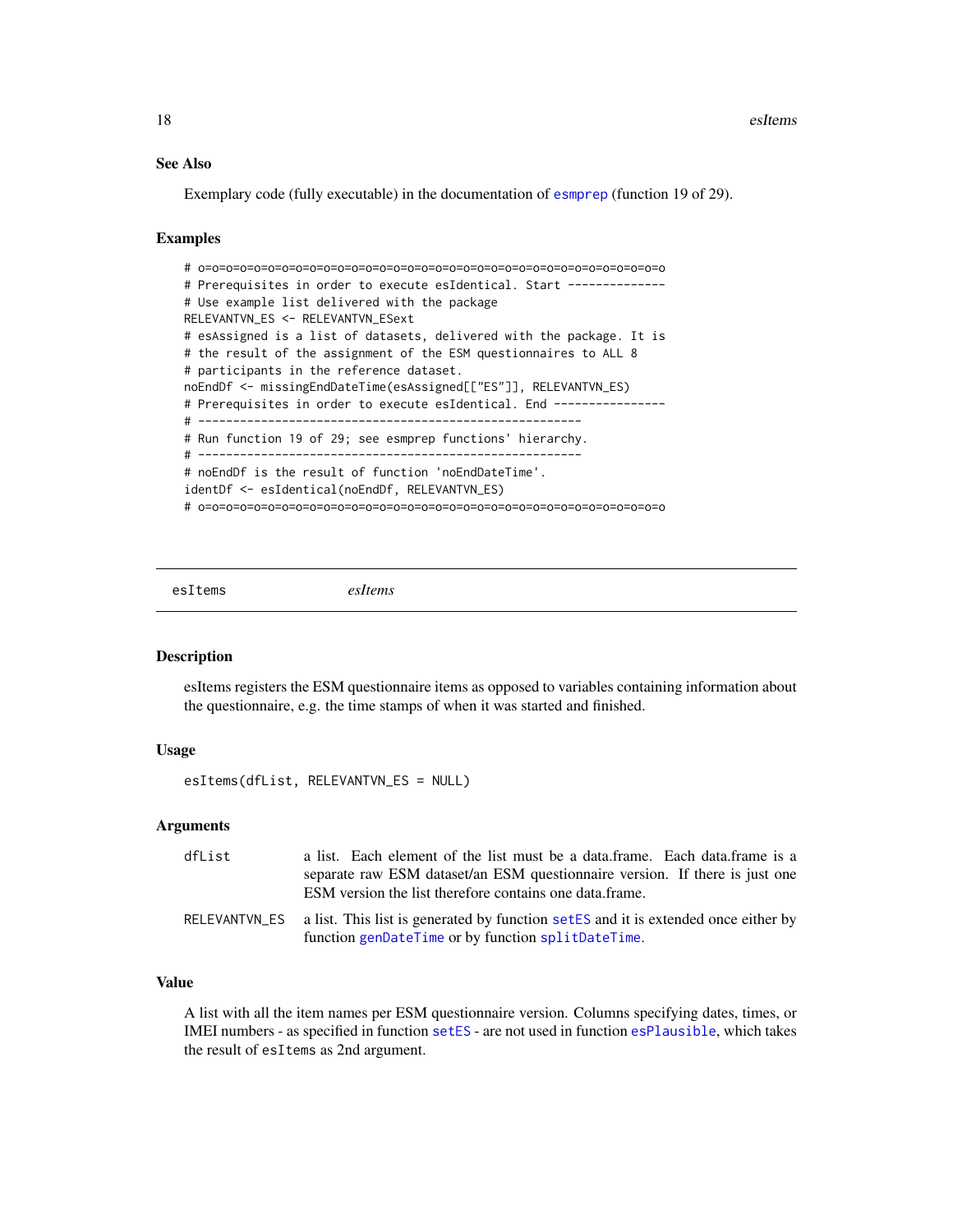## See Also

Exemplary code (fully executable) in the documentation of [esmprep](#page-21-1) (function 19 of 29).

## Examples

```
# o=o=o=o=o=o=o=o=o=o=o=o=o=o=o=o=o=o=o=o=o=o=o=o=o=o=o=o=o=o=o=o=o=o
# Prerequisites in order to execute esIdentical. Start --------------
# Use example list delivered with the package
RELEVANTVN_ES <- RELEVANTVN_ESext
# esAssigned is a list of datasets, delivered with the package. It is
# the result of the assignment of the ESM questionnaires to ALL 8
# participants in the reference dataset.
noEndDf <- missingEndDateTime(esAssigned[["ES"]], RELEVANTVN_ES)
# Prerequisites in order to execute esIdentical. End ----------------
# -------------------------------------------------------
# Run function 19 of 29; see esmprep functions' hierarchy.
# -------------------------------------------------------
# noEndDf is the result of function 'noEndDateTime'.
identDf <- esIdentical(noEndDf, RELEVANTVN_ES)
# o=o=o=o=o=o=o=o=o=o=o=o=o=o=o=o=o=o=o=o=o=o=o=o=o=o=o=o=o=o=o=o=o=o
```
esItems *esItems*

#### Description

esItems registers the ESM questionnaire items as opposed to variables containing information about the questionnaire, e.g. the time stamps of when it was started and finished.

## Usage

```
esItems(dfList, RELEVANTVN_ES = NULL)
```
#### Arguments

| dfList | a list. Each element of the list must be a data.frame. Each data.frame is a                                                                            |
|--------|--------------------------------------------------------------------------------------------------------------------------------------------------------|
|        | separate raw ESM dataset/an ESM questionnaire version. If there is just one<br>ESM version the list therefore contains one data frame.                 |
|        | RELEVANTVN_ES a list. This list is generated by function setES and it is extended once either by<br>function genDateTime or by function splitDateTime. |

#### Value

A list with all the item names per ESM questionnaire version. Columns specifying dates, times, or IMEI numbers - as specified in function [setES](#page-65-1) - are not used in function [esPlausible](#page-35-1), which takes the result of esItems as 2nd argument.

<span id="page-17-0"></span>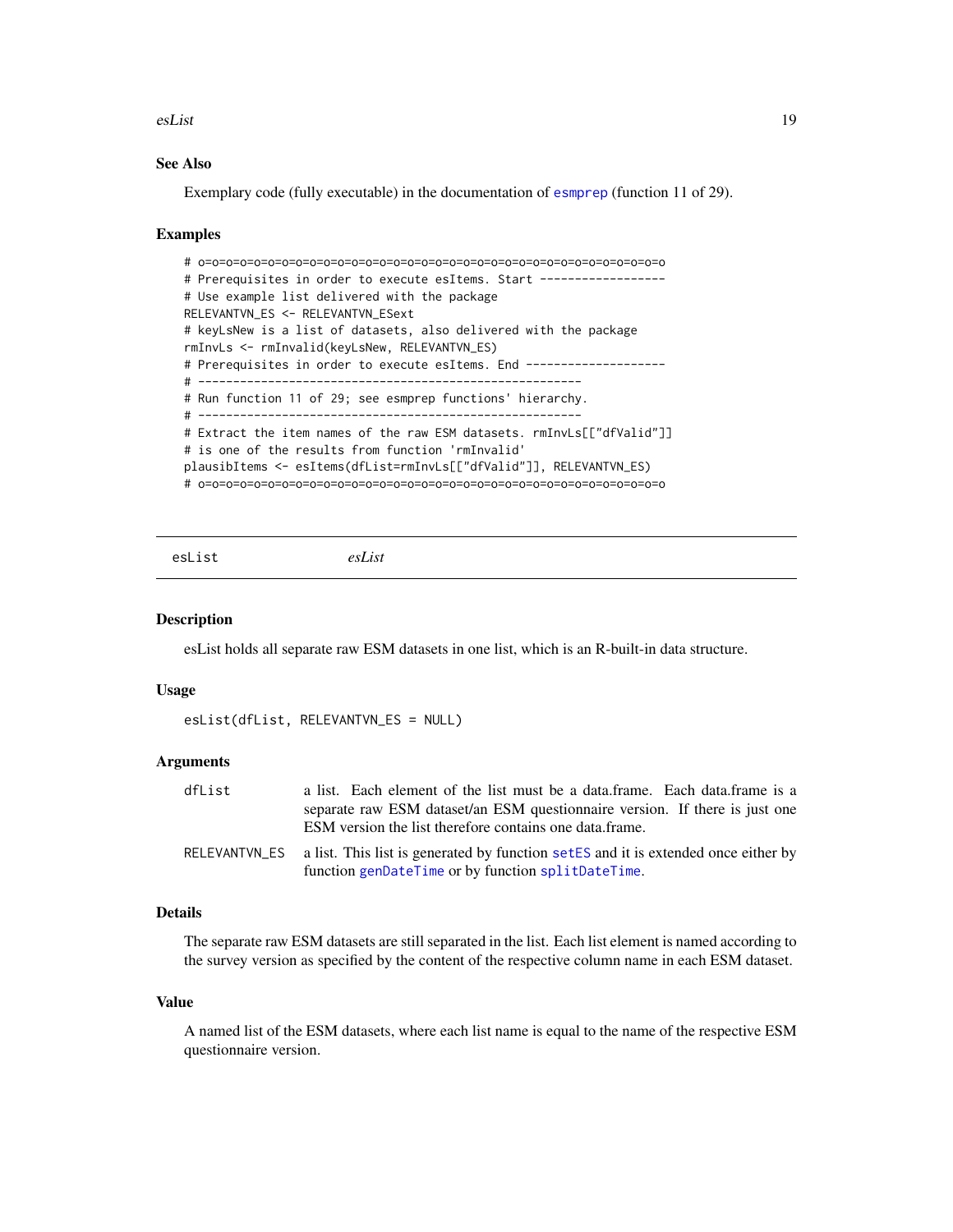#### <span id="page-18-0"></span>esList 19

## See Also

Exemplary code (fully executable) in the documentation of [esmprep](#page-21-1) (function 11 of 29).

#### Examples

```
# o=o=o=o=o=o=o=o=o=o=o=o=o=o=o=o=o=o=o=o=o=o=o=o=o=o=o=o=o=o=o=o=o=o
# Prerequisites in order to execute esItems. Start ------------------
# Use example list delivered with the package
RELEVANTVN_ES <- RELEVANTVN_ESext
# keyLsNew is a list of datasets, also delivered with the package
rmInvLs <- rmInvalid(keyLsNew, RELEVANTVN_ES)
# Prerequisites in order to execute esItems. End -------------------
# -------------------------------------------------------
# Run function 11 of 29; see esmprep functions' hierarchy.
# -------------------------------------------------------
# Extract the item names of the raw ESM datasets. rmInvLs[["dfValid"]]
# is one of the results from function 'rmInvalid'
plausibItems <- esItems(dfList=rmInvLs[["dfValid"]], RELEVANTVN_ES)
# o=o=o=o=o=o=o=o=o=o=o=o=o=o=o=o=o=o=o=o=o=o=o=o=o=o=o=o=o=o=o=o=o=o
```
esList *esList*

#### Description

esList holds all separate raw ESM datasets in one list, which is an R-built-in data structure.

#### Usage

```
esList(dfList, RELEVANTVN_ES = NULL)
```
#### Arguments

| dfList        | a list. Each element of the list must be a data.frame. Each data.frame is a         |
|---------------|-------------------------------------------------------------------------------------|
|               | separate raw ESM dataset/an ESM questionnaire version. If there is just one         |
|               | ESM version the list therefore contains one data.frame.                             |
| RELEVANTVN ES | a list. This list is generated by function set ES and it is extended once either by |
|               | function genDateTime or by function splitDateTime.                                  |

#### Details

The separate raw ESM datasets are still separated in the list. Each list element is named according to the survey version as specified by the content of the respective column name in each ESM dataset.

#### Value

A named list of the ESM datasets, where each list name is equal to the name of the respective ESM questionnaire version.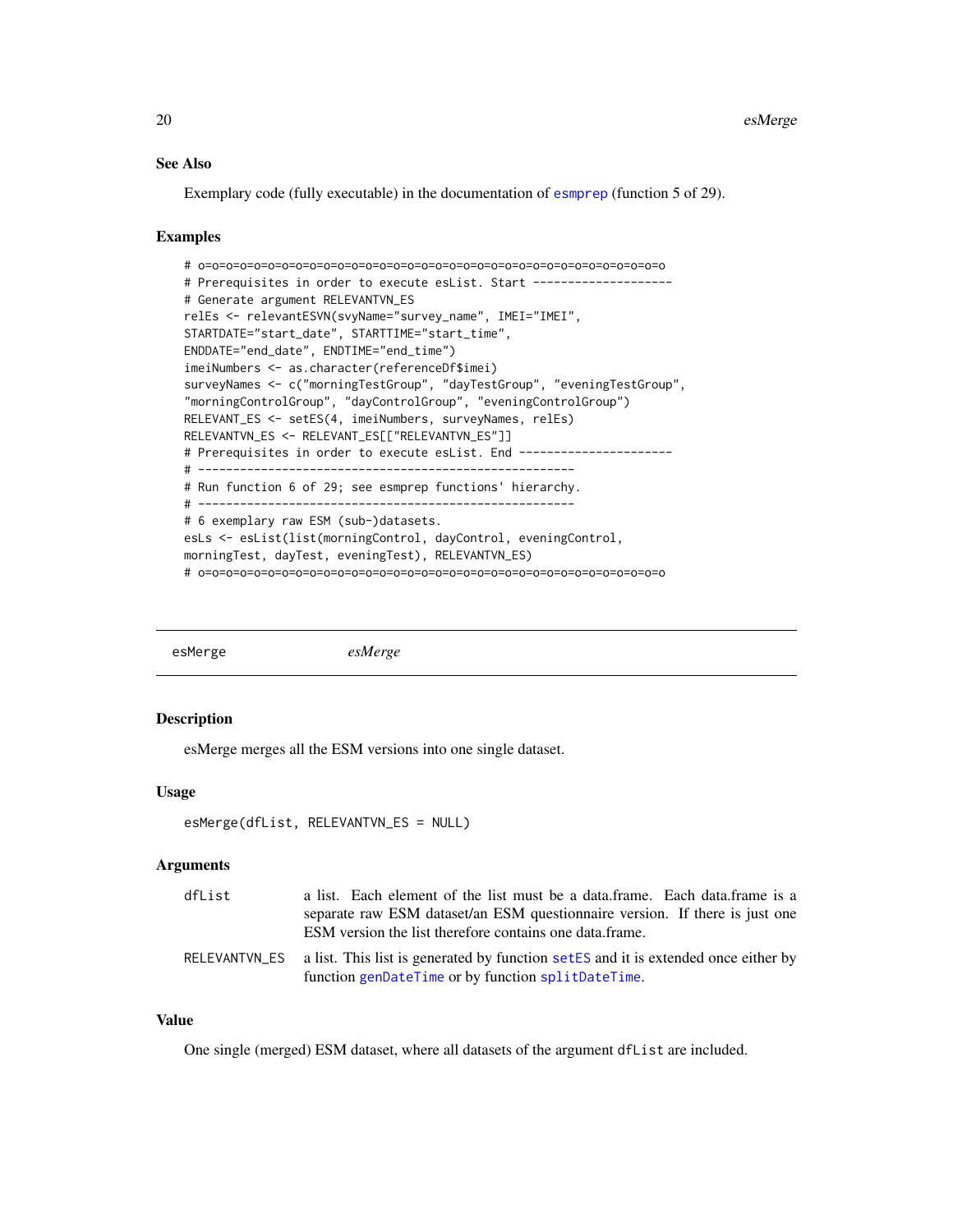#### See Also

Exemplary code (fully executable) in the documentation of [esmprep](#page-21-1) (function 5 of 29).

#### Examples

```
# o=o=o=o=o=o=o=o=o=o=o=o=o=o=o=o=o=o=o=o=o=o=o=o=o=o=o=o=o=o=o=o=o=o
# Prerequisites in order to execute esList. Start -------------------
# Generate argument RELEVANTVN_ES
relEs <- relevantESVN(svyName="survey_name", IMEI="IMEI",
STARTDATE="start_date", STARTTIME="start_time",
ENDDATE="end_date", ENDTIME="end_time")
imeiNumbers <- as.character(referenceDf$imei)
surveyNames <- c("morningTestGroup", "dayTestGroup", "eveningTestGroup",
"morningControlGroup", "dayControlGroup", "eveningControlGroup")
RELEVANT_ES <- setES(4, imeiNumbers, surveyNames, relEs)
RELEVANTVN_ES <- RELEVANT_ES[["RELEVANTVN_ES"]]
# Prerequisites in order to execute esList. End ----------------------
# ------------------------------------------------------
# Run function 6 of 29; see esmprep functions' hierarchy.
# ------------------------------------------------------
# 6 exemplary raw ESM (sub-)datasets.
esLs <- esList(list(morningControl, dayControl, eveningControl,
morningTest, dayTest, eveningTest), RELEVANTVN_ES)
# o=o=o=o=o=o=o=o=o=o=o=o=o=o=o=o=o=o=o=o=o=o=o=o=o=o=o=o=o=o=o=o=o=o
```
<span id="page-19-1"></span>

esMerge *esMerge*

## Description

esMerge merges all the ESM versions into one single dataset.

## Usage

```
esMerge(dfList, RELEVANTVN_ES = NULL)
```
## Arguments

| dfList | a list. Each element of the list must be a data.frame. Each data.frame is a                      |
|--------|--------------------------------------------------------------------------------------------------|
|        | separate raw ESM dataset/an ESM questionnaire version. If there is just one                      |
|        | ESM version the list therefore contains one data.frame.                                          |
|        | RELEVANTVN_ES a list. This list is generated by function setES and it is extended once either by |
|        | function genDateTime or by function splitDateTime.                                               |

## Value

One single (merged) ESM dataset, where all datasets of the argument dfList are included.

<span id="page-19-0"></span>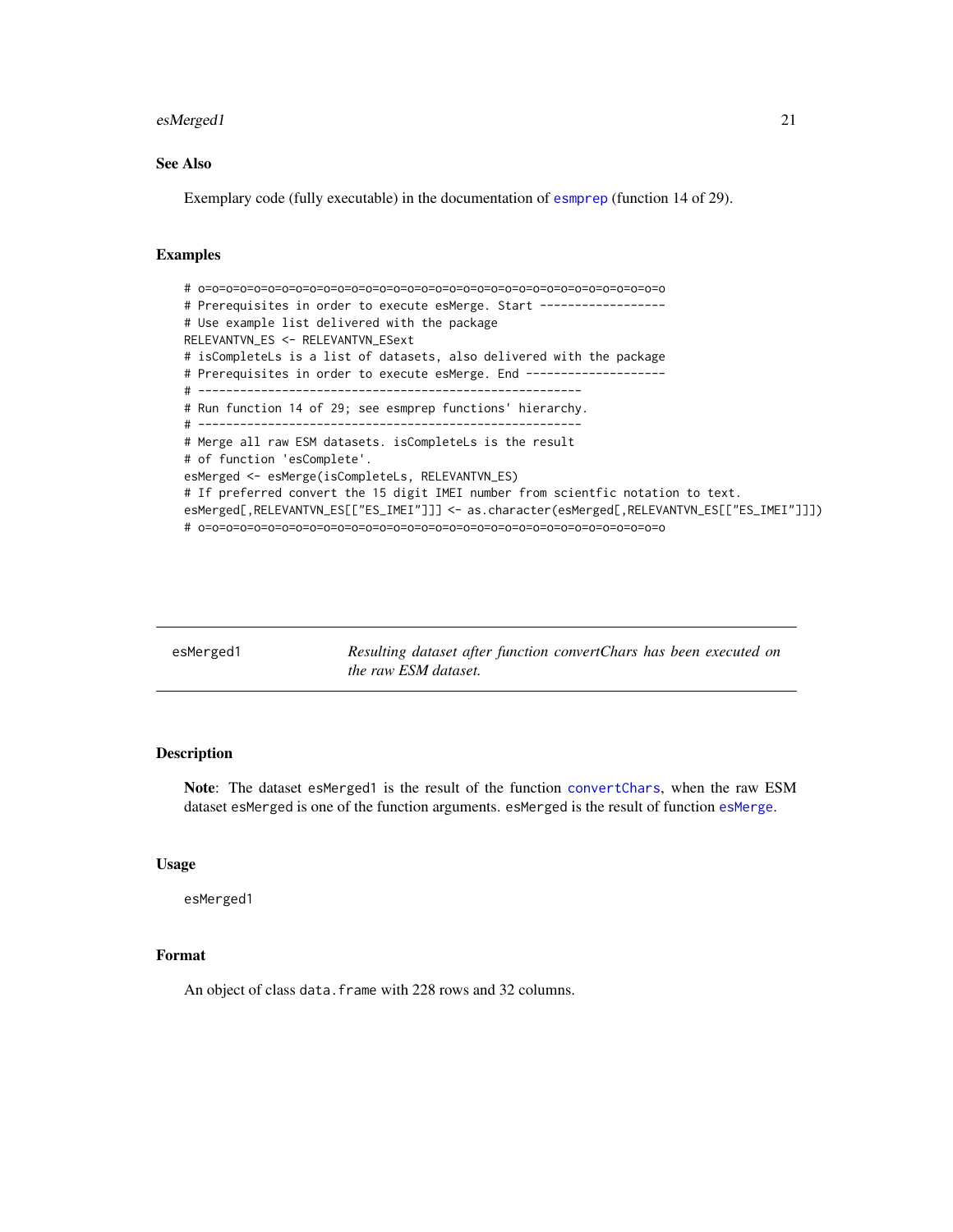#### <span id="page-20-0"></span>esMerged1 21

## See Also

Exemplary code (fully executable) in the documentation of [esmprep](#page-21-1) (function 14 of 29).

## Examples

```
# o=o=o=o=o=o=o=o=o=o=o=o=o=o=o=o=o=o=o=o=o=o=o=o=o=o=o=o=o=o=o=o=o=o
# Prerequisites in order to execute esMerge. Start ------------------
# Use example list delivered with the package
RELEVANTVN_ES <- RELEVANTVN_ESext
# isCompleteLs is a list of datasets, also delivered with the package
# Prerequisites in order to execute esMerge. End -------------------
# -------------------------------------------------------
# Run function 14 of 29; see esmprep functions' hierarchy.
# -------------------------------------------------------
# Merge all raw ESM datasets. isCompleteLs is the result
# of function 'esComplete'.
esMerged <- esMerge(isCompleteLs, RELEVANTVN_ES)
# If preferred convert the 15 digit IMEI number from scientfic notation to text.
esMerged[,RELEVANTVN_ES[["ES_IMEI"]]] <- as.character(esMerged[,RELEVANTVN_ES[["ES_IMEI"]]])
# o=o=o=o=o=o=o=o=o=o=o=o=o=o=o=o=o=o=o=o=o=o=o=o=o=o=o=o=o=o=o=o=o=o
```

| esMerged1 | Resulting dataset after function convert Chars has been executed on<br><i>the raw ESM dataset.</i> |
|-----------|----------------------------------------------------------------------------------------------------|
|           |                                                                                                    |

## Description

Note: The dataset esMerged1 is the result of the function [convertChars](#page-5-1), when the raw ESM dataset esMerged is one of the function arguments. esMerged is the result of function [esMerge](#page-19-1).

## Usage

esMerged1

## Format

An object of class data.frame with 228 rows and 32 columns.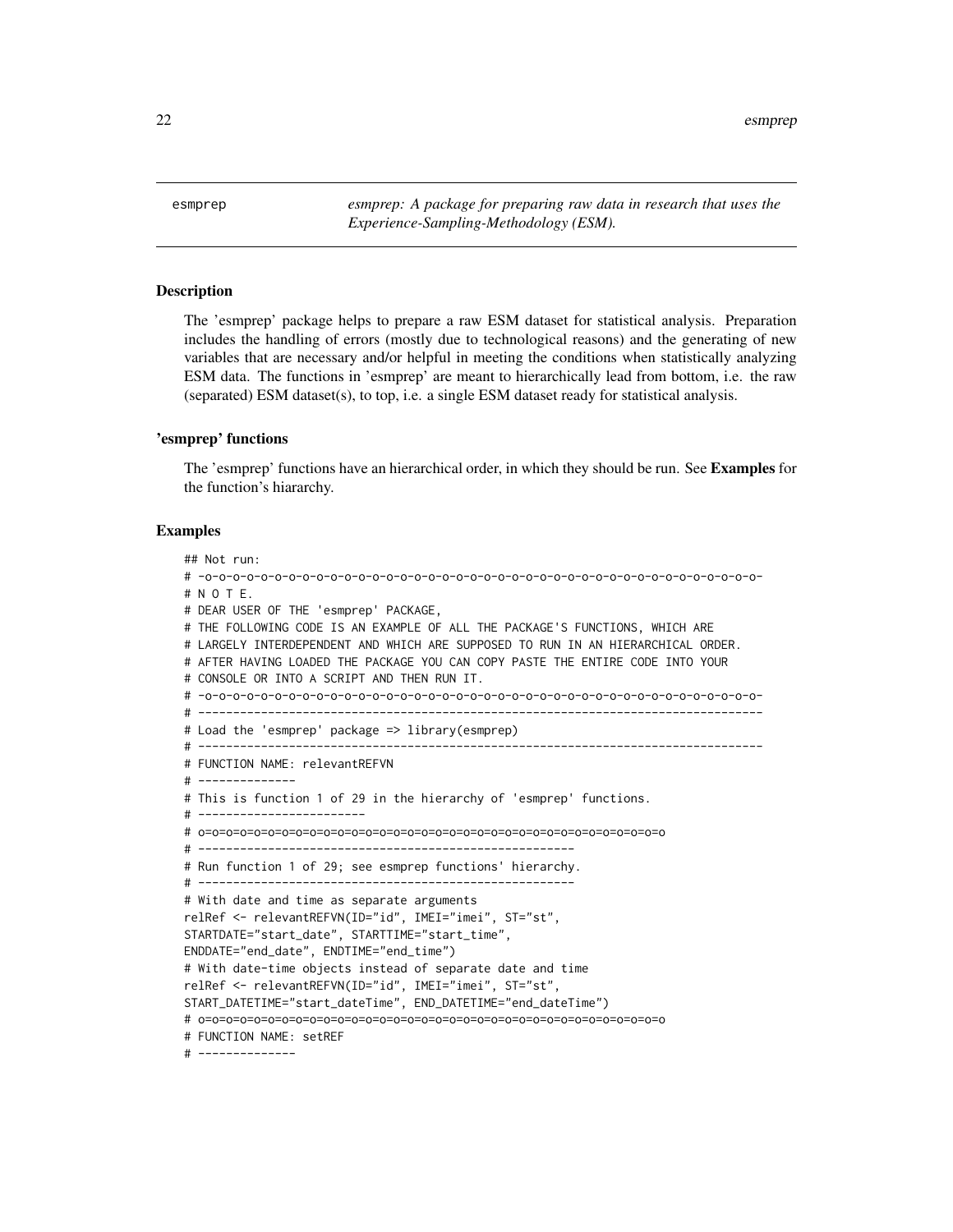<span id="page-21-0"></span>22 esmprependent and the contract of the contract of the contract of the contract of the contract of the contract of the contract of the contract of the contract of the contract of the contract of the contract of the contr

<span id="page-21-1"></span>esmprep *esmprep: A package for preparing raw data in research that uses the Experience-Sampling-Methodology (ESM).*

#### Description

The 'esmprep' package helps to prepare a raw ESM dataset for statistical analysis. Preparation includes the handling of errors (mostly due to technological reasons) and the generating of new variables that are necessary and/or helpful in meeting the conditions when statistically analyzing ESM data. The functions in 'esmprep' are meant to hierarchically lead from bottom, i.e. the raw (separated) ESM dataset(s), to top, i.e. a single ESM dataset ready for statistical analysis.

#### 'esmprep' functions

The 'esmprep' functions have an hierarchical order, in which they should be run. See Examples for the function's hiararchy.

## Examples

## Not run: # -o-o-o-o-o-o-o-o-o-o-o-o-o-o-o-o-o-o-o-o-o-o-o-o-o-o-o-o-o-o-o-o-o-o-o-o-o-o-o-o- # N O T E. # DEAR USER OF THE 'esmprep' PACKAGE, # THE FOLLOWING CODE IS AN EXAMPLE OF ALL THE PACKAGE'S FUNCTIONS, WHICH ARE # LARGELY INTERDEPENDENT AND WHICH ARE SUPPOSED TO RUN IN AN HIERARCHICAL ORDER. # AFTER HAVING LOADED THE PACKAGE YOU CAN COPY PASTE THE ENTIRE CODE INTO YOUR # CONSOLE OR INTO A SCRIPT AND THEN RUN IT. # -o-o-o-o-o-o-o-o-o-o-o-o-o-o-o-o-o-o-o-o-o-o-o-o-o-o-o-o-o-o-o-o-o-o-o-o-o-o-o-o- # --------------------------------------------------------------------------------- # Load the 'esmprep' package => library(esmprep) # --------------------------------------------------------------------------------- # FUNCTION NAME: relevantREFVN # -------------- # This is function 1 of 29 in the hierarchy of 'esmprep' functions. # ------------------------ # o=o=o=o=o=o=o=o=o=o=o=o=o=o=o=o=o=o=o=o=o=o=o=o=o=o=o=o=o=o=o=o=o=o # ------------------------------------------------------ # Run function 1 of 29; see esmprep functions' hierarchy. # ------------------------------------------------------ # With date and time as separate arguments relRef <- relevantREFVN(ID="id", IMEI="imei", ST="st", STARTDATE="start\_date", STARTTIME="start\_time", ENDDATE="end\_date", ENDTIME="end\_time") # With date-time objects instead of separate date and time relRef <- relevantREFVN(ID="id", IMEI="imei", ST="st", START\_DATETIME="start\_dateTime", END\_DATETIME="end\_dateTime") # o=o=o=o=o=o=o=o=o=o=o=o=o=o=o=o=o=o=o=o=o=o=o=o=o=o=o=o=o=o=o=o=o=o # FUNCTION NAME: setREF # --------------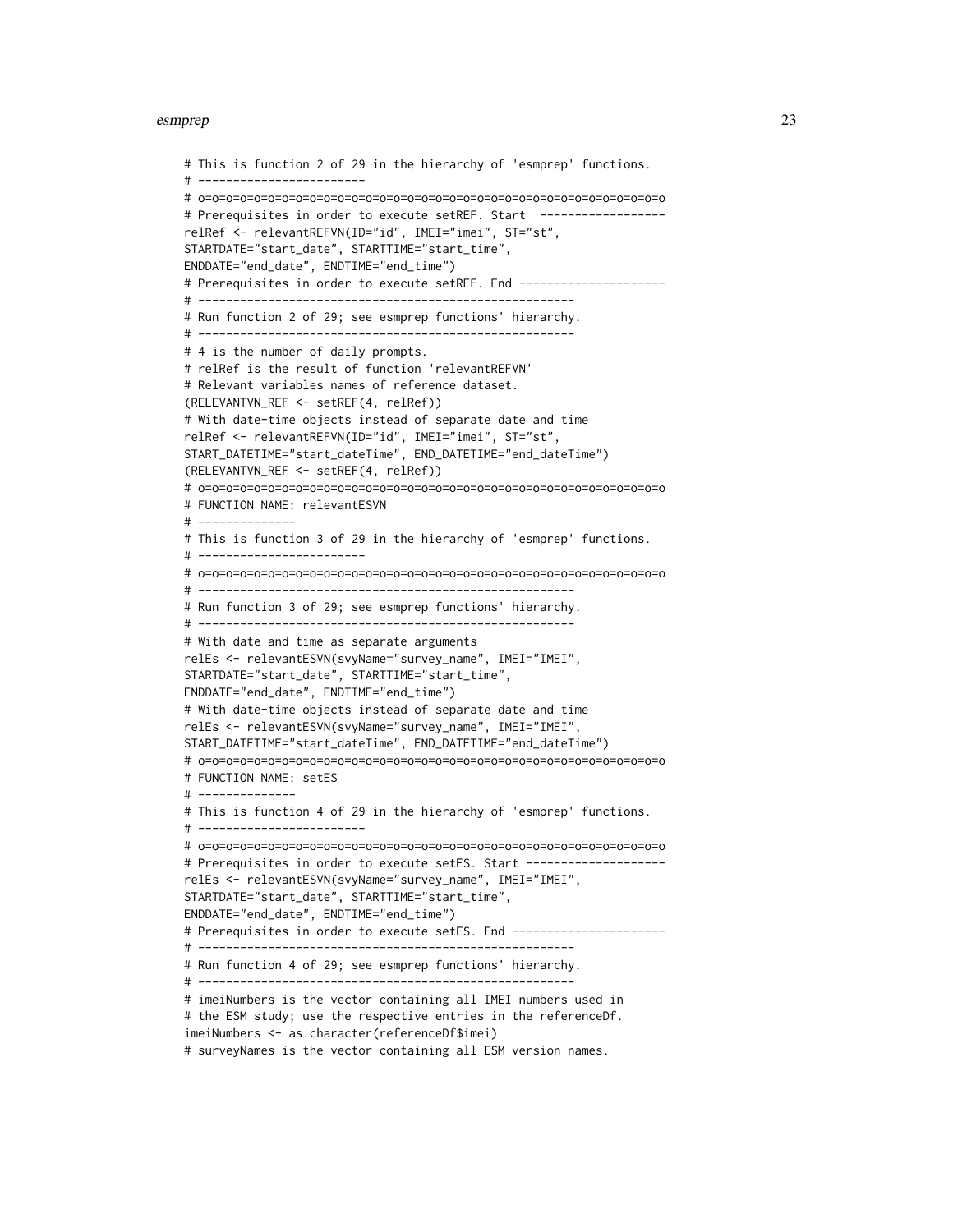```
# This is function 2 of 29 in the hierarchy of 'esmprep' functions.
# ------------------------
# o=o=o=o=o=o=o=o=o=o=o=o=o=o=o=o=o=o=o=o=o=o=o=o=o=o=o=o=o=o=o=o=o=o
# Prerequisites in order to execute setREF. Start -----------------
relRef <- relevantREFVN(ID="id", IMEI="imei", ST="st",
STARTDATE="start_date", STARTTIME="start_time",
ENDDATE="end_date", ENDTIME="end_time")
# Prerequisites in order to execute setREF. End ---------------------
# ------------------------------------------------------
# Run function 2 of 29; see esmprep functions' hierarchy.
# ------------------------------------------------------
# 4 is the number of daily prompts.
# relRef is the result of function 'relevantREFVN'
# Relevant variables names of reference dataset.
(RELEVANTVN_REF <- setREF(4, relRef))
# With date-time objects instead of separate date and time
relRef <- relevantREFVN(ID="id", IMEI="imei", ST="st",
START_DATETIME="start_dateTime", END_DATETIME="end_dateTime")
(RELEVANTVN_REF <- setREF(4, relRef))
# o=o=o=o=o=o=o=o=o=o=o=o=o=o=o=o=o=o=o=o=o=o=o=o=o=o=o=o=o=o=o=o=o=o
# FUNCTION NAME: relevantESVN
# --------------
# This is function 3 of 29 in the hierarchy of 'esmprep' functions.
# ------------------------
# o=o=o=o=o=o=o=o=o=o=o=o=o=o=o=o=o=o=o=o=o=o=o=o=o=o=o=o=o=o=o=o=o=o
# ------------------------------------------------------
# Run function 3 of 29; see esmprep functions' hierarchy.
# ------------------------------------------------------
# With date and time as separate arguments
relEs <- relevantESVN(svyName="survey_name", IMEI="IMEI",
STARTDATE="start_date", STARTTIME="start_time",
ENDDATE="end_date", ENDTIME="end_time")
# With date-time objects instead of separate date and time
relEs <- relevantESVN(svyName="survey_name", IMEI="IMEI",
START_DATETIME="start_dateTime", END_DATETIME="end_dateTime")
# o=o=o=o=o=o=o=o=o=o=o=o=o=o=o=o=o=o=o=o=o=o=o=o=o=o=o=o=o=o=o=o=o=o
# FUNCTION NAME: setES
# --------------
# This is function 4 of 29 in the hierarchy of 'esmprep' functions.
# ------------------------
# o=o=o=o=o=o=o=o=o=o=o=o=o=o=o=o=o=o=o=o=o=o=o=o=o=o=o=o=o=o=o=o=o=o
# Prerequisites in order to execute setES. Start --------------------
relEs <- relevantESVN(svyName="survey_name", IMEI="IMEI",
STARTDATE="start_date", STARTTIME="start_time",
ENDDATE="end_date", ENDTIME="end_time")
# Prerequisites in order to execute setES. End ----------------------
# ------------------------------------------------------
# Run function 4 of 29; see esmprep functions' hierarchy.
# ------------------------------------------------------
# imeiNumbers is the vector containing all IMEI numbers used in
# the ESM study; use the respective entries in the referenceDf.
imeiNumbers <- as.character(referenceDf$imei)
```
# surveyNames is the vector containing all ESM version names.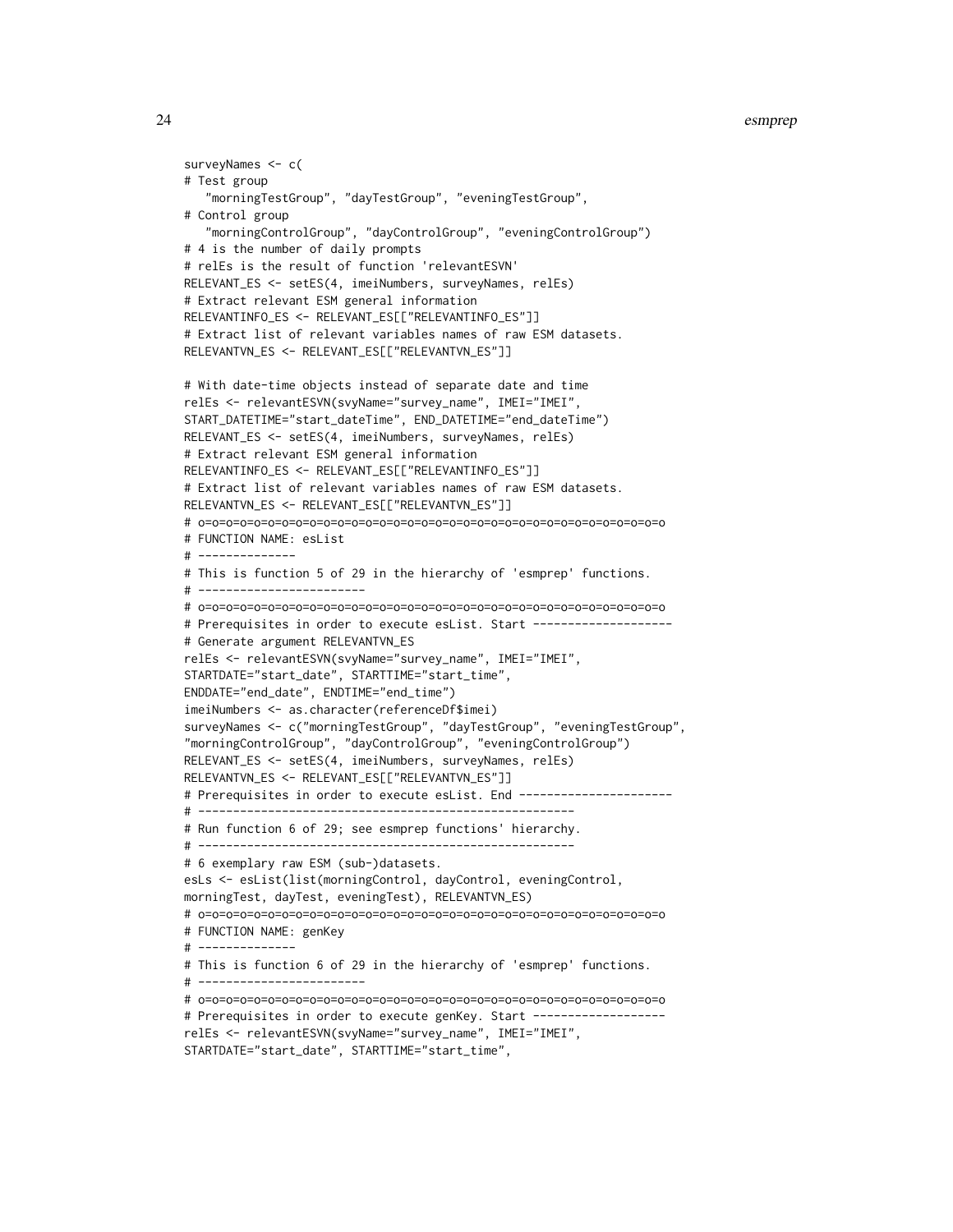```
# Test group
   "morningTestGroup", "dayTestGroup", "eveningTestGroup",
# Control group
   "morningControlGroup", "dayControlGroup", "eveningControlGroup")
# 4 is the number of daily prompts
# relEs is the result of function 'relevantESVN'
RELEVANT_ES <- setES(4, imeiNumbers, surveyNames, relEs)
# Extract relevant ESM general information
RELEVANTINFO_ES <- RELEVANT_ES[["RELEVANTINFO_ES"]]
# Extract list of relevant variables names of raw ESM datasets.
RELEVANTVN_ES <- RELEVANT_ES[["RELEVANTVN_ES"]]
# With date-time objects instead of separate date and time
relEs <- relevantESVN(svyName="survey_name", IMEI="IMEI",
START_DATETIME="start_dateTime", END_DATETIME="end_dateTime")
RELEVANT_ES <- setES(4, imeiNumbers, surveyNames, relEs)
# Extract relevant ESM general information
RELEVANTINFO_ES <- RELEVANT_ES[["RELEVANTINFO_ES"]]
# Extract list of relevant variables names of raw ESM datasets.
RELEVANTVN_ES <- RELEVANT_ES[["RELEVANTVN_ES"]]
# o=o=o=o=o=o=o=o=o=o=o=o=o=o=o=o=o=o=o=o=o=o=o=o=o=o=o=o=o=o=o=o=o=o
# FUNCTION NAME: esList
# --------------
# This is function 5 of 29 in the hierarchy of 'esmprep' functions.
# ------------------------
# o=o=o=o=o=o=o=o=o=o=o=o=o=o=o=o=o=o=o=o=o=o=o=o=o=o=o=o=o=o=o=o=o=o
# Prerequisites in order to execute esList. Start -----------------
# Generate argument RELEVANTVN_ES
relEs <- relevantESVN(svyName="survey_name", IMEI="IMEI",
STARTDATE="start_date", STARTTIME="start_time",
ENDDATE="end_date", ENDTIME="end_time")
imeiNumbers <- as.character(referenceDf$imei)
surveyNames <- c("morningTestGroup", "dayTestGroup", "eveningTestGroup",
"morningControlGroup", "dayControlGroup", "eveningControlGroup")
RELEVANT_ES <- setES(4, imeiNumbers, surveyNames, relEs)
RELEVANTVN_ES <- RELEVANT_ES[["RELEVANTVN_ES"]]
# Prerequisites in order to execute esList. End ----------------------
# ------------------------------------------------------
# Run function 6 of 29; see esmprep functions' hierarchy.
# ------------------------------------------------------
# 6 exemplary raw ESM (sub-)datasets.
esLs <- esList(list(morningControl, dayControl, eveningControl,
morningTest, dayTest, eveningTest), RELEVANTVN_ES)
# o=o=o=o=o=o=o=o=o=o=o=o=o=o=o=o=o=o=o=o=o=o=o=o=o=o=o=o=o=o=o=o=o=o
# FUNCTION NAME: genKey
# --------------
# This is function 6 of 29 in the hierarchy of 'esmprep' functions.
# ------------------------
# o=o=o=o=o=o=o=o=o=o=o=o=o=o=o=o=o=o=o=o=o=o=o=o=o=o=o=o=o=o=o=o=o=o
# Prerequisites in order to execute genKey. Start ------------------
relEs <- relevantESVN(svyName="survey_name", IMEI="IMEI",
STARTDATE="start_date", STARTTIME="start_time",
```
surveyNames <- c(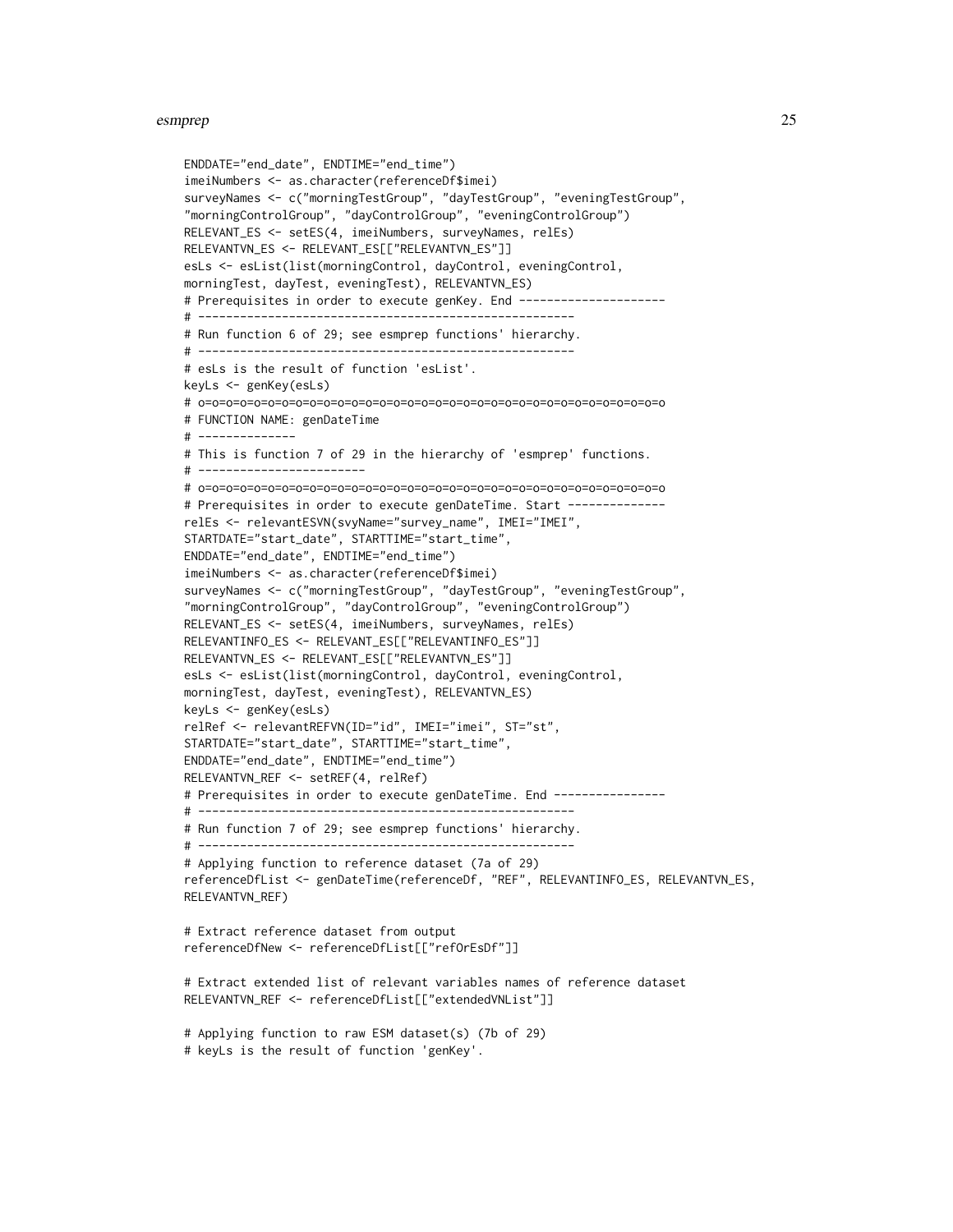```
ENDDATE="end_date", ENDTIME="end_time")
imeiNumbers <- as.character(referenceDf$imei)
surveyNames <- c("morningTestGroup", "dayTestGroup", "eveningTestGroup",
"morningControlGroup", "dayControlGroup", "eveningControlGroup")
RELEVANT_ES <- setES(4, imeiNumbers, surveyNames, relEs)
RELEVANTVN_ES <- RELEVANT_ES[["RELEVANTVN_ES"]]
esLs <- esList(list(morningControl, dayControl, eveningControl,
morningTest, dayTest, eveningTest), RELEVANTVN_ES)
# Prerequisites in order to execute genKey. End ---------------------
# ------------------------------------------------------
# Run function 6 of 29; see esmprep functions' hierarchy.
# ------------------------------------------------------
# esLs is the result of function 'esList'.
keyLs <- genKey(esLs)
# o=o=o=o=o=o=o=o=o=o=o=o=o=o=o=o=o=o=o=o=o=o=o=o=o=o=o=o=o=o=o=o=o=o
# FUNCTION NAME: genDateTime
# --------------
# This is function 7 of 29 in the hierarchy of 'esmprep' functions.
# ------------------------
# o=o=o=o=o=o=o=o=o=o=o=o=o=o=o=o=o=o=o=o=o=o=o=o=o=o=o=o=o=o=o=o=o=o
# Prerequisites in order to execute genDateTime. Start -------------
relEs <- relevantESVN(svyName="survey_name", IMEI="IMEI",
STARTDATE="start_date", STARTTIME="start_time",
ENDDATE="end_date", ENDTIME="end_time")
imeiNumbers <- as.character(referenceDf$imei)
surveyNames <- c("morningTestGroup", "dayTestGroup", "eveningTestGroup",
"morningControlGroup", "dayControlGroup", "eveningControlGroup")
RELEVANT_ES <- setES(4, imeiNumbers, surveyNames, relEs)
RELEVANTINFO_ES <- RELEVANT_ES[["RELEVANTINFO_ES"]]
RELEVANTVN_ES <- RELEVANT_ES[["RELEVANTVN_ES"]]
esLs <- esList(list(morningControl, dayControl, eveningControl,
morningTest, dayTest, eveningTest), RELEVANTVN_ES)
keyLs <- genKey(esLs)
relRef <- relevantREFVN(ID="id", IMEI="imei", ST="st",
STARTDATE="start_date", STARTTIME="start_time",
ENDDATE="end_date", ENDTIME="end_time")
RELEVANTVN_REF <- setREF(4, relRef)
# Prerequisites in order to execute genDateTime. End ----------------
# ------------------------------------------------------
# Run function 7 of 29; see esmprep functions' hierarchy.
# ------------------------------------------------------
# Applying function to reference dataset (7a of 29)
referenceDfList <- genDateTime(referenceDf, "REF", RELEVANTINFO_ES, RELEVANTVN_ES,
RELEVANTVN_REF)
# Extract reference dataset from output
referenceDfNew <- referenceDfList[["refOrEsDf"]]
# Extract extended list of relevant variables names of reference dataset
RELEVANTVN_REF <- referenceDfList[["extendedVNList"]]
# Applying function to raw ESM dataset(s) (7b of 29)
# keyLs is the result of function 'genKey'.
```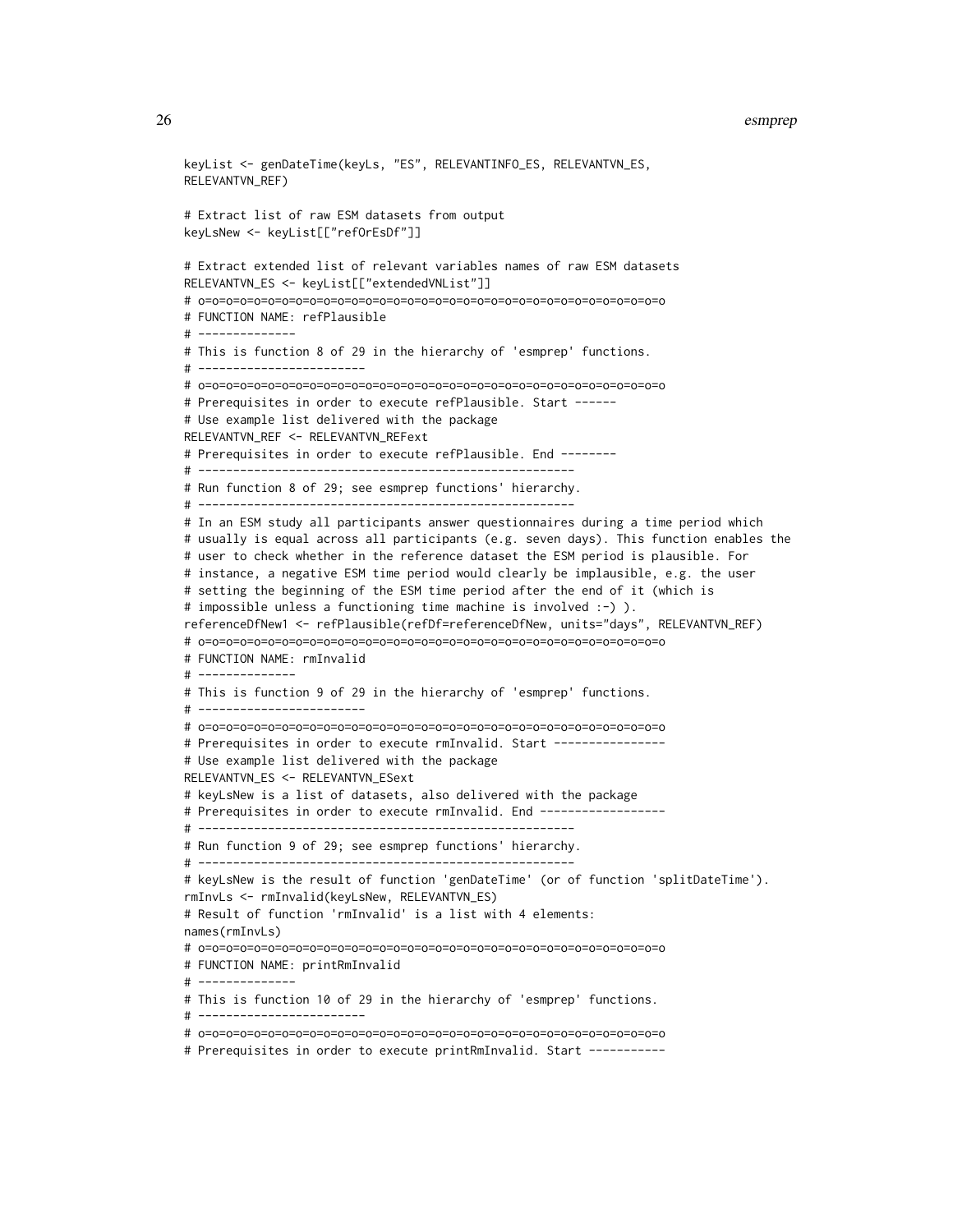```
keyList <- genDateTime(keyLs, "ES", RELEVANTINFO_ES, RELEVANTVN_ES,
RELEVANTVN_REF)
# Extract list of raw ESM datasets from output
keyLsNew <- keyList[["refOrEsDf"]]
# Extract extended list of relevant variables names of raw ESM datasets
RELEVANTVN_ES <- keyList[["extendedVNList"]]
# o=o=o=o=o=o=o=o=o=o=o=o=o=o=o=o=o=o=o=o=o=o=o=o=o=o=o=o=o=o=o=o=o=o
# FUNCTION NAME: refPlausible
# --------------
# This is function 8 of 29 in the hierarchy of 'esmprep' functions.
# ------------------------
# o=o=o=o=o=o=o=o=o=o=o=o=o=o=o=o=o=o=o=o=o=o=o=o=o=o=o=o=o=o=o=o=o=o
# Prerequisites in order to execute refPlausible. Start ------
# Use example list delivered with the package
RELEVANTVN_REF <- RELEVANTVN_REFext
# Prerequisites in order to execute refPlausible. End --------
# ------------------------------------------------------
# Run function 8 of 29; see esmprep functions' hierarchy.
# ------------------------------------------------------
# In an ESM study all participants answer questionnaires during a time period which
# usually is equal across all participants (e.g. seven days). This function enables the
# user to check whether in the reference dataset the ESM period is plausible. For
# instance, a negative ESM time period would clearly be implausible, e.g. the user
# setting the beginning of the ESM time period after the end of it (which is
# impossible unless a functioning time machine is involved :-) ).
referenceDfNew1 <- refPlausible(refDf=referenceDfNew, units="days", RELEVANTVN_REF)
# o=o=o=o=o=o=o=o=o=o=o=o=o=o=o=o=o=o=o=o=o=o=o=o=o=o=o=o=o=o=o=o=o=o
# FUNCTION NAME: rmInvalid
# --------------
# This is function 9 of 29 in the hierarchy of 'esmprep' functions.
# ------------------------
# o=o=o=o=o=o=o=o=o=o=o=o=o=o=o=o=o=o=o=o=o=o=o=o=o=o=o=o=o=o=o=o=o=o
# Prerequisites in order to execute rmInvalid. Start ---------------
# Use example list delivered with the package
RELEVANTVN_ES <- RELEVANTVN_ESext
# keyLsNew is a list of datasets, also delivered with the package
# Prerequisites in order to execute rmInvalid. End ------------------
# ------------------------------------------------------
# Run function 9 of 29; see esmprep functions' hierarchy.
# ------------------------------------------------------
# keyLsNew is the result of function 'genDateTime' (or of function 'splitDateTime').
rmInvLs <- rmInvalid(keyLsNew, RELEVANTVN_ES)
# Result of function 'rmInvalid' is a list with 4 elements:
names(rmInvLs)
# o=o=o=o=o=o=o=o=o=o=o=o=o=o=o=o=o=o=o=o=o=o=o=o=o=o=o=o=o=o=o=o=o=o
# FUNCTION NAME: printRmInvalid
# --------------
# This is function 10 of 29 in the hierarchy of 'esmprep' functions.
# ------------------------
# o=o=o=o=o=o=o=o=o=o=o=o=o=o=o=o=o=o=o=o=o=o=o=o=o=o=o=o=o=o=o=o=o=o
```
# Prerequisites in order to execute printRmInvalid. Start -----------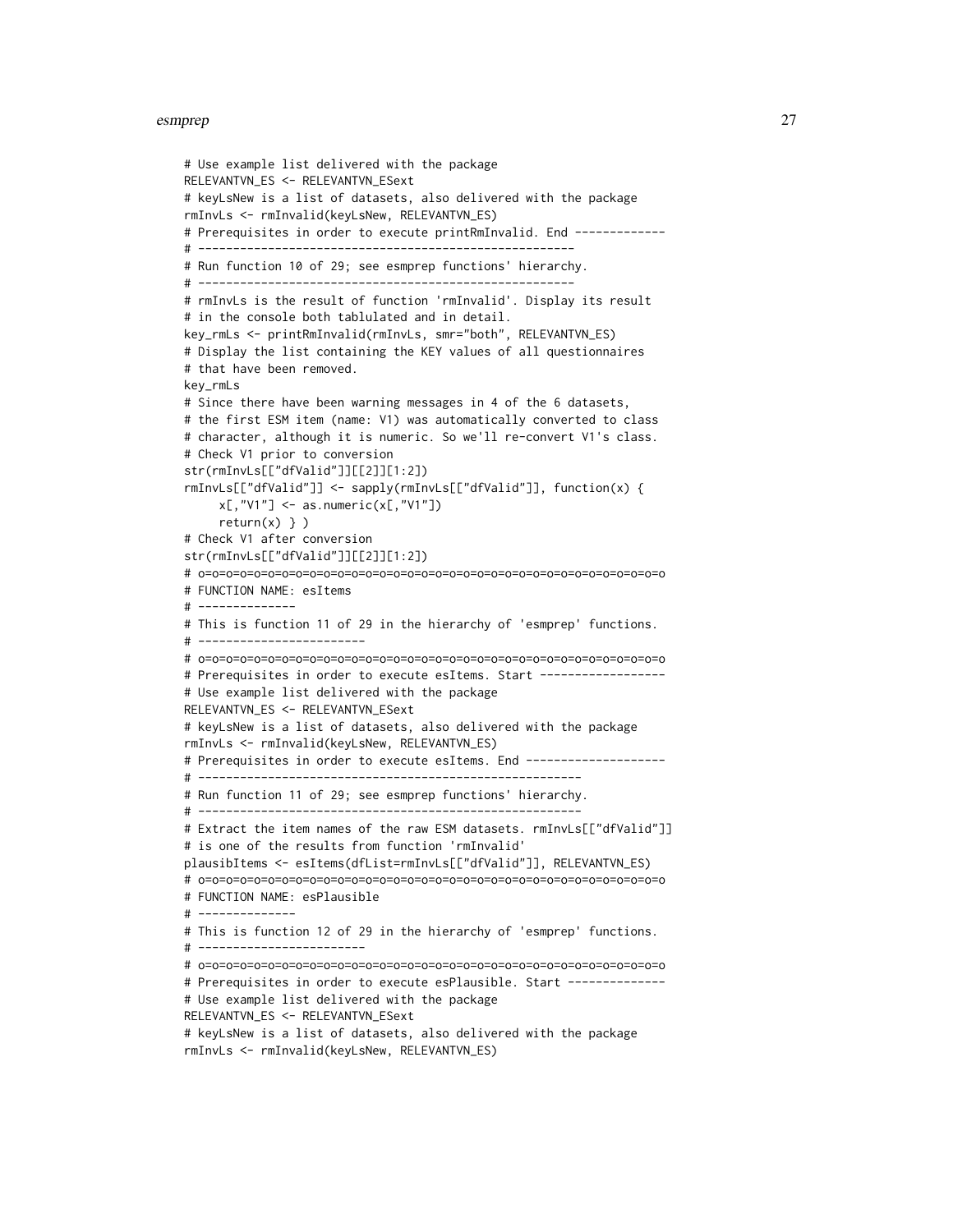```
# Use example list delivered with the package
RELEVANTVN_ES <- RELEVANTVN_ESext
# keyLsNew is a list of datasets, also delivered with the package
rmInvLs <- rmInvalid(keyLsNew, RELEVANTVN_ES)
# Prerequisites in order to execute printRmInvalid. End -------------
# ------------------------------------------------------
# Run function 10 of 29; see esmprep functions' hierarchy.
# ------------------------------------------------------
# rmInvLs is the result of function 'rmInvalid'. Display its result
# in the console both tablulated and in detail.
key_rmLs <- printRmInvalid(rmInvLs, smr="both", RELEVANTVN_ES)
# Display the list containing the KEY values of all questionnaires
# that have been removed.
key_rmLs
# Since there have been warning messages in 4 of the 6 datasets,
# the first ESM item (name: V1) was automatically converted to class
# character, although it is numeric. So we'll re-convert V1's class.
# Check V1 prior to conversion
str(rmInvLs[["dfValid"]][[2]][1:2])
rmInvLs[["dfValid"]] <- sapply(rmInvLs[["dfValid"]], function(x) {
     x[, "V1"] \leftarrow as.numeric(x[, "V1"])return(x) } )
# Check V1 after conversion
str(rmInvLs[["dfValid"]][[2]][1:2])
# o=o=o=o=o=o=o=o=o=o=o=o=o=o=o=o=o=o=o=o=o=o=o=o=o=o=o=o=o=o=o=o=o=o
# FUNCTION NAME: esItems
# --------------
# This is function 11 of 29 in the hierarchy of 'esmprep' functions.
# ------------------------
# o=o=o=o=o=o=o=o=o=o=o=o=o=o=o=o=o=o=o=o=o=o=o=o=o=o=o=o=o=o=o=o=o=o
# Prerequisites in order to execute esItems. Start -----------------
# Use example list delivered with the package
RELEVANTVN_ES <- RELEVANTVN_ESext
# keyLsNew is a list of datasets, also delivered with the package
rmInvLs <- rmInvalid(keyLsNew, RELEVANTVN_ES)
# Prerequisites in order to execute esItems. End --------------------
# -------------------------------------------------------
# Run function 11 of 29; see esmprep functions' hierarchy.
# -------------------------------------------------------
# Extract the item names of the raw ESM datasets. rmInvLs[["dfValid"]]
# is one of the results from function 'rmInvalid'
plausibItems <- esItems(dfList=rmInvLs[["dfValid"]], RELEVANTVN_ES)
# o=o=o=o=o=o=o=o=o=o=o=o=o=o=o=o=o=o=o=o=o=o=o=o=o=o=o=o=o=o=o=o=o=o
# FUNCTION NAME: esPlausible
# --------------
# This is function 12 of 29 in the hierarchy of 'esmprep' functions.
# ------------------------
# o=o=o=o=o=o=o=o=o=o=o=o=o=o=o=o=o=o=o=o=o=o=o=o=o=o=o=o=o=o=o=o=o=o
# Prerequisites in order to execute esPlausible. Start --------------
# Use example list delivered with the package
RELEVANTVN_ES <- RELEVANTVN_ESext
# keyLsNew is a list of datasets, also delivered with the package
rmInvLs <- rmInvalid(keyLsNew, RELEVANTVN_ES)
```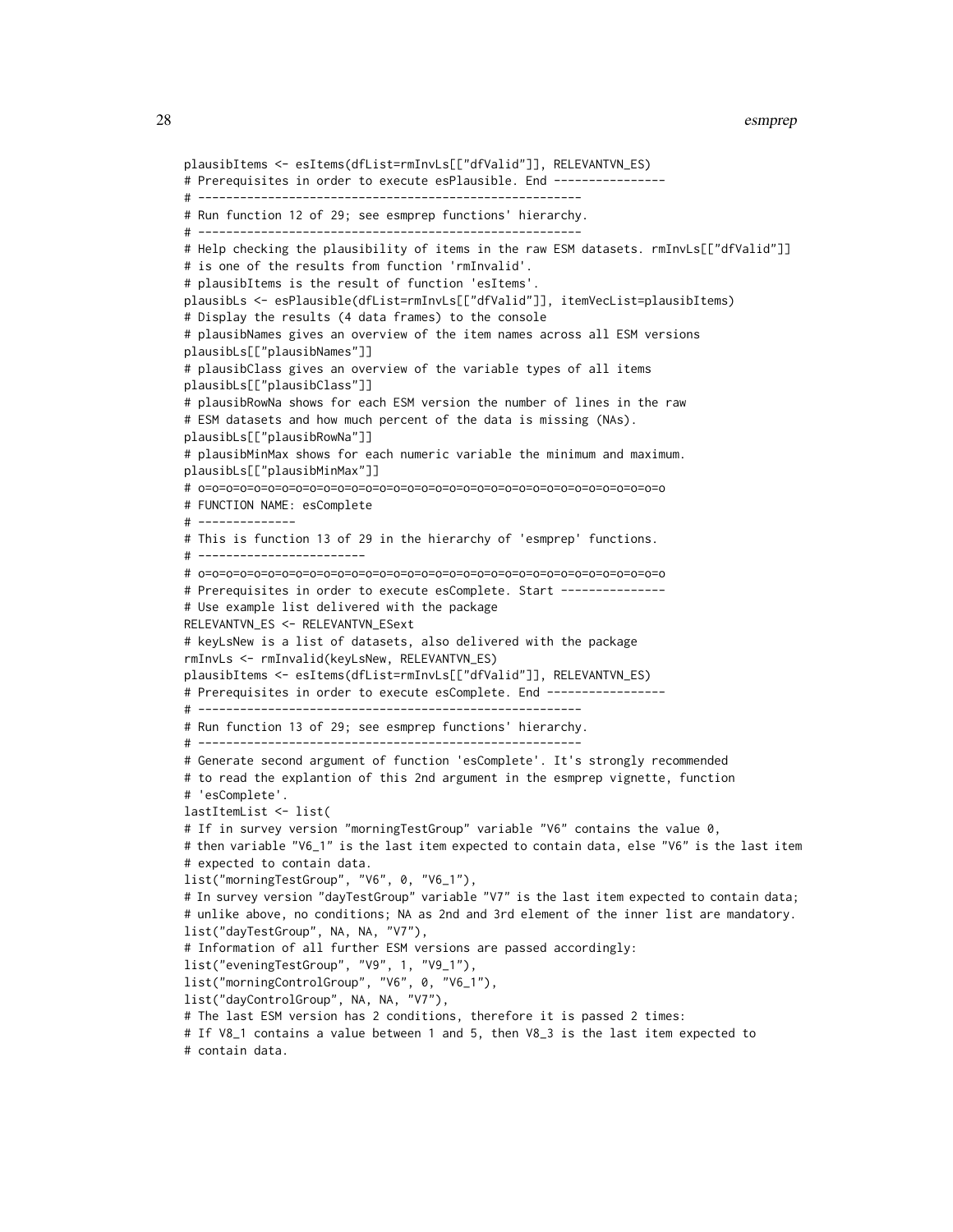```
plausibItems <- esItems(dfList=rmInvLs[["dfValid"]], RELEVANTVN_ES)
# Prerequisites in order to execute esPlausible. End ----------------
# -------------------------------------------------------
# Run function 12 of 29; see esmprep functions' hierarchy.
# -------------------------------------------------------
# Help checking the plausibility of items in the raw ESM datasets. rmInvLs[["dfValid"]]
# is one of the results from function 'rmInvalid'.
# plausibItems is the result of function 'esItems'.
plausibLs <- esPlausible(dfList=rmInvLs[["dfValid"]], itemVecList=plausibItems)
# Display the results (4 data frames) to the console
# plausibNames gives an overview of the item names across all ESM versions
plausibLs[["plausibNames"]]
# plausibClass gives an overview of the variable types of all items
plausibLs[["plausibClass"]]
# plausibRowNa shows for each ESM version the number of lines in the raw
# ESM datasets and how much percent of the data is missing (NAs).
plausibLs[["plausibRowNa"]]
# plausibMinMax shows for each numeric variable the minimum and maximum.
plausibLs[["plausibMinMax"]]
# o=o=o=o=o=o=o=o=o=o=o=o=o=o=o=o=o=o=o=o=o=o=o=o=o=o=o=o=o=o=o=o=o=o
# FUNCTION NAME: esComplete
# --------------
# This is function 13 of 29 in the hierarchy of 'esmprep' functions.
# ------------------------
# o=o=o=o=o=o=o=o=o=o=o=o=o=o=o=o=o=o=o=o=o=o=o=o=o=o=o=o=o=o=o=o=o=o
# Prerequisites in order to execute esComplete. Start ---------------
# Use example list delivered with the package
RELEVANTVN_ES <- RELEVANTVN_ESext
# keyLsNew is a list of datasets, also delivered with the package
rmInvLs <- rmInvalid(keyLsNew, RELEVANTVN_ES)
plausibItems <- esItems(dfList=rmInvLs[["dfValid"]], RELEVANTVN_ES)
# Prerequisites in order to execute esComplete. End -----------------
# -------------------------------------------------------
# Run function 13 of 29; see esmprep functions' hierarchy.
     # -------------------------------------------------------
# Generate second argument of function 'esComplete'. It's strongly recommended
# to read the explantion of this 2nd argument in the esmprep vignette, function
# 'esComplete'.
lastItemList <- list(
# If in survey version "morningTestGroup" variable "V6" contains the value 0,
# then variable "V6_1" is the last item expected to contain data, else "V6" is the last item
# expected to contain data.
list("morningTestGroup", "V6", 0, "V6_1"),
# In survey version "dayTestGroup" variable "V7" is the last item expected to contain data;
# unlike above, no conditions; NA as 2nd and 3rd element of the inner list are mandatory.
list("dayTestGroup", NA, NA, "V7"),
# Information of all further ESM versions are passed accordingly:
list("eveningTestGroup", "V9", 1, "V9_1"),
list("morningControlGroup", "V6", 0, "V6_1"),
list("dayControlGroup", NA, NA, "V7"),
# The last ESM version has 2 conditions, therefore it is passed 2 times:
# If V8_1 contains a value between 1 and 5, then V8_3 is the last item expected to
# contain data.
```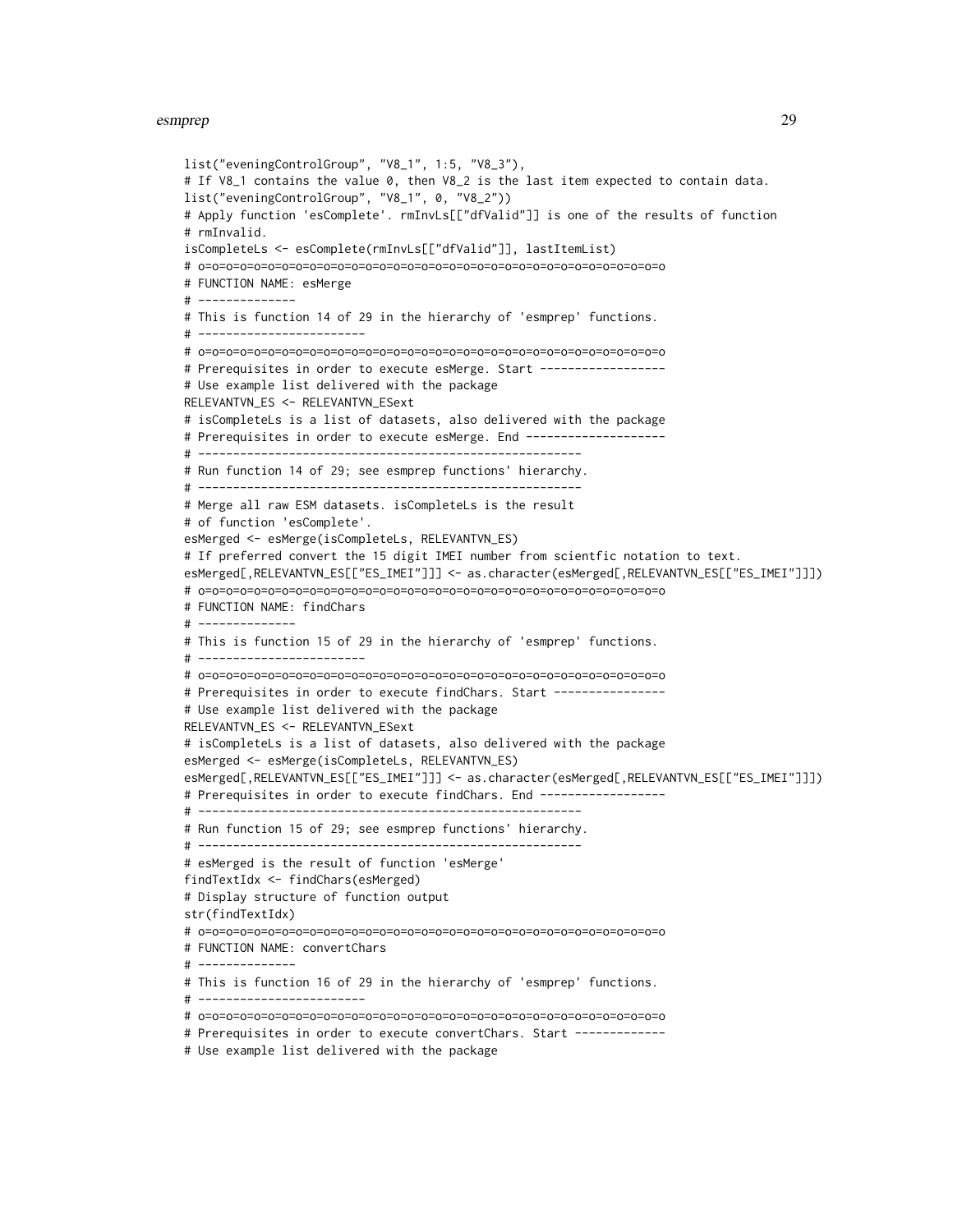```
list("eveningControlGroup", "V8_1", 1:5, "V8_3"),
# If V8_1 contains the value 0, then V8_2 is the last item expected to contain data.
list("eveningControlGroup", "V8_1", 0, "V8_2"))
# Apply function 'esComplete'. rmInvLs[["dfValid"]] is one of the results of function
# rmInvalid.
isCompleteLs <- esComplete(rmInvLs[["dfValid"]], lastItemList)
# o=o=o=o=o=o=o=o=o=o=o=o=o=o=o=o=o=o=o=o=o=o=o=o=o=o=o=o=o=o=o=o=o=o
# FUNCTION NAME: esMerge
# --------------
# This is function 14 of 29 in the hierarchy of 'esmprep' functions.
# ------------------------
# o=o=o=o=o=o=o=o=o=o=o=o=o=o=o=o=o=o=o=o=o=o=o=o=o=o=o=o=o=o=o=o=o=o
# Prerequisites in order to execute esMerge. Start ------------------
# Use example list delivered with the package
RELEVANTVN_ES <- RELEVANTVN_ESext
# isCompleteLs is a list of datasets, also delivered with the package
# Prerequisites in order to execute esMerge. End --------------------
# -------------------------------------------------------
# Run function 14 of 29; see esmprep functions' hierarchy.
# -------------------------------------------------------
# Merge all raw ESM datasets. isCompleteLs is the result
# of function 'esComplete'.
esMerged <- esMerge(isCompleteLs, RELEVANTVN_ES)
# If preferred convert the 15 digit IMEI number from scientfic notation to text.
esMerged[,RELEVANTVN_ES[["ES_IMEI"]]] <- as.character(esMerged[,RELEVANTVN_ES[["ES_IMEI"]]])
# o=o=o=o=o=o=o=o=o=o=o=o=o=o=o=o=o=o=o=o=o=o=o=o=o=o=o=o=o=o=o=o=o=o
# FUNCTION NAME: findChars
# --------------
# This is function 15 of 29 in the hierarchy of 'esmprep' functions.
# ------------------------
# o=o=o=o=o=o=o=o=o=o=o=o=o=o=o=o=o=o=o=o=o=o=o=o=o=o=o=o=o=o=o=o=o=o
# Prerequisites in order to execute findChars. Start ----------------
# Use example list delivered with the package
RELEVANTVN_ES <- RELEVANTVN_ESext
# isCompleteLs is a list of datasets, also delivered with the package
esMerged <- esMerge(isCompleteLs, RELEVANTVN_ES)
esMerged[,RELEVANTVN_ES[["ES_IMEI"]]] <- as.character(esMerged[,RELEVANTVN_ES[["ES_IMEI"]]])
# Prerequisites in order to execute findChars. End ------------------
# -------------------------------------------------------
# Run function 15 of 29; see esmprep functions' hierarchy.
# -------------------------------------------------------
# esMerged is the result of function 'esMerge'
findTextIdx <- findChars(esMerged)
# Display structure of function output
str(findTextIdx)
# o=o=o=o=o=o=o=o=o=o=o=o=o=o=o=o=o=o=o=o=o=o=o=o=o=o=o=o=o=o=o=o=o=o
# FUNCTION NAME: convertChars
# --------------
# This is function 16 of 29 in the hierarchy of 'esmprep' functions.
# ------------------------
# o=o=o=o=o=o=o=o=o=o=o=o=o=o=o=o=o=o=o=o=o=o=o=o=o=o=o=o=o=o=o=o=o=o
# Prerequisites in order to execute convertChars. Start -------------
```

```
# Use example list delivered with the package
```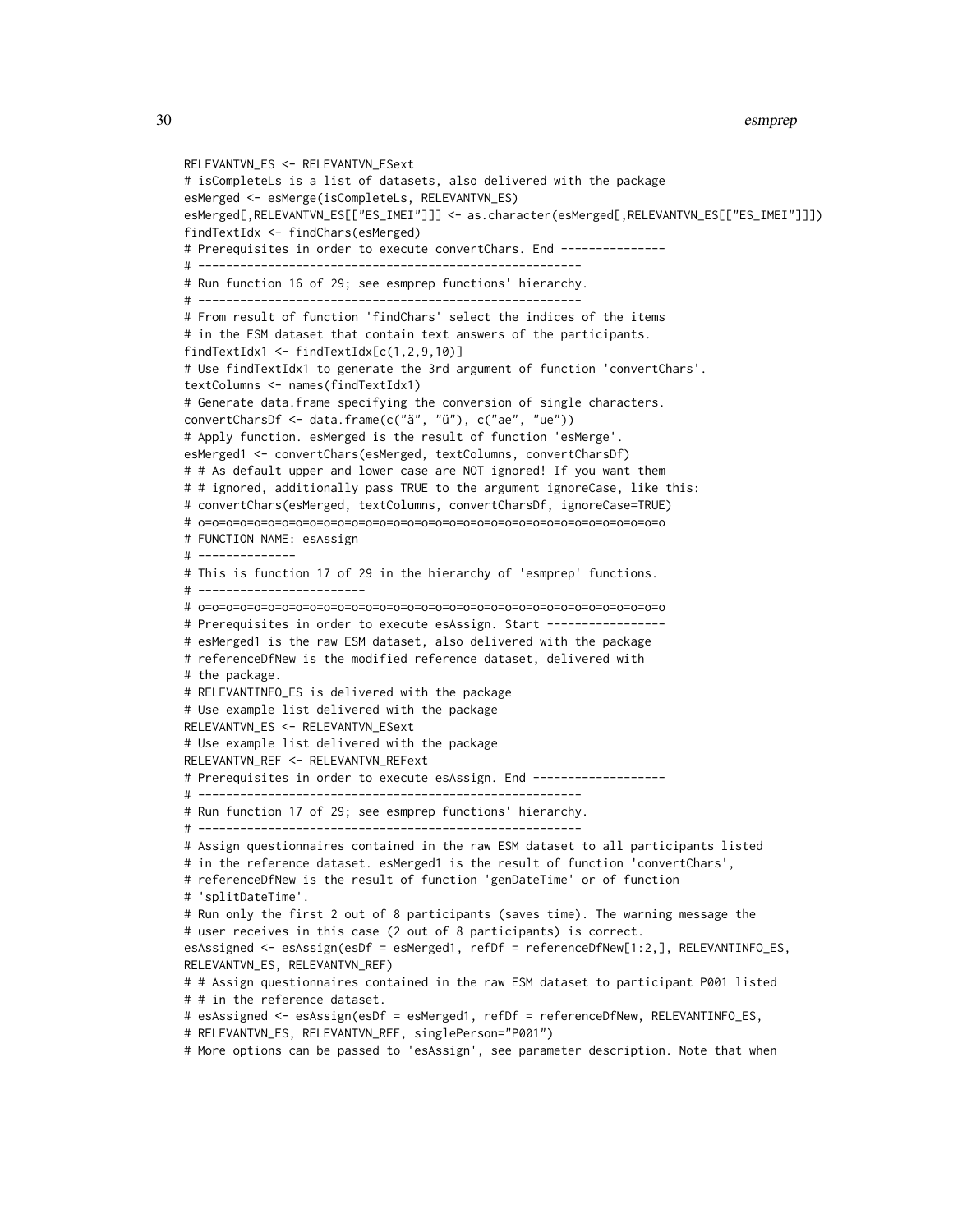```
RELEVANTVN_ES <- RELEVANTVN_ESext
# isCompleteLs is a list of datasets, also delivered with the package
esMerged <- esMerge(isCompleteLs, RELEVANTVN_ES)
esMerged[,RELEVANTVN_ES[["ES_IMEI"]]] <- as.character(esMerged[,RELEVANTVN_ES[["ES_IMEI"]]])
findTextIdx <- findChars(esMerged)
# Prerequisites in order to execute convertChars. End ---------------
# -------------------------------------------------------
# Run function 16 of 29; see esmprep functions' hierarchy.
# -------------------------------------------------------
# From result of function 'findChars' select the indices of the items
# in the ESM dataset that contain text answers of the participants.
findTextIdx1 <- findTextIdx[c(1,2,9,10)]
# Use findTextIdx1 to generate the 3rd argument of function 'convertChars'.
textColumns <- names(findTextIdx1)
# Generate data.frame specifying the conversion of single characters.
convertCharsDf <- data.frame(c("ä", "ü"), c("ae", "ue"))
# Apply function. esMerged is the result of function 'esMerge'.
esMerged1 <- convertChars(esMerged, textColumns, convertCharsDf)
# # As default upper and lower case are NOT ignored! If you want them
# # ignored, additionally pass TRUE to the argument ignoreCase, like this:
# convertChars(esMerged, textColumns, convertCharsDf, ignoreCase=TRUE)
# o=o=o=o=o=o=o=o=o=o=o=o=o=o=o=o=o=o=o=o=o=o=o=o=o=o=o=o=o=o=o=o=o=o
# FUNCTION NAME: esAssign
# --------------
# This is function 17 of 29 in the hierarchy of 'esmprep' functions.
# ------------------------
# o=o=o=o=o=o=o=o=o=o=o=o=o=o=o=o=o=o=o=o=o=o=o=o=o=o=o=o=o=o=o=o=o=o
# Prerequisites in order to execute esAssign. Start -----------------
# esMerged1 is the raw ESM dataset, also delivered with the package
# referenceDfNew is the modified reference dataset, delivered with
# the package.
# RELEVANTINFO_ES is delivered with the package
# Use example list delivered with the package
RELEVANTVN_ES <- RELEVANTVN_ESext
# Use example list delivered with the package
RELEVANTVN_REF <- RELEVANTVN_REFext
# Prerequisites in order to execute esAssign. End -------------------
# -------------------------------------------------------
# Run function 17 of 29; see esmprep functions' hierarchy.
# -------------------------------------------------------
# Assign questionnaires contained in the raw ESM dataset to all participants listed
# in the reference dataset. esMerged1 is the result of function 'convertChars',
# referenceDfNew is the result of function 'genDateTime' or of function
# 'splitDateTime'.
# Run only the first 2 out of 8 participants (saves time). The warning message the
# user receives in this case (2 out of 8 participants) is correct.
esAssigned <- esAssign(esDf = esMerged1, refDf = referenceDfNew[1:2,], RELEVANTINFO_ES,
RELEVANTVN_ES, RELEVANTVN_REF)
# # Assign questionnaires contained in the raw ESM dataset to participant P001 listed
# # in the reference dataset.
# esAssigned <- esAssign(esDf = esMerged1, refDf = referenceDfNew, RELEVANTINFO_ES,
# RELEVANTVN_ES, RELEVANTVN_REF, singlePerson="P001")
```
# More options can be passed to 'esAssign', see parameter description. Note that when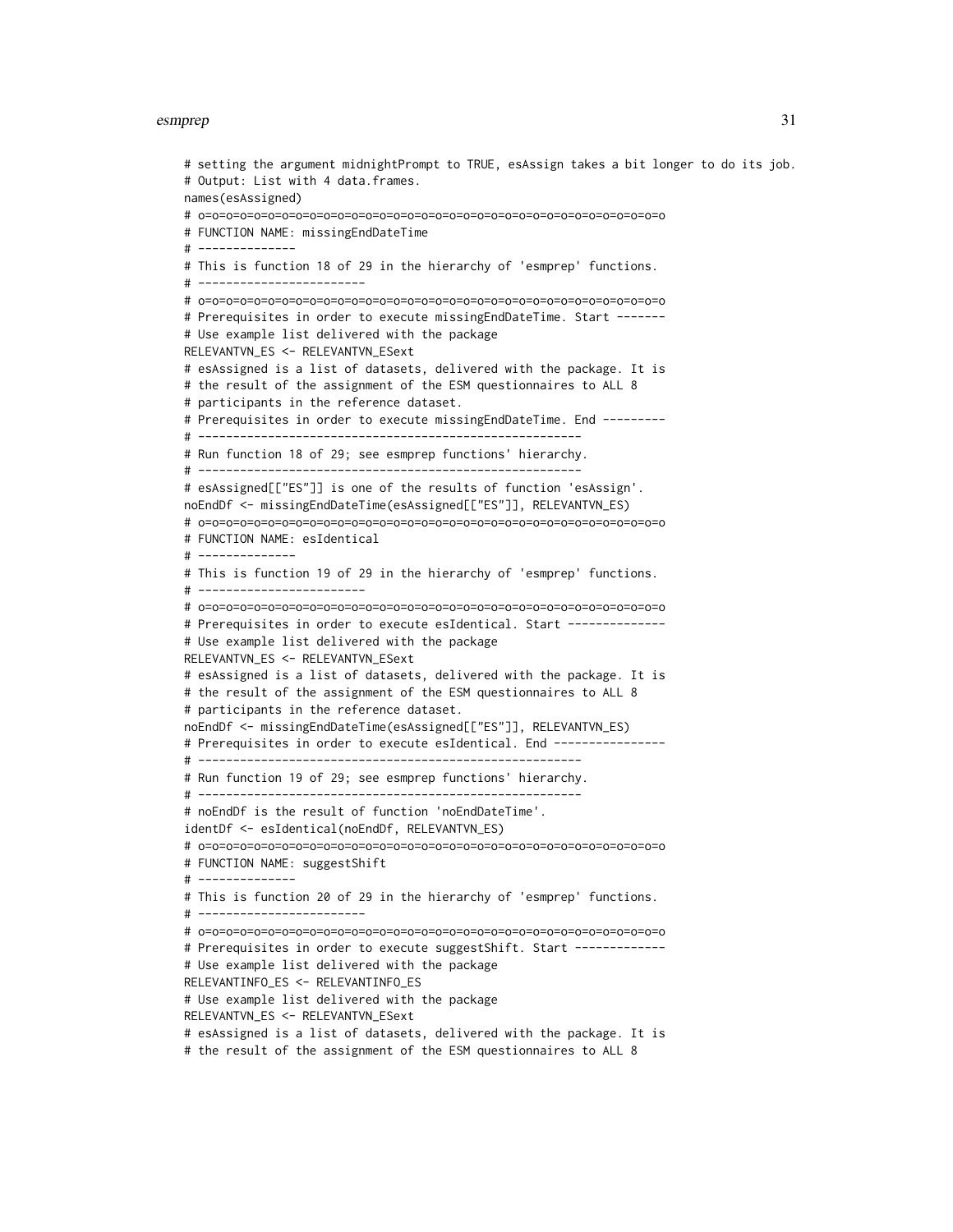# setting the argument midnightPrompt to TRUE, esAssign takes a bit longer to do its job. # Output: List with 4 data.frames. names(esAssigned) # o=o=o=o=o=o=o=o=o=o=o=o=o=o=o=o=o=o=o=o=o=o=o=o=o=o=o=o=o=o=o=o=o=o # FUNCTION NAME: missingEndDateTime # -------------- # This is function 18 of 29 in the hierarchy of 'esmprep' functions. # ------------------------ # o=o=o=o=o=o=o=o=o=o=o=o=o=o=o=o=o=o=o=o=o=o=o=o=o=o=o=o=o=o=o=o=o=o # Prerequisites in order to execute missingEndDateTime. Start ------- # Use example list delivered with the package RELEVANTVN\_ES <- RELEVANTVN\_ESext # esAssigned is a list of datasets, delivered with the package. It is # the result of the assignment of the ESM questionnaires to ALL 8 # participants in the reference dataset. # Prerequisites in order to execute missingEndDateTime. End --------- # ------------------------------------------------------- # Run function 18 of 29; see esmprep functions' hierarchy. # ------------------------------------------------------- # esAssigned[["ES"]] is one of the results of function 'esAssign'. noEndDf <- missingEndDateTime(esAssigned[["ES"]], RELEVANTVN\_ES) # o=o=o=o=o=o=o=o=o=o=o=o=o=o=o=o=o=o=o=o=o=o=o=o=o=o=o=o=o=o=o=o=o=o # FUNCTION NAME: esIdentical # -------------- # This is function 19 of 29 in the hierarchy of 'esmprep' functions. # ------------------------ # o=o=o=o=o=o=o=o=o=o=o=o=o=o=o=o=o=o=o=o=o=o=o=o=o=o=o=o=o=o=o=o=o=o # Prerequisites in order to execute esIdentical. Start -------------- # Use example list delivered with the package RELEVANTVN\_ES <- RELEVANTVN\_ESext # esAssigned is a list of datasets, delivered with the package. It is # the result of the assignment of the ESM questionnaires to ALL 8 # participants in the reference dataset. noEndDf <- missingEndDateTime(esAssigned[["ES"]], RELEVANTVN\_ES) # Prerequisites in order to execute esIdentical. End ---------------# ------------------------------------------------------- # Run function 19 of 29; see esmprep functions' hierarchy. # ------------------------------------------------------- # noEndDf is the result of function 'noEndDateTime'. identDf <- esIdentical(noEndDf, RELEVANTVN\_ES) # o=o=o=o=o=o=o=o=o=o=o=o=o=o=o=o=o=o=o=o=o=o=o=o=o=o=o=o=o=o=o=o=o=o # FUNCTION NAME: suggestShift # -------------- # This is function 20 of 29 in the hierarchy of 'esmprep' functions. # ------------------------ # o=o=o=o=o=o=o=o=o=o=o=o=o=o=o=o=o=o=o=o=o=o=o=o=o=o=o=o=o=o=o=o=o=o # Prerequisites in order to execute suggestShift. Start ------------# Use example list delivered with the package RELEVANTINFO\_ES <- RELEVANTINFO\_ES # Use example list delivered with the package RELEVANTVN\_ES <- RELEVANTVN\_ESext # esAssigned is a list of datasets, delivered with the package. It is # the result of the assignment of the ESM questionnaires to ALL 8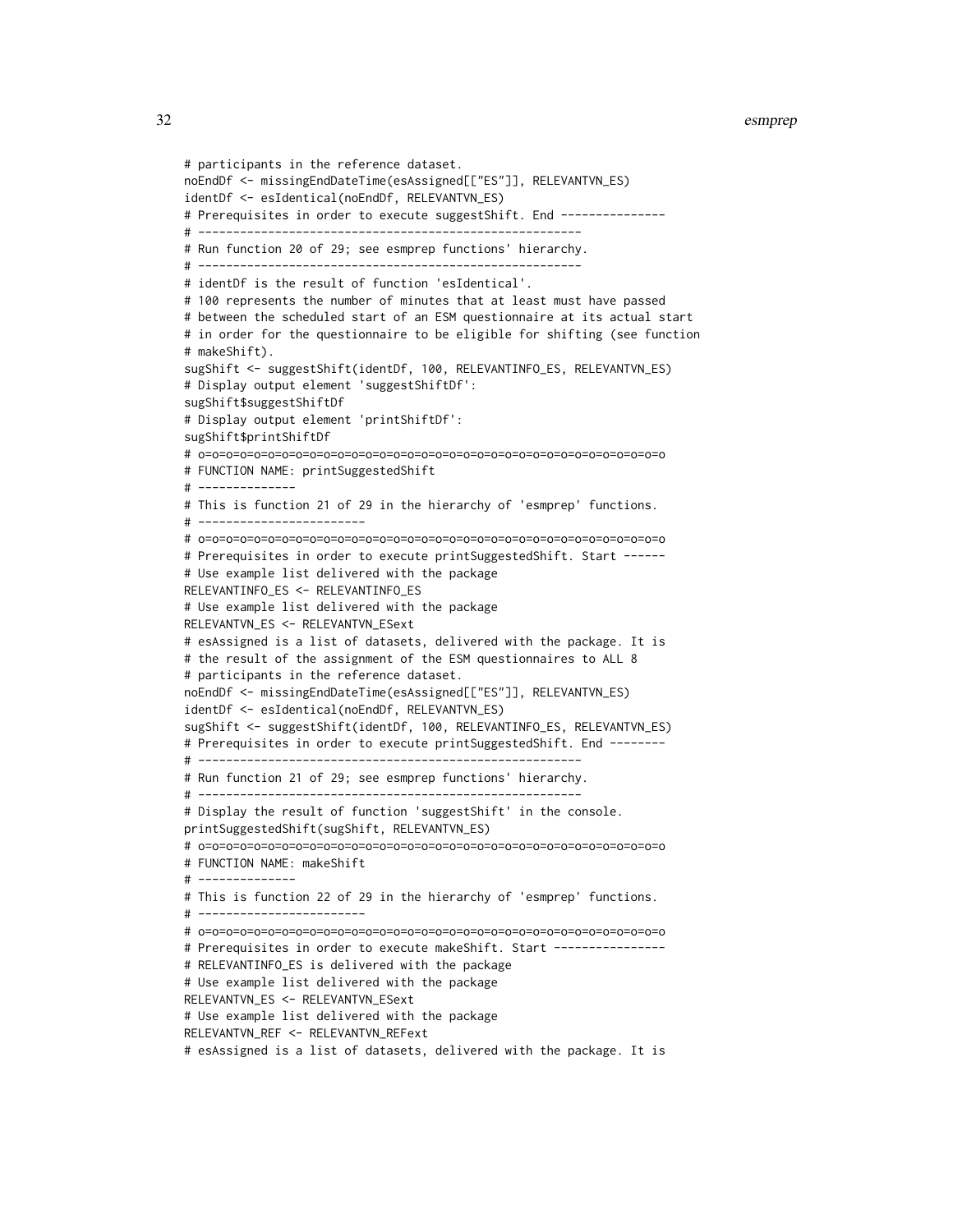```
# participants in the reference dataset.
noEndDf <- missingEndDateTime(esAssigned[["ES"]], RELEVANTVN_ES)
identDf <- esIdentical(noEndDf, RELEVANTVN_ES)
# Prerequisites in order to execute suggestShift. End ---------------
# -------------------------------------------------------
# Run function 20 of 29; see esmprep functions' hierarchy.
# -------------------------------------------------------
# identDf is the result of function 'esIdentical'.
# 100 represents the number of minutes that at least must have passed
# between the scheduled start of an ESM questionnaire at its actual start
# in order for the questionnaire to be eligible for shifting (see function
# makeShift).
sugShift <- suggestShift(identDf, 100, RELEVANTINFO_ES, RELEVANTVN_ES)
# Display output element 'suggestShiftDf':
sugShift$suggestShiftDf
# Display output element 'printShiftDf':
sugShift$printShiftDf
# o=o=o=o=o=o=o=o=o=o=o=o=o=o=o=o=o=o=o=o=o=o=o=o=o=o=o=o=o=o=o=o=o=o
# FUNCTION NAME: printSuggestedShift
# --------------
# This is function 21 of 29 in the hierarchy of 'esmprep' functions.
# ------------------------
# o=o=o=o=o=o=o=o=o=o=o=o=o=o=o=o=o=o=o=o=o=o=o=o=o=o=o=o=o=o=o=o=o=o
# Prerequisites in order to execute printSuggestedShift. Start ------
# Use example list delivered with the package
RELEVANTINFO_ES <- RELEVANTINFO_ES
# Use example list delivered with the package
RELEVANTVN_ES <- RELEVANTVN_ESext
# esAssigned is a list of datasets, delivered with the package. It is
# the result of the assignment of the ESM questionnaires to ALL 8
# participants in the reference dataset.
noEndDf <- missingEndDateTime(esAssigned[["ES"]], RELEVANTVN_ES)
identDf <- esIdentical(noEndDf, RELEVANTVN_ES)
sugShift <- suggestShift(identDf, 100, RELEVANTINFO_ES, RELEVANTVN_ES)
# Prerequisites in order to execute printSuggestedShift. End --------
# -------------------------------------------------------
# Run function 21 of 29; see esmprep functions' hierarchy.
# -------------------------------------------------------
# Display the result of function 'suggestShift' in the console.
printSuggestedShift(sugShift, RELEVANTVN_ES)
# o=o=o=o=o=o=o=o=o=o=o=o=o=o=o=o=o=o=o=o=o=o=o=o=o=o=o=o=o=o=o=o=o=o
# FUNCTION NAME: makeShift
# --------------
# This is function 22 of 29 in the hierarchy of 'esmprep' functions.
# ------------------------
# o=o=o=o=o=o=o=o=o=o=o=o=o=o=o=o=o=o=o=o=o=o=o=o=o=o=o=o=o=o=o=o=o=o
# Prerequisites in order to execute makeShift. Start ---------------
# RELEVANTINFO_ES is delivered with the package
# Use example list delivered with the package
RELEVANTVN_ES <- RELEVANTVN_ESext
# Use example list delivered with the package
RELEVANTVN_REF <- RELEVANTVN_REFext
# esAssigned is a list of datasets, delivered with the package. It is
```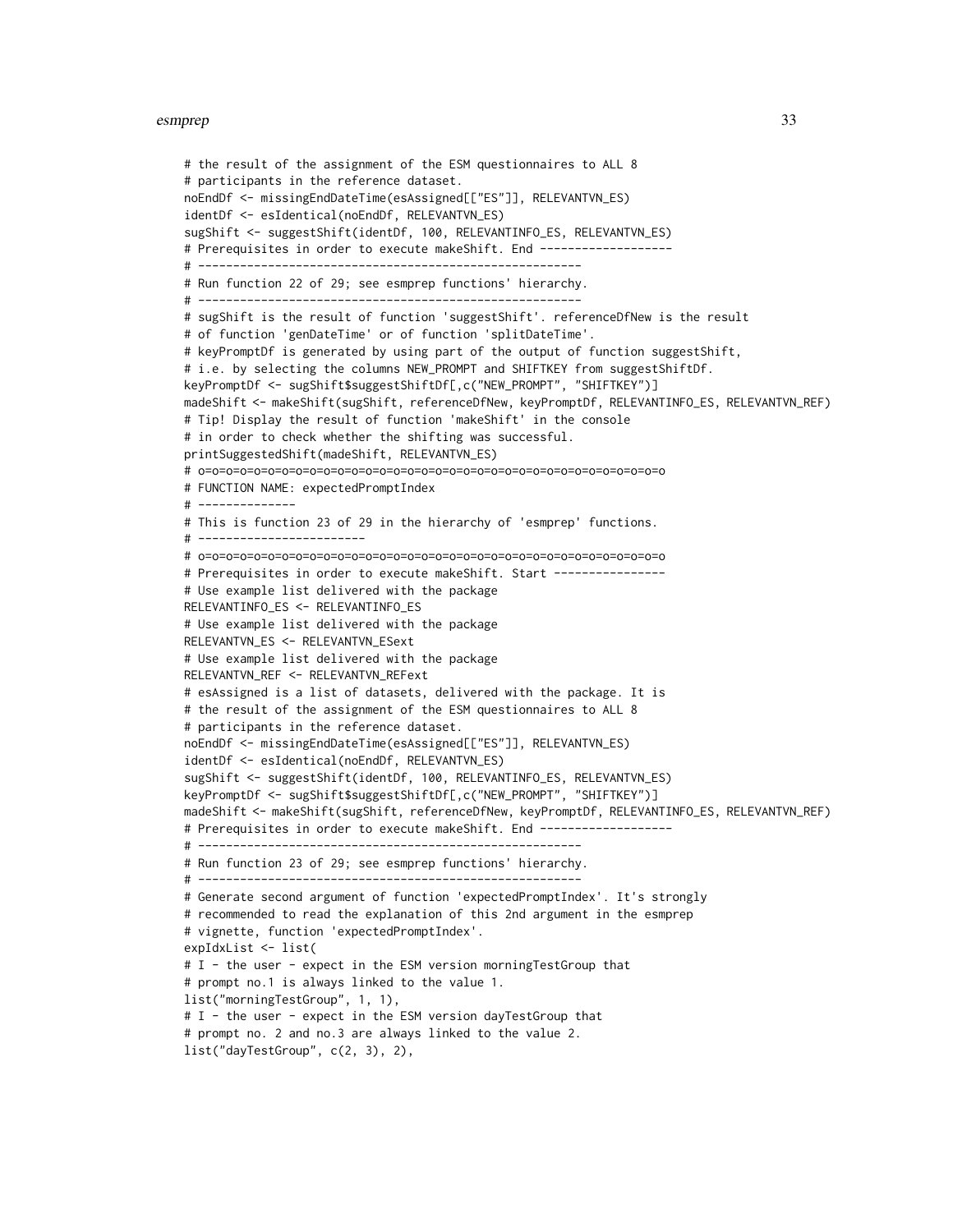```
# the result of the assignment of the ESM questionnaires to ALL 8
# participants in the reference dataset.
noEndDf <- missingEndDateTime(esAssigned[["ES"]], RELEVANTVN_ES)
identDf <- esIdentical(noEndDf, RELEVANTVN_ES)
sugShift <- suggestShift(identDf, 100, RELEVANTINFO_ES, RELEVANTVN_ES)
# Prerequisites in order to execute makeShift. End -------------------
# -------------------------------------------------------
# Run function 22 of 29; see esmprep functions' hierarchy.
# -------------------------------------------------------
# sugShift is the result of function 'suggestShift'. referenceDfNew is the result
# of function 'genDateTime' or of function 'splitDateTime'.
# keyPromptDf is generated by using part of the output of function suggestShift,
# i.e. by selecting the columns NEW_PROMPT and SHIFTKEY from suggestShiftDf.
keyPromptDf <- sugShift$suggestShiftDf[,c("NEW_PROMPT", "SHIFTKEY")]
madeShift <- makeShift(sugShift, referenceDfNew, keyPromptDf, RELEVANTINFO_ES, RELEVANTVN_REF)
# Tip! Display the result of function 'makeShift' in the console
# in order to check whether the shifting was successful.
printSuggestedShift(madeShift, RELEVANTVN_ES)
# o=o=o=o=o=o=o=o=o=o=o=o=o=o=o=o=o=o=o=o=o=o=o=o=o=o=o=o=o=o=o=o=o=o
# FUNCTION NAME: expectedPromptIndex
# --------------
# This is function 23 of 29 in the hierarchy of 'esmprep' functions.
# ------------------------
# o=o=o=o=o=o=o=o=o=o=o=o=o=o=o=o=o=o=o=o=o=o=o=o=o=o=o=o=o=o=o=o=o=o
# Prerequisites in order to execute makeShift. Start ----------------
# Use example list delivered with the package
RELEVANTINFO_ES <- RELEVANTINFO_ES
# Use example list delivered with the package
RELEVANTVN_ES <- RELEVANTVN_ESext
# Use example list delivered with the package
RELEVANTVN_REF <- RELEVANTVN_REFext
# esAssigned is a list of datasets, delivered with the package. It is
# the result of the assignment of the ESM questionnaires to ALL 8
# participants in the reference dataset.
noEndDf <- missingEndDateTime(esAssigned[["ES"]], RELEVANTVN_ES)
identDf <- esIdentical(noEndDf, RELEVANTVN_ES)
sugShift <- suggestShift(identDf, 100, RELEVANTINFO_ES, RELEVANTVN_ES)
keyPromptDf <- sugShift$suggestShiftDf[,c("NEW_PROMPT", "SHIFTKEY")]
madeShift <- makeShift(sugShift, referenceDfNew, keyPromptDf, RELEVANTINFO_ES, RELEVANTVN_REF)
# Prerequisites in order to execute makeShift. End ------------------
# -------------------------------------------------------
# Run function 23 of 29; see esmprep functions' hierarchy.
# -------------------------------------------------------
# Generate second argument of function 'expectedPromptIndex'. It's strongly
# recommended to read the explanation of this 2nd argument in the esmprep
# vignette, function 'expectedPromptIndex'.
expIdxList <- list(
# I - the user - expect in the ESM version morningTestGroup that
# prompt no.1 is always linked to the value 1.
list("morningTestGroup", 1, 1),
# I - the user - expect in the ESM version dayTestGroup that
# prompt no. 2 and no.3 are always linked to the value 2.
list("dayTestGroup", c(2, 3), 2),
```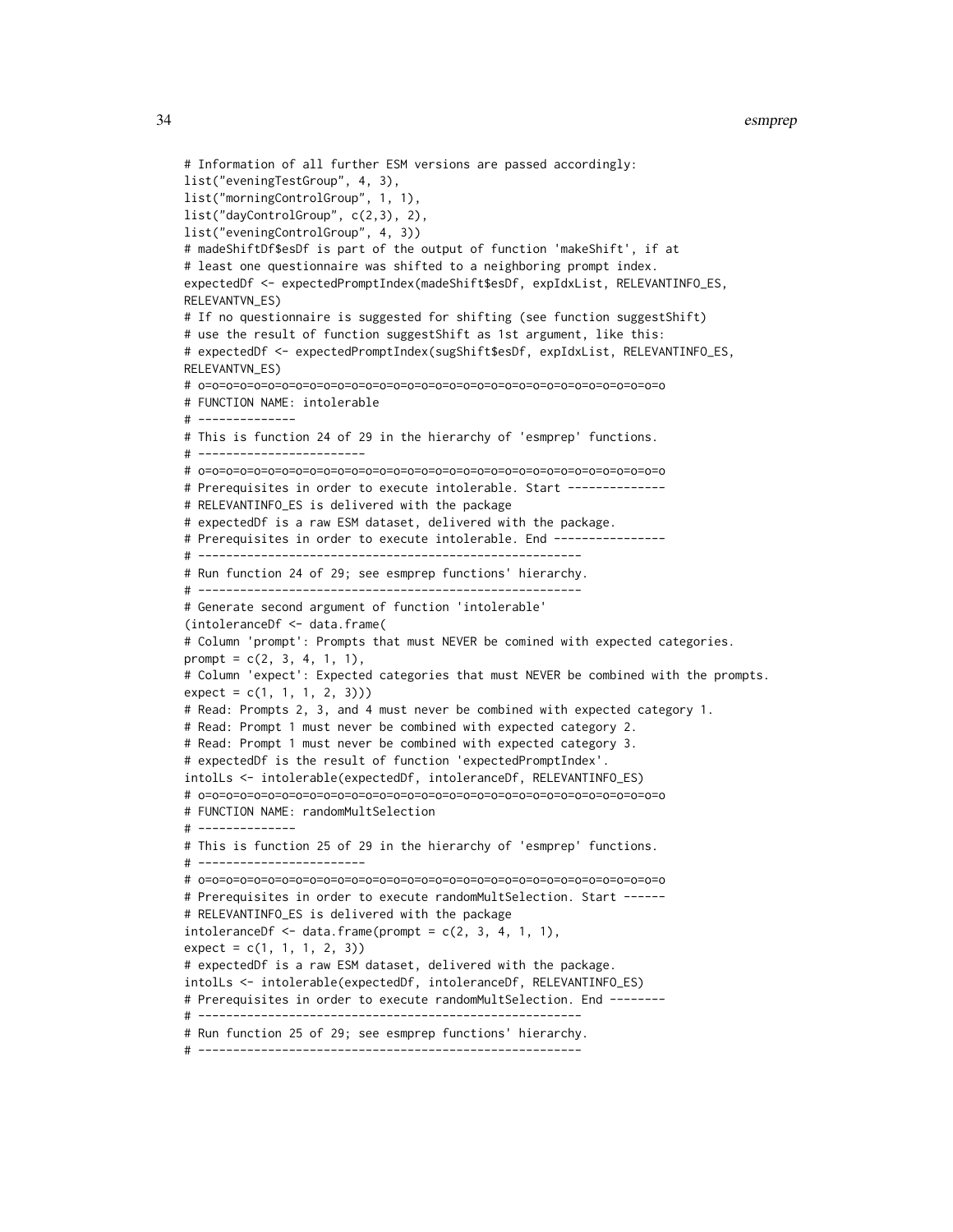```
# Information of all further ESM versions are passed accordingly:
list("eveningTestGroup", 4, 3),
list("morningControlGroup", 1, 1),
list("dayControlGroup", c(2,3), 2),
list("eveningControlGroup", 4, 3))
# madeShiftDf$esDf is part of the output of function 'makeShift', if at
# least one questionnaire was shifted to a neighboring prompt index.
expectedDf <- expectedPromptIndex(madeShift$esDf, expIdxList, RELEVANTINFO_ES,
RELEVANTVN_ES)
# If no questionnaire is suggested for shifting (see function suggestShift)
# use the result of function suggestShift as 1st argument, like this:
# expectedDf <- expectedPromptIndex(sugShift$esDf, expIdxList, RELEVANTINFO_ES,
RELEVANTVN_ES)
# o=o=o=o=o=o=o=o=o=o=o=o=o=o=o=o=o=o=o=o=o=o=o=o=o=o=o=o=o=o=o=o=o=o
# FUNCTION NAME: intolerable
# --------------
# This is function 24 of 29 in the hierarchy of 'esmprep' functions.
# ------------------------
# o=o=o=o=o=o=o=o=o=o=o=o=o=o=o=o=o=o=o=o=o=o=o=o=o=o=o=o=o=o=o=o=o=o
# Prerequisites in order to execute intolerable. Start --------------
# RELEVANTINFO_ES is delivered with the package
# expectedDf is a raw ESM dataset, delivered with the package.
# Prerequisites in order to execute intolerable. End ----------------
# -------------------------------------------------------
# Run function 24 of 29; see esmprep functions' hierarchy.
# -------------------------------------------------------
# Generate second argument of function 'intolerable'
(intoleranceDf <- data.frame(
# Column 'prompt': Prompts that must NEVER be comined with expected categories.
prompt = c(2, 3, 4, 1, 1),# Column 'expect': Expected categories that must NEVER be combined with the prompts.
expect = c(1, 1, 1, 2, 3))# Read: Prompts 2, 3, and 4 must never be combined with expected category 1.
# Read: Prompt 1 must never be combined with expected category 2.
# Read: Prompt 1 must never be combined with expected category 3.
# expectedDf is the result of function 'expectedPromptIndex'.
intolLs <- intolerable(expectedDf, intoleranceDf, RELEVANTINFO_ES)
# o=o=o=o=o=o=o=o=o=o=o=o=o=o=o=o=o=o=o=o=o=o=o=o=o=o=o=o=o=o=o=o=o=o
# FUNCTION NAME: randomMultSelection
# --------------
# This is function 25 of 29 in the hierarchy of 'esmprep' functions.
# ------------------------
# o=o=o=o=o=o=o=o=o=o=o=o=o=o=o=o=o=o=o=o=o=o=o=o=o=o=o=o=o=o=o=o=o=o
# Prerequisites in order to execute randomMultSelection. Start ------
# RELEVANTINFO_ES is delivered with the package
intoleranceDf \leq -data-frame(prompt = c(2, 3, 4, 1, 1),expect = c(1, 1, 1, 2, 3)# expectedDf is a raw ESM dataset, delivered with the package.
intolLs <- intolerable(expectedDf, intoleranceDf, RELEVANTINFO_ES)
# Prerequisites in order to execute randomMultSelection. End -------
# -------------------------------------------------------
# Run function 25 of 29; see esmprep functions' hierarchy.
```

```
# -------------------------------------------------------
```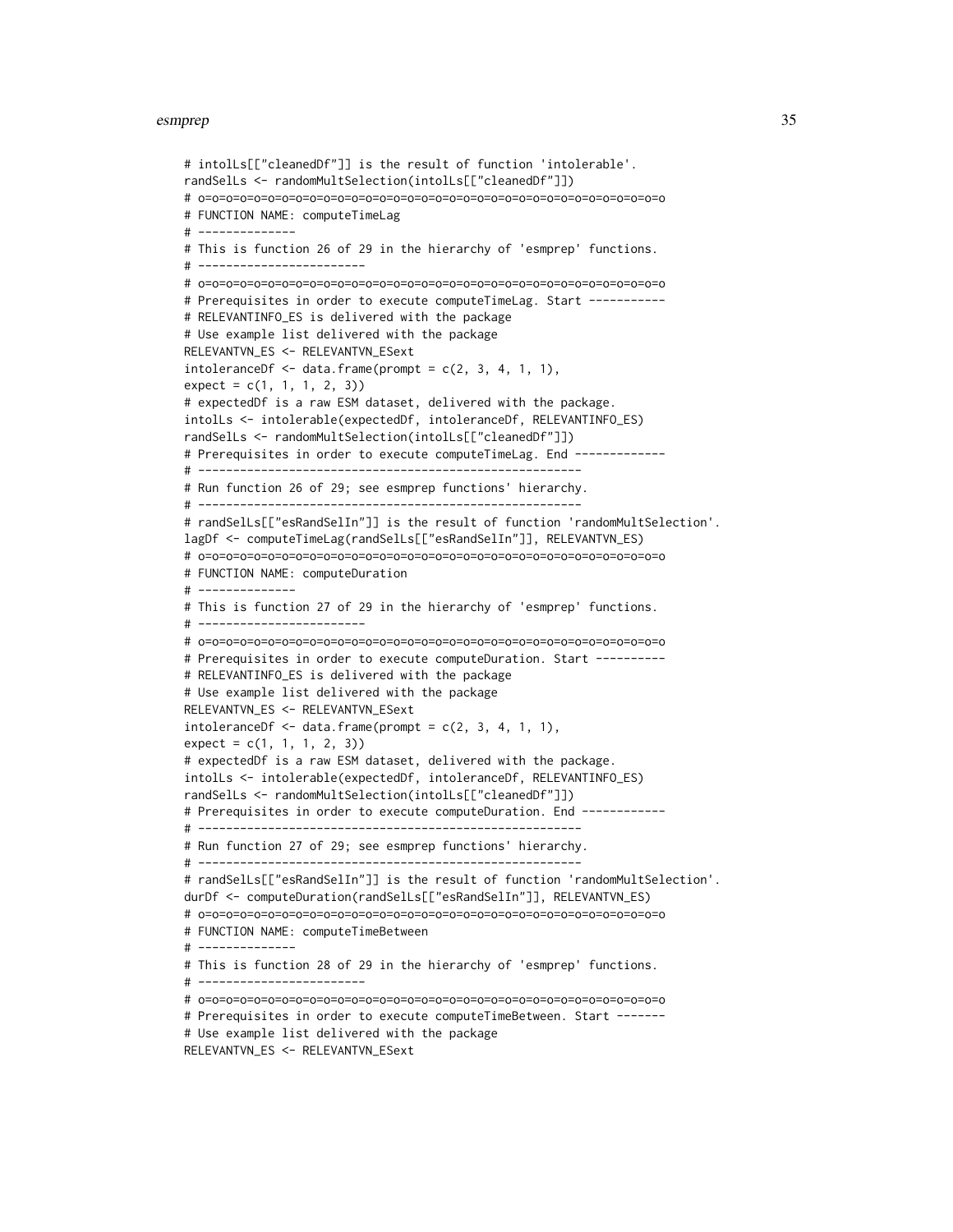```
# intolLs[["cleanedDf"]] is the result of function 'intolerable'.
randSelLs <- randomMultSelection(intolLs[["cleanedDf"]])
# o=o=o=o=o=o=o=o=o=o=o=o=o=o=o=o=o=o=o=o=o=o=o=o=o=o=o=o=o=o=o=o=o=o
# FUNCTION NAME: computeTimeLag
# --------------
# This is function 26 of 29 in the hierarchy of 'esmprep' functions.
# ------------------------
# o=o=o=o=o=o=o=o=o=o=o=o=o=o=o=o=o=o=o=o=o=o=o=o=o=o=o=o=o=o=o=o=o=o
# Prerequisites in order to execute computeTimeLag. Start -----------
# RELEVANTINFO_ES is delivered with the package
# Use example list delivered with the package
RELEVANTVN_ES <- RELEVANTVN_ESext
intoleranceDf \leq -data frame(prompt = c(2, 3, 4, 1, 1),expect = c(1, 1, 1, 2, 3)# expectedDf is a raw ESM dataset, delivered with the package.
intolLs <- intolerable(expectedDf, intoleranceDf, RELEVANTINFO_ES)
randSelLs <- randomMultSelection(intolLs[["cleanedDf"]])
# Prerequisites in order to execute computeTimeLag. End -------------
# -------------------------------------------------------
# Run function 26 of 29; see esmprep functions' hierarchy.
# -------------------------------------------------------
# randSelLs[["esRandSelIn"]] is the result of function 'randomMultSelection'.
lagDf <- computeTimeLag(randSelLs[["esRandSelIn"]], RELEVANTVN_ES)
# o=o=o=o=o=o=o=o=o=o=o=o=o=o=o=o=o=o=o=o=o=o=o=o=o=o=o=o=o=o=o=o=o=o
# FUNCTION NAME: computeDuration
# --------------
# This is function 27 of 29 in the hierarchy of 'esmprep' functions.
# ------------------------
# o=o=o=o=o=o=o=o=o=o=o=o=o=o=o=o=o=o=o=o=o=o=o=o=o=o=o=o=o=o=o=o=o=o
# Prerequisites in order to execute computeDuration. Start ----------
# RELEVANTINFO_ES is delivered with the package
# Use example list delivered with the package
RELEVANTVN_ES <- RELEVANTVN_ESext
intoleranceDf \leq data frame(prompt = c(2, 3, 4, 1, 1),expect = c(1, 1, 1, 2, 3)# expectedDf is a raw ESM dataset, delivered with the package.
intolLs <- intolerable(expectedDf, intoleranceDf, RELEVANTINFO_ES)
randSelLs <- randomMultSelection(intolLs[["cleanedDf"]])
# Prerequisites in order to execute computeDuration. End ------------
# -------------------------------------------------------
# Run function 27 of 29; see esmprep functions' hierarchy.
# -------------------------------------------------------
# randSelLs[["esRandSelIn"]] is the result of function 'randomMultSelection'.
durDf <- computeDuration(randSelLs[["esRandSelIn"]], RELEVANTVN_ES)
# o=o=o=o=o=o=o=o=o=o=o=o=o=o=o=o=o=o=o=o=o=o=o=o=o=o=o=o=o=o=o=o=o=o
# FUNCTION NAME: computeTimeBetween
# --------------
# This is function 28 of 29 in the hierarchy of 'esmprep' functions.
# ------------------------
# o=o=o=o=o=o=o=o=o=o=o=o=o=o=o=o=o=o=o=o=o=o=o=o=o=o=o=o=o=o=o=o=o=o
# Prerequisites in order to execute computeTimeBetween. Start -------
# Use example list delivered with the package
```

```
RELEVANTVN_ES <- RELEVANTVN_ESext
```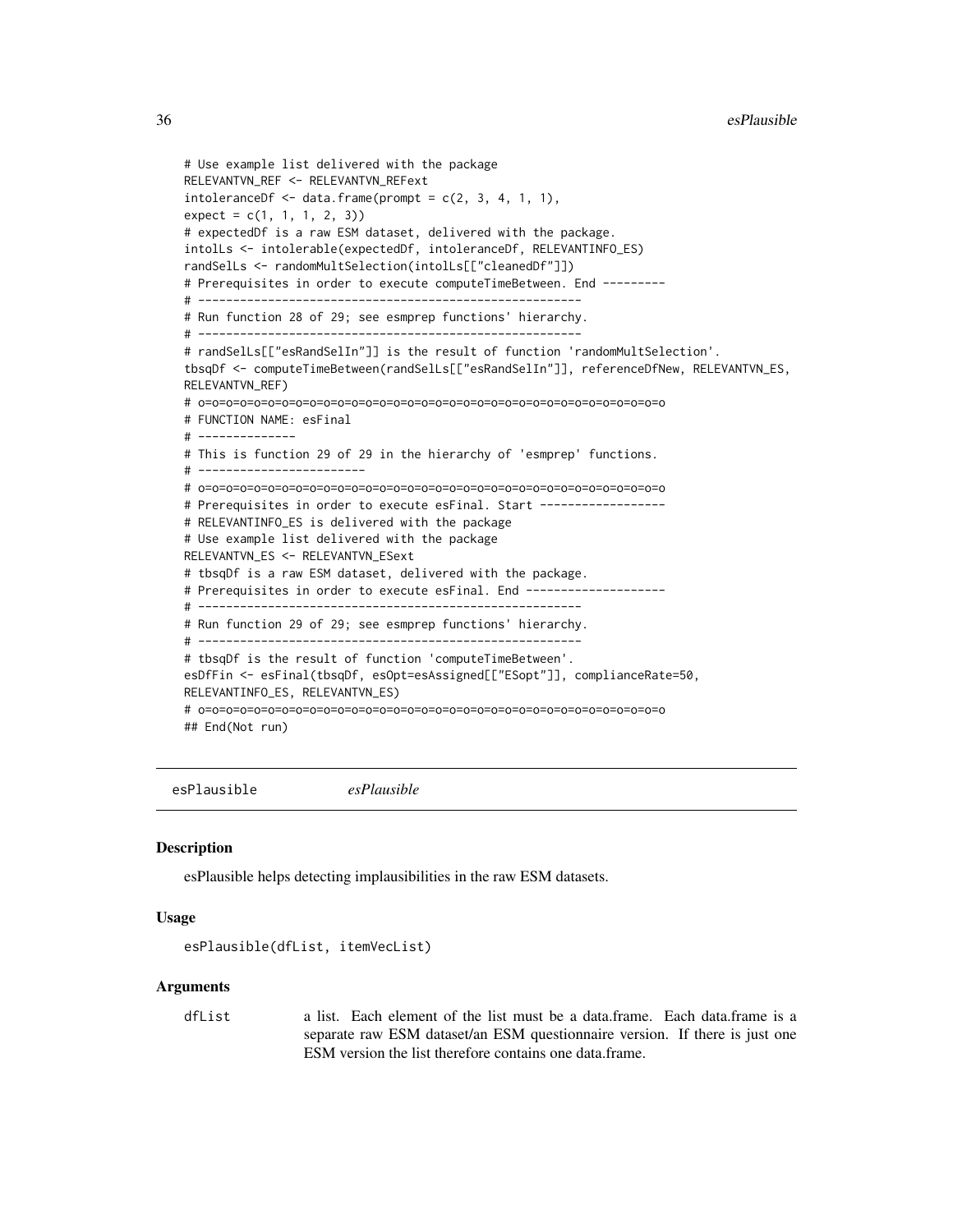```
# Use example list delivered with the package
RELEVANTVN_REF <- RELEVANTVN_REFext
intoleranceDf \leq -data frame(prompt = c(2, 3, 4, 1, 1),expect = c(1, 1, 1, 2, 3)# expectedDf is a raw ESM dataset, delivered with the package.
intolLs <- intolerable(expectedDf, intoleranceDf, RELEVANTINFO_ES)
randSelLs <- randomMultSelection(intolLs[["cleanedDf"]])
# Prerequisites in order to execute computeTimeBetween. End ---------
# -------------------------------------------------------
# Run function 28 of 29; see esmprep functions' hierarchy.
# -------------------------------------------------------
# randSelLs[["esRandSelIn"]] is the result of function 'randomMultSelection'.
tbsqDf <- computeTimeBetween(randSelLs[["esRandSelIn"]], referenceDfNew, RELEVANTVN_ES,
RELEVANTVN_REF)
# o=o=o=o=o=o=o=o=o=o=o=o=o=o=o=o=o=o=o=o=o=o=o=o=o=o=o=o=o=o=o=o=o=o
# FUNCTION NAME: esFinal
# --------------
# This is function 29 of 29 in the hierarchy of 'esmprep' functions.
# ------------------------
# o=o=o=o=o=o=o=o=o=o=o=o=o=o=o=o=o=o=o=o=o=o=o=o=o=o=o=o=o=o=o=o=o=o
# Prerequisites in order to execute esFinal. Start -----------------
# RELEVANTINFO_ES is delivered with the package
# Use example list delivered with the package
RELEVANTVN_ES <- RELEVANTVN_ESext
# tbsqDf is a raw ESM dataset, delivered with the package.
# Prerequisites in order to execute esFinal. End --------------------
# -------------------------------------------------------
# Run function 29 of 29; see esmprep functions' hierarchy.
# -------------------------------------------------------
# tbsqDf is the result of function 'computeTimeBetween'.
esDfFin <- esFinal(tbsqDf, esOpt=esAssigned[["ESopt"]], complianceRate=50,
RELEVANTINFO_ES, RELEVANTVN_ES)
# o=o=o=o=o=o=o=o=o=o=o=o=o=o=o=o=o=o=o=o=o=o=o=o=o=o=o=o=o=o=o=o=o=o
## End(Not run)
```
<span id="page-35-1"></span>esPlausible *esPlausible*

#### Description

esPlausible helps detecting implausibilities in the raw ESM datasets.

#### Usage

```
esPlausible(dfList, itemVecList)
```
#### Arguments

dfList a list. Each element of the list must be a data.frame. Each data.frame is a separate raw ESM dataset/an ESM questionnaire version. If there is just one ESM version the list therefore contains one data.frame.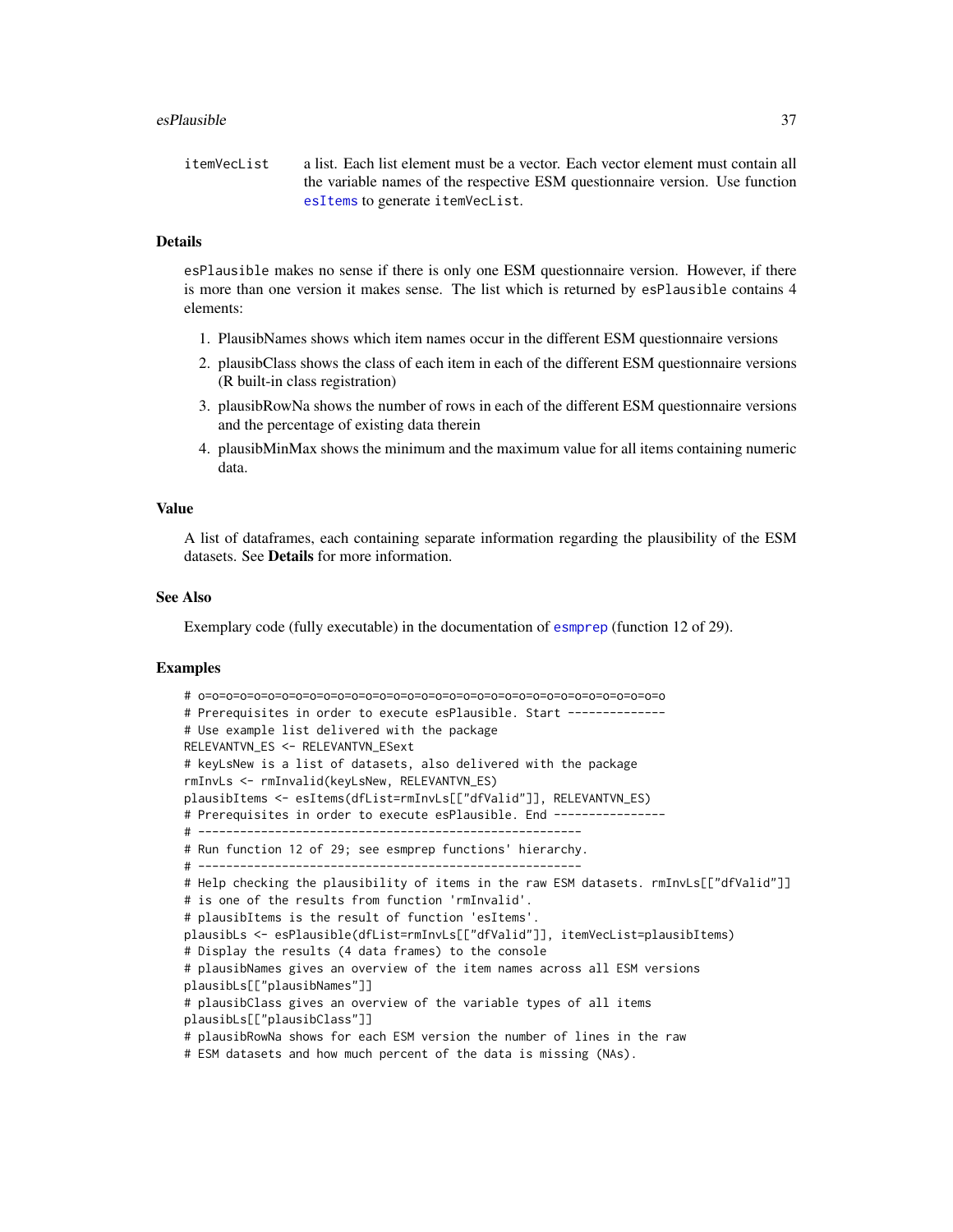### esPlausible 37

itemVecList a list. Each list element must be a vector. Each vector element must contain all the variable names of the respective ESM questionnaire version. Use function [esItems](#page-17-0) to generate itemVecList.

### Details

esPlausible makes no sense if there is only one ESM questionnaire version. However, if there is more than one version it makes sense. The list which is returned by esPlausible contains 4 elements:

- 1. PlausibNames shows which item names occur in the different ESM questionnaire versions
- 2. plausibClass shows the class of each item in each of the different ESM questionnaire versions (R built-in class registration)
- 3. plausibRowNa shows the number of rows in each of the different ESM questionnaire versions and the percentage of existing data therein
- 4. plausibMinMax shows the minimum and the maximum value for all items containing numeric data.

## Value

A list of dataframes, each containing separate information regarding the plausibility of the ESM datasets. See **Details** for more information.

# See Also

Exemplary code (fully executable) in the documentation of [esmprep](#page-21-0) (function 12 of 29).

```
# o=o=o=o=o=o=o=o=o=o=o=o=o=o=o=o=o=o=o=o=o=o=o=o=o=o=o=o=o=o=o=o=o=o
# Prerequisites in order to execute esPlausible. Start --------------
# Use example list delivered with the package
RELEVANTVN_ES <- RELEVANTVN_ESext
# keyLsNew is a list of datasets, also delivered with the package
rmInvLs <- rmInvalid(keyLsNew, RELEVANTVN_ES)
plausibItems <- esItems(dfList=rmInvLs[["dfValid"]], RELEVANTVN_ES)
# Prerequisites in order to execute esPlausible. End ---------------
# -------------------------------------------------------
# Run function 12 of 29; see esmprep functions' hierarchy.
# -------------------------------------------------------
# Help checking the plausibility of items in the raw ESM datasets. rmInvLs[["dfValid"]]
# is one of the results from function 'rmInvalid'.
# plausibItems is the result of function 'esItems'.
plausibLs <- esPlausible(dfList=rmInvLs[["dfValid"]], itemVecList=plausibItems)
# Display the results (4 data frames) to the console
# plausibNames gives an overview of the item names across all ESM versions
plausibLs[["plausibNames"]]
# plausibClass gives an overview of the variable types of all items
plausibLs[["plausibClass"]]
# plausibRowNa shows for each ESM version the number of lines in the raw
# ESM datasets and how much percent of the data is missing (NAs).
```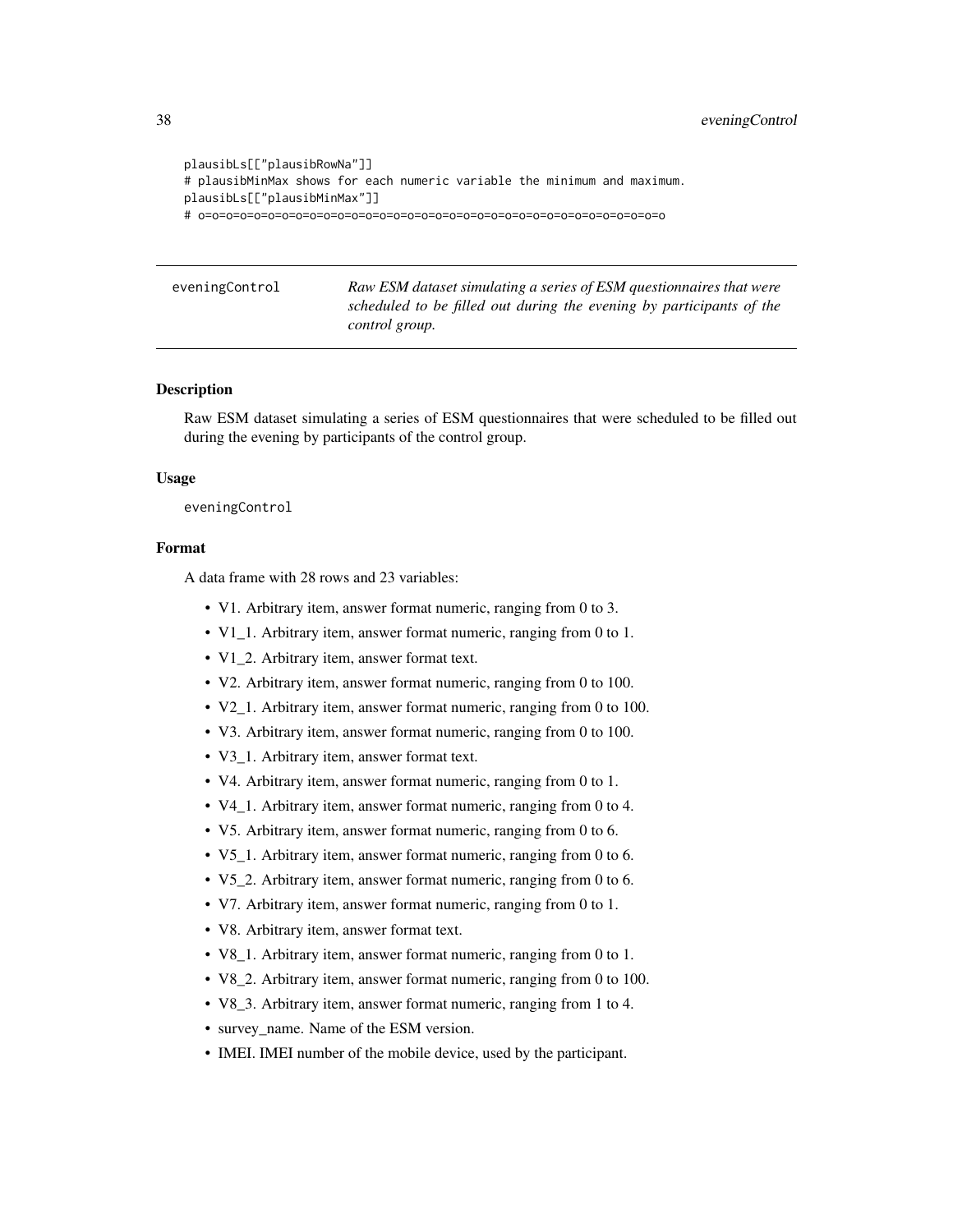```
plausibLs[["plausibRowNa"]]
# plausibMinMax shows for each numeric variable the minimum and maximum.
plausibLs[["plausibMinMax"]]
# o=o=o=o=o=o=o=o=o=o=o=o=o=o=o=o=o=o=o=o=o=o=o=o=o=o=o=o=o=o=o=o=o=o
```
eveningControl *Raw ESM dataset simulating a series of ESM questionnaires that were scheduled to be filled out during the evening by participants of the control group.*

## **Description**

Raw ESM dataset simulating a series of ESM questionnaires that were scheduled to be filled out during the evening by participants of the control group.

## Usage

eveningControl

# Format

A data frame with 28 rows and 23 variables:

- V1. Arbitrary item, answer format numeric, ranging from 0 to 3.
- V1\_1. Arbitrary item, answer format numeric, ranging from 0 to 1.
- V1\_2. Arbitrary item, answer format text.
- V2. Arbitrary item, answer format numeric, ranging from 0 to 100.
- V2\_1. Arbitrary item, answer format numeric, ranging from 0 to 100.
- V3. Arbitrary item, answer format numeric, ranging from 0 to 100.
- V3\_1. Arbitrary item, answer format text.
- V4. Arbitrary item, answer format numeric, ranging from 0 to 1.
- V4 1. Arbitrary item, answer format numeric, ranging from 0 to 4.
- V5. Arbitrary item, answer format numeric, ranging from 0 to 6.
- V5\_1. Arbitrary item, answer format numeric, ranging from 0 to 6.
- V5\_2. Arbitrary item, answer format numeric, ranging from 0 to 6.
- V7. Arbitrary item, answer format numeric, ranging from 0 to 1.
- V8. Arbitrary item, answer format text.
- V8\_1. Arbitrary item, answer format numeric, ranging from 0 to 1.
- V8\_2. Arbitrary item, answer format numeric, ranging from 0 to 100.
- V8\_3. Arbitrary item, answer format numeric, ranging from 1 to 4.
- survey name. Name of the ESM version.
- IMEI. IMEI number of the mobile device, used by the participant.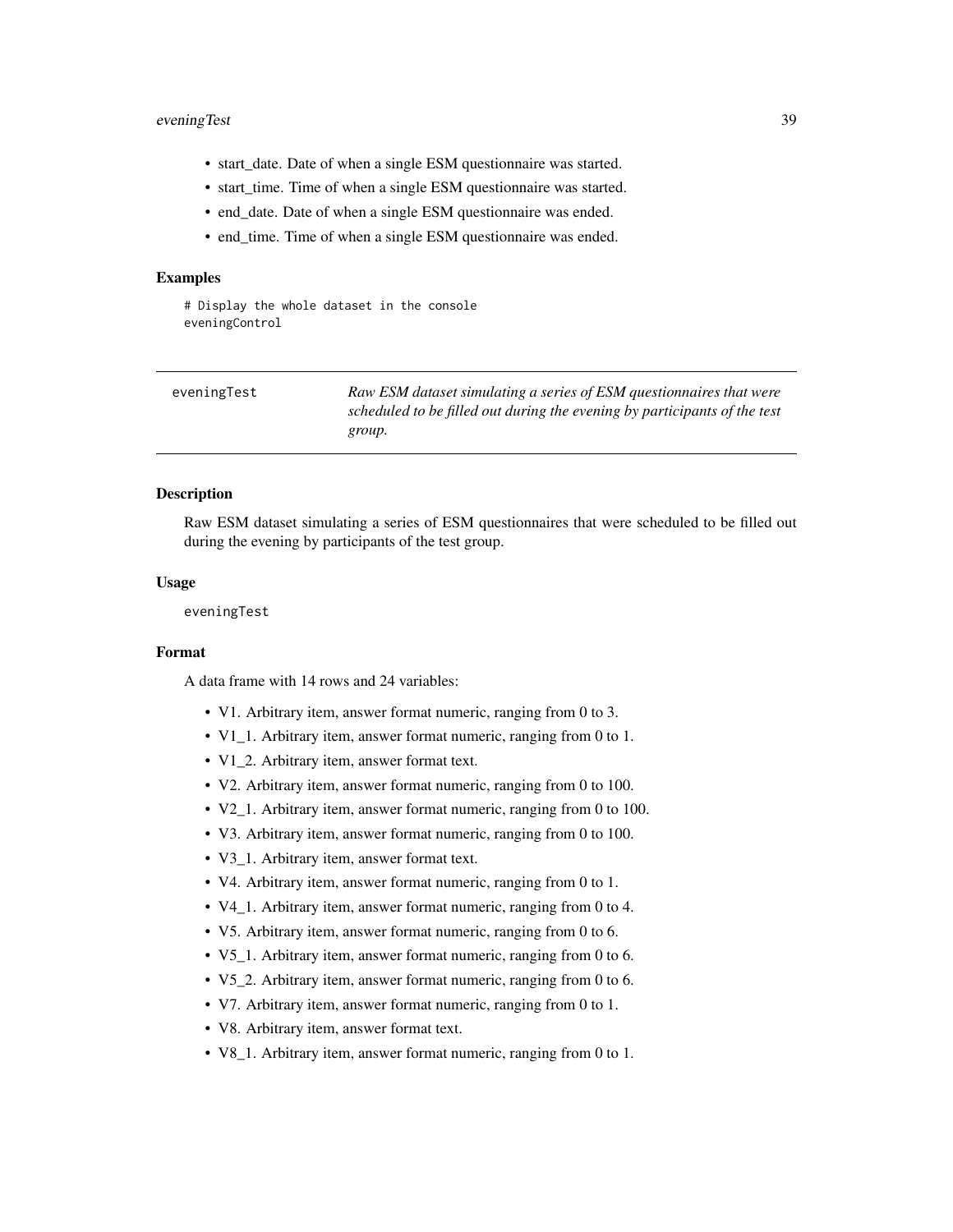# eveningTest 39

- start\_date. Date of when a single ESM questionnaire was started.
- start\_time. Time of when a single ESM questionnaire was started.
- end\_date. Date of when a single ESM questionnaire was ended.
- end\_time. Time of when a single ESM questionnaire was ended.

## Examples

# Display the whole dataset in the console eveningControl

| eveningTest | Raw ESM dataset simulating a series of ESM questionnaires that were       |
|-------------|---------------------------------------------------------------------------|
|             | scheduled to be filled out during the evening by participants of the test |
|             | group.                                                                    |
|             |                                                                           |

## Description

Raw ESM dataset simulating a series of ESM questionnaires that were scheduled to be filled out during the evening by participants of the test group.

## Usage

eveningTest

## Format

A data frame with 14 rows and 24 variables:

- V1. Arbitrary item, answer format numeric, ranging from 0 to 3.
- V1\_1. Arbitrary item, answer format numeric, ranging from 0 to 1.
- V1\_2. Arbitrary item, answer format text.
- V2. Arbitrary item, answer format numeric, ranging from 0 to 100.
- V2 1. Arbitrary item, answer format numeric, ranging from 0 to 100.
- V3. Arbitrary item, answer format numeric, ranging from 0 to 100.
- V3\_1. Arbitrary item, answer format text.
- V4. Arbitrary item, answer format numeric, ranging from 0 to 1.
- V4\_1. Arbitrary item, answer format numeric, ranging from 0 to 4.
- V5. Arbitrary item, answer format numeric, ranging from 0 to 6.
- V5\_1. Arbitrary item, answer format numeric, ranging from 0 to 6.
- V5\_2. Arbitrary item, answer format numeric, ranging from 0 to 6.
- V7. Arbitrary item, answer format numeric, ranging from 0 to 1.
- V8. Arbitrary item, answer format text.
- V8\_1. Arbitrary item, answer format numeric, ranging from 0 to 1.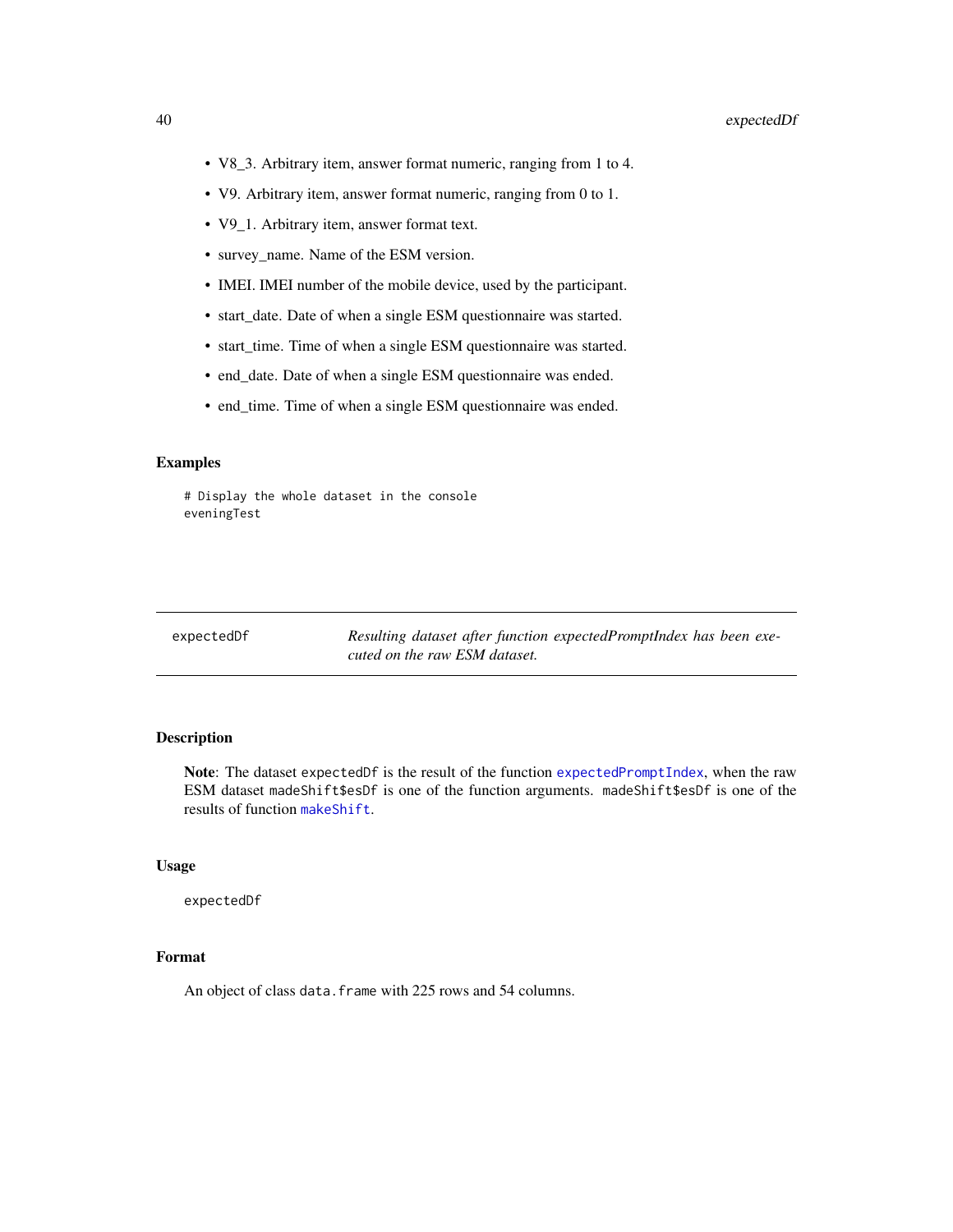- V8\_3. Arbitrary item, answer format numeric, ranging from 1 to 4.
- V9. Arbitrary item, answer format numeric, ranging from 0 to 1.
- V9\_1. Arbitrary item, answer format text.
- survey\_name. Name of the ESM version.
- IMEI. IMEI number of the mobile device, used by the participant.
- start\_date. Date of when a single ESM questionnaire was started.
- start\_time. Time of when a single ESM questionnaire was started.
- end\_date. Date of when a single ESM questionnaire was ended.
- end\_time. Time of when a single ESM questionnaire was ended.

# Display the whole dataset in the console eveningTest

expectedDf *Resulting dataset after function expectedPromptIndex has been executed on the raw ESM dataset.*

## Description

Note: The dataset expectedDf is the result of the function [expectedPromptIndex](#page-40-0), when the raw ESM dataset madeShift\$esDf is one of the function arguments. madeShift\$esDf is one of the results of function [makeShift](#page-48-0).

#### Usage

expectedDf

## Format

An object of class data. frame with 225 rows and 54 columns.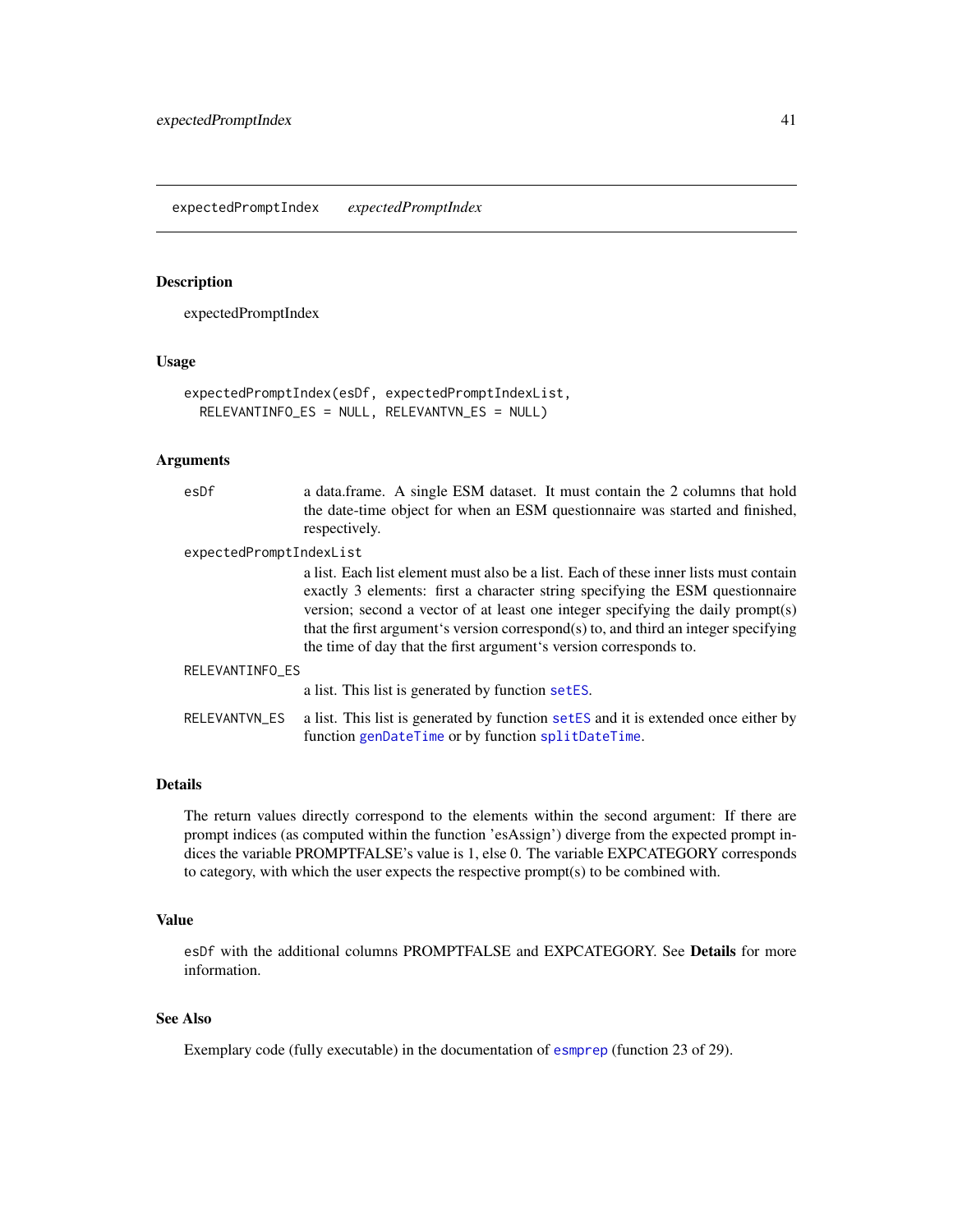# <span id="page-40-0"></span>Description

expectedPromptIndex

## Usage

```
expectedPromptIndex(esDf, expectedPromptIndexList,
 RELEVANTINFO_ES = NULL, RELEVANTVN_ES = NULL)
```
# Arguments

| esDf                    | a data.frame. A single ESM dataset. It must contain the 2 columns that hold<br>the date-time object for when an ESM questionnaire was started and finished,<br>respectively.                                                                                                                                                                                                                                          |  |
|-------------------------|-----------------------------------------------------------------------------------------------------------------------------------------------------------------------------------------------------------------------------------------------------------------------------------------------------------------------------------------------------------------------------------------------------------------------|--|
| expectedPromptIndexList |                                                                                                                                                                                                                                                                                                                                                                                                                       |  |
|                         | a list. Each list element must also be a list. Each of these inner lists must contain<br>exactly 3 elements: first a character string specifying the ESM questionnaire<br>version; second a vector of at least one integer specifying the daily prompt(s)<br>that the first argument's version correspond(s) to, and third an integer specifying<br>the time of day that the first argument's version corresponds to. |  |
| RELEVANTINFO ES         |                                                                                                                                                                                                                                                                                                                                                                                                                       |  |
|                         | a list. This list is generated by function setES.                                                                                                                                                                                                                                                                                                                                                                     |  |
| RELEVANTVN ES           | a list. This list is generated by function setES and it is extended once either by<br>function genDateTime or by function splitDateTime.                                                                                                                                                                                                                                                                              |  |

## Details

The return values directly correspond to the elements within the second argument: If there are prompt indices (as computed within the function 'esAssign') diverge from the expected prompt indices the variable PROMPTFALSE's value is 1, else 0. The variable EXPCATEGORY corresponds to category, with which the user expects the respective prompt(s) to be combined with.

### Value

esDf with the additional columns PROMPTFALSE and EXPCATEGORY. See Details for more information.

# See Also

Exemplary code (fully executable) in the documentation of [esmprep](#page-21-0) (function 23 of 29).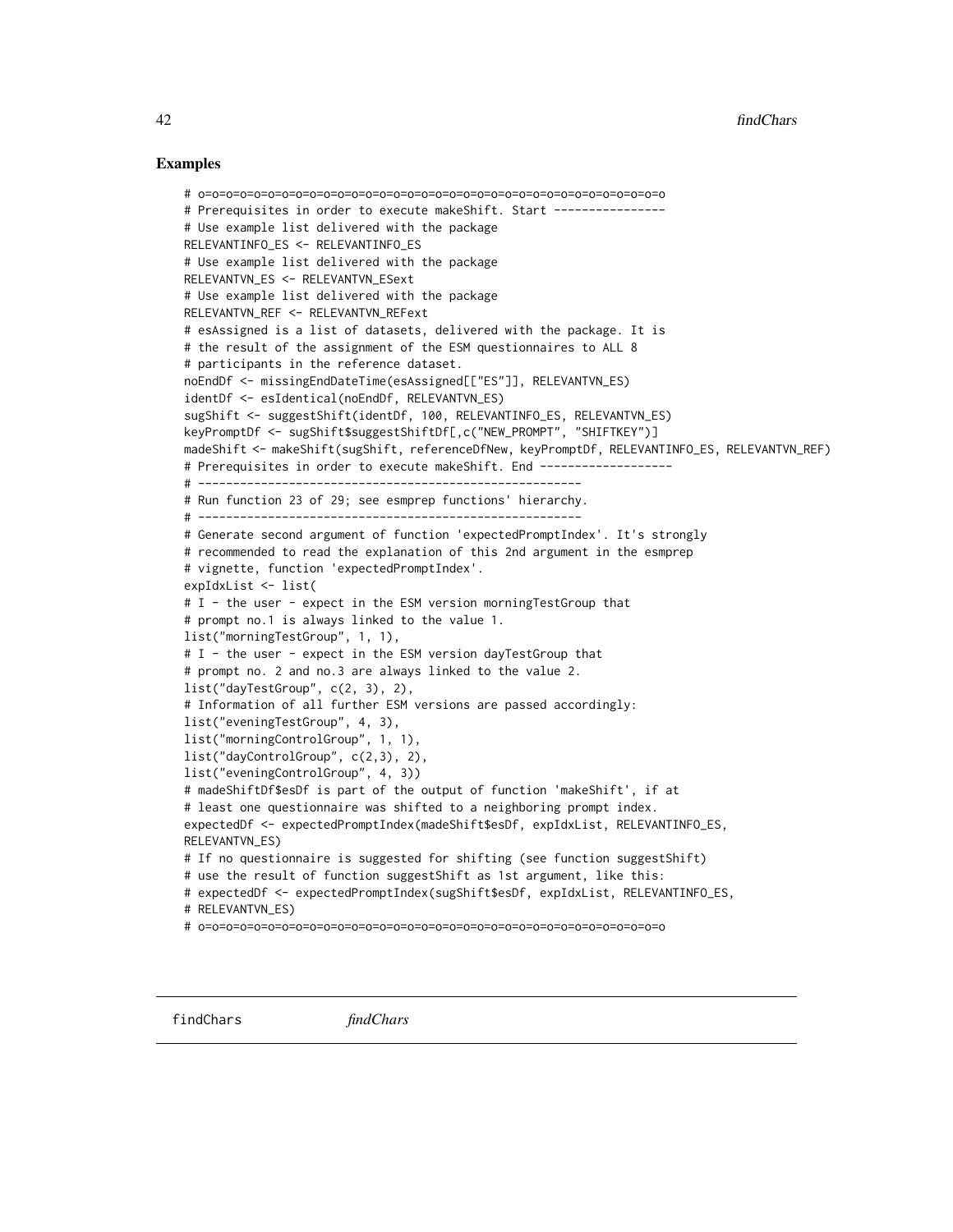```
# o=o=o=o=o=o=o=o=o=o=o=o=o=o=o=o=o=o=o=o=o=o=o=o=o=o=o=o=o=o=o=o=o=o
# Prerequisites in order to execute makeShift. Start ----------------
# Use example list delivered with the package
RELEVANTINFO_ES <- RELEVANTINFO_ES
# Use example list delivered with the package
RELEVANTVN_ES <- RELEVANTVN_ESext
# Use example list delivered with the package
RELEVANTVN_REF <- RELEVANTVN_REFext
# esAssigned is a list of datasets, delivered with the package. It is
# the result of the assignment of the ESM questionnaires to ALL 8
# participants in the reference dataset.
noEndDf <- missingEndDateTime(esAssigned[["ES"]], RELEVANTVN_ES)
identDf <- esIdentical(noEndDf, RELEVANTVN_ES)
sugShift <- suggestShift(identDf, 100, RELEVANTINFO_ES, RELEVANTVN_ES)
keyPromptDf <- sugShift$suggestShiftDf[,c("NEW_PROMPT", "SHIFTKEY")]
madeShift <- makeShift(sugShift, referenceDfNew, keyPromptDf, RELEVANTINFO_ES, RELEVANTVN_REF)
# Prerequisites in order to execute makeShift. End ------------------
# -------------------------------------------------------
# Run function 23 of 29; see esmprep functions' hierarchy.
# -------------------------------------------------------
# Generate second argument of function 'expectedPromptIndex'. It's strongly
# recommended to read the explanation of this 2nd argument in the esmprep
# vignette, function 'expectedPromptIndex'.
expIdxList <- list(
# I - the user - expect in the ESM version morningTestGroup that
# prompt no.1 is always linked to the value 1.
list("morningTestGroup", 1, 1),
# I - the user - expect in the ESM version dayTestGroup that
# prompt no. 2 and no.3 are always linked to the value 2.
list("dayTestGroup", c(2, 3), 2),
# Information of all further ESM versions are passed accordingly:
list("eveningTestGroup", 4, 3),
list("morningControlGroup", 1, 1),
list("dayControlGroup", c(2,3), 2),
list("eveningControlGroup", 4, 3))
# madeShiftDf$esDf is part of the output of function 'makeShift', if at
# least one questionnaire was shifted to a neighboring prompt index.
expectedDf <- expectedPromptIndex(madeShift$esDf, expIdxList, RELEVANTINFO_ES,
RELEVANTVN_ES)
# If no questionnaire is suggested for shifting (see function suggestShift)
# use the result of function suggestShift as 1st argument, like this:
# expectedDf <- expectedPromptIndex(sugShift$esDf, expIdxList, RELEVANTINFO_ES,
# RELEVANTVN_ES)
# o=o=o=o=o=o=o=o=o=o=o=o=o=o=o=o=o=o=o=o=o=o=o=o=o=o=o=o=o=o=o=o=o=o
```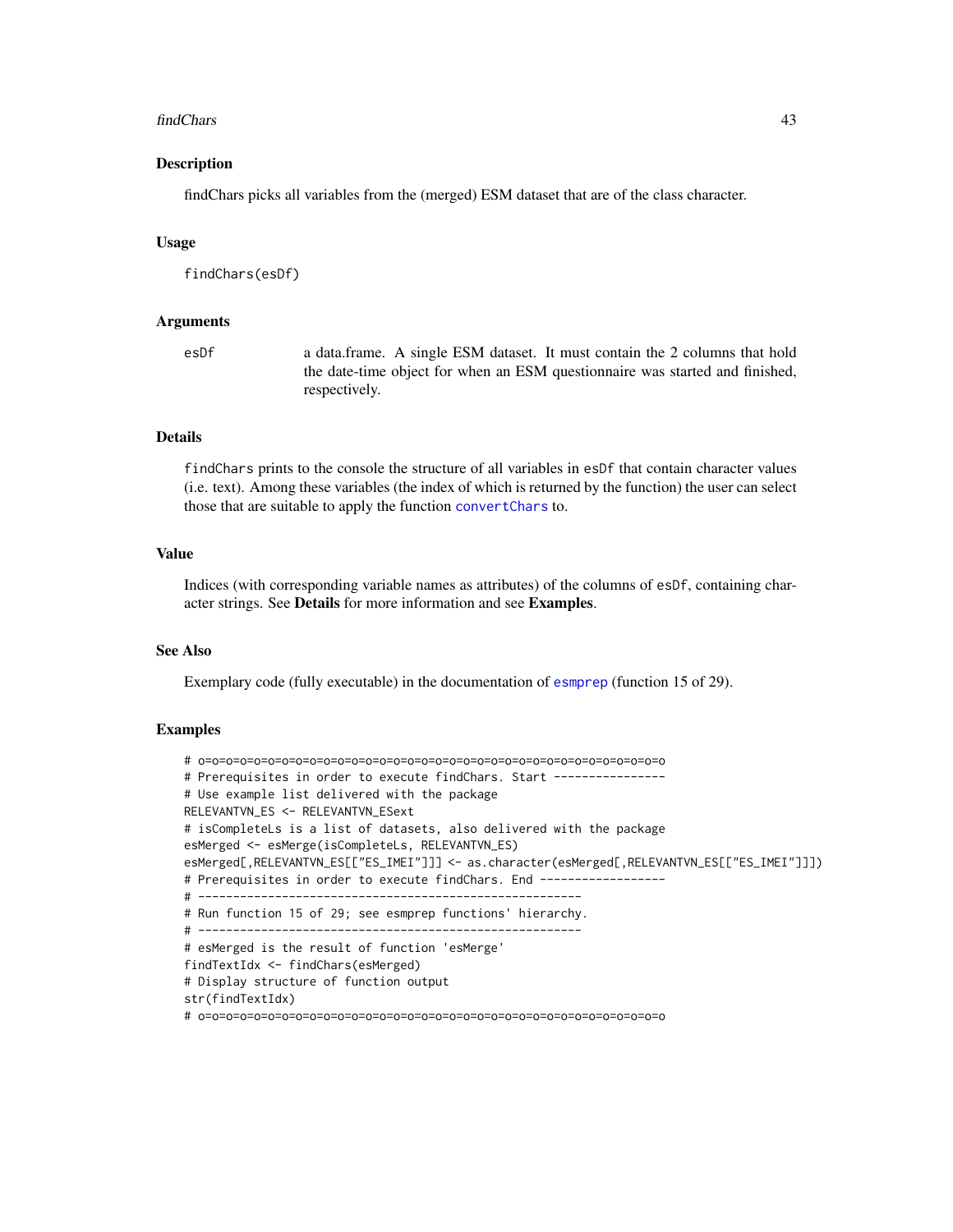#### findChars 43

## Description

findChars picks all variables from the (merged) ESM dataset that are of the class character.

### Usage

findChars(esDf)

## Arguments

esDf a data.frame. A single ESM dataset. It must contain the 2 columns that hold the date-time object for when an ESM questionnaire was started and finished, respectively.

# Details

findChars prints to the console the structure of all variables in esDf that contain character values (i.e. text). Among these variables (the index of which is returned by the function) the user can select those that are suitable to apply the function [convertChars](#page-5-0) to.

### Value

Indices (with corresponding variable names as attributes) of the columns of esDf, containing character strings. See Details for more information and see Examples.

# See Also

Exemplary code (fully executable) in the documentation of [esmprep](#page-21-0) (function 15 of 29).

```
# o=o=o=o=o=o=o=o=o=o=o=o=o=o=o=o=o=o=o=o=o=o=o=o=o=o=o=o=o=o=o=o=o=o
# Prerequisites in order to execute findChars. Start ----------------
# Use example list delivered with the package
RELEVANTVN_ES <- RELEVANTVN_ESext
# isCompleteLs is a list of datasets, also delivered with the package
esMerged <- esMerge(isCompleteLs, RELEVANTVN_ES)
esMerged[,RELEVANTVN_ES[["ES_IMEI"]]] <- as.character(esMerged[,RELEVANTVN_ES[["ES_IMEI"]]])
# Prerequisites in order to execute findChars. End ------------------
# -------------------------------------------------------
# Run function 15 of 29; see esmprep functions' hierarchy.
# -------------------------------------------------------
# esMerged is the result of function 'esMerge'
findTextIdx <- findChars(esMerged)
# Display structure of function output
str(findTextIdx)
# o=o=o=o=o=o=o=o=o=o=o=o=o=o=o=o=o=o=o=o=o=o=o=o=o=o=o=o=o=o=o=o=o=o
```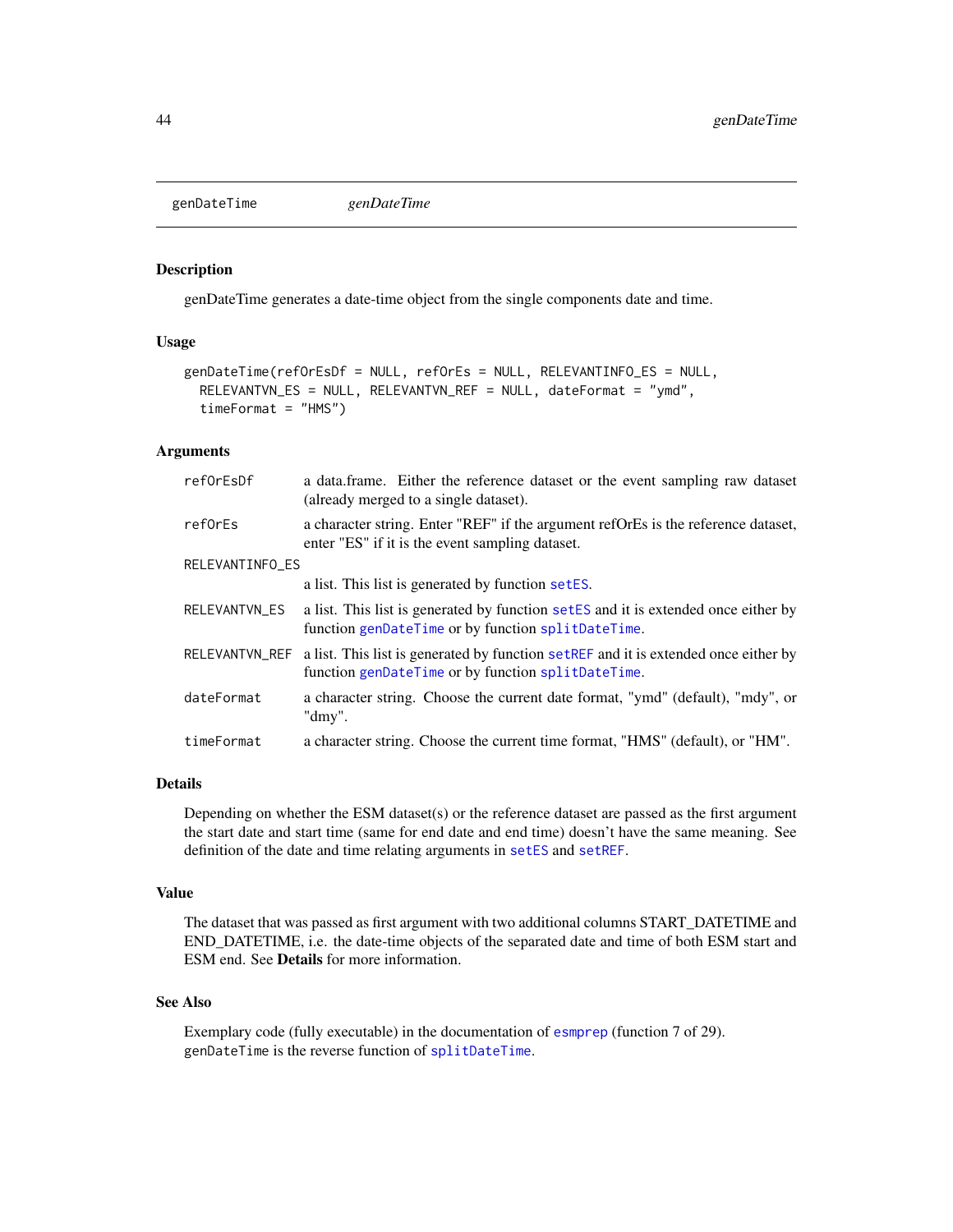<span id="page-43-0"></span>genDateTime *genDateTime*

## Description

genDateTime generates a date-time object from the single components date and time.

# Usage

```
genDateTime(refOrEsDf = NULL, refOrEs = NULL, RELEVANTINFO_ES = NULL,
  RELEVANTVN_ES = NULL, RELEVANTVN_REF = NULL, dateFormat = "ymd",
  timeFormat = "HMS")
```
## Arguments

| refOrEsDf       | a data frame. Either the reference dataset or the event sampling raw dataset<br>(already merged to a single dataset).                      |
|-----------------|--------------------------------------------------------------------------------------------------------------------------------------------|
| reforEs         | a character string. Enter "REF" if the argument reformer is the reference dataset,<br>enter "ES" if it is the event sampling dataset.      |
| RELEVANTINFO_ES |                                                                                                                                            |
|                 | a list. This list is generated by function setES.                                                                                          |
| RELEVANTVN_ES   | a list. This list is generated by function set ES and it is extended once either by<br>function genDateTime or by function splitDateTime.  |
| RELEVANTVN_REF  | a list. This list is generated by function set REF and it is extended once either by<br>function genDateTime or by function splitDateTime. |
| dateFormat      | a character string. Choose the current date format, "ymd" (default), "mdy", or<br>"dmy".                                                   |
| timeFormat      | a character string. Choose the current time format, "HMS" (default), or "HM".                                                              |

#### Details

Depending on whether the ESM dataset(s) or the reference dataset are passed as the first argument the start date and start time (same for end date and end time) doesn't have the same meaning. See definition of the date and time relating arguments in [setES](#page-65-0) and [setREF](#page-67-0).

### Value

The dataset that was passed as first argument with two additional columns START\_DATETIME and END\_DATETIME, i.e. the date-time objects of the separated date and time of both ESM start and ESM end. See Details for more information.

# See Also

Exemplary code (fully executable) in the documentation of [esmprep](#page-21-0) (function 7 of 29). genDateTime is the reverse function of [splitDateTime](#page-69-0).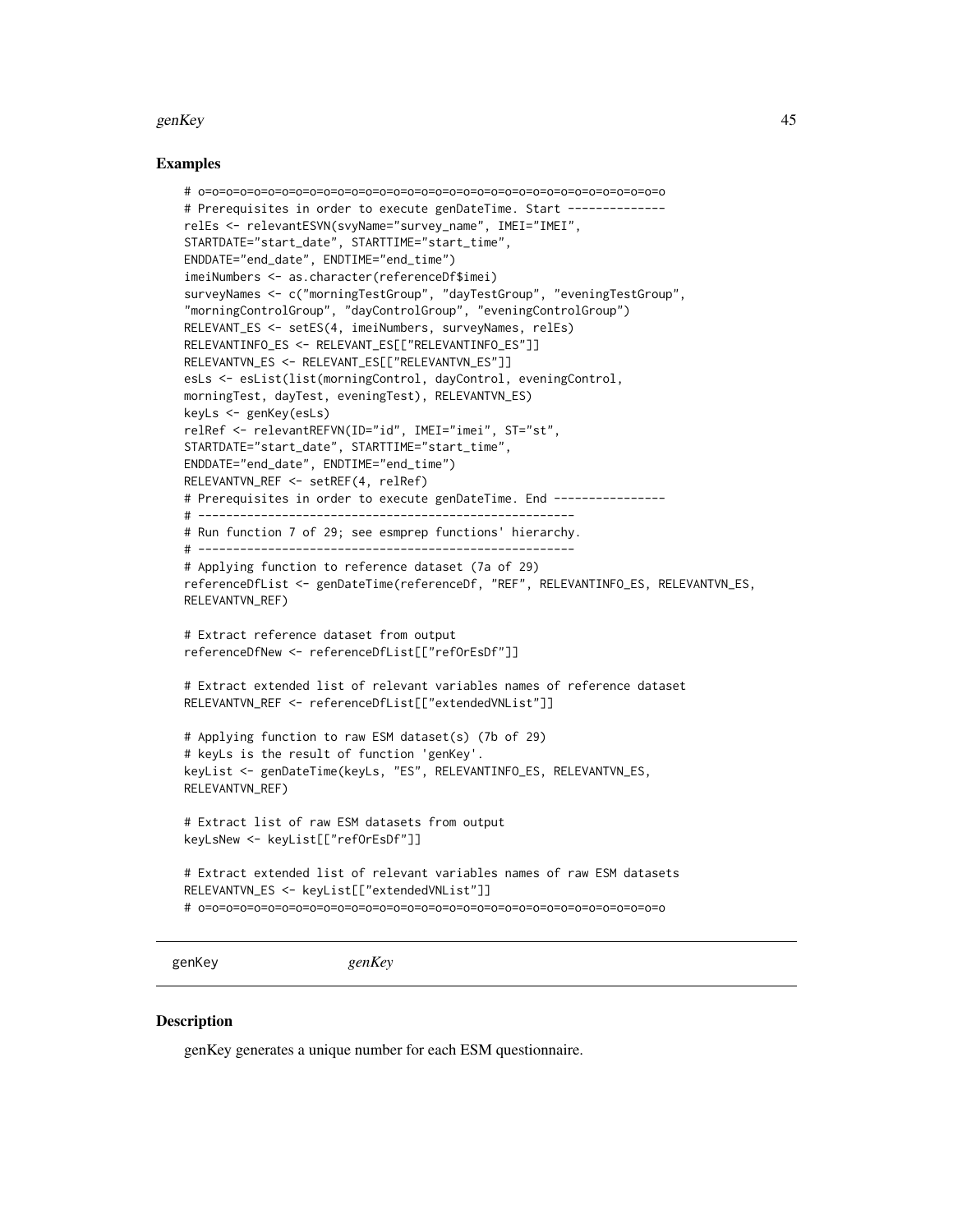#### genKey 45

## Examples

```
# o=o=o=o=o=o=o=o=o=o=o=o=o=o=o=o=o=o=o=o=o=o=o=o=o=o=o=o=o=o=o=o=o=o
# Prerequisites in order to execute genDateTime. Start -------------
relEs <- relevantESVN(svyName="survey_name", IMEI="IMEI",
STARTDATE="start_date", STARTTIME="start_time",
ENDDATE="end_date", ENDTIME="end_time")
imeiNumbers <- as.character(referenceDf$imei)
surveyNames <- c("morningTestGroup", "dayTestGroup", "eveningTestGroup",
"morningControlGroup", "dayControlGroup", "eveningControlGroup")
RELEVANT_ES <- setES(4, imeiNumbers, surveyNames, relEs)
RELEVANTINFO_ES <- RELEVANT_ES[["RELEVANTINFO_ES"]]
RELEVANTVN_ES <- RELEVANT_ES[["RELEVANTVN_ES"]]
esLs <- esList(list(morningControl, dayControl, eveningControl,
morningTest, dayTest, eveningTest), RELEVANTVN_ES)
keyLs <- genKey(esLs)
relRef <- relevantREFVN(ID="id", IMEI="imei", ST="st",
STARTDATE="start_date", STARTTIME="start_time",
ENDDATE="end_date", ENDTIME="end_time")
RELEVANTVN_REF <- setREF(4, relRef)
# Prerequisites in order to execute genDateTime. End ----------------
# ------------------------------------------------------
# Run function 7 of 29; see esmprep functions' hierarchy.
# ------------------------------------------------------
# Applying function to reference dataset (7a of 29)
referenceDfList <- genDateTime(referenceDf, "REF", RELEVANTINFO_ES, RELEVANTVN_ES,
RELEVANTVN_REF)
# Extract reference dataset from output
referenceDfNew <- referenceDfList[["refOrEsDf"]]
# Extract extended list of relevant variables names of reference dataset
RELEVANTVN_REF <- referenceDfList[["extendedVNList"]]
# Applying function to raw ESM dataset(s) (7b of 29)
# keyLs is the result of function 'genKey'.
keyList <- genDateTime(keyLs, "ES", RELEVANTINFO_ES, RELEVANTVN_ES,
RELEVANTVN_REF)
# Extract list of raw ESM datasets from output
keyLsNew <- keyList[["refOrEsDf"]]
# Extract extended list of relevant variables names of raw ESM datasets
RELEVANTVN_ES <- keyList[["extendedVNList"]]
# o=o=o=o=o=o=o=o=o=o=o=o=o=o=o=o=o=o=o=o=o=o=o=o=o=o=o=o=o=o=o=o=o=o
```
<span id="page-44-0"></span>genKey *genKey*

#### Description

genKey generates a unique number for each ESM questionnaire.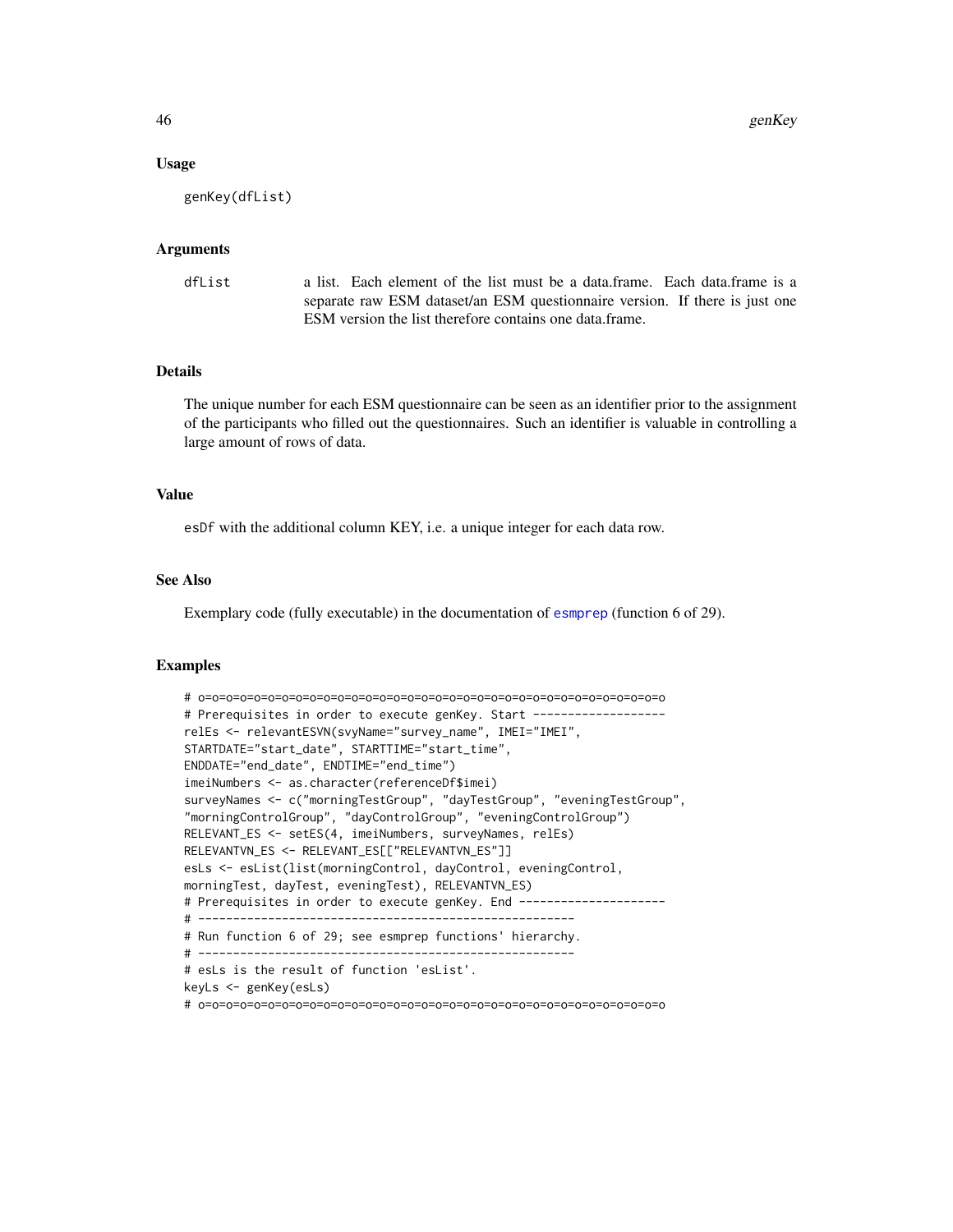# Usage

genKey(dfList)

### Arguments

| dfList | a list. Each element of the list must be a data.frame. Each data.frame is a |  |
|--------|-----------------------------------------------------------------------------|--|
|        | separate raw ESM dataset/an ESM questionnaire version. If there is just one |  |
|        | ESM version the list therefore contains one data.frame.                     |  |

# Details

The unique number for each ESM questionnaire can be seen as an identifier prior to the assignment of the participants who filled out the questionnaires. Such an identifier is valuable in controlling a large amount of rows of data.

## Value

esDf with the additional column KEY, i.e. a unique integer for each data row.

## See Also

Exemplary code (fully executable) in the documentation of [esmprep](#page-21-0) (function 6 of 29).

```
# o=o=o=o=o=o=o=o=o=o=o=o=o=o=o=o=o=o=o=o=o=o=o=o=o=o=o=o=o=o=o=o=o=o
# Prerequisites in order to execute genKey. Start -------------------
relEs <- relevantESVN(svyName="survey_name", IMEI="IMEI",
STARTDATE="start_date", STARTTIME="start_time",
ENDDATE="end_date", ENDTIME="end_time")
imeiNumbers <- as.character(referenceDf$imei)
surveyNames <- c("morningTestGroup", "dayTestGroup", "eveningTestGroup",
"morningControlGroup", "dayControlGroup", "eveningControlGroup")
RELEVANT_ES <- setES(4, imeiNumbers, surveyNames, relEs)
RELEVANTVN_ES <- RELEVANT_ES[["RELEVANTVN_ES"]]
esLs <- esList(list(morningControl, dayControl, eveningControl,
morningTest, dayTest, eveningTest), RELEVANTVN_ES)
# Prerequisites in order to execute genKey. End ---------------------
# ------------------------------------------------------
# Run function 6 of 29; see esmprep functions' hierarchy.
# ------------------------------------------------------
# esLs is the result of function 'esList'.
keyLs <- genKey(esLs)
# o=o=o=o=o=o=o=o=o=o=o=o=o=o=o=o=o=o=o=o=o=o=o=o=o=o=o=o=o=o=o=o=o=o
```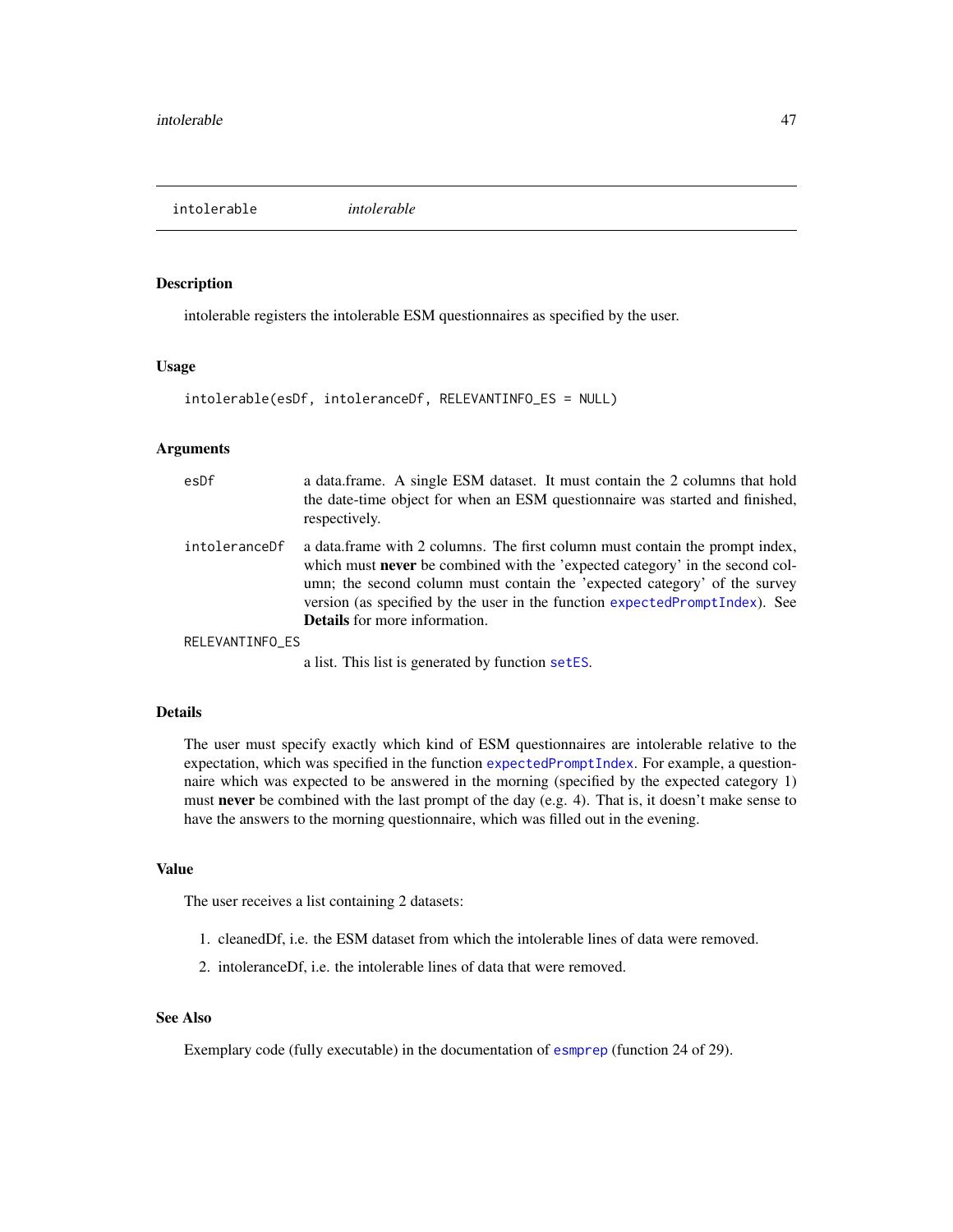intolerable *intolerable*

# Description

intolerable registers the intolerable ESM questionnaires as specified by the user.

## Usage

```
intolerable(esDf, intoleranceDf, RELEVANTINFO_ES = NULL)
```
# Arguments

| esDf            | a data.frame. A single ESM dataset. It must contain the 2 columns that hold<br>the date-time object for when an ESM questionnaire was started and finished,<br>respectively.                                                                                                                                                                                              |
|-----------------|---------------------------------------------------------------------------------------------------------------------------------------------------------------------------------------------------------------------------------------------------------------------------------------------------------------------------------------------------------------------------|
| intoleranceDf   | a data frame with 2 columns. The first column must contain the prompt index,<br>which must <b>never</b> be combined with the 'expected category' in the second col-<br>umn; the second column must contain the 'expected category' of the survey<br>version (as specified by the user in the function expected Prompt Index). See<br><b>Details</b> for more information. |
| RELEVANTINFO ES |                                                                                                                                                                                                                                                                                                                                                                           |
|                 |                                                                                                                                                                                                                                                                                                                                                                           |

a list. This list is generated by function [setES](#page-65-0).

## Details

The user must specify exactly which kind of ESM questionnaires are intolerable relative to the expectation, which was specified in the function [expectedPromptIndex](#page-40-0). For example, a questionnaire which was expected to be answered in the morning (specified by the expected category 1) must never be combined with the last prompt of the day (e.g. 4). That is, it doesn't make sense to have the answers to the morning questionnaire, which was filled out in the evening.

## Value

The user receives a list containing 2 datasets:

- 1. cleanedDf, i.e. the ESM dataset from which the intolerable lines of data were removed.
- 2. intoleranceDf, i.e. the intolerable lines of data that were removed.

# See Also

Exemplary code (fully executable) in the documentation of [esmprep](#page-21-0) (function 24 of 29).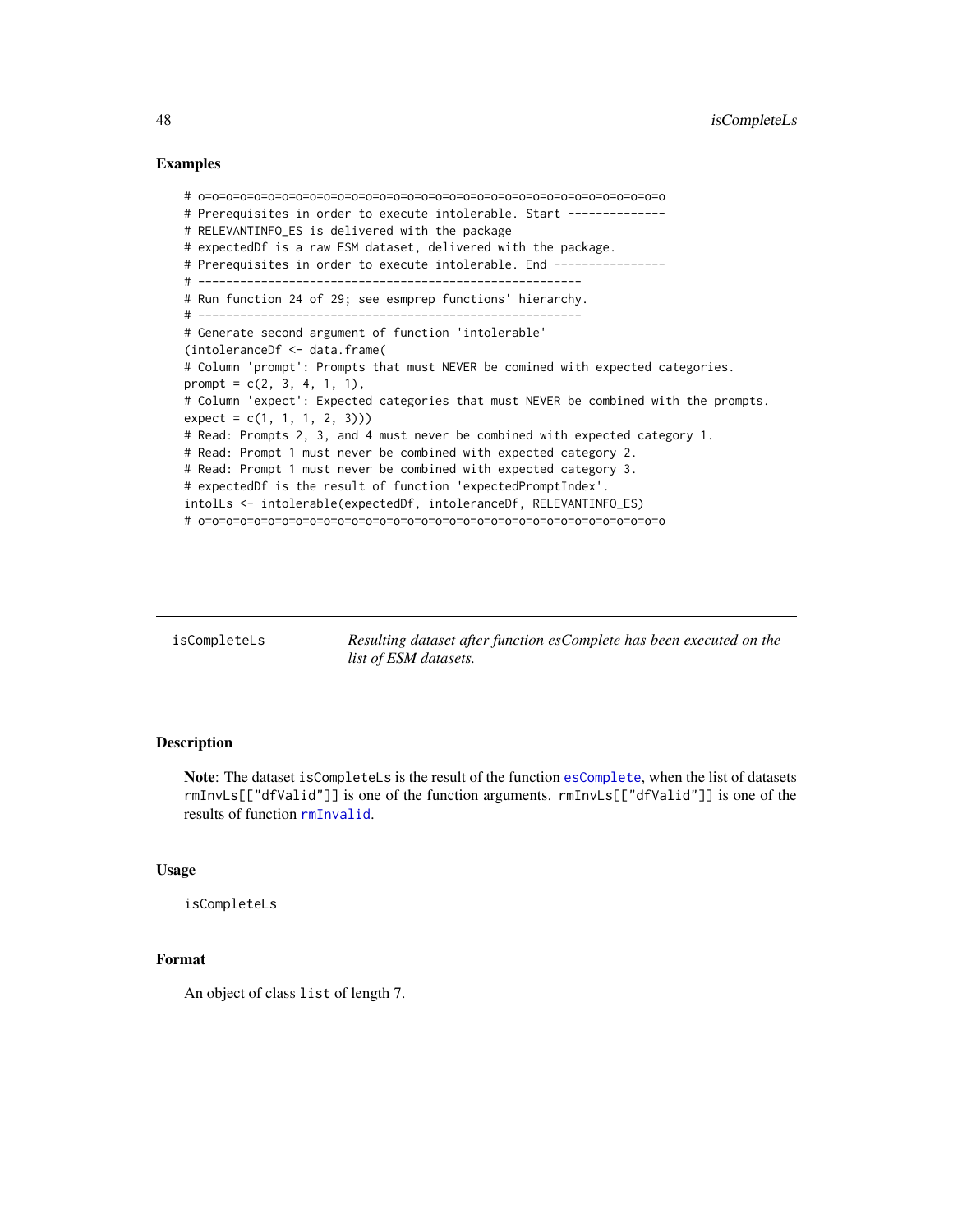```
# o=o=o=o=o=o=o=o=o=o=o=o=o=o=o=o=o=o=o=o=o=o=o=o=o=o=o=o=o=o=o=o=o=o
# Prerequisites in order to execute intolerable. Start --------------
# RELEVANTINFO_ES is delivered with the package
# expectedDf is a raw ESM dataset, delivered with the package.
# Prerequisites in order to execute intolerable. End ----------------
# -------------------------------------------------------
# Run function 24 of 29; see esmprep functions' hierarchy.
# -------------------------------------------------------
# Generate second argument of function 'intolerable'
(intoleranceDf <- data.frame(
# Column 'prompt': Prompts that must NEVER be comined with expected categories.
prompt = c(2, 3, 4, 1, 1),# Column 'expect': Expected categories that must NEVER be combined with the prompts.
expect = c(1, 1, 1, 2, 3))# Read: Prompts 2, 3, and 4 must never be combined with expected category 1.
# Read: Prompt 1 must never be combined with expected category 2.
# Read: Prompt 1 must never be combined with expected category 3.
# expectedDf is the result of function 'expectedPromptIndex'.
intolLs <- intolerable(expectedDf, intoleranceDf, RELEVANTINFO_ES)
# o=o=o=o=o=o=o=o=o=o=o=o=o=o=o=o=o=o=o=o=o=o=o=o=o=o=o=o=o=o=o=o=o=o
```
isCompleteLs *Resulting dataset after function esComplete has been executed on the list of ESM datasets.*

## Description

Note: The dataset isCompleteLs is the result of the function [esComplete](#page-13-0), when the list of datasets rmInvLs[["dfValid"]] is one of the function arguments. rmInvLs[["dfValid"]] is one of the results of function [rmInvalid](#page-64-0).

#### Usage

isCompleteLs

# Format

An object of class list of length 7.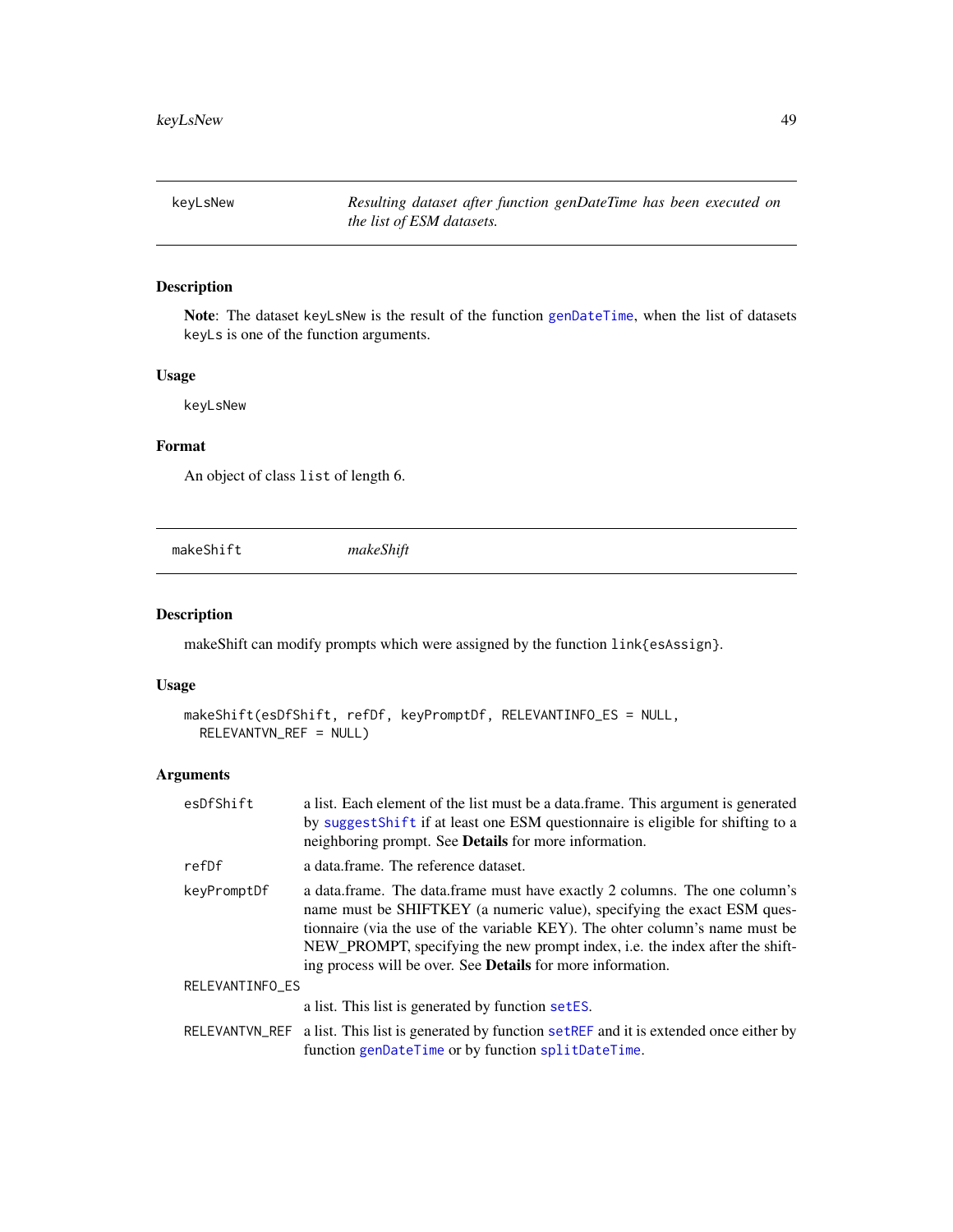keyLsNew *Resulting dataset after function genDateTime has been executed on the list of ESM datasets.*

# Description

Note: The dataset keyLsNew is the result of the function [genDateTime](#page-43-0), when the list of datasets keyLs is one of the function arguments.

# Usage

keyLsNew

# Format

An object of class list of length 6.

<span id="page-48-0"></span>makeShift *makeShift*

# Description

makeShift can modify prompts which were assigned by the function link{esAssign}.

### Usage

```
makeShift(esDfShift, refDf, keyPromptDf, RELEVANTINFO_ES = NULL,
 RELEVANTVN_REF = NULL)
```
## Arguments

| esDfShift       | a list. Each element of the list must be a data frame. This argument is generated<br>by suggest Shift if at least one ESM questionnaire is eligible for shifting to a<br>neighboring prompt. See Details for more information.                                                                                                                                                              |
|-----------------|---------------------------------------------------------------------------------------------------------------------------------------------------------------------------------------------------------------------------------------------------------------------------------------------------------------------------------------------------------------------------------------------|
| refDf           | a data.frame. The reference dataset.                                                                                                                                                                                                                                                                                                                                                        |
| keyPromptDf     | a data.frame. The data.frame must have exactly 2 columns. The one column's<br>name must be SHIFTKEY (a numeric value), specifying the exact ESM ques-<br>tionnaire (via the use of the variable KEY). The ohter column's name must be<br>NEW_PROMPT, specifying the new prompt index, i.e. the index after the shift-<br>ing process will be over. See <b>Details</b> for more information. |
| RELEVANTINFO_ES |                                                                                                                                                                                                                                                                                                                                                                                             |
|                 | a list. This list is generated by function setES.                                                                                                                                                                                                                                                                                                                                           |
|                 | RELEVANTVN_REF a list. This list is generated by function set REF and it is extended once either by                                                                                                                                                                                                                                                                                         |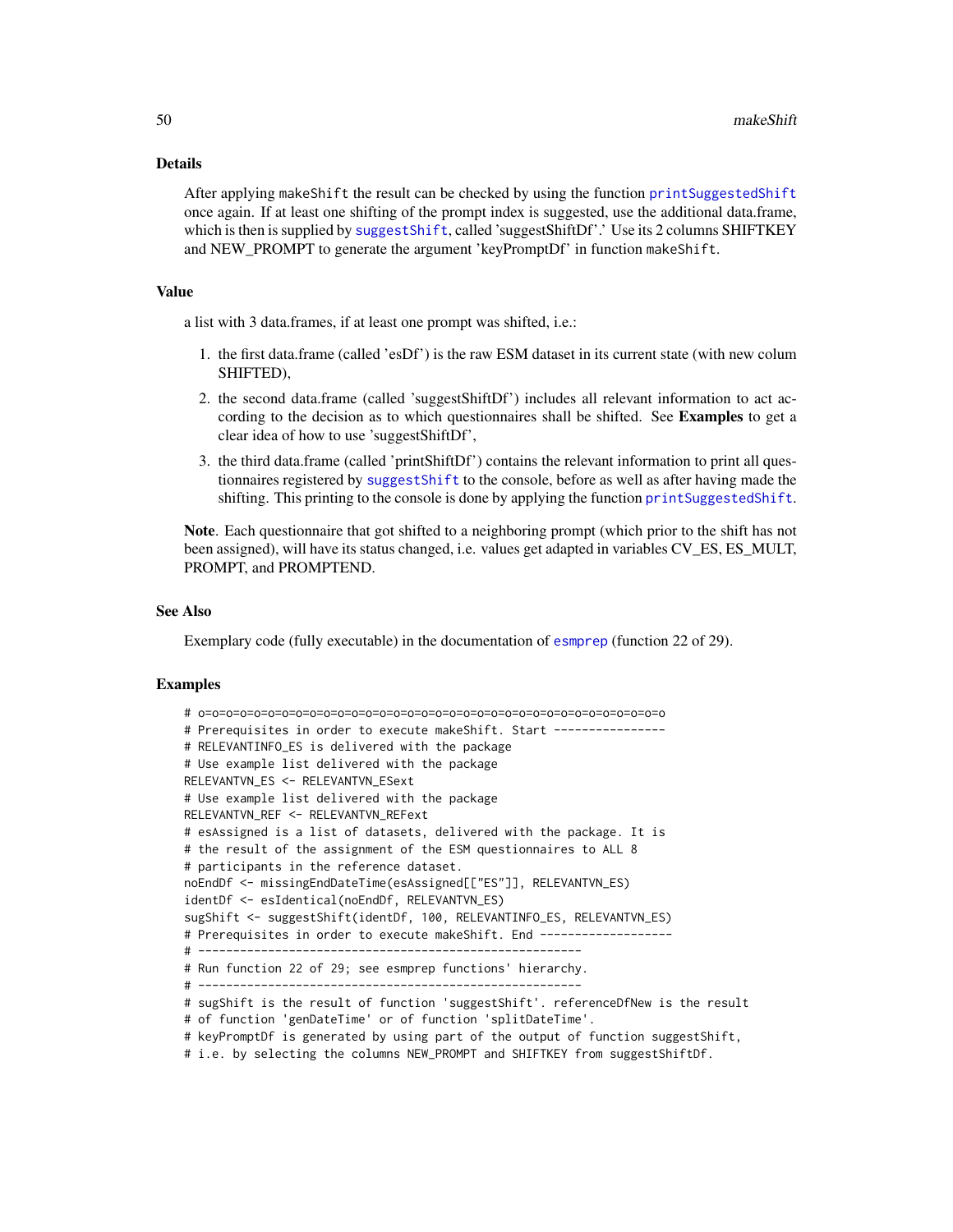## Details

After applying makeShift the result can be checked by using the function [printSuggestedShift](#page-54-0) once again. If at least one shifting of the prompt index is suggested, use the additional data.frame, which is then is supplied by [suggestShift](#page-71-0), called 'suggestShiftDf'.' Use its 2 columns SHIFTKEY and NEW\_PROMPT to generate the argument 'keyPromptDf' in function makeShift.

## Value

a list with 3 data.frames, if at least one prompt was shifted, i.e.:

- 1. the first data.frame (called 'esDf') is the raw ESM dataset in its current state (with new colum SHIFTED),
- 2. the second data.frame (called 'suggestShiftDf') includes all relevant information to act according to the decision as to which questionnaires shall be shifted. See Examples to get a clear idea of how to use 'suggestShiftDf',
- 3. the third data.frame (called 'printShiftDf') contains the relevant information to print all questionnaires registered by [suggestShift](#page-71-0) to the console, before as well as after having made the shifting. This printing to the console is done by applying the function [printSuggestedShift](#page-54-0).

Note. Each questionnaire that got shifted to a neighboring prompt (which prior to the shift has not been assigned), will have its status changed, i.e. values get adapted in variables CV\_ES, ES\_MULT, PROMPT, and PROMPTEND.

#### See Also

Exemplary code (fully executable) in the documentation of [esmprep](#page-21-0) (function 22 of 29).

```
# o=o=o=o=o=o=o=o=o=o=o=o=o=o=o=o=o=o=o=o=o=o=o=o=o=o=o=o=o=o=o=o=o=o
# Prerequisites in order to execute makeShift. Start ----------------
# RELEVANTINFO_ES is delivered with the package
# Use example list delivered with the package
RELEVANTVN_ES <- RELEVANTVN_ESext
# Use example list delivered with the package
RELEVANTVN_REF <- RELEVANTVN_REFext
# esAssigned is a list of datasets, delivered with the package. It is
# the result of the assignment of the ESM questionnaires to ALL 8
# participants in the reference dataset.
noEndDf <- missingEndDateTime(esAssigned[["ES"]], RELEVANTVN_ES)
identDf <- esIdentical(noEndDf, RELEVANTVN_ES)
sugShift <- suggestShift(identDf, 100, RELEVANTINFO_ES, RELEVANTVN_ES)
# Prerequisites in order to execute makeShift. End ------------------
# -------------------------------------------------------
# Run function 22 of 29; see esmprep functions' hierarchy.
# -------------------------------------------------------
# sugShift is the result of function 'suggestShift'. referenceDfNew is the result
# of function 'genDateTime' or of function 'splitDateTime'.
# keyPromptDf is generated by using part of the output of function suggestShift,
# i.e. by selecting the columns NEW_PROMPT and SHIFTKEY from suggestShiftDf.
```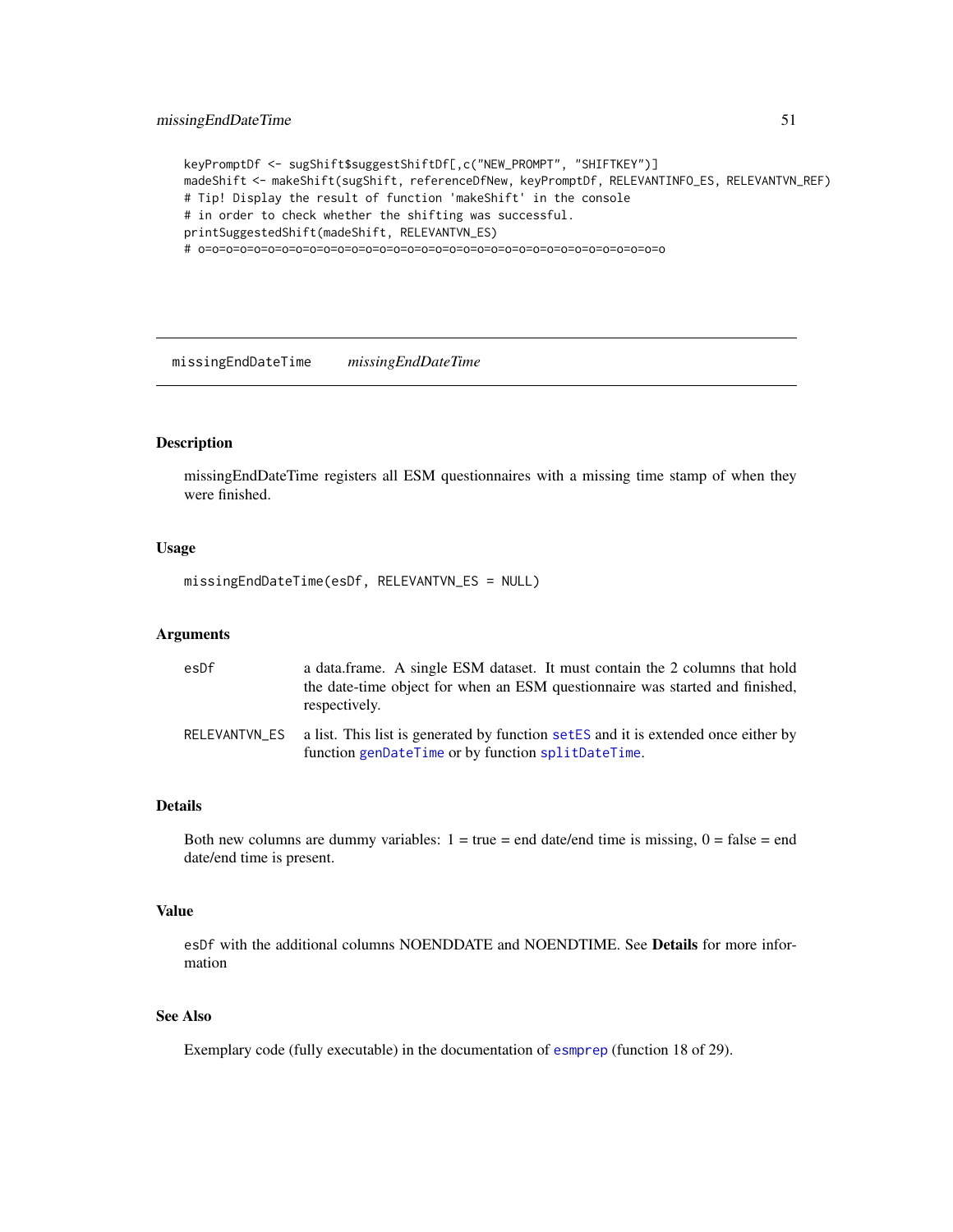keyPromptDf <- sugShift\$suggestShiftDf[,c("NEW\_PROMPT", "SHIFTKEY")] madeShift <- makeShift(sugShift, referenceDfNew, keyPromptDf, RELEVANTINFO\_ES, RELEVANTVN\_REF) # Tip! Display the result of function 'makeShift' in the console # in order to check whether the shifting was successful. printSuggestedShift(madeShift, RELEVANTVN\_ES) # o=o=o=o=o=o=o=o=o=o=o=o=o=o=o=o=o=o=o=o=o=o=o=o=o=o=o=o=o=o=o=o=o=o

missingEndDateTime *missingEndDateTime*

#### Description

missingEndDateTime registers all ESM questionnaires with a missing time stamp of when they were finished.

## Usage

missingEndDateTime(esDf, RELEVANTVN\_ES = NULL)

# Arguments

| esDf | a data frame. A single ESM dataset. It must contain the 2 columns that hold<br>the date-time object for when an ESM questionnaire was started and finished,<br>respectively. |
|------|------------------------------------------------------------------------------------------------------------------------------------------------------------------------------|
|      | RELEVANTVN_ES a list. This list is generated by function setES and it is extended once either by<br>function genDateTime or by function splitDateTime.                       |

## Details

Both new columns are dummy variables:  $1 = true = end$  date/end time is missing,  $0 = false = end$ date/end time is present.

#### Value

esDf with the additional columns NOENDDATE and NOENDTIME. See Details for more information

# See Also

Exemplary code (fully executable) in the documentation of [esmprep](#page-21-0) (function 18 of 29).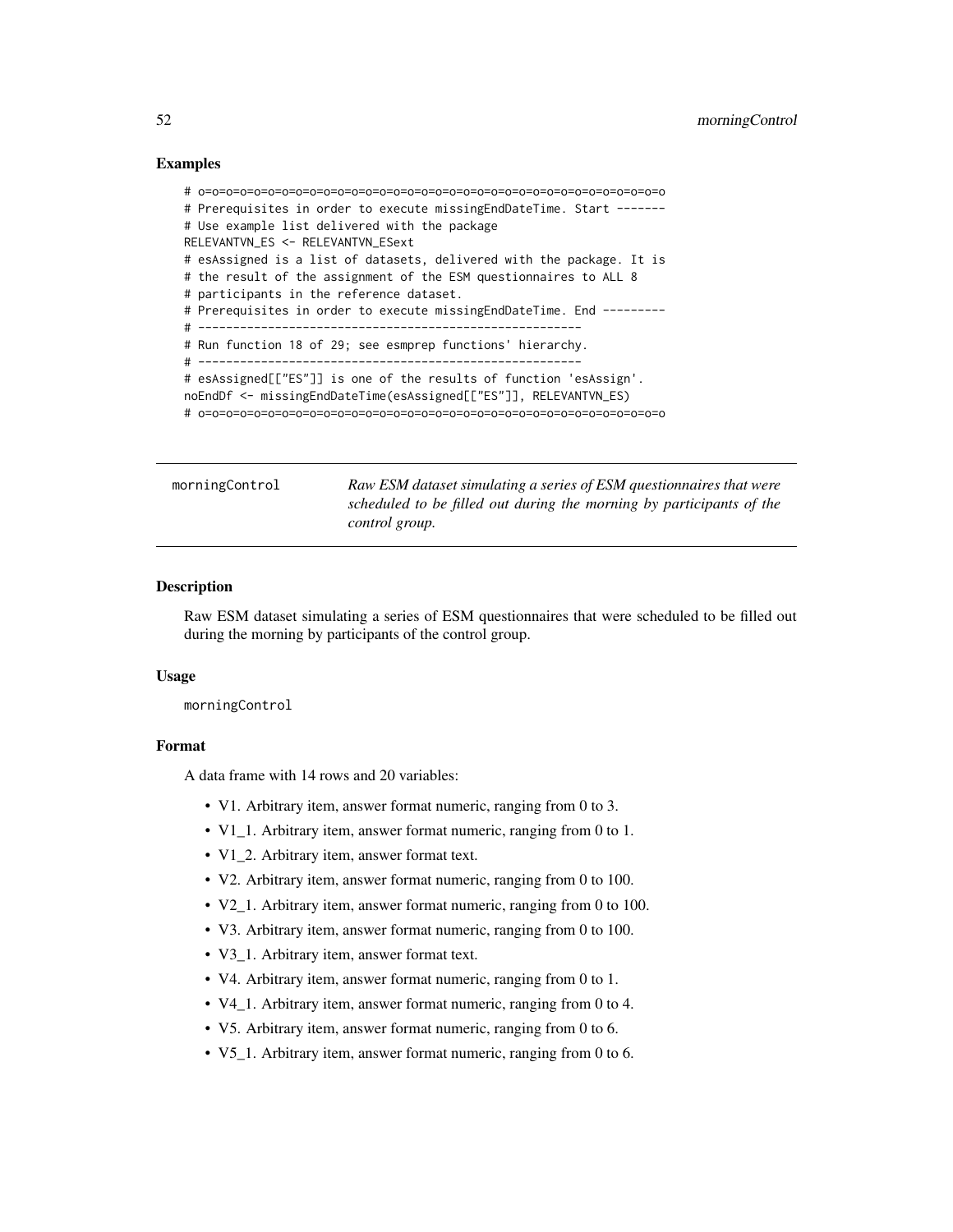```
# o=o=o=o=o=o=o=o=o=o=o=o=o=o=o=o=o=o=o=o=o=o=o=o=o=o=o=o=o=o=o=o=o=o
# Prerequisites in order to execute missingEndDateTime. Start -------
# Use example list delivered with the package
RELEVANTVN_ES <- RELEVANTVN_ESext
# esAssigned is a list of datasets, delivered with the package. It is
# the result of the assignment of the ESM questionnaires to ALL 8
# participants in the reference dataset.
# Prerequisites in order to execute missingEndDateTime. End ---------
# -------------------------------------------------------
# Run function 18 of 29; see esmprep functions' hierarchy.
# -------------------------------------------------------
# esAssigned[["ES"]] is one of the results of function 'esAssign'.
noEndDf <- missingEndDateTime(esAssigned[["ES"]], RELEVANTVN_ES)
# o=o=o=o=o=o=o=o=o=o=o=o=o=o=o=o=o=o=o=o=o=o=o=o=o=o=o=o=o=o=o=o=o=o
```
morningControl *Raw ESM dataset simulating a series of ESM questionnaires that were scheduled to be filled out during the morning by participants of the control group.*

### Description

Raw ESM dataset simulating a series of ESM questionnaires that were scheduled to be filled out during the morning by participants of the control group.

#### Usage

morningControl

### Format

A data frame with 14 rows and 20 variables:

- V1. Arbitrary item, answer format numeric, ranging from 0 to 3.
- V1\_1. Arbitrary item, answer format numeric, ranging from 0 to 1.
- V1\_2. Arbitrary item, answer format text.
- V2. Arbitrary item, answer format numeric, ranging from 0 to 100.
- V2\_1. Arbitrary item, answer format numeric, ranging from 0 to 100.
- V3. Arbitrary item, answer format numeric, ranging from 0 to 100.
- V3\_1. Arbitrary item, answer format text.
- V4. Arbitrary item, answer format numeric, ranging from 0 to 1.
- V4\_1. Arbitrary item, answer format numeric, ranging from 0 to 4.
- V5. Arbitrary item, answer format numeric, ranging from 0 to 6.
- V5\_1. Arbitrary item, answer format numeric, ranging from 0 to 6.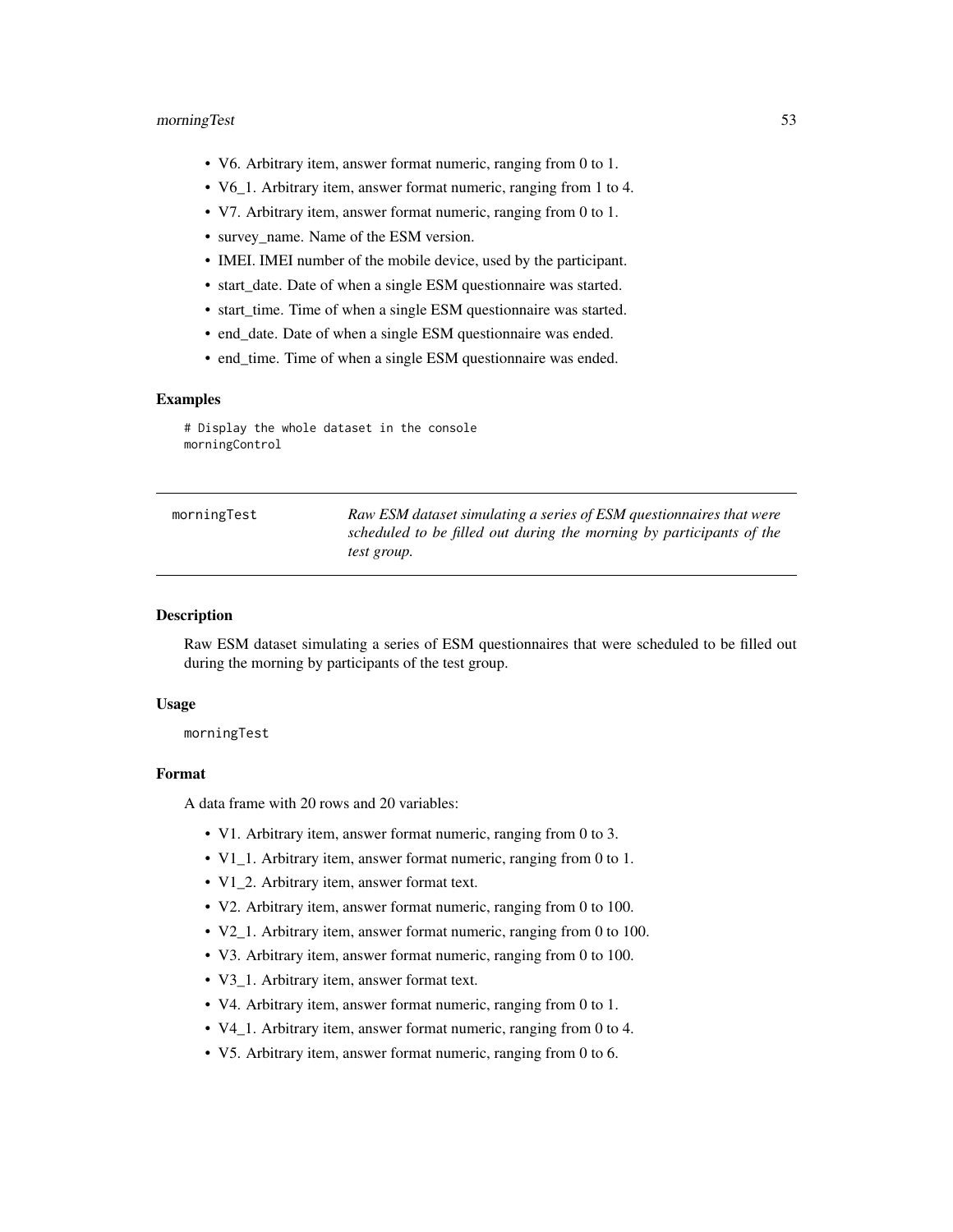- V6. Arbitrary item, answer format numeric, ranging from 0 to 1.
- V6\_1. Arbitrary item, answer format numeric, ranging from 1 to 4.
- V7. Arbitrary item, answer format numeric, ranging from 0 to 1.
- survey\_name. Name of the ESM version.
- IMEI. IMEI number of the mobile device, used by the participant.
- start\_date. Date of when a single ESM questionnaire was started.
- start time. Time of when a single ESM questionnaire was started.
- end\_date. Date of when a single ESM questionnaire was ended.
- end\_time. Time of when a single ESM questionnaire was ended.

# Display the whole dataset in the console morningControl

| morningTest | Raw ESM dataset simulating a series of ESM questionnaires that were  |
|-------------|----------------------------------------------------------------------|
|             | scheduled to be filled out during the morning by participants of the |
|             | test group.                                                          |

## **Description**

Raw ESM dataset simulating a series of ESM questionnaires that were scheduled to be filled out during the morning by participants of the test group.

## Usage

morningTest

## Format

A data frame with 20 rows and 20 variables:

- V1. Arbitrary item, answer format numeric, ranging from 0 to 3.
- V1 1. Arbitrary item, answer format numeric, ranging from 0 to 1.
- V1\_2. Arbitrary item, answer format text.
- V2. Arbitrary item, answer format numeric, ranging from 0 to 100.
- V2\_1. Arbitrary item, answer format numeric, ranging from 0 to 100.
- V3. Arbitrary item, answer format numeric, ranging from 0 to 100.
- V3\_1. Arbitrary item, answer format text.
- V4. Arbitrary item, answer format numeric, ranging from 0 to 1.
- V4\_1. Arbitrary item, answer format numeric, ranging from 0 to 4.
- V5. Arbitrary item, answer format numeric, ranging from 0 to 6.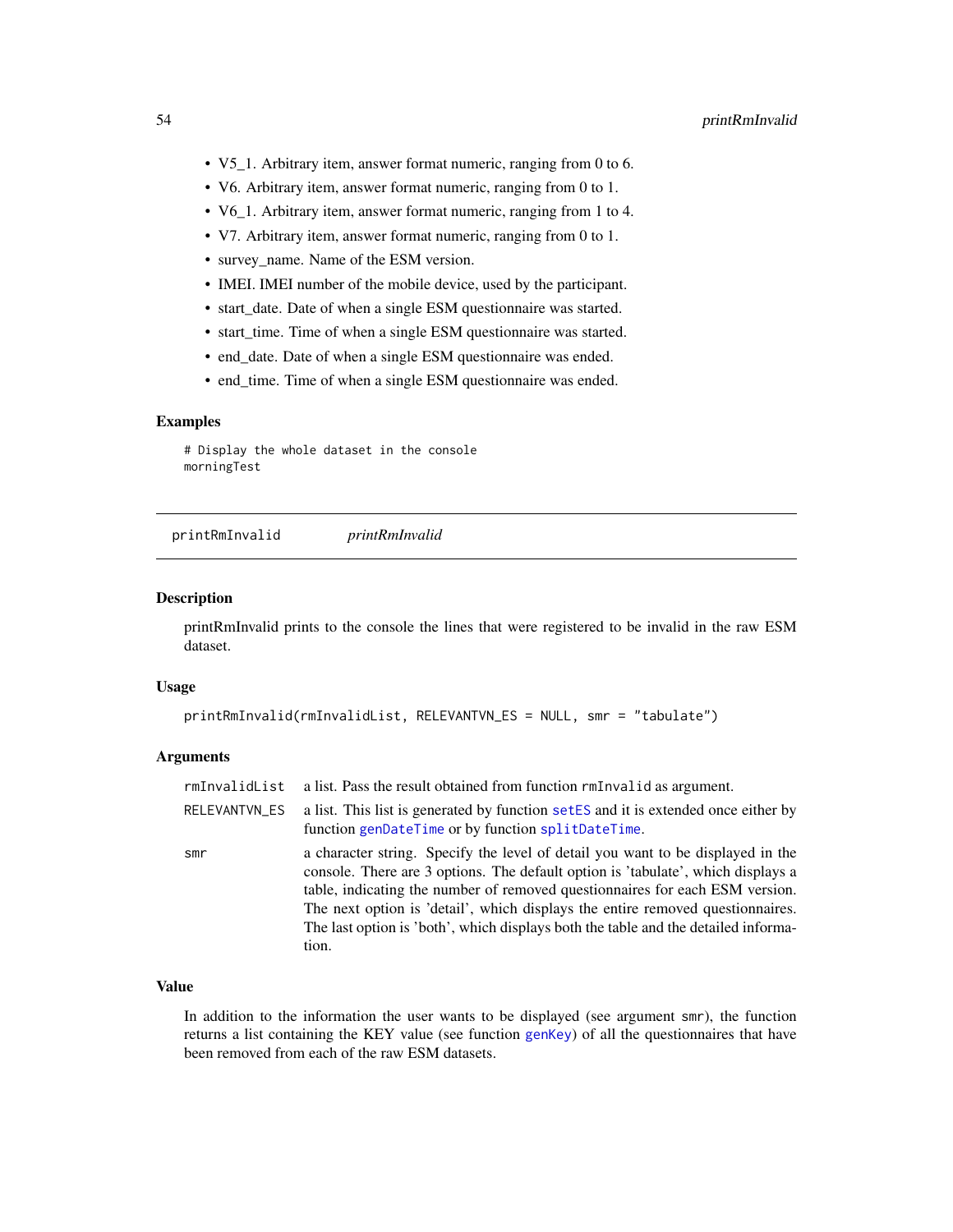- V5\_1. Arbitrary item, answer format numeric, ranging from 0 to 6.
- V6. Arbitrary item, answer format numeric, ranging from 0 to 1.
- V6\_1. Arbitrary item, answer format numeric, ranging from 1 to 4.
- V7. Arbitrary item, answer format numeric, ranging from 0 to 1.
- survey\_name. Name of the ESM version.
- IMEI. IMEI number of the mobile device, used by the participant.
- start\_date. Date of when a single ESM questionnaire was started.
- start\_time. Time of when a single ESM questionnaire was started.
- end\_date. Date of when a single ESM questionnaire was ended.
- end\_time. Time of when a single ESM questionnaire was ended.

# Display the whole dataset in the console morningTest

printRmInvalid *printRmInvalid*

## Description

printRmInvalid prints to the console the lines that were registered to be invalid in the raw ESM dataset.

#### Usage

```
printRmInvalid(rmInvalidList, RELEVANTVN_ES = NULL, smr = "tabulate")
```
## Arguments

| rmInvalidList | a list. Pass the result obtained from function rmInvalid as argument.                                                                                                                                                                                                                                                                                                                                                                |
|---------------|--------------------------------------------------------------------------------------------------------------------------------------------------------------------------------------------------------------------------------------------------------------------------------------------------------------------------------------------------------------------------------------------------------------------------------------|
| RELEVANTVN ES | a list. This list is generated by function set ES and it is extended once either by<br>function genDateTime or by function splitDateTime.                                                                                                                                                                                                                                                                                            |
| smr           | a character string. Specify the level of detail you want to be displayed in the<br>console. There are 3 options. The default option is 'tabulate', which displays a<br>table, indicating the number of removed questionnaires for each ESM version.<br>The next option is 'detail', which displays the entire removed questionnaires.<br>The last option is 'both', which displays both the table and the detailed informa-<br>tion. |

## Value

In addition to the information the user wants to be displayed (see argument smr), the function returns a list containing the KEY value (see function [genKey](#page-44-0)) of all the questionnaires that have been removed from each of the raw ESM datasets.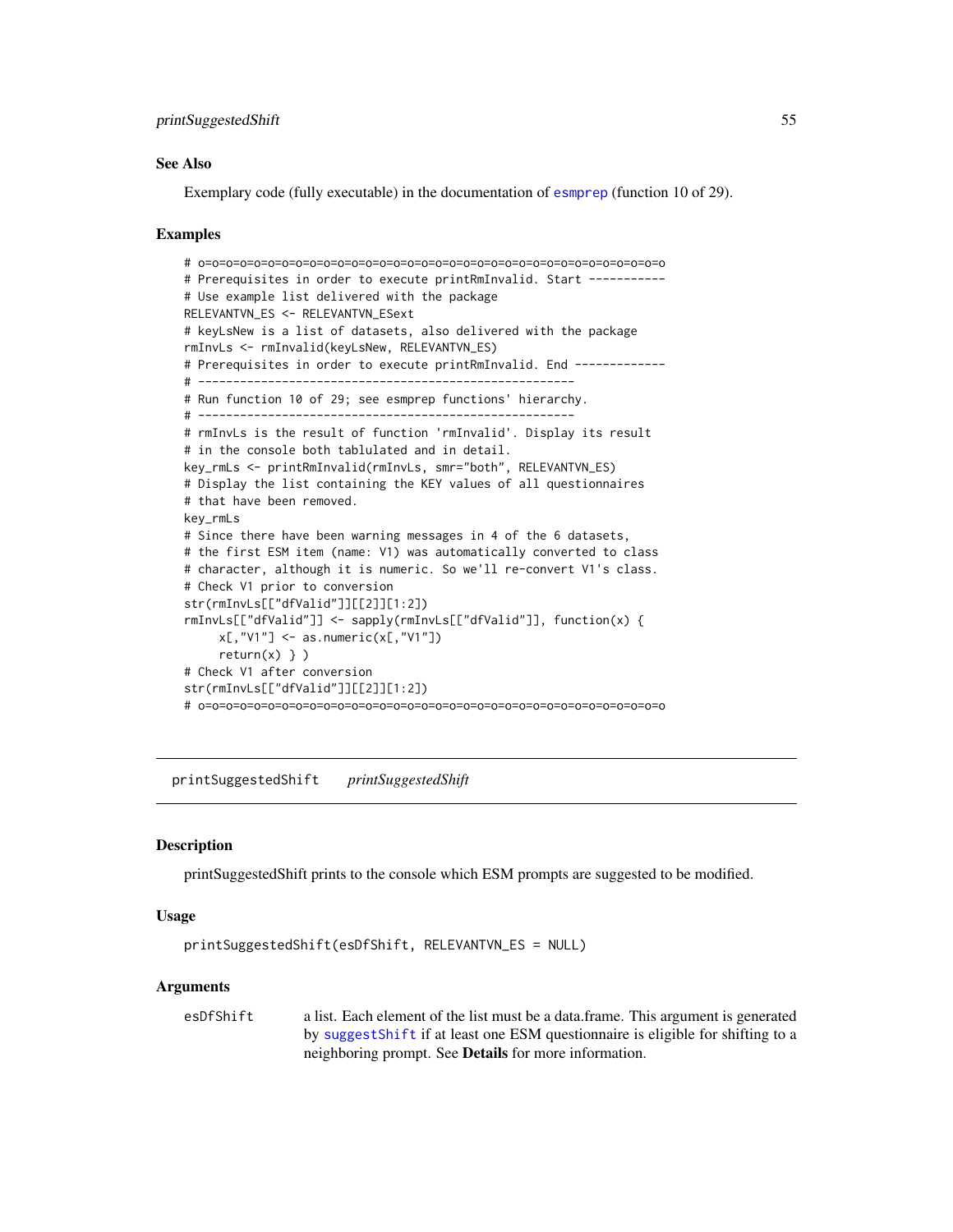## See Also

Exemplary code (fully executable) in the documentation of [esmprep](#page-21-0) (function 10 of 29).

#### Examples

```
# o=o=o=o=o=o=o=o=o=o=o=o=o=o=o=o=o=o=o=o=o=o=o=o=o=o=o=o=o=o=o=o=o=o
# Prerequisites in order to execute printRmInvalid. Start -----------
# Use example list delivered with the package
RELEVANTVN_ES <- RELEVANTVN_ESext
# keyLsNew is a list of datasets, also delivered with the package
rmInvLs <- rmInvalid(keyLsNew, RELEVANTVN_ES)
# Prerequisites in order to execute printRmInvalid. End ------------
# ------------------------------------------------------
# Run function 10 of 29; see esmprep functions' hierarchy.
# ------------------------------------------------------
# rmInvLs is the result of function 'rmInvalid'. Display its result
# in the console both tablulated and in detail.
key_rmLs <- printRmInvalid(rmInvLs, smr="both", RELEVANTVN_ES)
# Display the list containing the KEY values of all questionnaires
# that have been removed.
key_rmLs
# Since there have been warning messages in 4 of the 6 datasets,
# the first ESM item (name: V1) was automatically converted to class
# character, although it is numeric. So we'll re-convert V1's class.
# Check V1 prior to conversion
str(rmInvLs[["dfValid"]][[2]][1:2])
rmInvLs[["dfValid"]] <- sapply(rmInvLs[["dfValid"]], function(x) {
     x[, "V1"] \leftarrow as.numeric(x[, "V1"])return(x) \} )# Check V1 after conversion
str(rmInvLs[["dfValid"]][[2]][1:2])
# o=o=o=o=o=o=o=o=o=o=o=o=o=o=o=o=o=o=o=o=o=o=o=o=o=o=o=o=o=o=o=o=o=o
```
<span id="page-54-0"></span>printSuggestedShift *printSuggestedShift*

#### **Description**

printSuggestedShift prints to the console which ESM prompts are suggested to be modified.

#### Usage

```
printSuggestedShift(esDfShift, RELEVANTVN_ES = NULL)
```
### Arguments

esDfShift a list. Each element of the list must be a data.frame. This argument is generated by [suggestShift](#page-71-0) if at least one ESM questionnaire is eligible for shifting to a neighboring prompt. See Details for more information.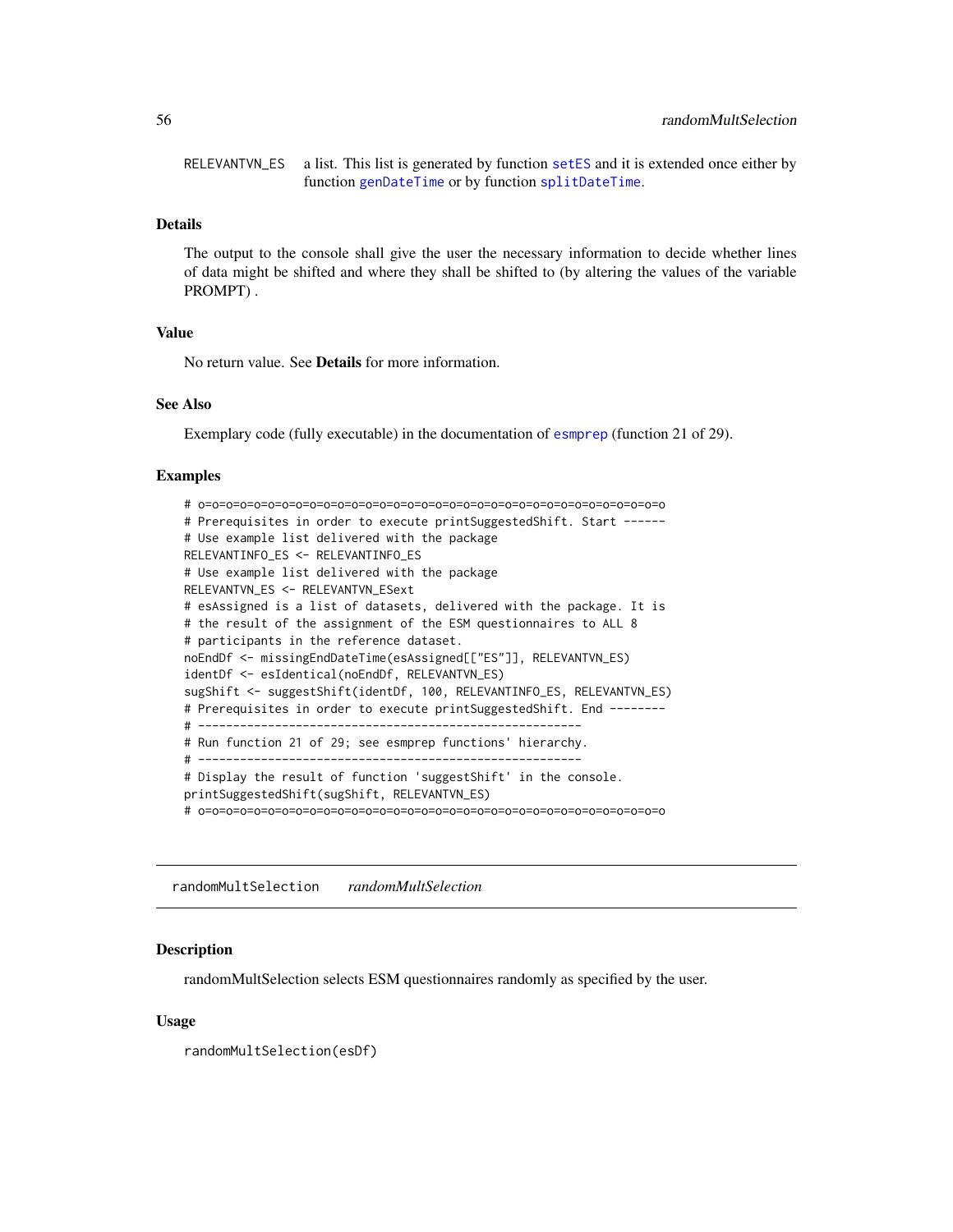RELEVANTVN\_ES a list. This list is generated by function [setES](#page-65-0) and it is extended once either by function [genDateTime](#page-43-0) or by function [splitDateTime](#page-69-0).

## Details

The output to the console shall give the user the necessary information to decide whether lines of data might be shifted and where they shall be shifted to (by altering the values of the variable PROMPT) .

# Value

No return value. See Details for more information.

# See Also

Exemplary code (fully executable) in the documentation of [esmprep](#page-21-0) (function 21 of 29).

#### Examples

```
# o=o=o=o=o=o=o=o=o=o=o=o=o=o=o=o=o=o=o=o=o=o=o=o=o=o=o=o=o=o=o=o=o=o
# Prerequisites in order to execute printSuggestedShift. Start -----
# Use example list delivered with the package
RELEVANTINFO_ES <- RELEVANTINFO_ES
# Use example list delivered with the package
RELEVANTVN_ES <- RELEVANTVN_ESext
# esAssigned is a list of datasets, delivered with the package. It is
# the result of the assignment of the ESM questionnaires to ALL 8
# participants in the reference dataset.
noEndDf <- missingEndDateTime(esAssigned[["ES"]], RELEVANTVN_ES)
identDf <- esIdentical(noEndDf, RELEVANTVN_ES)
sugShift <- suggestShift(identDf, 100, RELEVANTINFO_ES, RELEVANTVN_ES)
# Prerequisites in order to execute printSuggestedShift. End -------
# -------------------------------------------------------
# Run function 21 of 29; see esmprep functions' hierarchy.
# -------------------------------------------------------
# Display the result of function 'suggestShift' in the console.
printSuggestedShift(sugShift, RELEVANTVN_ES)
# o=o=o=o=o=o=o=o=o=o=o=o=o=o=o=o=o=o=o=o=o=o=o=o=o=o=o=o=o=o=o=o=o=o
```
randomMultSelection *randomMultSelection*

### Description

randomMultSelection selects ESM questionnaires randomly as specified by the user.

#### Usage

randomMultSelection(esDf)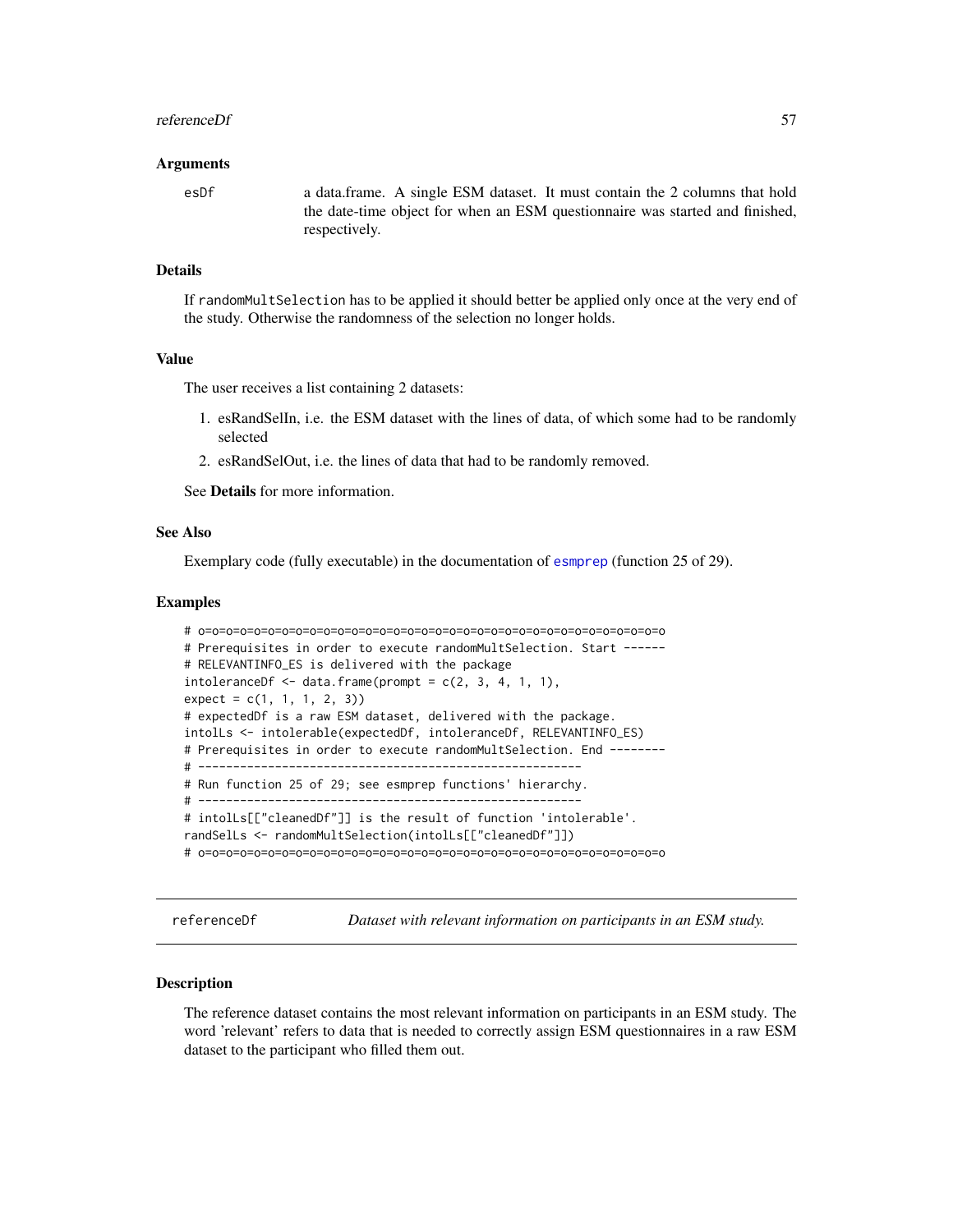#### referenceDf 57

#### Arguments

esDf a data.frame. A single ESM dataset. It must contain the 2 columns that hold the date-time object for when an ESM questionnaire was started and finished, respectively.

## Details

If randomMultSelection has to be applied it should better be applied only once at the very end of the study. Otherwise the randomness of the selection no longer holds.

# Value

The user receives a list containing 2 datasets:

- 1. esRandSelIn, i.e. the ESM dataset with the lines of data, of which some had to be randomly selected
- 2. esRandSelOut, i.e. the lines of data that had to be randomly removed.

See Details for more information.

#### See Also

Exemplary code (fully executable) in the documentation of [esmprep](#page-21-0) (function 25 of 29).

#### Examples

```
# o=o=o=o=o=o=o=o=o=o=o=o=o=o=o=o=o=o=o=o=o=o=o=o=o=o=o=o=o=o=o=o=o=o
# Prerequisites in order to execute randomMultSelection. Start -----
# RELEVANTINFO_ES is delivered with the package
intoleranceDf \leq -data frame(prompt = c(2, 3, 4, 1, 1),expect = c(1, 1, 1, 2, 3))
# expectedDf is a raw ESM dataset, delivered with the package.
intolLs <- intolerable(expectedDf, intoleranceDf, RELEVANTINFO_ES)
# Prerequisites in order to execute randomMultSelection. End --------
# -------------------------------------------------------
# Run function 25 of 29; see esmprep functions' hierarchy.
# -------------------------------------------------------
# intolLs[["cleanedDf"]] is the result of function 'intolerable'.
randSelLs <- randomMultSelection(intolLs[["cleanedDf"]])
# o=o=o=o=o=o=o=o=o=o=o=o=o=o=o=o=o=o=o=o=o=o=o=o=o=o=o=o=o=o=o=o=o=o
```
<span id="page-56-0"></span>referenceDf *Dataset with relevant information on participants in an ESM study.*

#### Description

The reference dataset contains the most relevant information on participants in an ESM study. The word 'relevant' refers to data that is needed to correctly assign ESM questionnaires in a raw ESM dataset to the participant who filled them out.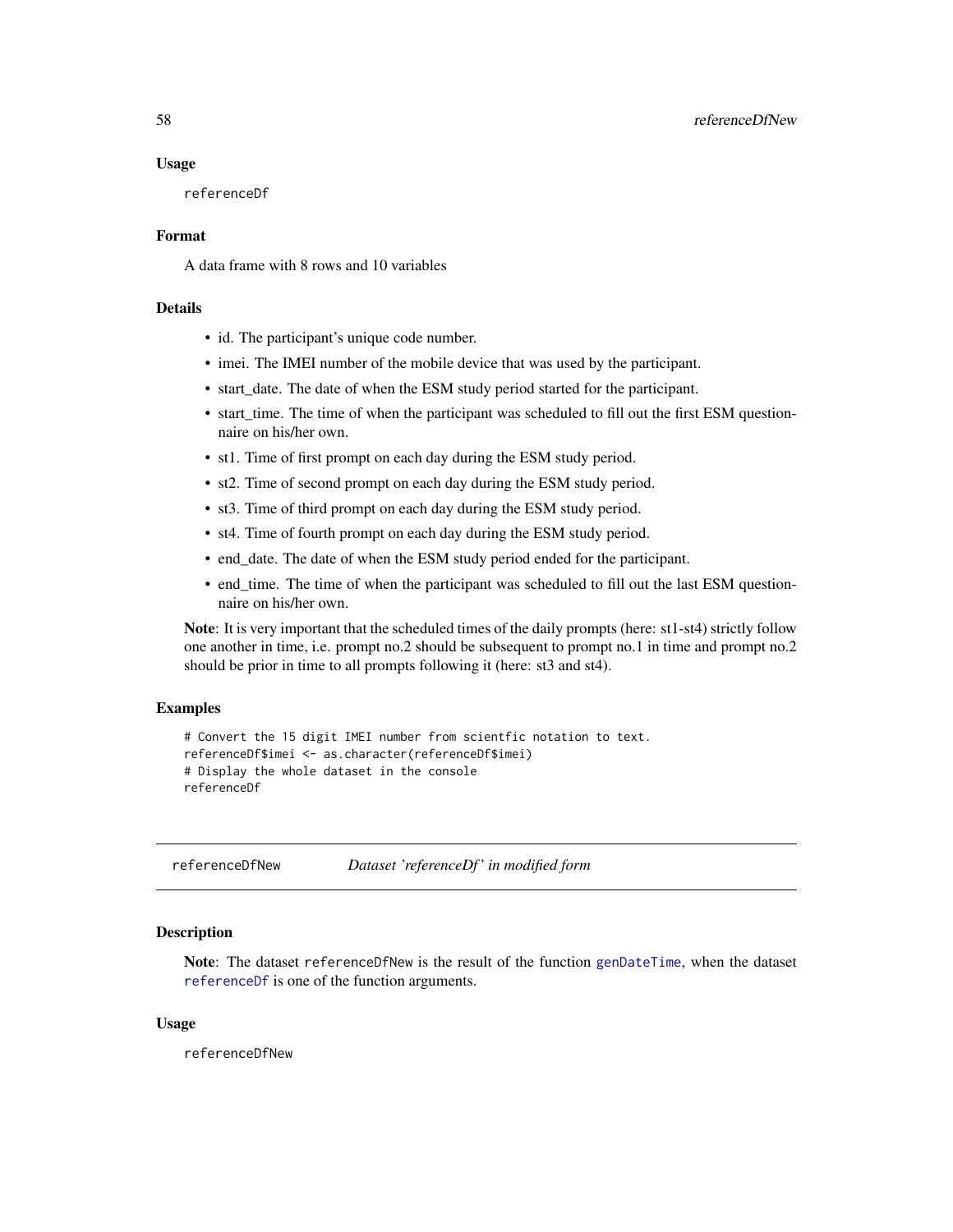## Usage

referenceDf

# Format

A data frame with 8 rows and 10 variables

# Details

- id. The participant's unique code number.
- imei. The IMEI number of the mobile device that was used by the participant.
- start\_date. The date of when the ESM study period started for the participant.
- start time. The time of when the participant was scheduled to fill out the first ESM questionnaire on his/her own.
- st1. Time of first prompt on each day during the ESM study period.
- st2. Time of second prompt on each day during the ESM study period.
- st3. Time of third prompt on each day during the ESM study period.
- st4. Time of fourth prompt on each day during the ESM study period.
- end date. The date of when the ESM study period ended for the participant.
- end\_time. The time of when the participant was scheduled to fill out the last ESM questionnaire on his/her own.

Note: It is very important that the scheduled times of the daily prompts (here: st1-st4) strictly follow one another in time, i.e. prompt no.2 should be subsequent to prompt no.1 in time and prompt no.2 should be prior in time to all prompts following it (here: st3 and st4).

### Examples

```
# Convert the 15 digit IMEI number from scientfic notation to text.
referenceDf$imei <- as.character(referenceDf$imei)
# Display the whole dataset in the console
referenceDf
```
referenceDfNew *Dataset 'referenceDf ' in modified form*

# Description

Note: The dataset referenceDfNew is the result of the function [genDateTime](#page-43-0), when the dataset [referenceDf](#page-56-0) is one of the function arguments.

## Usage

referenceDfNew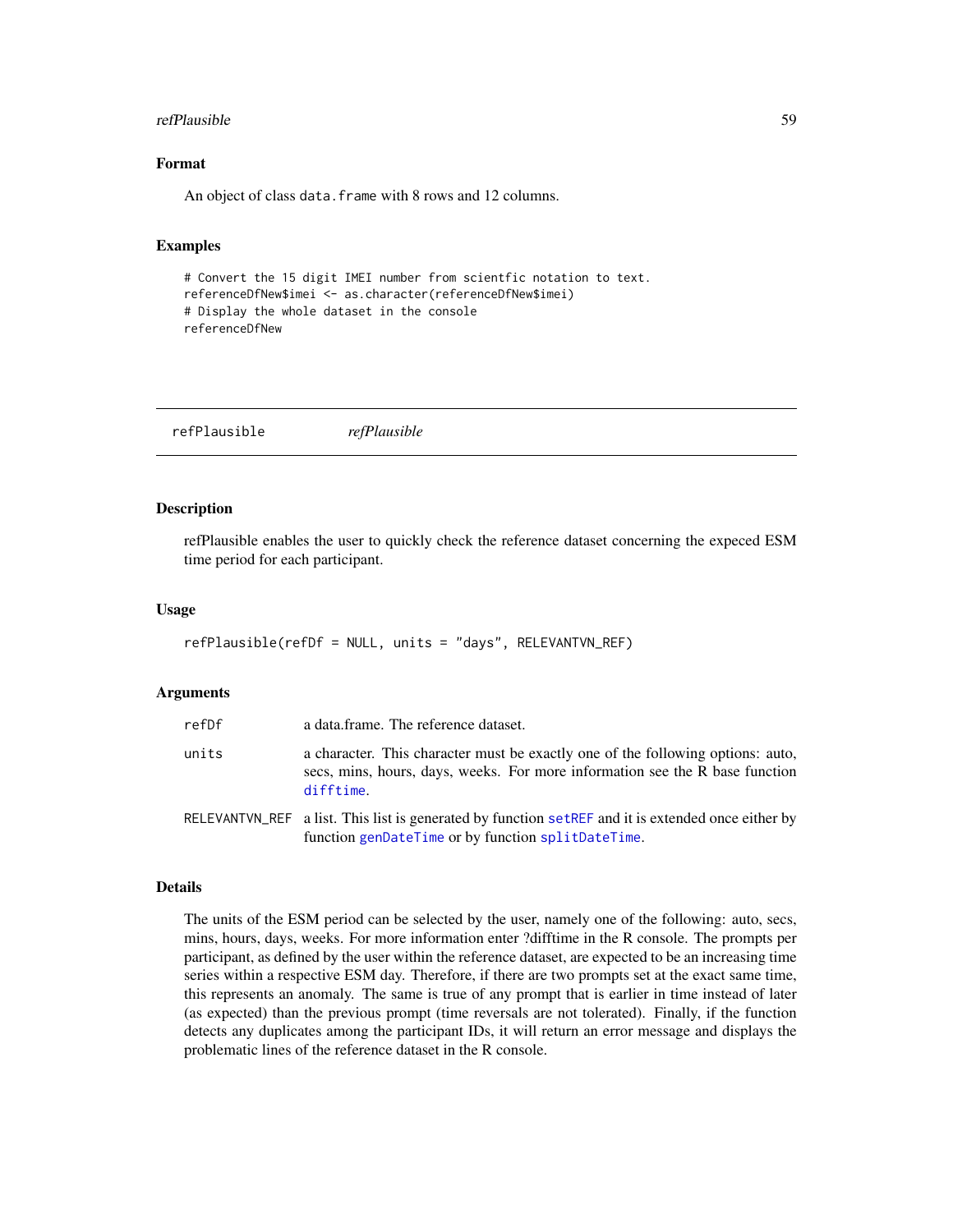#### refPlausible 59

# Format

An object of class data. frame with 8 rows and 12 columns.

# Examples

```
# Convert the 15 digit IMEI number from scientfic notation to text.
referenceDfNew$imei <- as.character(referenceDfNew$imei)
# Display the whole dataset in the console
referenceDfNew
```
refPlausible *refPlausible*

#### **Description**

refPlausible enables the user to quickly check the reference dataset concerning the expeced ESM time period for each participant.

### Usage

refPlausible(refDf = NULL, units = "days", RELEVANTVN\_REF)

## Arguments

| refDf | a data frame. The reference dataset.                                                                                                                                         |
|-------|------------------------------------------------------------------------------------------------------------------------------------------------------------------------------|
| units | a character. This character must be exactly one of the following options: auto,<br>secs, mins, hours, days, weeks. For more information see the R base function<br>difftime. |
|       | RELEVANTVN_REF a list. This list is generated by function setREF and it is extended once either by<br>function genDateTime or by function splitDateTime.                     |

#### Details

The units of the ESM period can be selected by the user, namely one of the following: auto, secs, mins, hours, days, weeks. For more information enter ?difftime in the R console. The prompts per participant, as defined by the user within the reference dataset, are expected to be an increasing time series within a respective ESM day. Therefore, if there are two prompts set at the exact same time, this represents an anomaly. The same is true of any prompt that is earlier in time instead of later (as expected) than the previous prompt (time reversals are not tolerated). Finally, if the function detects any duplicates among the participant IDs, it will return an error message and displays the problematic lines of the reference dataset in the R console.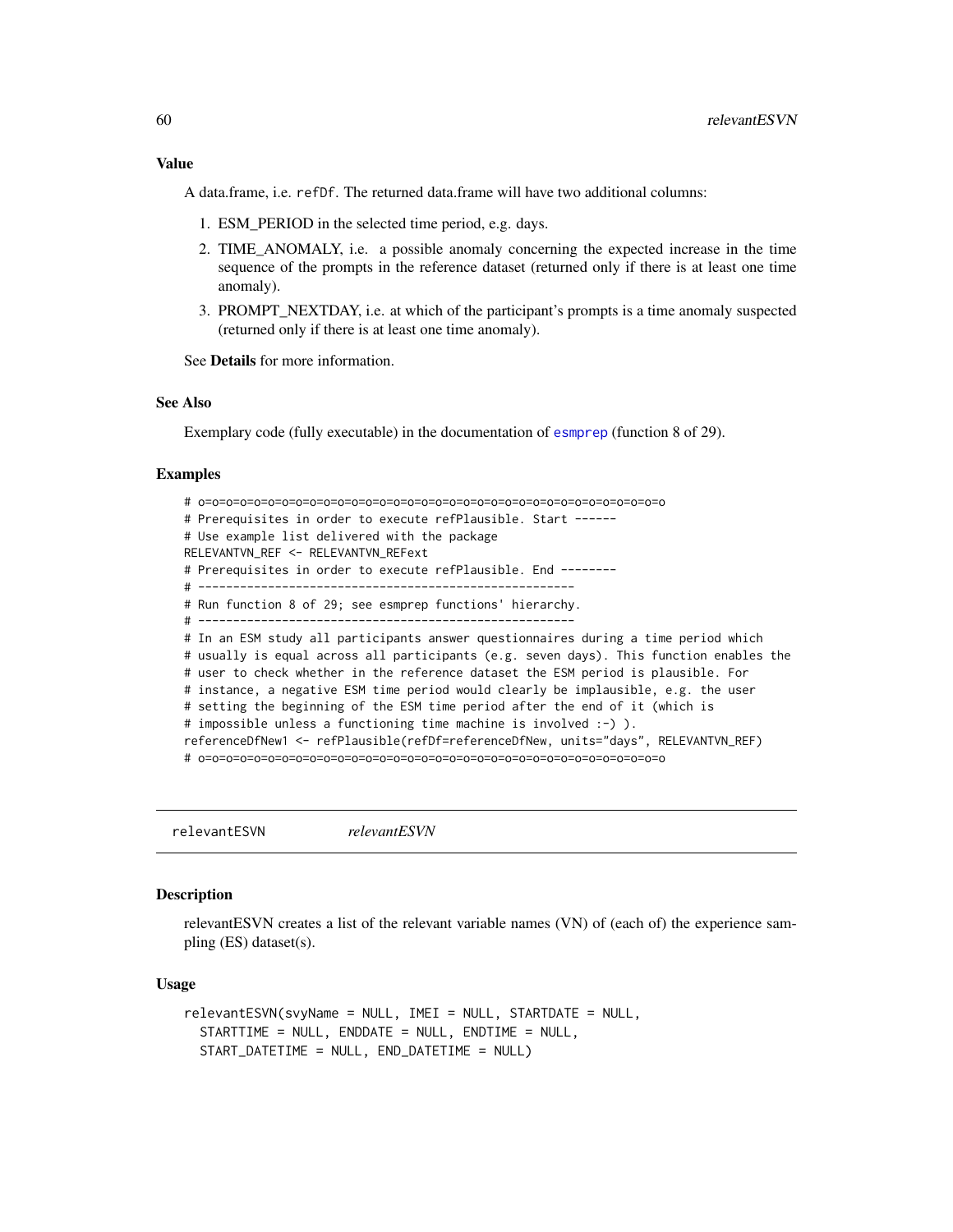### Value

A data.frame, i.e. refDf. The returned data.frame will have two additional columns:

- 1. ESM\_PERIOD in the selected time period, e.g. days.
- 2. TIME\_ANOMALY, i.e. a possible anomaly concerning the expected increase in the time sequence of the prompts in the reference dataset (returned only if there is at least one time anomaly).
- 3. PROMPT\_NEXTDAY, i.e. at which of the participant's prompts is a time anomaly suspected (returned only if there is at least one time anomaly).

See Details for more information.

# See Also

Exemplary code (fully executable) in the documentation of [esmprep](#page-21-0) (function 8 of 29).

## Examples

```
# o=o=o=o=o=o=o=o=o=o=o=o=o=o=o=o=o=o=o=o=o=o=o=o=o=o=o=o=o=o=o=o=o=o
# Prerequisites in order to execute refPlausible. Start ------
# Use example list delivered with the package
RELEVANTVN_REF <- RELEVANTVN_REFext
# Prerequisites in order to execute refPlausible. End --------
# ------------------------------------------------------
# Run function 8 of 29; see esmprep functions' hierarchy.
# ------------------------------------------------------
# In an ESM study all participants answer questionnaires during a time period which
# usually is equal across all participants (e.g. seven days). This function enables the
# user to check whether in the reference dataset the ESM period is plausible. For
# instance, a negative ESM time period would clearly be implausible, e.g. the user
# setting the beginning of the ESM time period after the end of it (which is
# impossible unless a functioning time machine is involved :-) ).
referenceDfNew1 <- refPlausible(refDf=referenceDfNew, units="days", RELEVANTVN_REF)
# o=o=o=o=o=o=o=o=o=o=o=o=o=o=o=o=o=o=o=o=o=o=o=o=o=o=o=o=o=o=o=o=o=o
```
<span id="page-59-0"></span>relevantESVN *relevantESVN*

## **Description**

relevantESVN creates a list of the relevant variable names (VN) of (each of) the experience sampling (ES) dataset(s).

## Usage

```
relevantESVN(svyName = NULL, IMEI = NULL, STARTDATE = NULL,
 STARTTIME = NULL, ENDDATE = NULL, ENDTIME = NULL,
 START_DATETIME = NULL, END_DATETIME = NULL)
```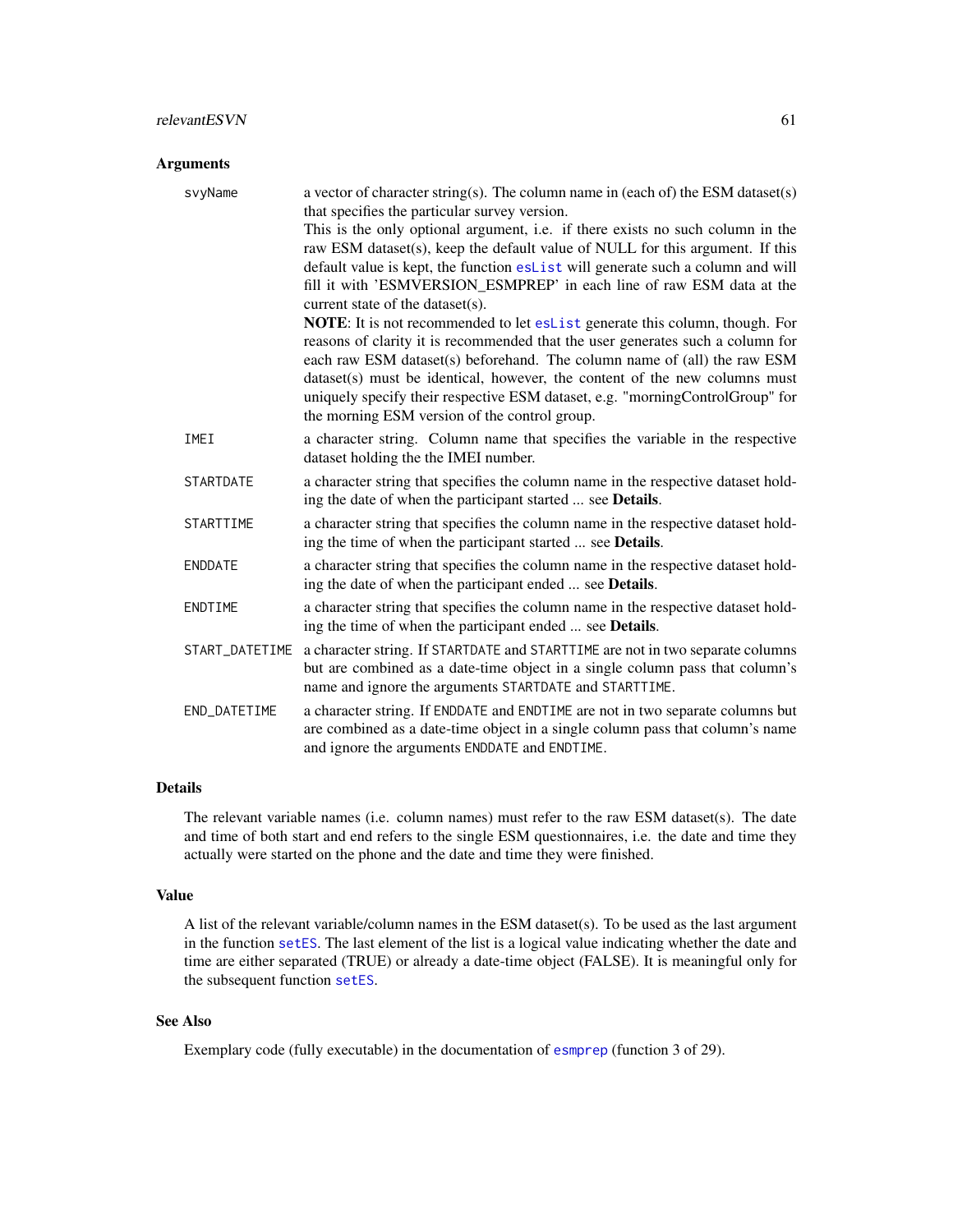## Arguments

| svyName          | a vector of character string(s). The column name in (each of) the ESM dataset(s)<br>that specifies the particular survey version.                                                                                                                |
|------------------|--------------------------------------------------------------------------------------------------------------------------------------------------------------------------------------------------------------------------------------------------|
|                  | This is the only optional argument, i.e. if there exists no such column in the<br>raw ESM dataset(s), keep the default value of NULL for this argument. If this                                                                                  |
|                  | default value is kept, the function eslist will generate such a column and will<br>fill it with 'ESMVERSION ESMPREP' in each line of raw ESM data at the                                                                                         |
|                  | current state of the dataset(s).                                                                                                                                                                                                                 |
|                  | <b>NOTE:</b> It is not recommended to let eslist generate this column, though. For<br>reasons of clarity it is recommended that the user generates such a column for<br>each raw ESM dataset(s) beforehand. The column name of (all) the raw ESM |
|                  | dataset(s) must be identical, however, the content of the new columns must<br>uniquely specify their respective ESM dataset, e.g. "morningControlGroup" for<br>the morning ESM version of the control group.                                     |
| IMEI             | a character string. Column name that specifies the variable in the respective<br>dataset holding the the IMEI number.                                                                                                                            |
| <b>STARTDATE</b> | a character string that specifies the column name in the respective dataset hold-<br>ing the date of when the participant started  see <b>Details</b> .                                                                                          |
| STARTTIME        | a character string that specifies the column name in the respective dataset hold-<br>ing the time of when the participant started  see Details.                                                                                                  |
| <b>ENDDATE</b>   | a character string that specifies the column name in the respective dataset hold-<br>ing the date of when the participant ended  see <b>Details</b> .                                                                                            |
| ENDTIME          | a character string that specifies the column name in the respective dataset hold-<br>ing the time of when the participant ended  see <b>Details</b> .                                                                                            |
| START_DATETIME   | a character string. If STARTDATE and STARTTIME are not in two separate columns<br>but are combined as a date-time object in a single column pass that column's<br>name and ignore the arguments STARTDATE and STARTTIME.                         |
| END_DATETIME     | a character string. If ENDDATE and ENDTIME are not in two separate columns but<br>are combined as a date-time object in a single column pass that column's name<br>and ignore the arguments ENDDATE and ENDTIME.                                 |

# Details

The relevant variable names (i.e. column names) must refer to the raw ESM dataset(s). The date and time of both start and end refers to the single ESM questionnaires, i.e. the date and time they actually were started on the phone and the date and time they were finished.

### Value

A list of the relevant variable/column names in the ESM dataset(s). To be used as the last argument in the function [setES](#page-65-0). The last element of the list is a logical value indicating whether the date and time are either separated (TRUE) or already a date-time object (FALSE). It is meaningful only for the subsequent function [setES](#page-65-0).

# See Also

Exemplary code (fully executable) in the documentation of [esmprep](#page-21-0) (function 3 of 29).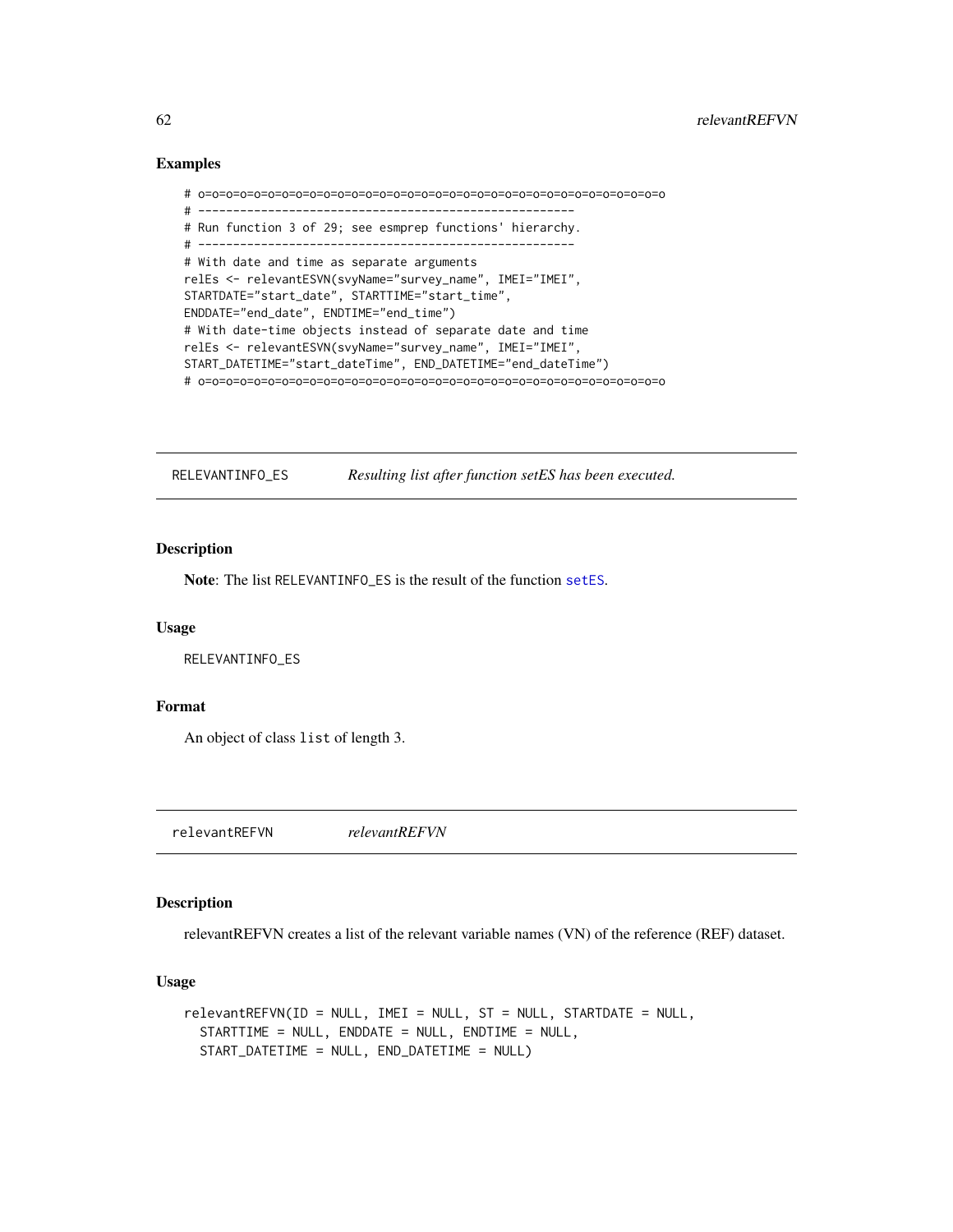```
# o=o=o=o=o=o=o=o=o=o=o=o=o=o=o=o=o=o=o=o=o=o=o=o=o=o=o=o=o=o=o=o=o=o
# ------------------------------------------------------
# Run function 3 of 29; see esmprep functions' hierarchy.
# ------------------------------------------------------
# With date and time as separate arguments
relEs <- relevantESVN(svyName="survey_name", IMEI="IMEI",
STARTDATE="start_date", STARTTIME="start_time",
ENDDATE="end_date", ENDTIME="end_time")
# With date-time objects instead of separate date and time
relEs <- relevantESVN(svyName="survey_name", IMEI="IMEI",
START_DATETIME="start_dateTime", END_DATETIME="end_dateTime")
# o=o=o=o=o=o=o=o=o=o=o=o=o=o=o=o=o=o=o=o=o=o=o=o=o=o=o=o=o=o=o=o=o=o
```
RELEVANTINFO\_ES *Resulting list after function setES has been executed.*

# Description

Note: The list RELEVANTINFO\_ES is the result of the function [setES](#page-65-0).

#### Usage

RELEVANTINFO\_ES

### Format

An object of class list of length 3.

<span id="page-61-0"></span>relevantREFVN *relevantREFVN*

## **Description**

relevantREFVN creates a list of the relevant variable names (VN) of the reference (REF) dataset.

## Usage

```
relevantREFVN(ID = NULL, IMEI = NULL, ST = NULL, STARTDATE = NULL,
  STARTTIME = NULL, ENDDATE = NULL, ENDTIME = NULL,
  START_DATETIME = NULL, END_DATETIME = NULL)
```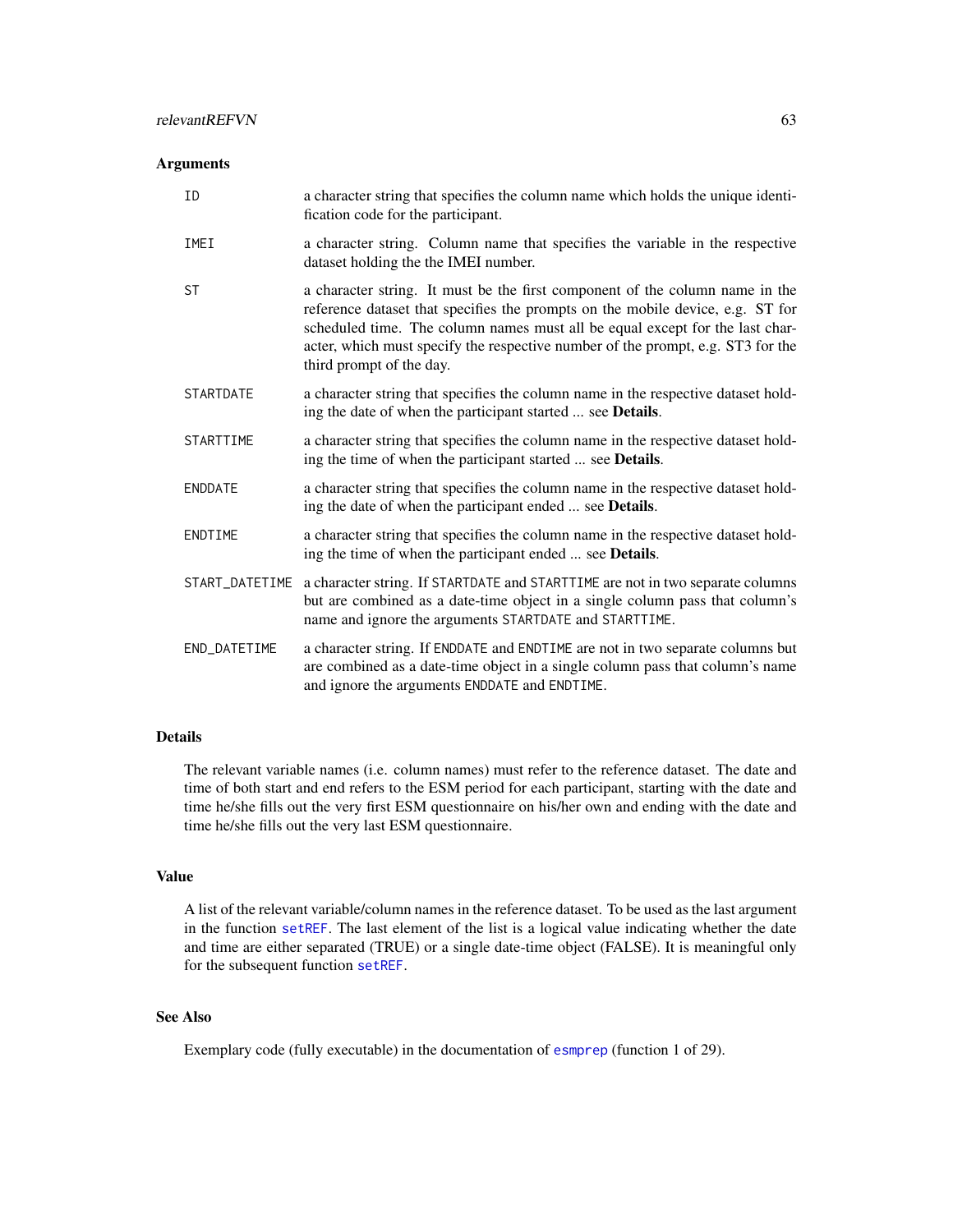## Arguments

| ID               | a character string that specifies the column name which holds the unique identi-<br>fication code for the participant.                                                                                                                                                                                                                                        |
|------------------|---------------------------------------------------------------------------------------------------------------------------------------------------------------------------------------------------------------------------------------------------------------------------------------------------------------------------------------------------------------|
| IMEI             | a character string. Column name that specifies the variable in the respective<br>dataset holding the the IMEI number.                                                                                                                                                                                                                                         |
| <b>ST</b>        | a character string. It must be the first component of the column name in the<br>reference dataset that specifies the prompts on the mobile device, e.g. ST for<br>scheduled time. The column names must all be equal except for the last char-<br>acter, which must specify the respective number of the prompt, e.g. ST3 for the<br>third prompt of the day. |
| <b>STARTDATE</b> | a character string that specifies the column name in the respective dataset hold-<br>ing the date of when the participant started  see Details.                                                                                                                                                                                                               |
| STARTTIME        | a character string that specifies the column name in the respective dataset hold-<br>ing the time of when the participant started  see Details.                                                                                                                                                                                                               |
| <b>ENDDATE</b>   | a character string that specifies the column name in the respective dataset hold-<br>ing the date of when the participant ended  see Details.                                                                                                                                                                                                                 |
| ENDTIME          | a character string that specifies the column name in the respective dataset hold-<br>ing the time of when the participant ended  see <b>Details</b> .                                                                                                                                                                                                         |
| START_DATETIME   | a character string. If STARTDATE and STARTTIME are not in two separate columns<br>but are combined as a date-time object in a single column pass that column's<br>name and ignore the arguments STARTDATE and STARTTIME.                                                                                                                                      |
| END_DATETIME     | a character string. If ENDDATE and ENDTIME are not in two separate columns but<br>are combined as a date-time object in a single column pass that column's name<br>and ignore the arguments ENDDATE and ENDTIME.                                                                                                                                              |

# Details

The relevant variable names (i.e. column names) must refer to the reference dataset. The date and time of both start and end refers to the ESM period for each participant, starting with the date and time he/she fills out the very first ESM questionnaire on his/her own and ending with the date and time he/she fills out the very last ESM questionnaire.

## Value

A list of the relevant variable/column names in the reference dataset. To be used as the last argument in the function set REF. The last element of the list is a logical value indicating whether the date and time are either separated (TRUE) or a single date-time object (FALSE). It is meaningful only for the subsequent function [setREF](#page-67-0).

# See Also

Exemplary code (fully executable) in the documentation of [esmprep](#page-21-0) (function 1 of 29).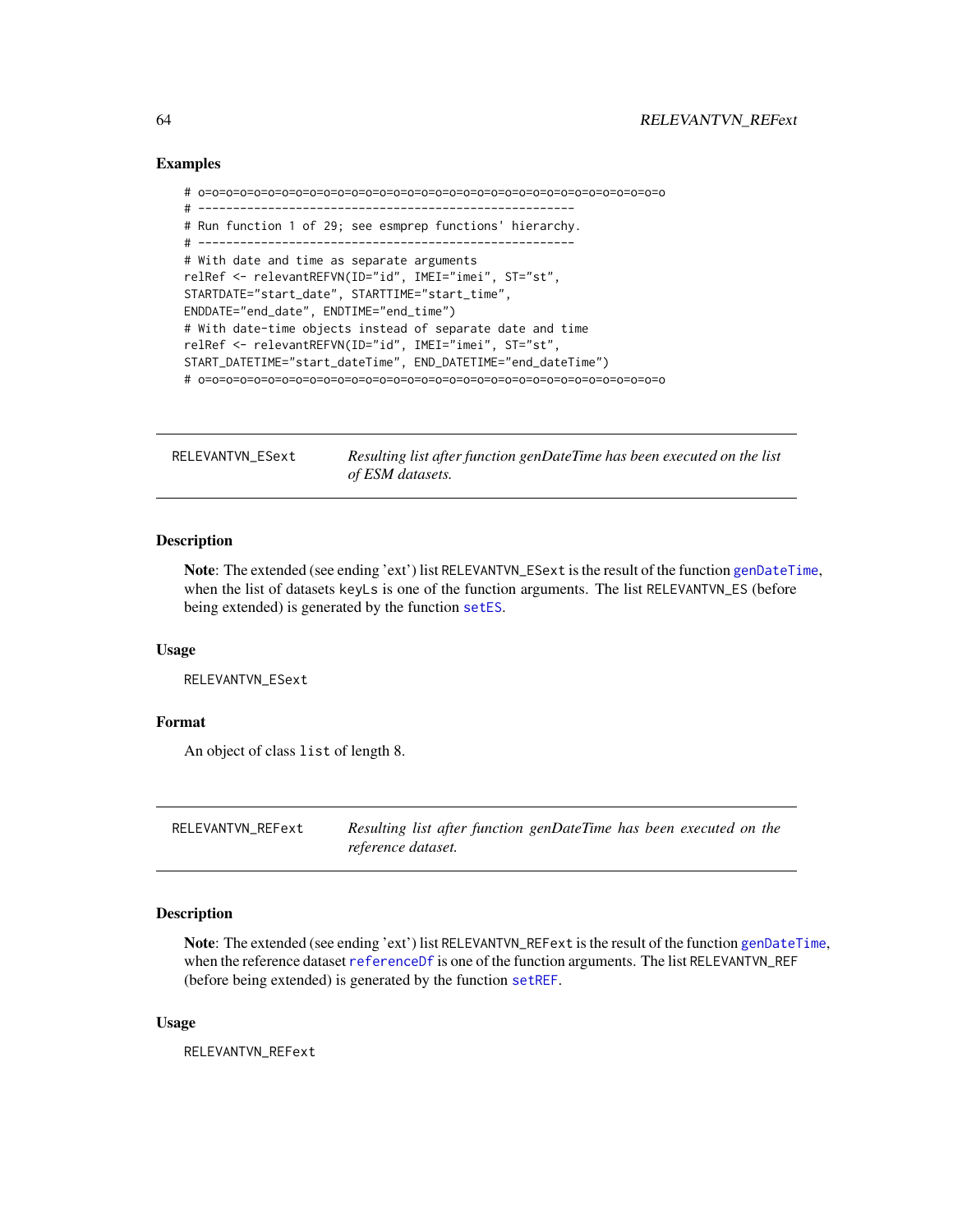```
# o=o=o=o=o=o=o=o=o=o=o=o=o=o=o=o=o=o=o=o=o=o=o=o=o=o=o=o=o=o=o=o=o=o
# ------------------------------------------------------
# Run function 1 of 29; see esmprep functions' hierarchy.
# ------------------------------------------------------
# With date and time as separate arguments
relRef <- relevantREFVN(ID="id", IMEI="imei", ST="st",
STARTDATE="start_date", STARTTIME="start_time",
ENDDATE="end_date", ENDTIME="end_time")
# With date-time objects instead of separate date and time
relRef <- relevantREFVN(ID="id", IMEI="imei", ST="st",
START_DATETIME="start_dateTime", END_DATETIME="end_dateTime")
# o=o=o=o=o=o=o=o=o=o=o=o=o=o=o=o=o=o=o=o=o=o=o=o=o=o=o=o=o=o=o=o=o=o
```
RELEVANTVN\_ESext *Resulting list after function genDateTime has been executed on the list of ESM datasets.*

# **Description**

Note: The extended (see ending 'ext') list RELEVANTVN\_ESext is the result of the function [genDateTime](#page-43-0), when the list of datasets keyLs is one of the function arguments. The list RELEVANTVN\_ES (before being extended) is generated by the function [setES](#page-65-0).

### Usage

RELEVANTVN\_ESext

### Format

An object of class list of length 8.

RELEVANTVN\_REFext *Resulting list after function genDateTime has been executed on the reference dataset.*

## Description

Note: The extended (see ending 'ext') list RELEVANTVN\_REFext is the result of the function [genDateTime](#page-43-0), when the reference dataset [referenceDf](#page-56-0) is one of the function arguments. The list RELEVANTVN\_REF (before being extended) is generated by the function [setREF](#page-67-0).

## Usage

RELEVANTVN\_REFext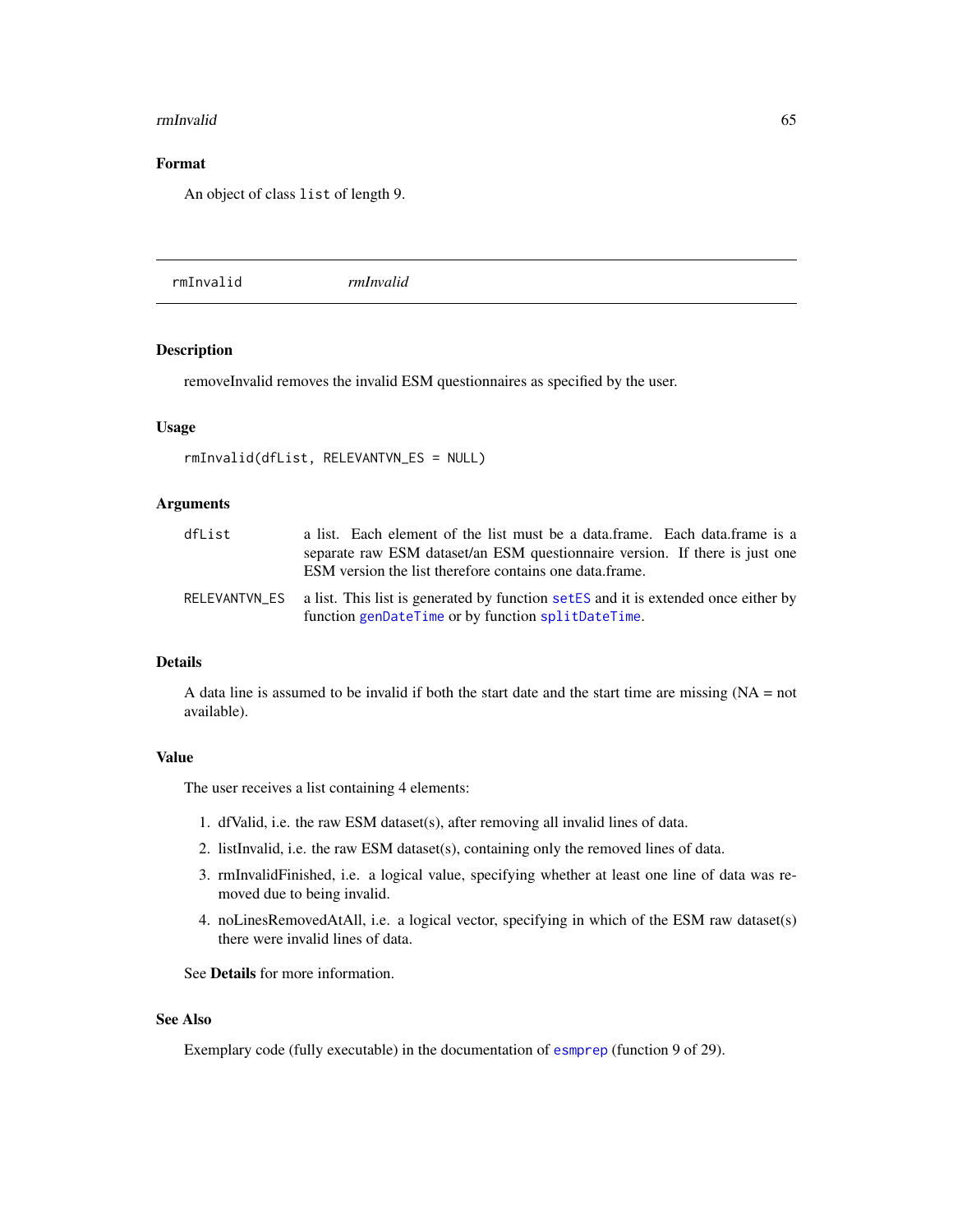#### rmInvalid 65

# Format

An object of class list of length 9.

<span id="page-64-0"></span>

| rmInvalid<br>rmInvalid |
|------------------------|
|                        |

# Description

removeInvalid removes the invalid ESM questionnaires as specified by the user.

# Usage

```
rmInvalid(dfList, RELEVANTVN_ES = NULL)
```
# Arguments

| dfList | a list. Each element of the list must be a data.frame. Each data.frame is a                                                                            |
|--------|--------------------------------------------------------------------------------------------------------------------------------------------------------|
|        | separate raw ESM dataset/an ESM questionnaire version. If there is just one<br>ESM version the list therefore contains one data frame.                 |
|        | RELEVANTVN_ES a list. This list is generated by function setES and it is extended once either by<br>function genDateTime or by function splitDateTime. |

## Details

A data line is assumed to be invalid if both the start date and the start time are missing  $(NA = not$ available).

# Value

The user receives a list containing 4 elements:

- 1. dfValid, i.e. the raw ESM dataset(s), after removing all invalid lines of data.
- 2. listInvalid, i.e. the raw ESM dataset(s), containing only the removed lines of data.
- 3. rmInvalidFinished, i.e. a logical value, specifying whether at least one line of data was removed due to being invalid.
- 4. noLinesRemovedAtAll, i.e. a logical vector, specifying in which of the ESM raw dataset(s) there were invalid lines of data.

See Details for more information.

# See Also

Exemplary code (fully executable) in the documentation of [esmprep](#page-21-0) (function 9 of 29).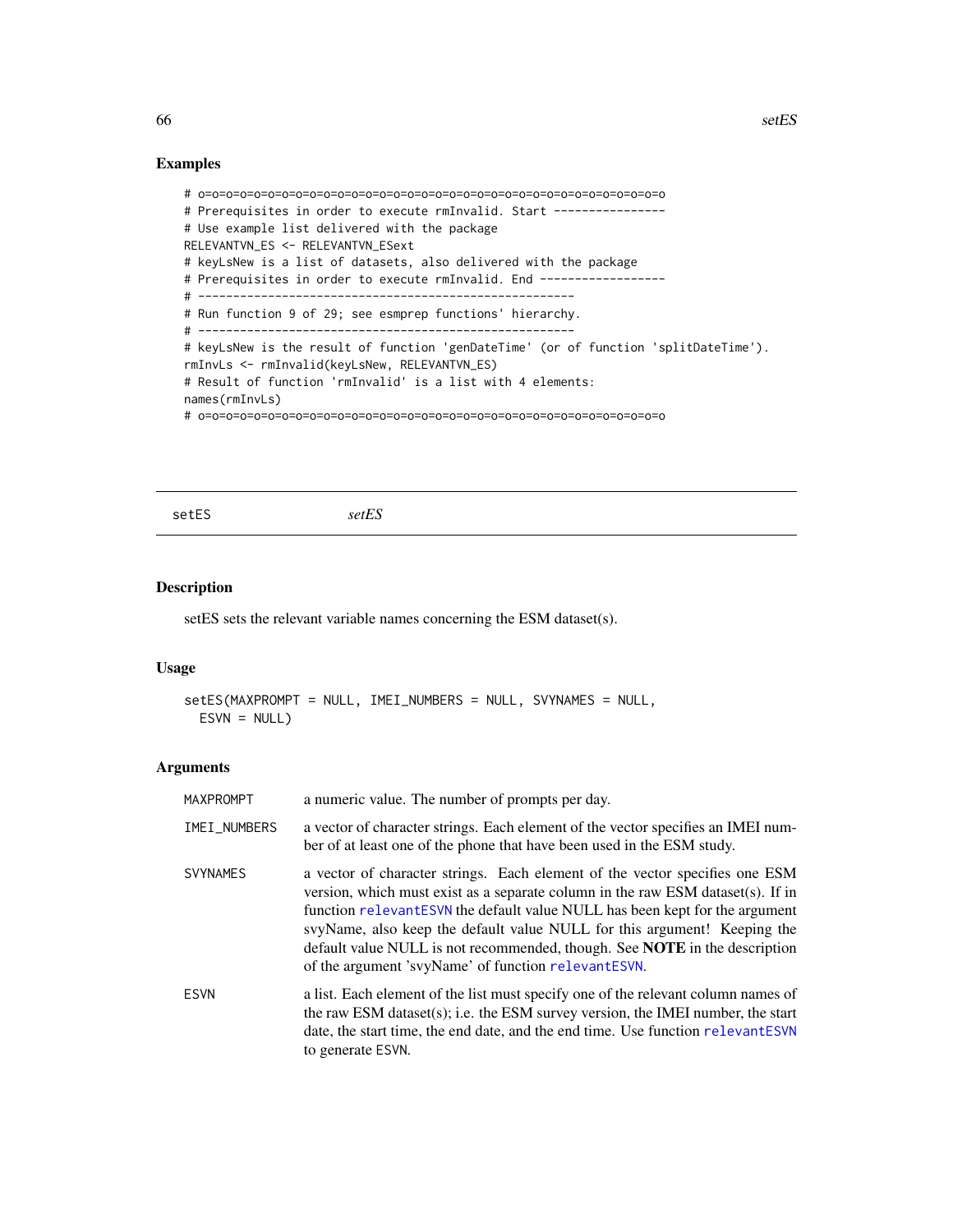```
# o=o=o=o=o=o=o=o=o=o=o=o=o=o=o=o=o=o=o=o=o=o=o=o=o=o=o=o=o=o=o=o=o=o
# Prerequisites in order to execute rmInvalid. Start ---------------
# Use example list delivered with the package
RELEVANTVN_ES <- RELEVANTVN_ESext
# keyLsNew is a list of datasets, also delivered with the package
# Prerequisites in order to execute rmInvalid. End ------------------
# ------------------------------------------------------
# Run function 9 of 29; see esmprep functions' hierarchy.
# ------------------------------------------------------
# keyLsNew is the result of function 'genDateTime' (or of function 'splitDateTime').
rmInvLs <- rmInvalid(keyLsNew, RELEVANTVN_ES)
# Result of function 'rmInvalid' is a list with 4 elements:
names(rmInvLs)
# o=o=o=o=o=o=o=o=o=o=o=o=o=o=o=o=o=o=o=o=o=o=o=o=o=o=o=o=o=o=o=o=o=o
```
<span id="page-65-0"></span>setES *setES*

## Description

setES sets the relevant variable names concerning the ESM dataset(s).

# Usage

```
setES(MAXPROMPT = NULL, IMEI_NUMBERS = NULL, SVYNAMES = NULL,
 ESVN = NULL
```
### Arguments

| MAXPROMPT       | a numeric value. The number of prompts per day.                                                                                                                                                                                                                                                                                                                                                                                                                |
|-----------------|----------------------------------------------------------------------------------------------------------------------------------------------------------------------------------------------------------------------------------------------------------------------------------------------------------------------------------------------------------------------------------------------------------------------------------------------------------------|
| IMEI_NUMBERS    | a vector of character strings. Each element of the vector specifies an IMEI num-<br>ber of at least one of the phone that have been used in the ESM study.                                                                                                                                                                                                                                                                                                     |
| <b>SVYNAMES</b> | a vector of character strings. Each element of the vector specifies one ESM<br>version, which must exist as a separate column in the raw ESM dataset(s). If in<br>function relevantESVN the default value NULL has been kept for the argument<br>svyName, also keep the default value NULL for this argument! Keeping the<br>default value NULL is not recommended, though. See NOTE in the description<br>of the argument 'svyName' of function relevantESVN. |
| <b>ESVN</b>     | a list. Each element of the list must specify one of the relevant column names of<br>the raw ESM dataset(s); i.e. the ESM survey version, the IMEI number, the start<br>date, the start time, the end date, and the end time. Use function relevant ESVN<br>to generate ESVN.                                                                                                                                                                                  |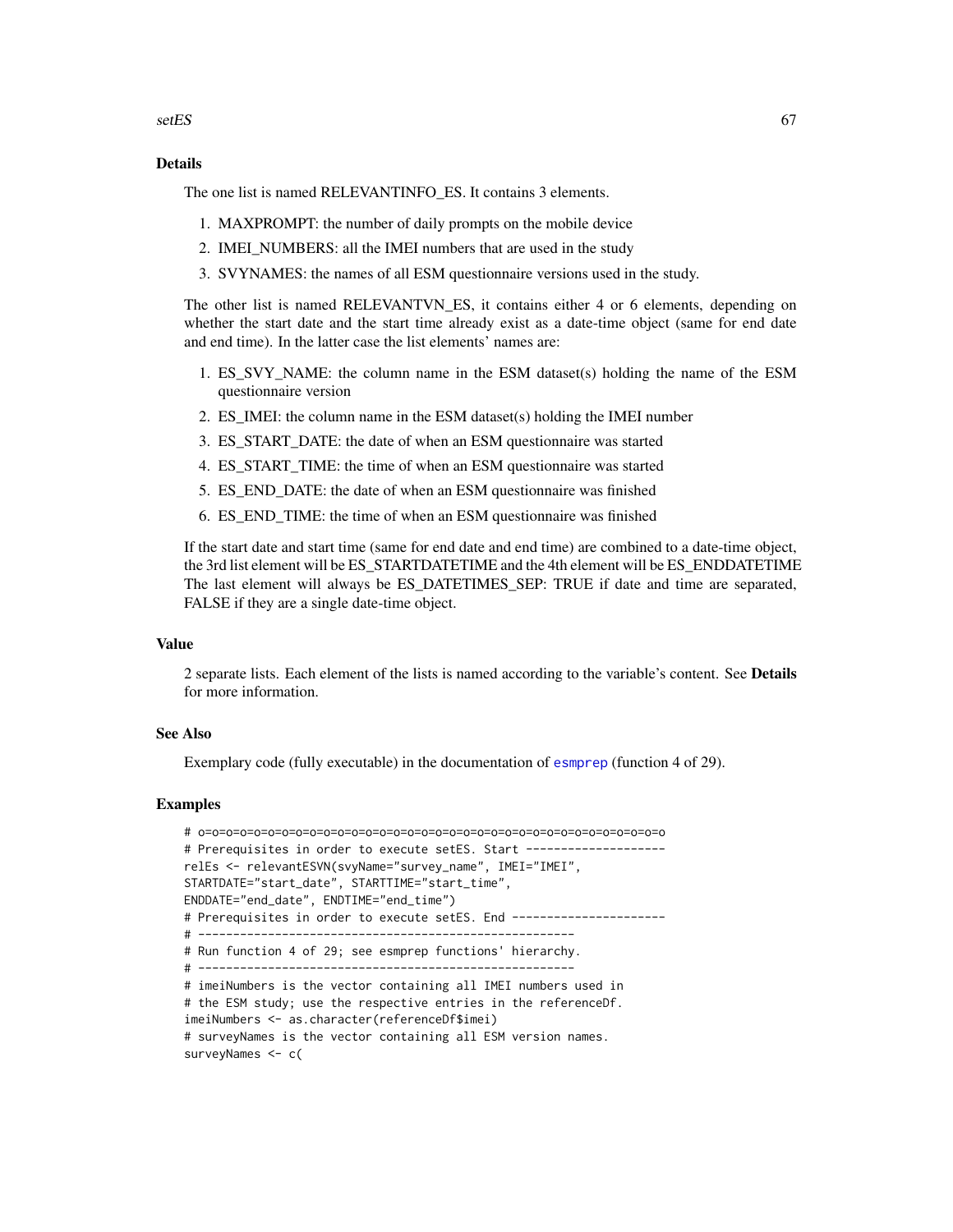$setes$  67

## Details

The one list is named RELEVANTINFO ES. It contains 3 elements.

- 1. MAXPROMPT: the number of daily prompts on the mobile device
- 2. IMEI\_NUMBERS: all the IMEI numbers that are used in the study
- 3. SVYNAMES: the names of all ESM questionnaire versions used in the study.

The other list is named RELEVANTVN\_ES, it contains either 4 or 6 elements, depending on whether the start date and the start time already exist as a date-time object (same for end date and end time). In the latter case the list elements' names are:

- 1. ES\_SVY\_NAME: the column name in the ESM dataset(s) holding the name of the ESM questionnaire version
- 2. ES\_IMEI: the column name in the ESM dataset(s) holding the IMEI number
- 3. ES\_START\_DATE: the date of when an ESM questionnaire was started
- 4. ES\_START\_TIME: the time of when an ESM questionnaire was started
- 5. ES\_END\_DATE: the date of when an ESM questionnaire was finished
- 6. ES\_END\_TIME: the time of when an ESM questionnaire was finished

If the start date and start time (same for end date and end time) are combined to a date-time object, the 3rd list element will be ES\_STARTDATETIME and the 4th element will be ES\_ENDDATETIME The last element will always be ES\_DATETIMES\_SEP: TRUE if date and time are separated, FALSE if they are a single date-time object.

### Value

2 separate lists. Each element of the lists is named according to the variable's content. See Details for more information.

## See Also

Exemplary code (fully executable) in the documentation of [esmprep](#page-21-0) (function 4 of 29).

```
# o=o=o=o=o=o=o=o=o=o=o=o=o=o=o=o=o=o=o=o=o=o=o=o=o=o=o=o=o=o=o=o=o=o
# Prerequisites in order to execute setES. Start --------------------
relEs <- relevantESVN(svyName="survey_name", IMEI="IMEI",
STARTDATE="start_date", STARTTIME="start_time",
ENDDATE="end_date", ENDTIME="end_time")
# Prerequisites in order to execute setES. End ----------------------
# ------------------------------------------------------
# Run function 4 of 29; see esmprep functions' hierarchy.
# ------------------------------------------------------
# imeiNumbers is the vector containing all IMEI numbers used in
# the ESM study; use the respective entries in the referenceDf.
imeiNumbers <- as.character(referenceDf$imei)
# surveyNames is the vector containing all ESM version names.
surveyNames <- c(
```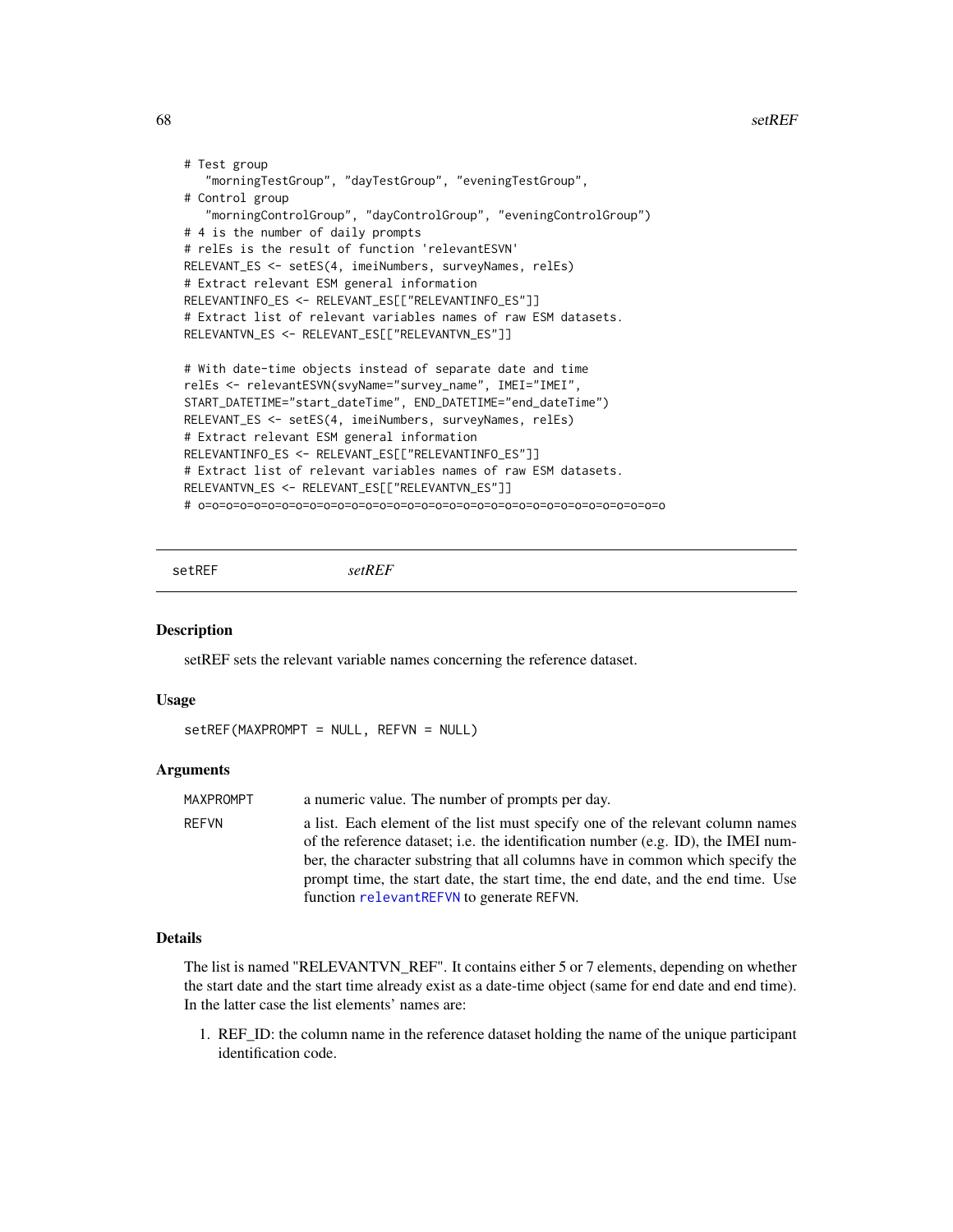```
# Test group
   "morningTestGroup", "dayTestGroup", "eveningTestGroup",
# Control group
   "morningControlGroup", "dayControlGroup", "eveningControlGroup")
# 4 is the number of daily prompts
# relEs is the result of function 'relevantESVN'
RELEVANT_ES <- setES(4, imeiNumbers, surveyNames, relEs)
# Extract relevant ESM general information
RELEVANTINFO_ES <- RELEVANT_ES[["RELEVANTINFO_ES"]]
# Extract list of relevant variables names of raw ESM datasets.
RELEVANTVN_ES <- RELEVANT_ES[["RELEVANTVN_ES"]]
# With date-time objects instead of separate date and time
relEs <- relevantESVN(svyName="survey_name", IMEI="IMEI",
START_DATETIME="start_dateTime", END_DATETIME="end_dateTime")
RELEVANT_ES <- setES(4, imeiNumbers, surveyNames, relEs)
# Extract relevant ESM general information
RELEVANTINFO_ES <- RELEVANT_ES[["RELEVANTINFO_ES"]]
# Extract list of relevant variables names of raw ESM datasets.
RELEVANTVN_ES <- RELEVANT_ES[["RELEVANTVN_ES"]]
# o=o=o=o=o=o=o=o=o=o=o=o=o=o=o=o=o=o=o=o=o=o=o=o=o=o=o=o=o=o=o=o=o=o
```
<span id="page-67-0"></span>

setREF *setREF*

#### Description

setREF sets the relevant variable names concerning the reference dataset.

## Usage

```
setREF(MAXPROMPT = NULL, REFVN = NULL)
```
#### **Arguments**

| MAXPROMPT    | a numeric value. The number of prompts per day.                                                                                                                                                                                                                                                                                                                                        |
|--------------|----------------------------------------------------------------------------------------------------------------------------------------------------------------------------------------------------------------------------------------------------------------------------------------------------------------------------------------------------------------------------------------|
| <b>REFVN</b> | a list. Each element of the list must specify one of the relevant column names<br>of the reference dataset; i.e. the identification number (e.g. ID), the IMEI num-<br>ber, the character substring that all columns have in common which specify the<br>prompt time, the start date, the start time, the end date, and the end time. Use<br>function relevantREFVN to generate REFVN. |

### Details

The list is named "RELEVANTVN\_REF". It contains either 5 or 7 elements, depending on whether the start date and the start time already exist as a date-time object (same for end date and end time). In the latter case the list elements' names are:

1. REF\_ID: the column name in the reference dataset holding the name of the unique participant identification code.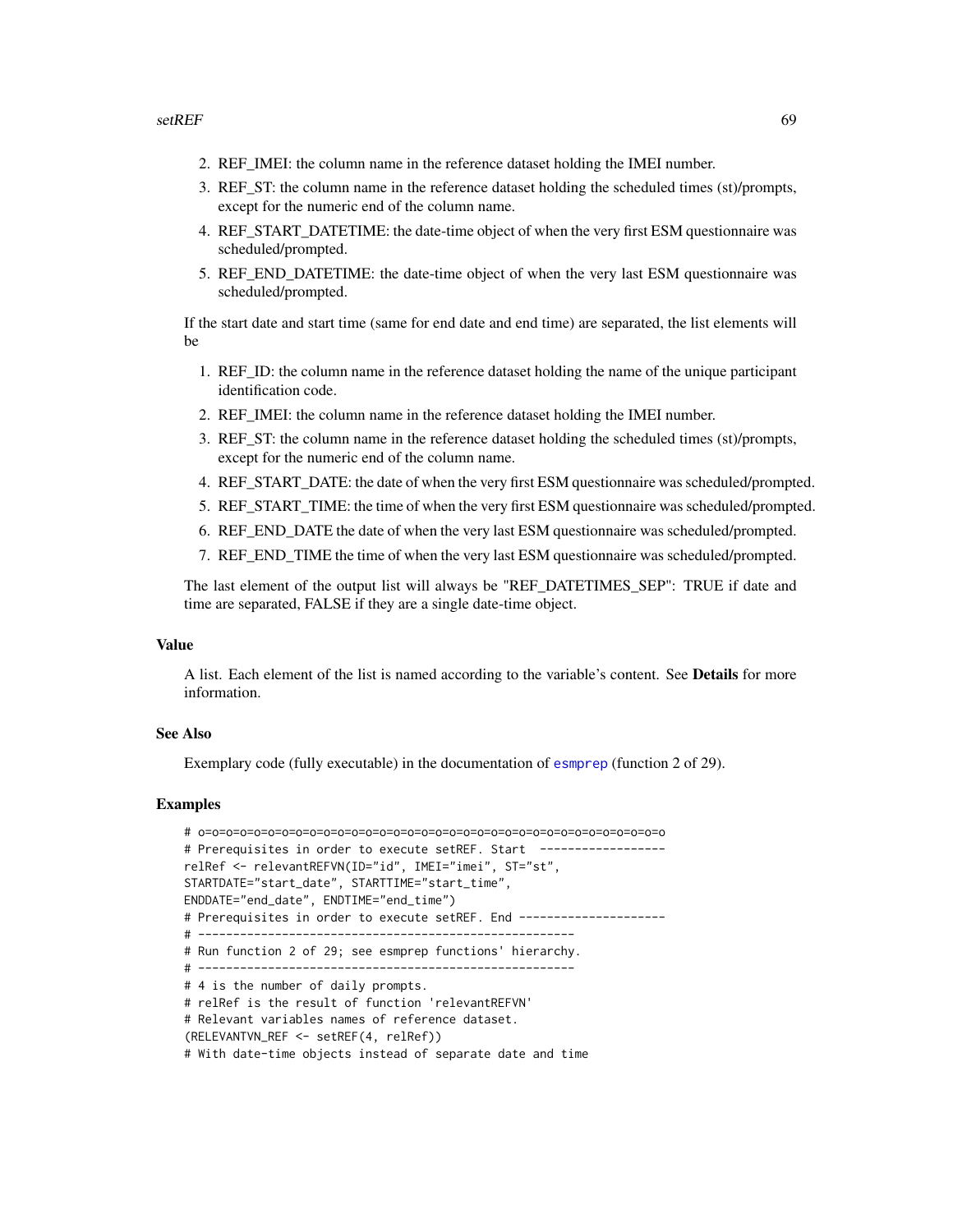- 2. REF\_IMEI: the column name in the reference dataset holding the IMEI number.
- 3. REF\_ST: the column name in the reference dataset holding the scheduled times (st)/prompts, except for the numeric end of the column name.
- 4. REF\_START\_DATETIME: the date-time object of when the very first ESM questionnaire was scheduled/prompted.
- 5. REF\_END\_DATETIME: the date-time object of when the very last ESM questionnaire was scheduled/prompted.

If the start date and start time (same for end date and end time) are separated, the list elements will be

- 1. REF\_ID: the column name in the reference dataset holding the name of the unique participant identification code.
- 2. REF\_IMEI: the column name in the reference dataset holding the IMEI number.
- 3. REF\_ST: the column name in the reference dataset holding the scheduled times (st)/prompts, except for the numeric end of the column name.
- 4. REF\_START\_DATE: the date of when the very first ESM questionnaire was scheduled/prompted.
- 5. REF\_START\_TIME: the time of when the very first ESM questionnaire was scheduled/prompted.
- 6. REF\_END\_DATE the date of when the very last ESM questionnaire was scheduled/prompted.
- 7. REF\_END\_TIME the time of when the very last ESM questionnaire was scheduled/prompted.

The last element of the output list will always be "REF\_DATETIMES\_SEP": TRUE if date and time are separated, FALSE if they are a single date-time object.

### Value

A list. Each element of the list is named according to the variable's content. See Details for more information.

## See Also

Exemplary code (fully executable) in the documentation of [esmprep](#page-21-0) (function 2 of 29).

```
# o=o=o=o=o=o=o=o=o=o=o=o=o=o=o=o=o=o=o=o=o=o=o=o=o=o=o=o=o=o=o=o=o=o
# Prerequisites in order to execute setREF. Start ------------------
relRef <- relevantREFVN(ID="id", IMEI="imei", ST="st",
STARTDATE="start_date", STARTTIME="start_time",
ENDDATE="end_date", ENDTIME="end_time")
# Prerequisites in order to execute setREF. End ---------------------
# ------------------------------------------------------
# Run function 2 of 29; see esmprep functions' hierarchy.
# ------------------------------------------------------
# 4 is the number of daily prompts.
# relRef is the result of function 'relevantREFVN'
# Relevant variables names of reference dataset.
(RELEVANTVN_REF <- setREF(4, relRef))
# With date-time objects instead of separate date and time
```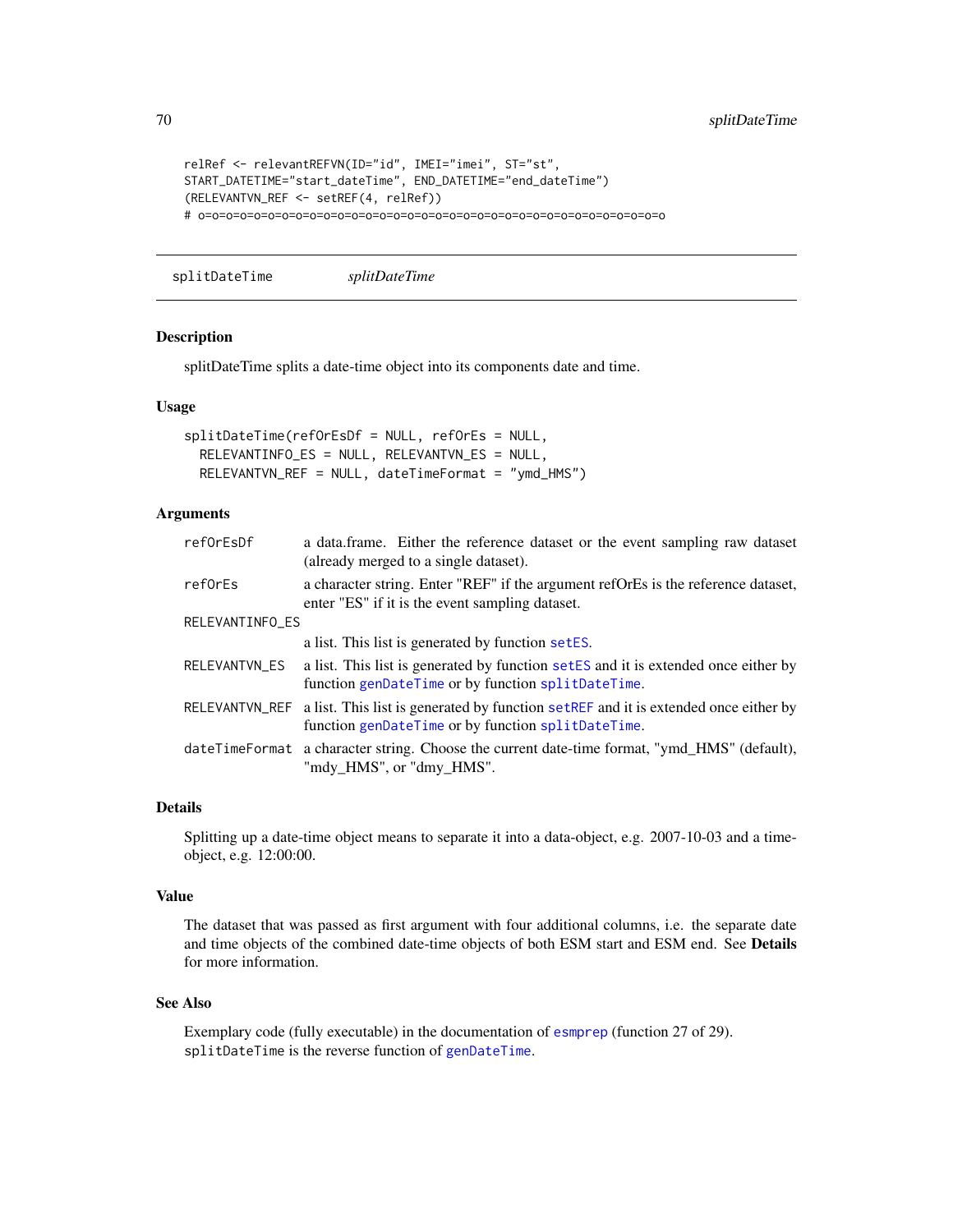```
relRef <- relevantREFVN(ID="id", IMEI="imei", ST="st",
START_DATETIME="start_dateTime", END_DATETIME="end_dateTime")
(RELEVANTVN_REF <- setREF(4, relRef))
# o=o=o=o=o=o=o=o=o=o=o=o=o=o=o=o=o=o=o=o=o=o=o=o=o=o=o=o=o=o=o=o=o=o
```
<span id="page-69-0"></span>splitDateTime *splitDateTime*

### Description

splitDateTime splits a date-time object into its components date and time.

## Usage

```
splitDateTime(refOrEsDf = NULL, refOrEs = NULL,
 RELEVANTINFO_ES = NULL, RELEVANTVN_ES = NULL,
 RELEVANTVN_REF = NULL, dateTimeFormat = "ymd_HMS")
```
# Arguments

| refOrEsDf       | a data.frame. Either the reference dataset or the event sampling raw dataset<br>(already merged to a single dataset).                                    |
|-----------------|----------------------------------------------------------------------------------------------------------------------------------------------------------|
| reforEs         | a character string. Enter "REF" if the argument reformer is the reference dataset,<br>enter "ES" if it is the event sampling dataset.                    |
| RELEVANTINFO_ES |                                                                                                                                                          |
|                 | a list. This list is generated by function setES.                                                                                                        |
| RELEVANTVN_ES   | a list. This list is generated by function setES and it is extended once either by<br>function genDateTime or by function splitDateTime.                 |
|                 | RELEVANTVN_REF a list. This list is generated by function setREF and it is extended once either by<br>function genDateTime or by function splitDateTime. |
|                 | dateTimeFormat a character string. Choose the current date-time format, "ymd_HMS" (default),<br>"mdy_HMS", or "dmy_HMS".                                 |

#### Details

Splitting up a date-time object means to separate it into a data-object, e.g. 2007-10-03 and a timeobject, e.g. 12:00:00.

#### Value

The dataset that was passed as first argument with four additional columns, i.e. the separate date and time objects of the combined date-time objects of both ESM start and ESM end. See Details for more information.

# See Also

Exemplary code (fully executable) in the documentation of [esmprep](#page-21-0) (function 27 of 29). splitDateTime is the reverse function of [genDateTime](#page-43-0).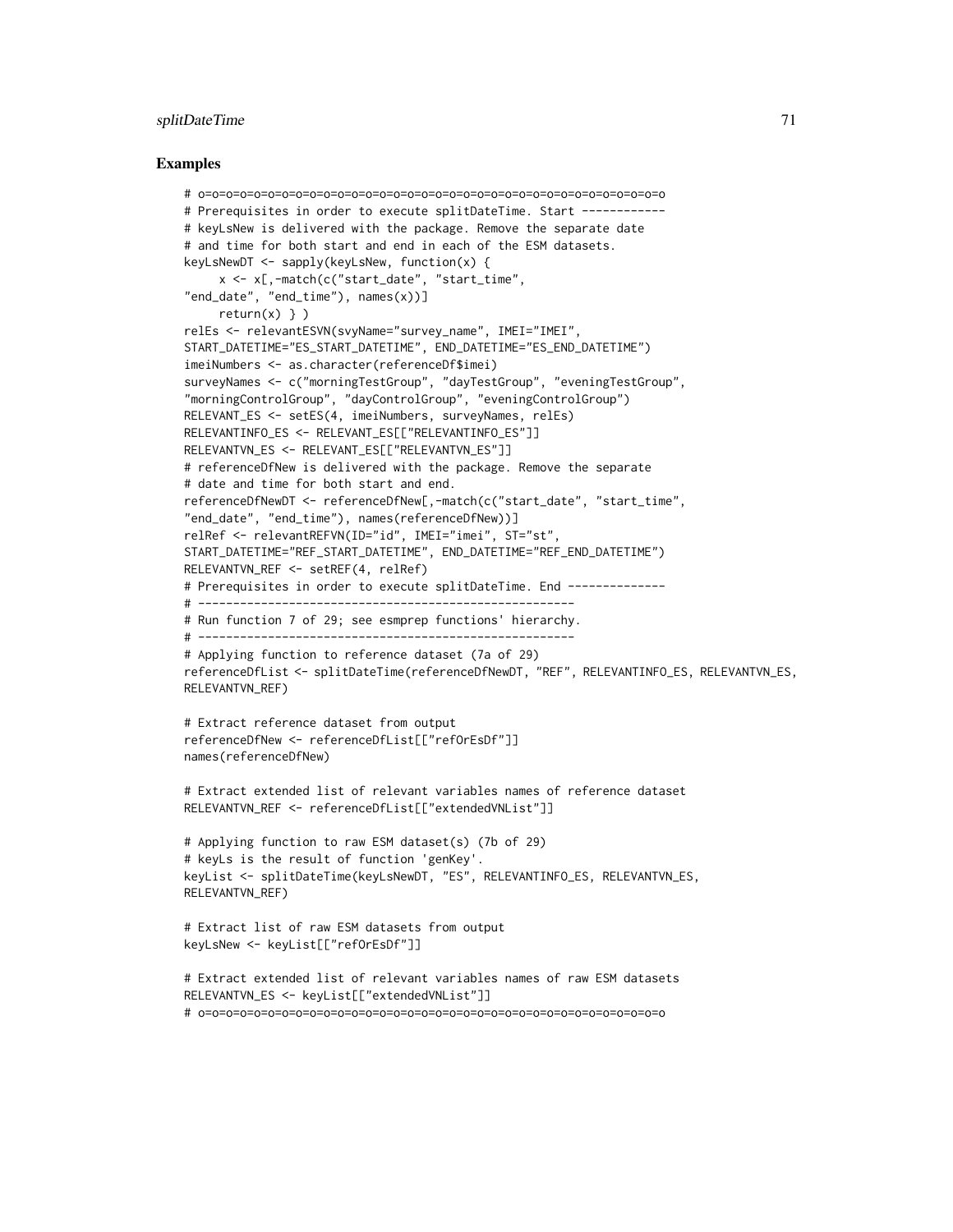# splitDateTime 71

```
# o=o=o=o=o=o=o=o=o=o=o=o=o=o=o=o=o=o=o=o=o=o=o=o=o=o=o=o=o=o=o=o=o=o
# Prerequisites in order to execute splitDateTime. Start ------------
# keyLsNew is delivered with the package. Remove the separate date
# and time for both start and end in each of the ESM datasets.
keyLsNewDT <- sapply(keyLsNew, function(x) {
     x <- x[,-match(c("start_date", "start_time",
"end_date", "end_time"), names(x))]
     return(x) \} )relEs <- relevantESVN(svyName="survey_name", IMEI="IMEI",
START_DATETIME="ES_START_DATETIME", END_DATETIME="ES_END_DATETIME")
imeiNumbers <- as.character(referenceDf$imei)
surveyNames <- c("morningTestGroup", "dayTestGroup", "eveningTestGroup",
"morningControlGroup", "dayControlGroup", "eveningControlGroup")
RELEVANT_ES <- setES(4, imeiNumbers, surveyNames, relEs)
RELEVANTINFO_ES <- RELEVANT_ES[["RELEVANTINFO_ES"]]
RELEVANTVN_ES <- RELEVANT_ES[["RELEVANTVN_ES"]]
# referenceDfNew is delivered with the package. Remove the separate
# date and time for both start and end.
referenceDfNewDT <- referenceDfNew[,-match(c("start_date", "start_time",
"end_date", "end_time"), names(referenceDfNew))]
relRef <- relevantREFVN(ID="id", IMEI="imei", ST="st",
START_DATETIME="REF_START_DATETIME", END_DATETIME="REF_END_DATETIME")
RELEVANTVN_REF <- setREF(4, relRef)
# Prerequisites in order to execute splitDateTime. End -------------
# ------------------------------------------------------
# Run function 7 of 29; see esmprep functions' hierarchy.
# ------------------------------------------------------
# Applying function to reference dataset (7a of 29)
referenceDfList <- splitDateTime(referenceDfNewDT, "REF", RELEVANTINFO_ES, RELEVANTVN_ES,
RELEVANTVN_REF)
# Extract reference dataset from output
referenceDfNew <- referenceDfList[["refOrEsDf"]]
names(referenceDfNew)
# Extract extended list of relevant variables names of reference dataset
RELEVANTVN_REF <- referenceDfList[["extendedVNList"]]
# Applying function to raw ESM dataset(s) (7b of 29)
# keyLs is the result of function 'genKey'.
keyList <- splitDateTime(keyLsNewDT, "ES", RELEVANTINFO_ES, RELEVANTVN_ES,
RELEVANTVN_REF)
# Extract list of raw ESM datasets from output
keyLsNew <- keyList[["refOrEsDf"]]
# Extract extended list of relevant variables names of raw ESM datasets
RELEVANTVN_ES <- keyList[["extendedVNList"]]
# o=o=o=o=o=o=o=o=o=o=o=o=o=o=o=o=o=o=o=o=o=o=o=o=o=o=o=o=o=o=o=o=o=o
```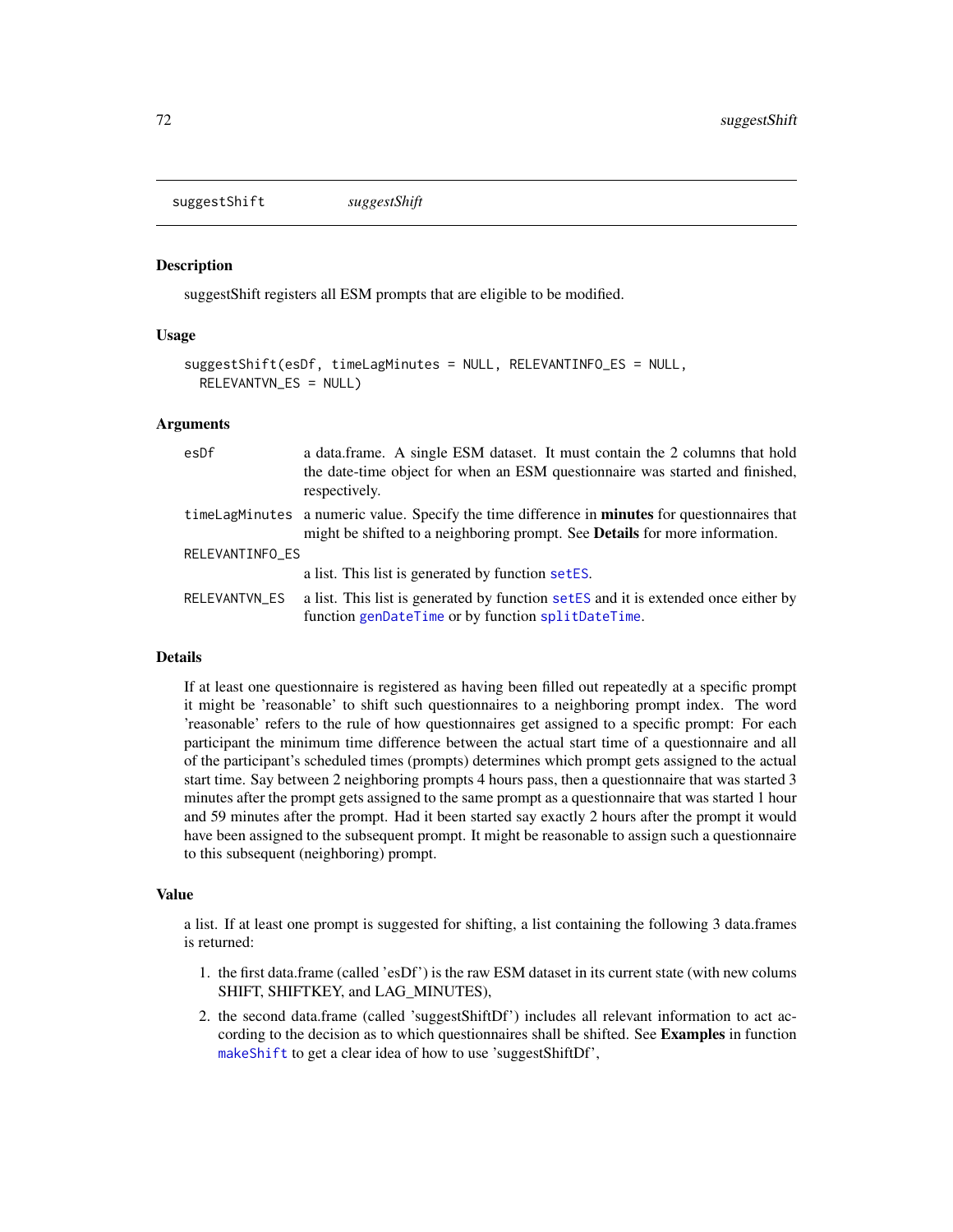<span id="page-71-0"></span>suggestShift *suggestShift*

## Description

suggestShift registers all ESM prompts that are eligible to be modified.

## Usage

```
suggestShift(esDf, timeLagMinutes = NULL, RELEVANTINFO_ES = NULL,
 RELEVANTVN_ES = NULL)
```
### Arguments

| esDf            | a data.frame. A single ESM dataset. It must contain the 2 columns that hold<br>the date-time object for when an ESM questionnaire was started and finished,<br>respectively.                |
|-----------------|---------------------------------------------------------------------------------------------------------------------------------------------------------------------------------------------|
|                 | timeLagMinutes a numeric value. Specify the time difference in <b>minutes</b> for questionnaires that<br>might be shifted to a neighboring prompt. See <b>Details</b> for more information. |
| RELEVANTINFO_ES |                                                                                                                                                                                             |
|                 | a list. This list is generated by function setES.                                                                                                                                           |
| RELEVANTVN_ES   | a list. This list is generated by function set ES and it is extended once either by<br>function genDateTime or by function splitDateTime.                                                   |

## Details

If at least one questionnaire is registered as having been filled out repeatedly at a specific prompt it might be 'reasonable' to shift such questionnaires to a neighboring prompt index. The word 'reasonable' refers to the rule of how questionnaires get assigned to a specific prompt: For each participant the minimum time difference between the actual start time of a questionnaire and all of the participant's scheduled times (prompts) determines which prompt gets assigned to the actual start time. Say between 2 neighboring prompts 4 hours pass, then a questionnaire that was started 3 minutes after the prompt gets assigned to the same prompt as a questionnaire that was started 1 hour and 59 minutes after the prompt. Had it been started say exactly 2 hours after the prompt it would have been assigned to the subsequent prompt. It might be reasonable to assign such a questionnaire to this subsequent (neighboring) prompt.

### Value

a list. If at least one prompt is suggested for shifting, a list containing the following 3 data.frames is returned:

- 1. the first data.frame (called 'esDf') is the raw ESM dataset in its current state (with new colums SHIFT, SHIFTKEY, and LAG\_MINUTES),
- 2. the second data.frame (called 'suggestShiftDf') includes all relevant information to act according to the decision as to which questionnaires shall be shifted. See Examples in function [makeShift](#page-48-0) to get a clear idea of how to use 'suggestShiftDf',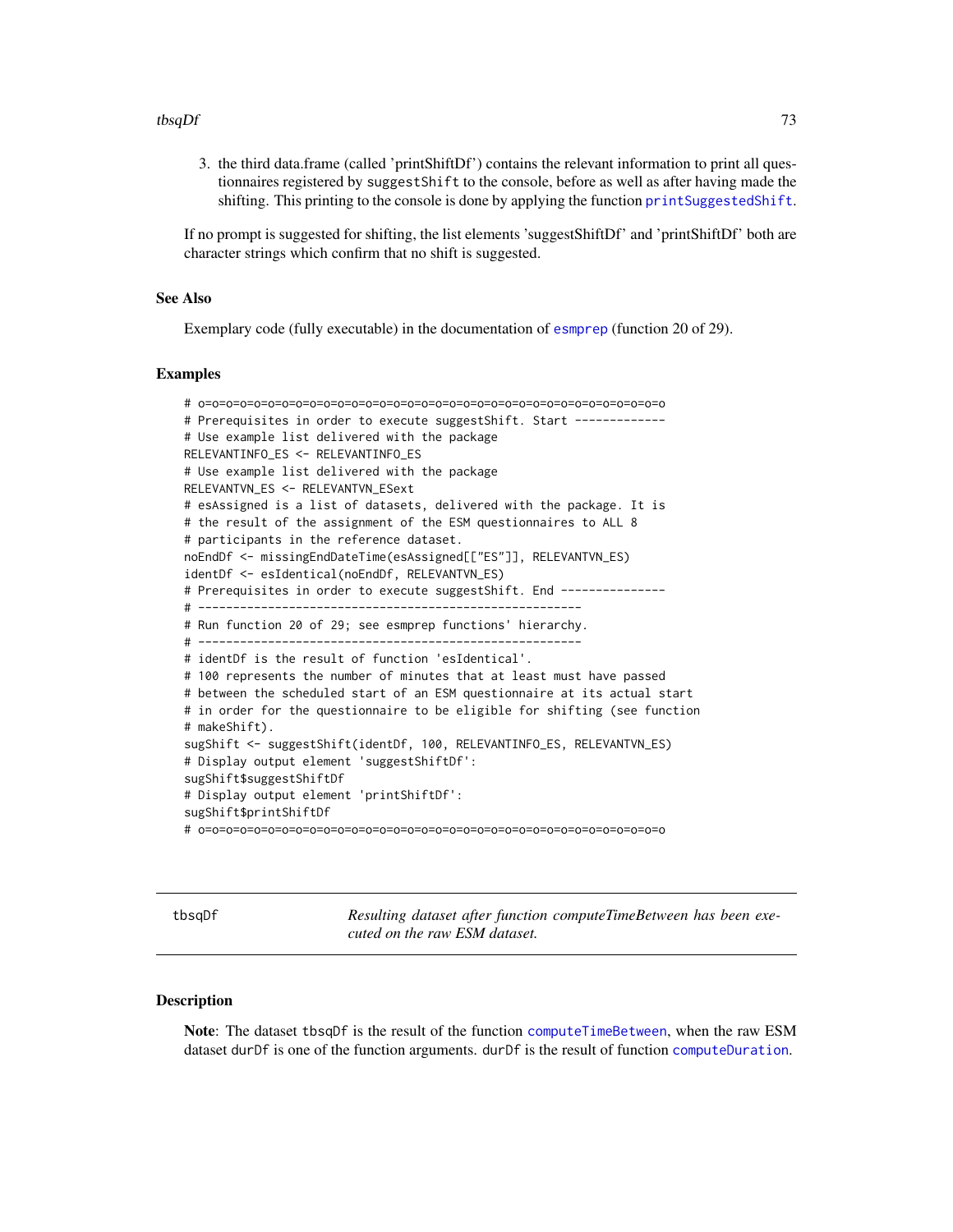#### <span id="page-72-0"></span>tbsqDf 73

3. the third data.frame (called 'printShiftDf') contains the relevant information to print all questionnaires registered by suggestShift to the console, before as well as after having made the shifting. This printing to the console is done by applying the function [printSuggestedShift](#page-54-0).

If no prompt is suggested for shifting, the list elements 'suggestShiftDf' and 'printShiftDf' both are character strings which confirm that no shift is suggested.

## See Also

Exemplary code (fully executable) in the documentation of [esmprep](#page-21-0) (function 20 of 29).

#### Examples

```
# o=o=o=o=o=o=o=o=o=o=o=o=o=o=o=o=o=o=o=o=o=o=o=o=o=o=o=o=o=o=o=o=o=o
# Prerequisites in order to execute suggestShift. Start ------------
# Use example list delivered with the package
RELEVANTINFO_ES <- RELEVANTINFO_ES
# Use example list delivered with the package
RELEVANTVN_ES <- RELEVANTVN_ESext
# esAssigned is a list of datasets, delivered with the package. It is
# the result of the assignment of the ESM questionnaires to ALL 8
# participants in the reference dataset.
noEndDf <- missingEndDateTime(esAssigned[["ES"]], RELEVANTVN_ES)
identDf <- esIdentical(noEndDf, RELEVANTVN_ES)
# Prerequisites in order to execute suggestShift. End ---------------
# -------------------------------------------------------
# Run function 20 of 29; see esmprep functions' hierarchy.
# -------------------------------------------------------
# identDf is the result of function 'esIdentical'.
# 100 represents the number of minutes that at least must have passed
# between the scheduled start of an ESM questionnaire at its actual start
# in order for the questionnaire to be eligible for shifting (see function
# makeShift).
sugShift <- suggestShift(identDf, 100, RELEVANTINFO_ES, RELEVANTVN_ES)
# Display output element 'suggestShiftDf':
sugShift$suggestShiftDf
# Display output element 'printShiftDf':
sugShift$printShiftDf
# o=o=o=o=o=o=o=o=o=o=o=o=o=o=o=o=o=o=o=o=o=o=o=o=o=o=o=o=o=o=o=o=o=o
```
tbsqDf *Resulting dataset after function computeTimeBetween has been executed on the raw ESM dataset.*

## **Description**

Note: The dataset tbsqDf is the result of the function [computeTimeBetween](#page-3-0), when the raw ESM dataset durDf is one of the function arguments. durDf is the result of function [computeDuration](#page-2-0).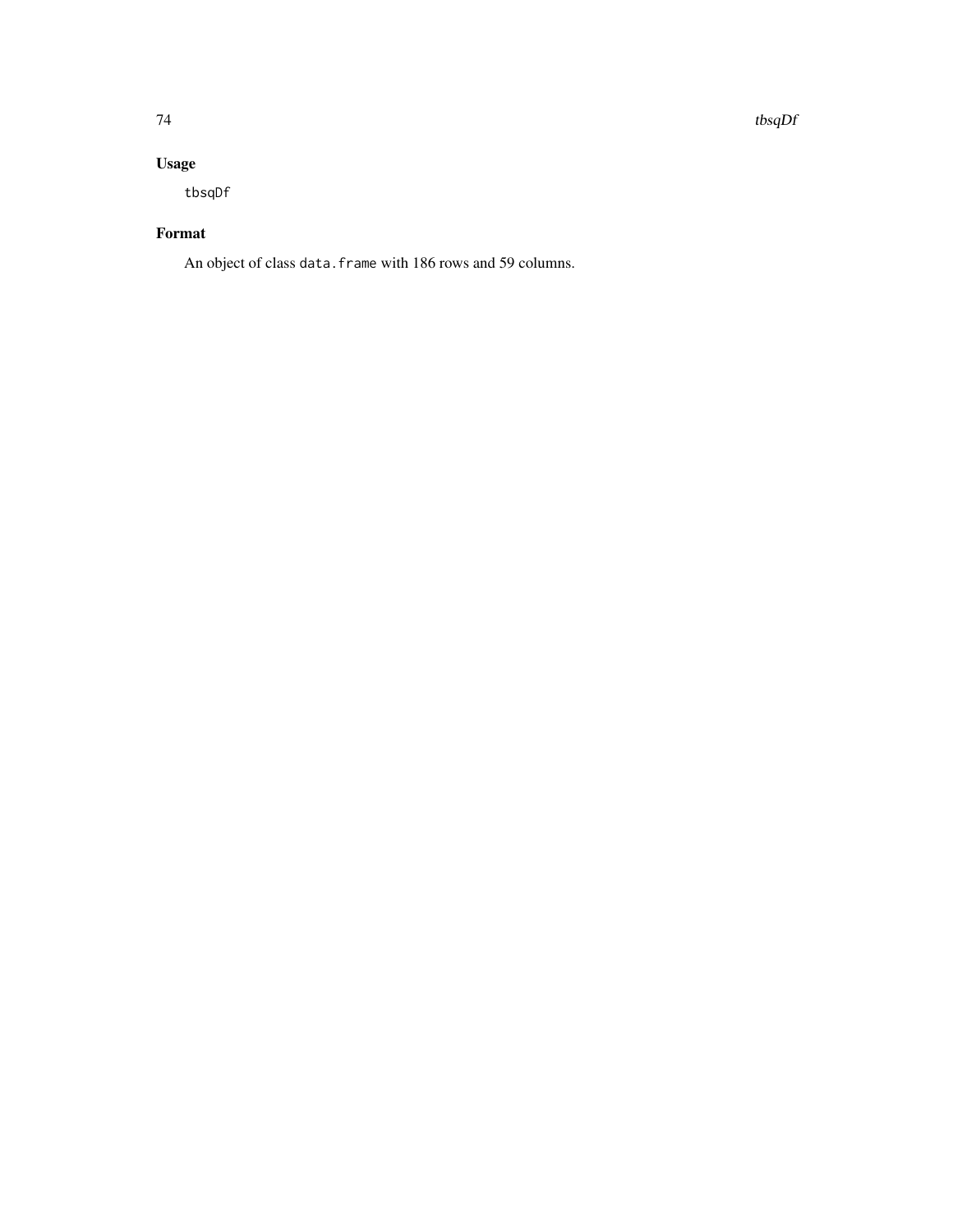74 tbsqDf

## Usage

tbsqDf

## Format

An object of class data.frame with 186 rows and 59 columns.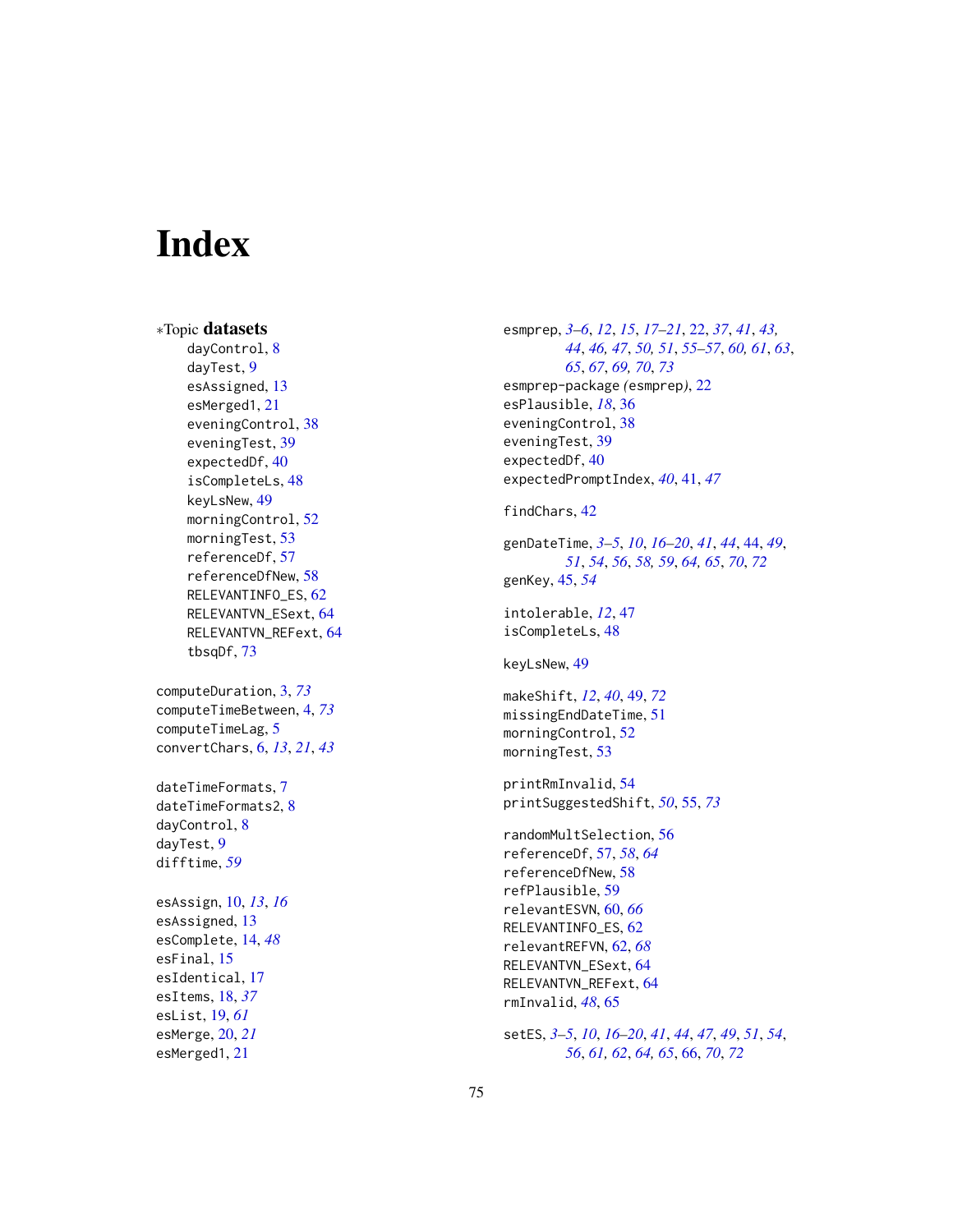# **Index**

∗Topic datasets dayControl, [8](#page-7-0) dayTest, [9](#page-8-0) esAssigned, [13](#page-12-0) esMerged1, [21](#page-20-0) eveningControl, [38](#page-37-0) eveningTest, [39](#page-38-0) expectedDf, [40](#page-39-0) isCompleteLs, [48](#page-47-0) keyLsNew, [49](#page-48-0) morningControl, [52](#page-51-0) morningTest, [53](#page-52-0) referenceDf, [57](#page-56-0) referenceDfNew, [58](#page-57-0) RELEVANTINFO\_ES, [62](#page-61-0) RELEVANTVN\_ESext, [64](#page-63-0) RELEVANTVN\_REFext, [64](#page-63-0) tbsqDf, [73](#page-72-0)

computeDuration, [3,](#page-2-1) *[73](#page-72-0)* computeTimeBetween, [4,](#page-3-1) *[73](#page-72-0)* computeTimeLag, [5](#page-4-0) convertChars, [6,](#page-5-0) *[13](#page-12-0)*, *[21](#page-20-0)*, *[43](#page-42-0)*

dateTimeFormats, [7](#page-6-0) dateTimeFormats2, [8](#page-7-0) dayControl, [8](#page-7-0) dayTest, [9](#page-8-0) difftime, *[59](#page-58-0)*

esAssign, [10,](#page-9-0) *[13](#page-12-0)*, *[16](#page-15-0)* esAssigned, [13](#page-12-0) esComplete, [14,](#page-13-0) *[48](#page-47-0)* esFinal, [15](#page-14-0) esIdentical, [17](#page-16-0) esItems, [18,](#page-17-0) *[37](#page-36-0)* esList, [19,](#page-18-0) *[61](#page-60-0)* esMerge, [20,](#page-19-0) *[21](#page-20-0)* esMerged1, [21](#page-20-0)

esmprep, *[3](#page-2-1)[–6](#page-5-0)*, *[12](#page-11-0)*, *[15](#page-14-0)*, *[17](#page-16-0)[–21](#page-20-0)*, [22,](#page-21-1) *[37](#page-36-0)*, *[41](#page-40-0)*, *[43,](#page-42-0) [44](#page-43-0)*, *[46,](#page-45-0) [47](#page-46-0)*, *[50,](#page-49-0) [51](#page-50-0)*, *[55](#page-54-1)[–57](#page-56-0)*, *[60,](#page-59-0) [61](#page-60-0)*, *[63](#page-62-0)*, *[65](#page-64-0)*, *[67](#page-66-0)*, *[69,](#page-68-0) [70](#page-69-0)*, *[73](#page-72-0)* esmprep-package *(*esmprep*)*, [22](#page-21-1) esPlausible, *[18](#page-17-0)*, [36](#page-35-0) eveningControl, [38](#page-37-0) eveningTest, [39](#page-38-0) expectedDf, [40](#page-39-0) expectedPromptIndex, *[40](#page-39-0)*, [41,](#page-40-0) *[47](#page-46-0)*

## findChars, [42](#page-41-0)

genDateTime, *[3](#page-2-1)[–5](#page-4-0)*, *[10](#page-9-0)*, *[16](#page-15-0)[–20](#page-19-0)*, *[41](#page-40-0)*, *[44](#page-43-0)*, [44,](#page-43-0) *[49](#page-48-0)*, *[51](#page-50-0)*, *[54](#page-53-0)*, *[56](#page-55-0)*, *[58,](#page-57-0) [59](#page-58-0)*, *[64,](#page-63-0) [65](#page-64-0)*, *[70](#page-69-0)*, *[72](#page-71-0)* genKey, [45,](#page-44-0) *[54](#page-53-0)*

intolerable, *[12](#page-11-0)*, [47](#page-46-0) isCompleteLs, [48](#page-47-0)

keyLsNew, [49](#page-48-0)

makeShift, *[12](#page-11-0)*, *[40](#page-39-0)*, [49,](#page-48-0) *[72](#page-71-0)* missingEndDateTime, [51](#page-50-0) morningControl, [52](#page-51-0) morningTest, [53](#page-52-0)

printRmInvalid, [54](#page-53-0) printSuggestedShift, *[50](#page-49-0)*, [55,](#page-54-1) *[73](#page-72-0)*

randomMultSelection, [56](#page-55-0) referenceDf, [57,](#page-56-0) *[58](#page-57-0)*, *[64](#page-63-0)* referenceDfNew, [58](#page-57-0) refPlausible, [59](#page-58-0) relevantESVN, [60,](#page-59-0) *[66](#page-65-0)* RELEVANTINFO\_ES, [62](#page-61-0) relevantREFVN, [62,](#page-61-0) *[68](#page-67-0)* RELEVANTVN\_ESext, [64](#page-63-0) RELEVANTVN\_REFext, [64](#page-63-0) rmInvalid, *[48](#page-47-0)*, [65](#page-64-0)

setES, *[3–](#page-2-1)[5](#page-4-0)*, *[10](#page-9-0)*, *[16](#page-15-0)[–20](#page-19-0)*, *[41](#page-40-0)*, *[44](#page-43-0)*, *[47](#page-46-0)*, *[49](#page-48-0)*, *[51](#page-50-0)*, *[54](#page-53-0)*, *[56](#page-55-0)*, *[61,](#page-60-0) [62](#page-61-0)*, *[64,](#page-63-0) [65](#page-64-0)*, [66,](#page-65-0) *[70](#page-69-0)*, *[72](#page-71-0)*